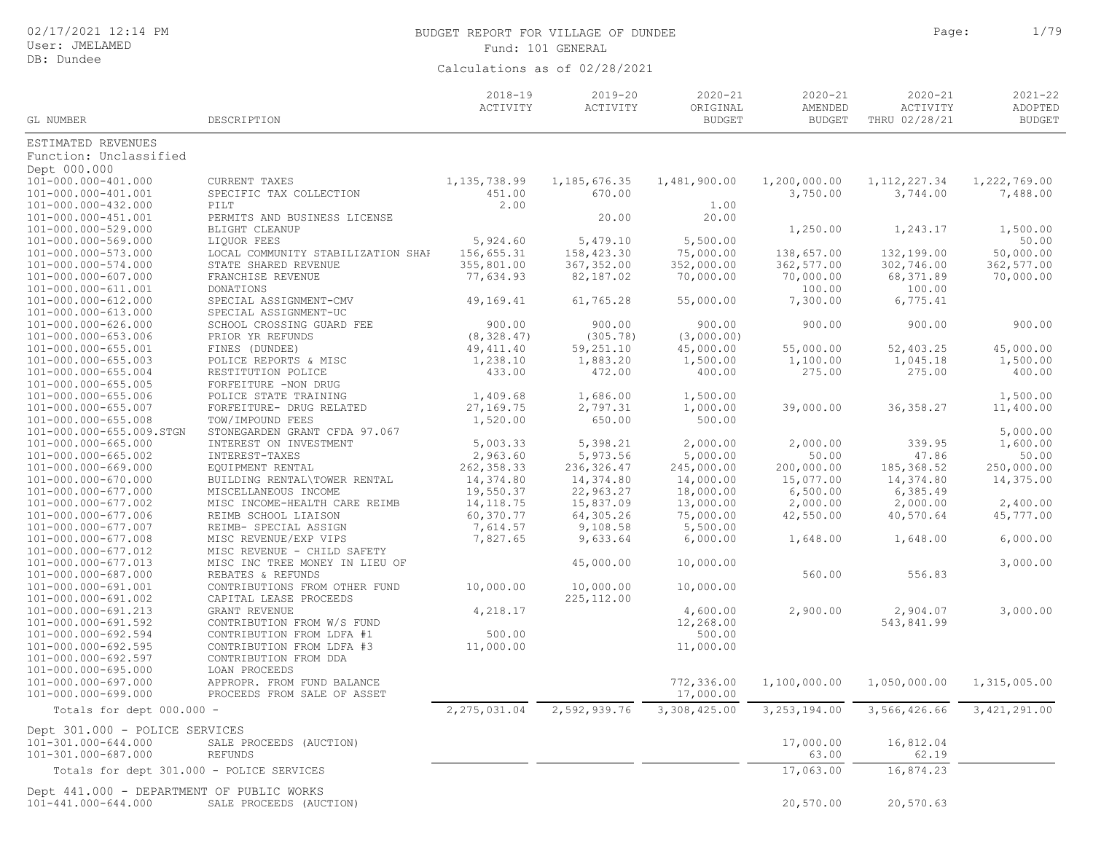| 02/17/2021 12:14 PM |  |  |  |
|---------------------|--|--|--|
|---------------------|--|--|--|

# BUDGET REPORT FOR VILLAGE OF DUNDEE **Page:** 1/79 Fund: 101 GENERAL

| GL NUMBER                                  | DESCRIPTION                                   | $2018 - 19$<br>ACTIVITY | $2019 - 20$<br>ACTIVITY | $2020 - 21$<br>ORIGINAL<br><b>BUDGET</b> | $2020 - 21$<br>AMENDED<br><b>BUDGET</b> | $2020 - 21$<br>ACTIVITY<br>THRU 02/28/21 | $2021 - 22$<br>ADOPTED<br><b>BUDGET</b> |
|--------------------------------------------|-----------------------------------------------|-------------------------|-------------------------|------------------------------------------|-----------------------------------------|------------------------------------------|-----------------------------------------|
| ESTIMATED REVENUES                         |                                               |                         |                         |                                          |                                         |                                          |                                         |
| Function: Unclassified                     |                                               |                         |                         |                                          |                                         |                                          |                                         |
| Dept 000.000                               |                                               |                         |                         |                                          |                                         |                                          |                                         |
| 101-000.000-401.000                        | CURRENT TAXES                                 | 1, 135, 738.99          | 1, 185, 676.35          | 1,481,900.00                             | 1,200,000.00                            | 1, 112, 227.34                           | 1,222,769.00                            |
| 101-000.000-401.001                        | SPECIFIC TAX COLLECTION                       | 451.00                  | 670.00                  |                                          | 3,750.00                                | 3,744.00                                 | 7,488.00                                |
| 101-000.000-432.000                        | PILT                                          | 2.00                    |                         | 1.00                                     |                                         |                                          |                                         |
| 101-000.000-451.001                        | PERMITS AND BUSINESS LICENSE                  |                         | 20.00                   | 20.00                                    |                                         |                                          |                                         |
| 101-000.000-529.000                        | BLIGHT CLEANUP                                |                         |                         |                                          | 1,250.00                                | 1,243.17                                 | 1,500.00                                |
| 101-000.000-569.000                        | LIQUOR FEES                                   | 5,924.60                | 5,479.10                | 5,500.00                                 |                                         |                                          | 50.00                                   |
| 101-000.000-573.000                        | LOCAL COMMUNITY STABILIZATION SHAP            | 156,655.31              | 158,423.30              | 75,000.00                                | 138,657.00                              | 132,199.00                               | 50,000.00                               |
| 101-000.000-574.000                        | STATE SHARED REVENUE                          | 355,801.00              | 367, 352.00             | 352,000.00                               | 362,577.00                              | 302,746.00                               | 362,577.00                              |
| 101-000.000-607.000                        | FRANCHISE REVENUE                             | 77,634.93               | 82,187.02               | 70,000.00                                | 70,000.00                               | 68,371.89                                | 70,000.00                               |
| 101-000.000-611.001                        | DONATIONS                                     |                         |                         |                                          | 100.00                                  | 100.00                                   |                                         |
| 101-000.000-612.000                        | SPECIAL ASSIGNMENT-CMV                        | 49,169.41               | 61,765.28               | 55,000.00                                | 7,300.00                                | 6,775.41                                 |                                         |
| 101-000.000-613.000                        | SPECIAL ASSIGNMENT-UC                         |                         |                         |                                          |                                         |                                          |                                         |
| 101-000.000-626.000                        | SCHOOL CROSSING GUARD FEE                     | 900.00                  | 900.00                  | 900.00                                   | 900.00                                  | 900.00                                   | 900.00                                  |
| 101-000.000-653.006                        | PRIOR YR REFUNDS                              | (8, 328.47)             | (305.78)                | (3,000.00)                               |                                         |                                          |                                         |
| 101-000.000-655.001                        | FINES (DUNDEE)                                | 49, 411.40              | 59,251.10               | 45,000.00                                | 55,000.00                               | 52,403.25                                | 45,000.00                               |
| 101-000.000-655.003                        | POLICE REPORTS & MISC                         | 1,238.10                | 1,883.20                | 1,500.00                                 | 1,100.00                                | 1,045.18                                 | 1,500.00                                |
| 101-000.000-655.004                        | RESTITUTION POLICE                            | 433.00                  | 472.00                  | 400.00                                   | 275.00                                  | 275.00                                   | 400.00                                  |
| 101-000.000-655.005<br>101-000.000-655.006 | FORFEITURE -NON DRUG<br>POLICE STATE TRAINING | 1,409.68                | 1,686.00                | 1,500.00                                 |                                         |                                          | 1,500.00                                |
| 101-000.000-655.007                        | FORFEITURE- DRUG RELATED                      | 27,169.75               | 2,797.31                | 1,000.00                                 | 39,000.00                               | 36, 358.27                               | 11,400.00                               |
| 101-000.000-655.008                        | TOW/IMPOUND FEES                              | 1,520.00                | 650.00                  | 500.00                                   |                                         |                                          |                                         |
| 101-000.000-655.009.STGN                   | STONEGARDEN GRANT CFDA 97.067                 |                         |                         |                                          |                                         |                                          | 5,000.00                                |
| 101-000.000-665.000                        | INTEREST ON INVESTMENT                        | 5,003.33                | 5,398.21                | 2,000.00                                 | 2,000.00                                | 339.95                                   | 1,600.00                                |
| 101-000.000-665.002                        | INTEREST-TAXES                                | 2,963.60                | 5,973.56                | 5,000.00                                 | 50.00                                   | 47.86                                    | 50.00                                   |
| 101-000.000-669.000                        | EQUIPMENT RENTAL                              | 262, 358.33             | 236, 326.47             | 245,000.00                               | 200,000.00                              | 185,368.52                               | 250,000.00                              |
| 101-000.000-670.000                        | BUILDING RENTAL\TOWER RENTAL                  | 14,374.80               | 14,374.80               | 14,000.00                                | 15,077.00                               | 14,374.80                                | 14,375.00                               |
| 101-000.000-677.000                        | MISCELLANEOUS INCOME                          | 19,550.37               | 22,963.27               | 18,000.00                                | 6,500.00                                | 6,385.49                                 |                                         |
| 101-000.000-677.002                        | MISC INCOME-HEALTH CARE REIMB                 | 14, 118.75              | 15,837.09               | 13,000.00                                | 2,000.00                                | 2,000.00                                 | 2,400.00                                |
| 101-000.000-677.006                        | REIMB SCHOOL LIAISON                          | 60,370.77               | 64,305.26               | 75,000.00                                | 42,550.00                               | 40,570.64                                | 45,777.00                               |
| 101-000.000-677.007                        | REIMB- SPECIAL ASSIGN                         | 7,614.57                | 9,108.58                | 5,500.00                                 |                                         |                                          |                                         |
| 101-000.000-677.008                        | MISC REVENUE/EXP VIPS                         | 7,827.65                | 9,633.64                | 6,000.00                                 | 1,648.00                                | 1,648.00                                 | 6,000.00                                |
| 101-000.000-677.012                        | MISC REVENUE - CHILD SAFETY                   |                         |                         |                                          |                                         |                                          |                                         |
| 101-000.000-677.013                        | MISC INC TREE MONEY IN LIEU OF                |                         | 45,000.00               | 10,000.00                                |                                         |                                          | 3,000.00                                |
| 101-000.000-687.000                        | REBATES & REFUNDS                             |                         |                         |                                          | 560.00                                  | 556.83                                   |                                         |
| 101-000.000-691.001                        | CONTRIBUTIONS FROM OTHER FUND                 | 10,000.00               | 10,000.00               | 10,000.00                                |                                         |                                          |                                         |
| 101-000.000-691.002                        | CAPITAL LEASE PROCEEDS                        |                         | 225, 112.00             |                                          |                                         |                                          |                                         |
| 101-000.000-691.213                        | GRANT REVENUE                                 | 4,218.17                |                         | 4,600.00                                 | 2,900.00                                | 2,904.07                                 | 3,000.00                                |
| 101-000.000-691.592                        | CONTRIBUTION FROM W/S FUND                    |                         |                         | 12,268.00                                |                                         | 543,841.99                               |                                         |
| 101-000.000-692.594                        | CONTRIBUTION FROM LDFA #1                     | 500.00                  |                         | 500.00                                   |                                         |                                          |                                         |
| 101-000.000-692.595                        | CONTRIBUTION FROM LDFA #3                     | 11,000.00               |                         | 11,000.00                                |                                         |                                          |                                         |
| 101-000.000-692.597                        | CONTRIBUTION FROM DDA                         |                         |                         |                                          |                                         |                                          |                                         |
| 101-000.000-695.000<br>101-000.000-697.000 | LOAN PROCEEDS<br>APPROPR. FROM FUND BALANCE   |                         |                         | 772,336.00                               | 1,100,000.00                            | 1,050,000.00                             |                                         |
| 101-000.000-699.000                        | PROCEEDS FROM SALE OF ASSET                   |                         |                         | 17,000.00                                |                                         |                                          | 1,315,005.00                            |
|                                            |                                               |                         |                         |                                          |                                         |                                          |                                         |
| Totals for dept 000.000 -                  |                                               | 2,275,031.04            | 2,592,939.76            | 3,308,425.00                             | 3, 253, 194.00                          | 3,566,426.66                             | 3, 421, 291.00                          |
| Dept 301.000 - POLICE SERVICES             |                                               |                         |                         |                                          |                                         |                                          |                                         |
| 101-301.000-644.000                        | SALE PROCEEDS (AUCTION)                       |                         |                         |                                          | 17,000.00                               | 16,812.04                                |                                         |
| 101-301.000-687.000                        | <b>REFUNDS</b>                                |                         |                         |                                          | 63.00                                   | 62.19                                    |                                         |
| Totals for dept 301.000 - POLICE SERVICES  |                                               |                         |                         |                                          | 17,063.00                               | 16,874.23                                |                                         |
| Dept 441.000 - DEPARTMENT OF PUBLIC WORKS  |                                               |                         |                         |                                          |                                         |                                          |                                         |
| 101-441.000-644.000                        | SALE PROCEEDS (AUCTION)                       |                         |                         |                                          | 20,570.00                               | 20,570.63                                |                                         |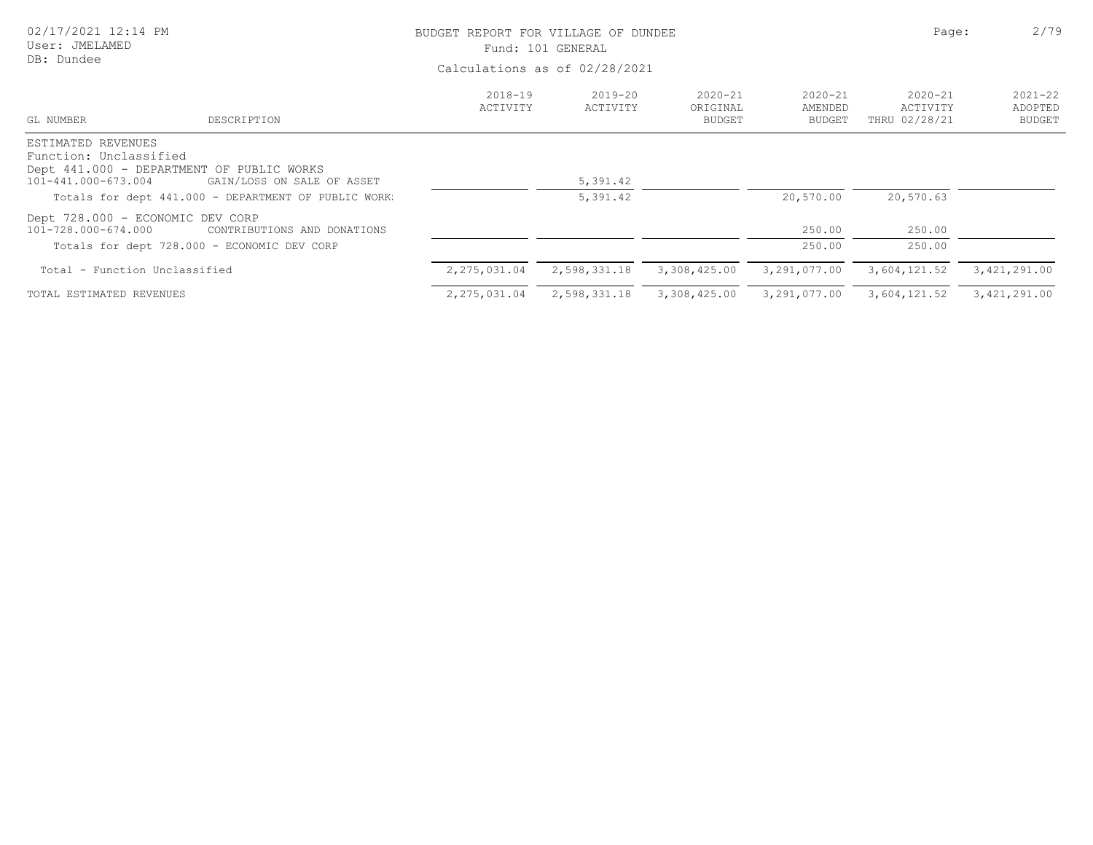| 02/17/2021 12:14 PM<br>User: JMELAMED<br>DB: Dundee                                                              |                                                                            | BUDGET REPORT FOR VILLAGE OF DUNDEE | Fund: 101 GENERAL<br>Calculations as of 02/28/2021 |                                          | Page:                            | 2/79                                     |                                         |
|------------------------------------------------------------------------------------------------------------------|----------------------------------------------------------------------------|-------------------------------------|----------------------------------------------------|------------------------------------------|----------------------------------|------------------------------------------|-----------------------------------------|
| GL NUMBER                                                                                                        | DESCRIPTION                                                                | $2018 - 19$<br>ACTIVITY             | 2019-20<br>ACTIVITY                                | $2020 - 21$<br>ORIGINAL<br><b>BUDGET</b> | $2020 - 21$<br>AMENDED<br>BUDGET | $2020 - 21$<br>ACTIVITY<br>THRU 02/28/21 | $2021 - 22$<br>ADOPTED<br><b>BUDGET</b> |
| ESTIMATED REVENUES<br>Function: Unclassified<br>Dept 441.000 - DEPARTMENT OF PUBLIC WORKS<br>101-441.000-673.004 | GAIN/LOSS ON SALE OF ASSET                                                 |                                     | 5,391.42                                           |                                          |                                  |                                          |                                         |
|                                                                                                                  | Totals for dept 441.000 - DEPARTMENT OF PUBLIC WORK.                       |                                     | 5,391.42                                           |                                          | 20,570.00                        | 20,570.63                                |                                         |
| Dept 728.000 - ECONOMIC DEV CORP<br>101-728.000-674.000                                                          | CONTRIBUTIONS AND DONATIONS<br>Totals for dept 728.000 - ECONOMIC DEV CORP |                                     |                                                    |                                          | 250.00<br>250.00                 | 250.00<br>250.00                         |                                         |
| Total - Function Unclassified                                                                                    |                                                                            | 2,275,031.04                        | 2,598,331.18                                       | 3,308,425.00                             | 3,291,077.00                     | 3,604,121.52                             | 3,421,291.00                            |
| TOTAL ESTIMATED REVENUES                                                                                         |                                                                            | 2,275,031.04                        | 2,598,331.18                                       | 3,308,425.00                             | 3,291,077.00                     | 3,604,121.52                             | 3,421,291.00                            |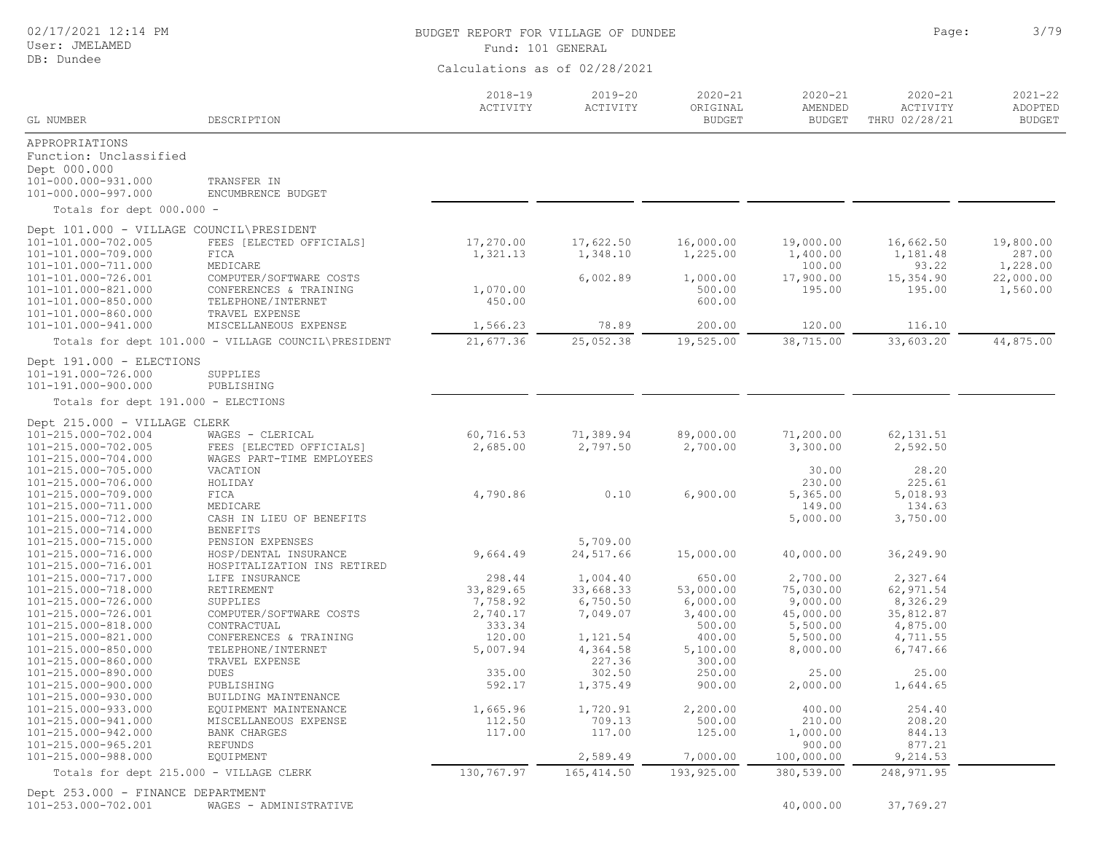## User: JMELAMED

#### DB: Dundee

# BUDGET REPORT FOR VILLAGE OF DUNDEE **Page:** 2/79

Fund: 101 GENERAL

Calculations as of 02/28/2021

| GL NUMBER                                                       | DESCRIPTION                                          | $2018 - 19$<br>ACTIVITY | $2019 - 20$<br>ACTIVITY | $2020 - 21$<br>ORIGINAL<br><b>BUDGET</b> | $2020 - 21$<br>AMENDED<br><b>BUDGET</b> | $2020 - 21$<br>ACTIVITY<br>THRU 02/28/21 | $2021 - 22$<br>ADOPTED<br><b>BUDGET</b> |
|-----------------------------------------------------------------|------------------------------------------------------|-------------------------|-------------------------|------------------------------------------|-----------------------------------------|------------------------------------------|-----------------------------------------|
| APPROPRIATIONS                                                  |                                                      |                         |                         |                                          |                                         |                                          |                                         |
| Function: Unclassified                                          |                                                      |                         |                         |                                          |                                         |                                          |                                         |
| Dept 000.000                                                    |                                                      |                         |                         |                                          |                                         |                                          |                                         |
| 101-000.000-931.000                                             | TRANSFER IN                                          |                         |                         |                                          |                                         |                                          |                                         |
| 101-000.000-997.000                                             | ENCUMBRENCE BUDGET                                   |                         |                         |                                          |                                         |                                          |                                         |
| Totals for dept 000.000 -                                       |                                                      |                         |                         |                                          |                                         |                                          |                                         |
|                                                                 |                                                      |                         |                         |                                          |                                         |                                          |                                         |
| Dept 101.000 - VILLAGE COUNCIL\PRESIDENT<br>101-101.000-702.005 | FEES [ELECTED OFFICIALS]                             | 17,270.00               | 17,622.50               | 16,000.00                                | 19,000.00                               | 16,662.50                                | 19,800.00                               |
| 101-101.000-709.000                                             | FICA                                                 | 1,321.13                | 1,348.10                | 1,225.00                                 | 1,400.00                                | 1,181.48                                 | 287.00                                  |
| 101-101.000-711.000                                             | MEDICARE                                             |                         |                         |                                          | 100.00                                  | 93.22                                    | 1,228.00                                |
| 101-101.000-726.001                                             | COMPUTER/SOFTWARE COSTS                              |                         | 6,002.89                | 1,000.00                                 | 17,900.00                               | 15,354.90                                | 22,000.00                               |
| 101-101.000-821.000                                             | CONFERENCES & TRAINING                               | 1,070.00                |                         | 500.00                                   | 195.00                                  | 195.00                                   | 1,560.00                                |
| 101-101.000-850.000                                             | TELEPHONE/INTERNET                                   | 450.00                  |                         | 600.00                                   |                                         |                                          |                                         |
| 101-101.000-860.000                                             | TRAVEL EXPENSE                                       |                         |                         |                                          |                                         |                                          |                                         |
| 101-101.000-941.000                                             | MISCELLANEOUS EXPENSE                                | 1,566.23                | 78.89                   | 200.00                                   | 120.00                                  | 116.10                                   |                                         |
|                                                                 | Totals for dept 101.000 - VILLAGE COUNCIL\PRESIDENT  | 21,677.36               | 25,052.38               | 19,525.00                                | 38,715.00                               | 33,603.20                                | 44,875.00                               |
| Dept 191.000 - ELECTIONS                                        |                                                      |                         |                         |                                          |                                         |                                          |                                         |
| 101-191.000-726.000                                             | SUPPLIES                                             |                         |                         |                                          |                                         |                                          |                                         |
| 101-191.000-900.000                                             | PUBLISHING                                           |                         |                         |                                          |                                         |                                          |                                         |
| Totals for dept 191.000 - ELECTIONS                             |                                                      |                         |                         |                                          |                                         |                                          |                                         |
| Dept 215.000 - VILLAGE CLERK                                    |                                                      |                         |                         |                                          |                                         |                                          |                                         |
| 101-215.000-702.004                                             | WAGES - CLERICAL                                     | 60,716.53               | 71,389.94               | 89,000.00                                | 71,200.00                               | 62, 131.51                               |                                         |
| 101-215.000-702.005                                             | FEES [ELECTED OFFICIALS]                             | 2,685.00                | 2,797.50                | 2,700.00                                 | 3,300.00                                | 2,592.50                                 |                                         |
| 101-215.000-704.000                                             | WAGES PART-TIME EMPLOYEES                            |                         |                         |                                          |                                         |                                          |                                         |
| 101-215.000-705.000                                             | VACATION                                             |                         |                         |                                          | 30.00                                   | 28.20                                    |                                         |
| 101-215.000-706.000                                             | HOLIDAY                                              |                         |                         |                                          | 230.00                                  | 225.61                                   |                                         |
| 101-215.000-709.000                                             | FICA                                                 | 4,790.86                | 0.10                    | 6,900.00                                 | 5,365.00                                | 5,018.93                                 |                                         |
| 101-215.000-711.000                                             | MEDICARE                                             |                         |                         |                                          | 149.00                                  | 134.63                                   |                                         |
| 101-215.000-712.000                                             | CASH IN LIEU OF BENEFITS                             |                         |                         |                                          | 5,000.00                                | 3,750.00                                 |                                         |
| 101-215.000-714.000                                             | <b>BENEFITS</b>                                      |                         |                         |                                          |                                         |                                          |                                         |
| 101-215.000-715.000                                             | PENSION EXPENSES                                     | 9,664.49                | 5,709.00<br>24,517.66   |                                          | 40,000.00                               |                                          |                                         |
| 101-215.000-716.000<br>101-215.000-716.001                      | HOSP/DENTAL INSURANCE<br>HOSPITALIZATION INS RETIRED |                         |                         | 15,000.00                                |                                         | 36,249.90                                |                                         |
| 101-215.000-717.000                                             | LIFE INSURANCE                                       | 298.44                  | 1,004.40                | 650.00                                   | 2,700.00                                | 2,327.64                                 |                                         |
| 101-215.000-718.000                                             | RETIREMENT                                           | 33,829.65               | 33,668.33               | 53,000.00                                | 75,030.00                               | 62,971.54                                |                                         |
| 101-215.000-726.000                                             | SUPPLIES                                             | 7,758.92                | 6,750.50                | 6,000.00                                 | 9,000.00                                | 8,326.29                                 |                                         |
| 101-215.000-726.001                                             | COMPUTER/SOFTWARE COSTS                              | 2,740.17                | 7,049.07                | 3,400.00                                 | 45,000.00                               | 35,812.87                                |                                         |
| 101-215.000-818.000                                             | CONTRACTUAL                                          | 333.34                  |                         | 500.00                                   | 5,500.00                                | 4,875.00                                 |                                         |
| 101-215.000-821.000                                             | CONFERENCES & TRAINING                               | 120.00                  | 1,121.54                | 400.00                                   | 5,500.00                                | 4,711.55                                 |                                         |
| 101-215.000-850.000                                             | TELEPHONE/INTERNET                                   | 5,007.94                | 4,364.58                | 5,100.00                                 | 8,000.00                                | 6,747.66                                 |                                         |
| 101-215.000-860.000                                             | TRAVEL EXPENSE                                       |                         | 227.36                  | 300.00                                   |                                         |                                          |                                         |
| 101-215.000-890.000                                             | DUES                                                 | 335.00                  | 302.50                  | 250.00                                   | 25.00                                   | 25.00                                    |                                         |
| 101-215.000-900.000                                             | PUBLISHING                                           | 592.17                  | 1,375.49                | 900.00                                   | 2,000.00                                | 1,644.65                                 |                                         |
| 101-215.000-930.000                                             | BUILDING MAINTENANCE                                 |                         |                         |                                          |                                         |                                          |                                         |
| 101-215.000-933.000                                             | EQUIPMENT MAINTENANCE                                | 1,665.96                | 1,720.91                | 2,200.00                                 | 400.00                                  | 254.40                                   |                                         |
| 101-215.000-941.000                                             | MISCELLANEOUS EXPENSE                                | 112.50                  | 709.13                  | 500.00                                   | 210.00                                  | 208.20                                   |                                         |
| 101-215.000-942.000                                             | <b>BANK CHARGES</b>                                  | 117.00                  | 117.00                  | 125.00                                   | 1,000.00                                | 844.13                                   |                                         |
| 101-215.000-965.201<br>101-215.000-988.000                      | REFUNDS                                              |                         | 2,589.49                | 7,000.00                                 | 900.00                                  | 877.21<br>9,214.53                       |                                         |
|                                                                 | EQUIPMENT                                            |                         |                         |                                          | 100,000.00                              |                                          |                                         |
| Totals for dept 215.000 - VILLAGE CLERK                         |                                                      | 130,767.97              | 165, 414.50             | 193,925.00                               | 380,539.00                              | 248, 971.95                              |                                         |

Dept 253.000 - FINANCE DEPARTMENT 101-253.000-702.001 WAGES - ADMINISTRATIVE 40,000.00 37,769.27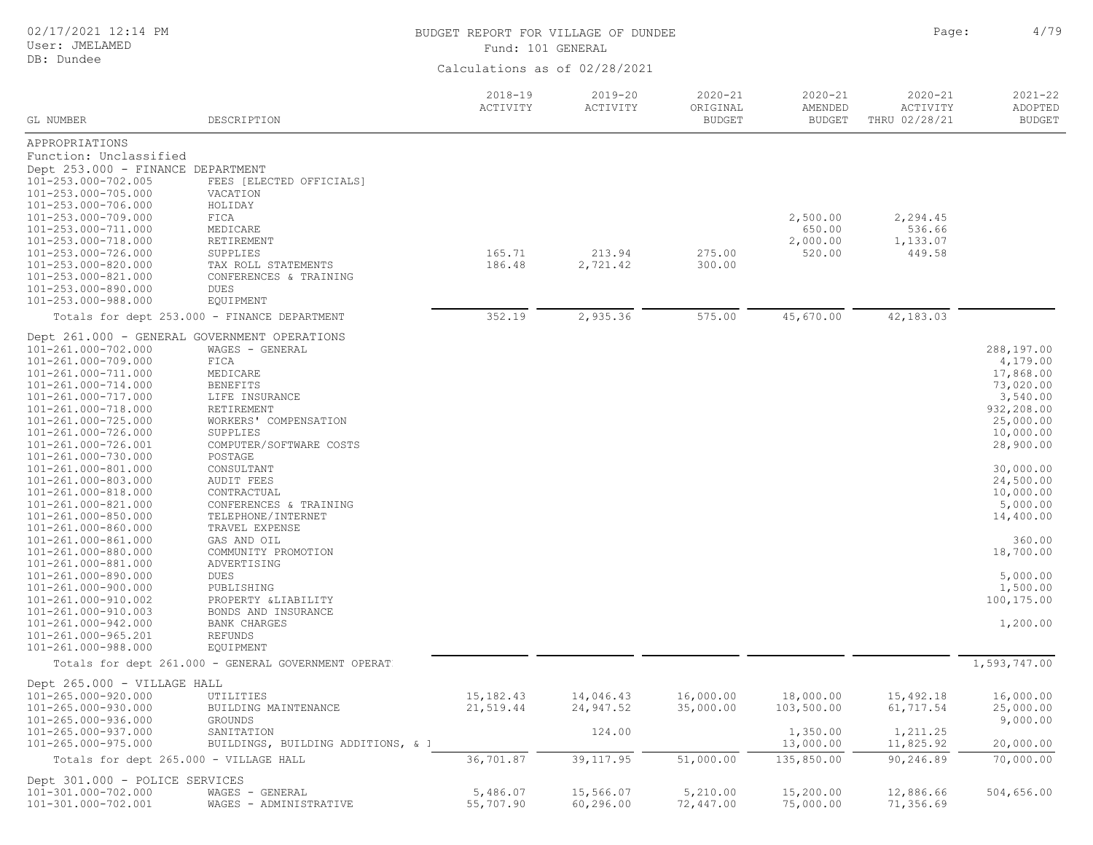| 02/17/2021 12:14 PM<br>User: JMELAMED              |                                                     | BUDGET REPORT FOR VILLAGE OF DUNDEE<br>Fund: 101 GENERAL |                         |                                          |                                         | Page:                                    | 4/79                                    |
|----------------------------------------------------|-----------------------------------------------------|----------------------------------------------------------|-------------------------|------------------------------------------|-----------------------------------------|------------------------------------------|-----------------------------------------|
| DB: Dundee                                         |                                                     |                                                          |                         |                                          |                                         |                                          |                                         |
|                                                    |                                                     | Calculations as of 02/28/2021                            |                         |                                          |                                         |                                          |                                         |
| GL NUMBER                                          | DESCRIPTION                                         | $2018 - 19$<br>ACTIVITY                                  | $2019 - 20$<br>ACTIVITY | $2020 - 21$<br>ORIGINAL<br><b>BUDGET</b> | $2020 - 21$<br>AMENDED<br><b>BUDGET</b> | $2020 - 21$<br>ACTIVITY<br>THRU 02/28/21 | $2021 - 22$<br>ADOPTED<br><b>BUDGET</b> |
| APPROPRIATIONS                                     |                                                     |                                                          |                         |                                          |                                         |                                          |                                         |
| Function: Unclassified                             |                                                     |                                                          |                         |                                          |                                         |                                          |                                         |
| Dept 253.000 - FINANCE DEPARTMENT                  |                                                     |                                                          |                         |                                          |                                         |                                          |                                         |
| 101-253.000-702.005                                | FEES [ELECTED OFFICIALS]                            |                                                          |                         |                                          |                                         |                                          |                                         |
| 101-253.000-705.000<br>101-253.000-706.000         | VACATION<br>HOLIDAY                                 |                                                          |                         |                                          |                                         |                                          |                                         |
| 101-253.000-709.000                                | FICA                                                |                                                          |                         |                                          | 2,500.00                                | 2,294.45                                 |                                         |
| 101-253.000-711.000                                | MEDICARE                                            |                                                          |                         |                                          | 650.00                                  | 536.66                                   |                                         |
| 101-253.000-718.000                                | RETIREMENT                                          |                                                          |                         |                                          | 2,000.00                                | 1,133.07                                 |                                         |
| 101-253.000-726.000                                | SUPPLIES                                            | 165.71                                                   | 213.94                  | 275.00                                   | 520.00                                  | 449.58                                   |                                         |
| 101-253.000-820.000                                | TAX ROLL STATEMENTS                                 | 186.48                                                   | 2,721.42                | 300.00                                   |                                         |                                          |                                         |
| 101-253.000-821.000<br>101-253.000-890.000         | CONFERENCES & TRAINING<br>DUES                      |                                                          |                         |                                          |                                         |                                          |                                         |
| 101-253.000-988.000                                | EQUIPMENT                                           |                                                          |                         |                                          |                                         |                                          |                                         |
|                                                    | Totals for dept 253.000 - FINANCE DEPARTMENT        | 352.19                                                   | 2,935.36                | 575.00                                   | 45,670.00                               | 42,183.03                                |                                         |
|                                                    | Dept 261.000 - GENERAL GOVERNMENT OPERATIONS        |                                                          |                         |                                          |                                         |                                          |                                         |
| 101-261.000-702.000                                | WAGES - GENERAL                                     |                                                          |                         |                                          |                                         |                                          | 288,197.00                              |
| 101-261.000-709.000                                | FICA                                                |                                                          |                         |                                          |                                         |                                          | 4,179.00                                |
| 101-261.000-711.000                                | MEDICARE                                            |                                                          |                         |                                          |                                         |                                          | 17,868.00                               |
| 101-261.000-714.000                                | <b>BENEFITS</b>                                     |                                                          |                         |                                          |                                         |                                          | 73,020.00                               |
| 101-261.000-717.000<br>101-261.000-718.000         | LIFE INSURANCE                                      |                                                          |                         |                                          |                                         |                                          | 3,540.00<br>932,208.00                  |
| 101-261.000-725.000                                | RETIREMENT<br>WORKERS' COMPENSATION                 |                                                          |                         |                                          |                                         |                                          | 25,000.00                               |
| 101-261.000-726.000                                | SUPPLIES                                            |                                                          |                         |                                          |                                         |                                          | 10,000.00                               |
| 101-261.000-726.001                                | COMPUTER/SOFTWARE COSTS                             |                                                          |                         |                                          |                                         |                                          | 28,900.00                               |
| 101-261.000-730.000                                | POSTAGE                                             |                                                          |                         |                                          |                                         |                                          |                                         |
| 101-261.000-801.000                                | CONSULTANT                                          |                                                          |                         |                                          |                                         |                                          | 30,000.00                               |
| 101-261.000-803.000                                | <b>AUDIT FEES</b>                                   |                                                          |                         |                                          |                                         |                                          | 24,500.00                               |
| 101-261.000-818.000<br>101-261.000-821.000         | CONTRACTUAL<br>CONFERENCES & TRAINING               |                                                          |                         |                                          |                                         |                                          | 10,000.00<br>5,000.00                   |
| 101-261.000-850.000                                | TELEPHONE/INTERNET                                  |                                                          |                         |                                          |                                         |                                          | 14,400.00                               |
| 101-261.000-860.000                                | TRAVEL EXPENSE                                      |                                                          |                         |                                          |                                         |                                          |                                         |
| 101-261.000-861.000                                | GAS AND OIL                                         |                                                          |                         |                                          |                                         |                                          | 360.00                                  |
| 101-261.000-880.000                                | COMMUNITY PROMOTION                                 |                                                          |                         |                                          |                                         |                                          | 18,700.00                               |
| 101-261.000-881.000                                | ADVERTISING                                         |                                                          |                         |                                          |                                         |                                          |                                         |
| 101-261.000-890.000<br>101-261.000-900.000         | <b>DUES</b><br>PUBLISHING                           |                                                          |                         |                                          |                                         |                                          | 5,000.00<br>1,500.00                    |
| 101-261.000-910.002                                | PROPERTY &LIABILITY                                 |                                                          |                         |                                          |                                         |                                          | 100,175.00                              |
| 101-261.000-910.003                                | BONDS AND INSURANCE                                 |                                                          |                         |                                          |                                         |                                          |                                         |
| 101-261.000-942.000                                | <b>BANK CHARGES</b>                                 |                                                          |                         |                                          |                                         |                                          | 1,200.00                                |
| 101-261.000-965.201                                | REFUNDS                                             |                                                          |                         |                                          |                                         |                                          |                                         |
| 101-261.000-988.000                                | EQUIPMENT                                           |                                                          |                         |                                          |                                         |                                          | 1,593,747.00                            |
|                                                    | Totals for dept 261.000 - GENERAL GOVERNMENT OPERAT |                                                          |                         |                                          |                                         |                                          |                                         |
| Dept 265.000 - VILLAGE HALL<br>101-265.000-920.000 |                                                     | 15, 182. 43                                              | 14,046.43               | 16,000.00                                | 18,000.00                               | 15,492.18                                |                                         |
| 101-265.000-930.000                                | UTILITIES<br>BUILDING MAINTENANCE                   | 21,519.44                                                | 24,947.52               | 35,000.00                                | 103,500.00                              | 61,717.54                                | 16,000.00<br>25,000.00                  |
| 101-265.000-936.000                                | GROUNDS                                             |                                                          |                         |                                          |                                         |                                          | 9,000.00                                |
| 101-265.000-937.000                                | SANITATION                                          |                                                          | 124.00                  |                                          | 1,350.00                                | 1,211.25                                 |                                         |
| 101-265.000-975.000                                | BUILDINGS, BUILDING ADDITIONS, & 1                  |                                                          |                         |                                          | 13,000.00                               | 11,825.92                                | 20,000.00                               |
| Totals for dept 265.000 - VILLAGE HALL             |                                                     | 36,701.87                                                | 39, 117.95              | 51,000.00                                | 135,850.00                              | 90,246.89                                | 70,000.00                               |
| Dept 301.000 - POLICE SERVICES                     |                                                     |                                                          |                         |                                          |                                         |                                          |                                         |
| 101-301.000-702.000                                | WAGES - GENERAL                                     | 5,486.07                                                 | 15,566.07               | 5,210.00                                 | 15,200.00                               | 12,886.66                                | 504,656.00                              |
| 101-301.000-702.001                                | WAGES - ADMINISTRATIVE                              | 55,707.90                                                | 60,296.00               | 72,447.00                                | 75,000.00                               | 71,356.69                                |                                         |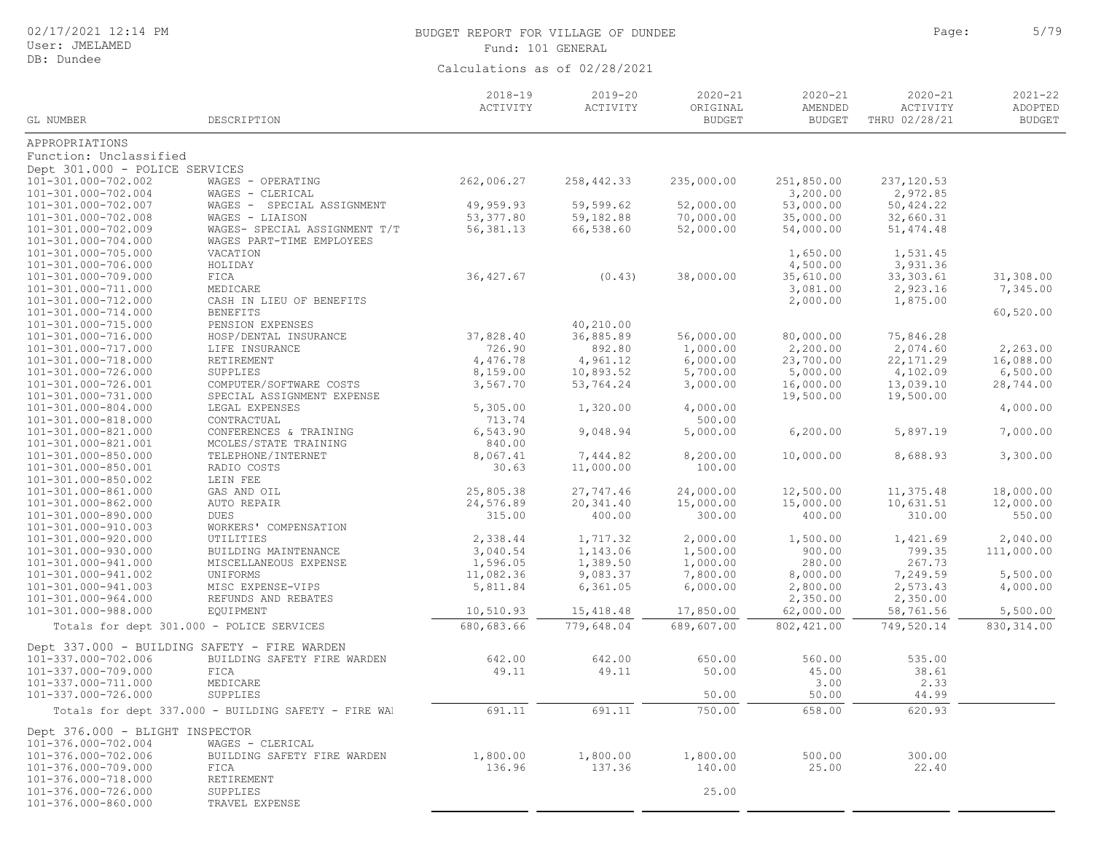User: JMELAMED DB: Dundee

# BUDGET REPORT FOR VILLAGE OF DUNDEE **Page:** 5/79 Fund: 101 GENERAL

|                                              |                                                      | $2018 - 19$<br>ACTIVITY | $2019 - 20$<br>ACTIVITY | $2020 - 21$<br>ORIGINAL | $2020 - 21$<br>AMENDED | $2020 - 21$<br>ACTIVITY | $2021 - 22$<br>ADOPTED |
|----------------------------------------------|------------------------------------------------------|-------------------------|-------------------------|-------------------------|------------------------|-------------------------|------------------------|
| GL NUMBER                                    | DESCRIPTION                                          |                         |                         | <b>BUDGET</b>           | <b>BUDGET</b>          | THRU 02/28/21           | <b>BUDGET</b>          |
| APPROPRIATIONS                               |                                                      |                         |                         |                         |                        |                         |                        |
| Function: Unclassified                       |                                                      |                         |                         |                         |                        |                         |                        |
| Dept 301.000 - POLICE SERVICES               |                                                      |                         |                         |                         |                        |                         |                        |
| 101-301.000-702.002                          | WAGES - OPERATING                                    | 262,006.27              | 258, 442.33             | 235,000.00              | 251,850.00             | 237,120.53              |                        |
| 101-301.000-702.004                          | WAGES - CLERICAL                                     |                         |                         |                         | 3,200.00               | 2,972.85                |                        |
| 101-301.000-702.007                          | WAGES - SPECIAL ASSIGNMENT                           | 49,959.93               | 59,599.62               | 52,000.00               | 53,000.00              | 50,424.22               |                        |
| 101-301.000-702.008                          | WAGES - LIAISON                                      | 53, 377.80              | 59,182.88               | 70,000.00               | 35,000.00              | 32,660.31               |                        |
| 101-301.000-702.009                          | WAGES- SPECIAL ASSIGNMENT T/T                        | 56, 381.13              | 66,538.60               | 52,000.00               | 54,000.00              | 51, 474.48              |                        |
| 101-301.000-704.000                          | WAGES PART-TIME EMPLOYEES                            |                         |                         |                         |                        |                         |                        |
| 101-301.000-705.000                          | VACATION                                             |                         |                         |                         | 1,650.00               | 1,531.45                |                        |
| 101-301.000-706.000                          | HOLIDAY                                              |                         |                         |                         | 4,500.00               | 3,931.36                |                        |
| 101-301.000-709.000                          | FICA                                                 | 36, 427.67              | (0.43)                  | 38,000.00               | 35,610.00              | 33, 303.61              | 31,308.00              |
| 101-301.000-711.000                          | MEDICARE                                             |                         |                         |                         | 3,081.00               | 2,923.16                | 7,345.00               |
| 101-301.000-712.000                          | CASH IN LIEU OF BENEFITS                             |                         |                         |                         | 2,000.00               | 1,875.00                |                        |
| 101-301.000-714.000                          | <b>BENEFITS</b>                                      |                         |                         |                         |                        |                         | 60,520.00              |
| 101-301.000-715.000                          | PENSION EXPENSES                                     |                         | 40,210.00               |                         |                        |                         |                        |
| 101-301.000-716.000                          | HOSP/DENTAL INSURANCE                                | 37,828.40               | 36,885.89               | 56,000.00               | 80,000.00              | 75,846.28               |                        |
| 101-301.000-717.000                          | LIFE INSURANCE                                       | 726.90                  | 892.80                  | 1,000.00                | 2,200.00               | 2,074.60                | 2,263.00               |
| 101-301.000-718.000                          | RETIREMENT                                           | 4,476.78                | 4,961.12                | 6,000.00                | 23,700.00              | 22, 171.29              | 16,088.00              |
| 101-301.000-726.000                          | SUPPLIES                                             | 8,159.00                | 10,893.52               | 5,700.00                | 5,000.00               | 4,102.09                | 6,500.00               |
| 101-301.000-726.001                          | COMPUTER/SOFTWARE COSTS                              | 3,567.70                | 53,764.24               | 3,000.00                | 16,000.00              | 13,039.10               | 28,744.00              |
| 101-301.000-731.000                          | SPECIAL ASSIGNMENT EXPENSE                           |                         |                         |                         | 19,500.00              | 19,500.00               |                        |
| 101-301.000-804.000                          | LEGAL EXPENSES                                       | 5,305.00                | 1,320.00                | 4,000.00                |                        |                         | 4,000.00               |
| 101-301.000-818.000                          | CONTRACTUAL                                          | 713.74                  |                         | 500.00                  |                        |                         |                        |
| 101-301.000-821.000<br>101-301.000-821.001   | CONFERENCES & TRAINING                               | 6,543.90<br>840.00      | 9,048.94                | 5,000.00                | 6, 200.00              | 5,897.19                | 7,000.00               |
|                                              | MCOLES/STATE TRAINING                                | 8,067.41                |                         |                         |                        | 8,688.93                | 3,300.00               |
| 101-301.000-850.000<br>101-301.000-850.001   | TELEPHONE/INTERNET                                   | 30.63                   | 7,444.82<br>11,000.00   | 8,200.00<br>100.00      | 10,000.00              |                         |                        |
| 101-301.000-850.002                          | RADIO COSTS<br>LEIN FEE                              |                         |                         |                         |                        |                         |                        |
| 101-301.000-861.000                          | GAS AND OIL                                          | 25,805.38               | 27,747.46               | 24,000.00               | 12,500.00              | 11,375.48               | 18,000.00              |
| 101-301.000-862.000                          | AUTO REPAIR                                          | 24,576.89               | 20,341.40               | 15,000.00               | 15,000.00              | 10,631.51               | 12,000.00              |
| 101-301.000-890.000                          | DUES                                                 | 315.00                  | 400.00                  | 300.00                  | 400.00                 | 310.00                  | 550.00                 |
| 101-301.000-910.003                          | WORKERS' COMPENSATION                                |                         |                         |                         |                        |                         |                        |
| 101-301.000-920.000                          | UTILITIES                                            | 2,338.44                | 1,717.32                | 2,000.00                | 1,500.00               | 1,421.69                | 2,040.00               |
| 101-301.000-930.000                          | BUILDING MAINTENANCE                                 | 3,040.54                | 1,143.06                | 1,500.00                | 900.00                 | 799.35                  | 111,000.00             |
| 101-301.000-941.000                          | MISCELLANEOUS EXPENSE                                | 1,596.05                | 1,389.50                | 1,000.00                | 280.00                 | 267.73                  |                        |
| 101-301.000-941.002                          | UNIFORMS                                             | 11,082.36               | 9,083.37                | 7,800.00                | 8,000.00               | 7,249.59                | 5,500.00               |
| 101-301.000-941.003                          | MISC EXPENSE-VIPS                                    | 5,811.84                | 6, 361.05               | 6,000.00                | 2,800.00               | 2,573.43                | 4,000.00               |
| 101-301.000-964.000                          | REFUNDS AND REBATES                                  |                         |                         |                         | 2,350.00               | 2,350.00                |                        |
| 101-301.000-988.000                          | EQUIPMENT                                            | 10,510.93               | 15,418.48               | 17,850.00               | 62,000.00              | 58,761.56               | 5,500.00               |
| Totals for dept 301.000 - POLICE SERVICES    |                                                      | 680,683.66              | 779,648.04              | 689,607.00              | 802, 421.00            | 749,520.14              | 830, 314.00            |
| Dept 337.000 - BUILDING SAFETY - FIRE WARDEN |                                                      |                         |                         |                         |                        |                         |                        |
| 101-337.000-702.006                          | BUILDING SAFETY FIRE WARDEN                          | 642.00                  | 642.00                  | 650.00                  | 560.00                 | 535.00                  |                        |
| 101-337.000-709.000                          | FICA                                                 | 49.11                   | 49.11                   | 50.00                   | 45.00                  | 38.61                   |                        |
| 101-337.000-711.000                          | MEDICARE                                             |                         |                         |                         | 3.00                   | 2.33                    |                        |
| 101-337.000-726.000                          | SUPPLIES                                             |                         |                         | 50.00                   | 50.00                  | 44.99                   |                        |
|                                              | Totals for dept 337.000 - BUILDING SAFETY - FIRE WAL | 691.11                  | 691.11                  | 750.00                  | 658.00                 | 620.93                  |                        |
| Dept 376.000 - BLIGHT INSPECTOR              |                                                      |                         |                         |                         |                        |                         |                        |
| 101-376.000-702.004                          | WAGES - CLERICAL                                     |                         |                         |                         |                        |                         |                        |
| 101-376.000-702.006                          | BUILDING SAFETY FIRE WARDEN                          | 1,800.00                | 1,800.00                | 1,800.00                | 500.00                 | 300.00                  |                        |
| 101-376.000-709.000                          | FICA                                                 | 136.96                  | 137.36                  | 140.00                  | 25.00                  | 22.40                   |                        |
| 101-376.000-718.000                          | RETIREMENT                                           |                         |                         |                         |                        |                         |                        |
| 101-376.000-726.000                          | SUPPLIES                                             |                         |                         | 25.00                   |                        |                         |                        |
| 101-376.000-860.000                          | TRAVEL EXPENSE                                       |                         |                         |                         |                        |                         |                        |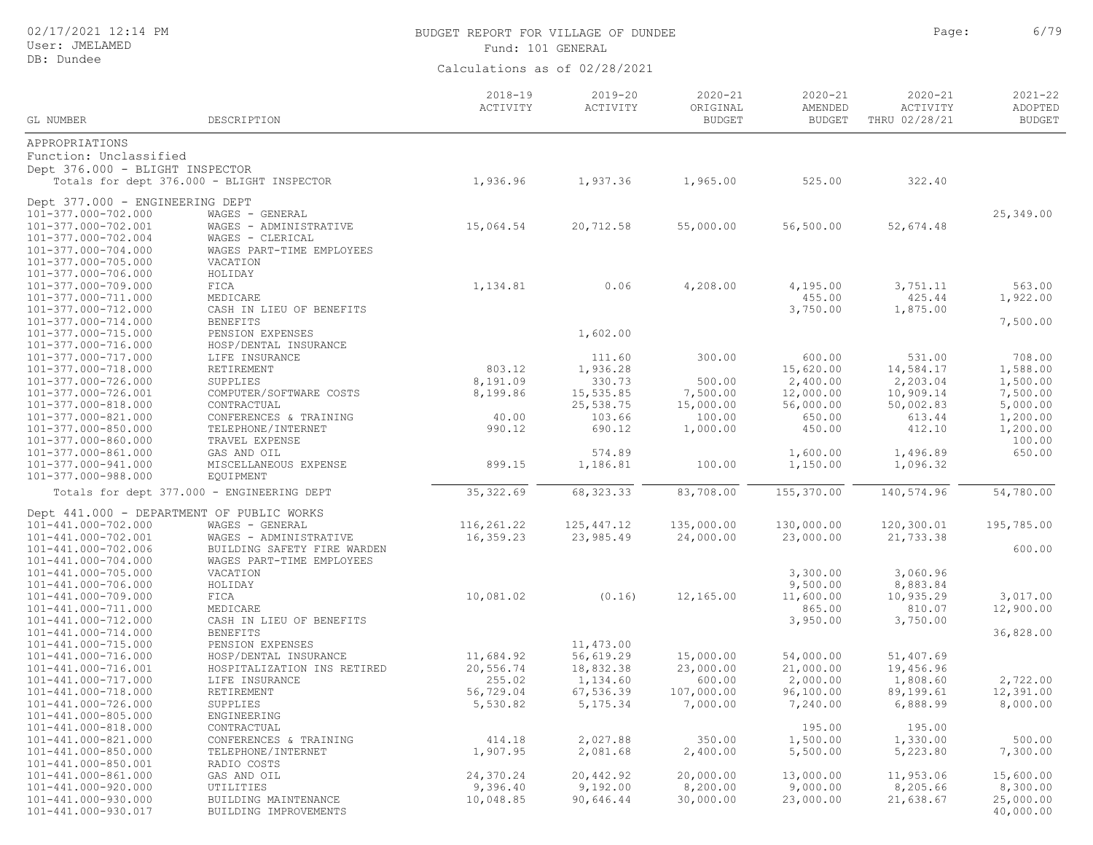| 02/17/2021 12:14 PM<br>User: JMELAMED      |                                            | BUDGET REPORT FOR VILLAGE OF DUNDEE<br>Fund: 101 GENERAL |                         |                                          |                                         | Page:                                           | 6/79                                    |
|--------------------------------------------|--------------------------------------------|----------------------------------------------------------|-------------------------|------------------------------------------|-----------------------------------------|-------------------------------------------------|-----------------------------------------|
| DB: Dundee                                 |                                            | Calculations as of 02/28/2021                            |                         |                                          |                                         |                                                 |                                         |
| GL NUMBER                                  | DESCRIPTION                                | $2018 - 19$<br>ACTIVITY                                  | $2019 - 20$<br>ACTIVITY | $2020 - 21$<br>ORIGINAL<br><b>BUDGET</b> | $2020 - 21$<br>AMENDED<br><b>BUDGET</b> | $2020 - 21$<br><b>ACTIVITY</b><br>THRU 02/28/21 | $2021 - 22$<br>ADOPTED<br><b>BUDGET</b> |
| APPROPRIATIONS                             |                                            |                                                          |                         |                                          |                                         |                                                 |                                         |
| Function: Unclassified                     |                                            |                                                          |                         |                                          |                                         |                                                 |                                         |
| Dept 376.000 - BLIGHT INSPECTOR            |                                            |                                                          |                         |                                          |                                         |                                                 |                                         |
|                                            | Totals for dept 376.000 - BLIGHT INSPECTOR | 1,936.96                                                 | 1,937.36                | 1,965.00                                 | 525.00                                  | 322.40                                          |                                         |
| Dept 377.000 - ENGINEERING DEPT            |                                            |                                                          |                         |                                          |                                         |                                                 |                                         |
| 101-377.000-702.000                        | WAGES - GENERAL                            |                                                          |                         |                                          |                                         |                                                 | 25,349.00                               |
| 101-377.000-702.001                        | WAGES - ADMINISTRATIVE                     | 15,064.54                                                | 20,712.58               | 55,000.00                                | 56,500.00                               | 52,674.48                                       |                                         |
| 101-377.000-702.004                        | WAGES - CLERICAL                           |                                                          |                         |                                          |                                         |                                                 |                                         |
| 101-377.000-704.000                        | WAGES PART-TIME EMPLOYEES                  |                                                          |                         |                                          |                                         |                                                 |                                         |
| 101-377.000-705.000                        | VACATION                                   |                                                          |                         |                                          |                                         |                                                 |                                         |
| 101-377.000-706.000                        | HOLIDAY                                    |                                                          |                         |                                          |                                         |                                                 |                                         |
| 101-377.000-709.000                        | FICA                                       | 1,134.81                                                 | 0.06                    | 4,208.00                                 | 4,195.00                                | 3,751.11                                        | 563.00                                  |
| 101-377.000-711.000                        | MEDICARE                                   |                                                          |                         |                                          | 455.00                                  | 425.44                                          | 1,922.00                                |
| 101-377.000-712.000                        | CASH IN LIEU OF BENEFITS                   |                                                          |                         |                                          | 3,750.00                                | 1,875.00                                        |                                         |
| 101-377.000-714.000                        | <b>BENEFITS</b>                            |                                                          |                         |                                          |                                         |                                                 | 7,500.00                                |
| 101-377.000-715.000                        | PENSION EXPENSES<br>HOSP/DENTAL INSURANCE  |                                                          | 1,602.00                |                                          |                                         |                                                 |                                         |
| 101-377.000-716.000<br>101-377.000-717.000 | LIFE INSURANCE                             |                                                          | 111.60                  | 300.00                                   | 600.00                                  | 531.00                                          | 708.00                                  |
| 101-377.000-718.000                        | RETIREMENT                                 | 803.12                                                   | 1,936.28                |                                          | 15,620.00                               | 14,584.17                                       | 1,588.00                                |
| 101-377.000-726.000                        | SUPPLIES                                   | 8,191.09                                                 | 330.73                  | 500.00                                   | 2,400.00                                | 2,203.04                                        | 1,500.00                                |
| 101-377.000-726.001                        | COMPUTER/SOFTWARE COSTS                    | 8,199.86                                                 | 15,535.85               | 7,500.00                                 | 12,000.00                               | 10,909.14                                       | 7,500.00                                |
| 101-377.000-818.000                        | CONTRACTUAL                                |                                                          | 25,538.75               | 15,000.00                                | 56,000.00                               | 50,002.83                                       | 5,000.00                                |
| 101-377.000-821.000                        | CONFERENCES & TRAINING                     | 40.00                                                    | 103.66                  | 100.00                                   | 650.00                                  | 613.44                                          | 1,200.00                                |
| 101-377.000-850.000                        | TELEPHONE/INTERNET                         | 990.12                                                   | 690.12                  | 1,000.00                                 | 450.00                                  | 412.10                                          | 1,200.00                                |
| 101-377.000-860.000                        | TRAVEL EXPENSE                             |                                                          |                         |                                          |                                         |                                                 | 100.00                                  |
| 101-377.000-861.000                        | GAS AND OIL                                |                                                          | 574.89                  |                                          | 1,600.00                                | 1,496.89                                        | 650.00                                  |
| 101-377.000-941.000                        | MISCELLANEOUS EXPENSE                      | 899.15                                                   | 1,186.81                | 100.00                                   | 1,150.00                                | 1,096.32                                        |                                         |
| 101-377.000-988.000                        | EQUIPMENT                                  |                                                          |                         |                                          |                                         |                                                 |                                         |
|                                            | Totals for dept 377.000 - ENGINEERING DEPT | 35, 322.69                                               | 68, 323.33              | 83,708.00                                | 155,370.00                              | 140,574.96                                      | 54,780.00                               |
| Dept 441.000 - DEPARTMENT OF PUBLIC WORKS  |                                            |                                                          |                         |                                          |                                         |                                                 |                                         |
| 101-441.000-702.000                        | WAGES - GENERAL                            | 116,261.22                                               | 125, 447.12             | 135,000.00                               | 130,000.00                              | 120,300.01                                      | 195,785.00                              |
| 101-441.000-702.001                        | WAGES - ADMINISTRATIVE                     | 16,359.23                                                | 23,985.49               | 24,000.00                                | 23,000.00                               | 21,733.38                                       |                                         |
| 101-441.000-702.006                        | BUILDING SAFETY FIRE WARDEN                |                                                          |                         |                                          |                                         |                                                 | 600.00                                  |
| 101-441.000-704.000                        | WAGES PART-TIME EMPLOYEES                  |                                                          |                         |                                          |                                         |                                                 |                                         |
| 101-441.000-705.000                        | VACATION                                   |                                                          |                         |                                          | 3,300.00                                | 3,060.96                                        |                                         |
| 101-441.000-706.000                        | HOLIDAY                                    |                                                          |                         |                                          | 9,500.00                                | 8,883.84                                        |                                         |
| 101-441.000-709.000                        | FICA                                       | 10,081.02                                                | (0.16)                  | 12,165.00                                | 11,600.00                               | 10,935.29                                       | 3,017.00                                |
| 101-441.000-711.000                        | MEDICARE                                   |                                                          |                         |                                          | 865.00                                  | 810.07                                          | 12,900.00                               |
| 101-441.000-712.000                        | CASH IN LIEU OF BENEFITS                   |                                                          |                         |                                          | 3,950.00                                | 3,750.00                                        |                                         |
| 101-441.000-714.000                        | <b>BENEFITS</b><br>PENSION EXPENSES        |                                                          | 11,473.00               |                                          |                                         |                                                 | 36,828.00                               |
| 101-441.000-715.000<br>101-441.000-716.000 | HOSP/DENTAL INSURANCE                      | 11,684.92                                                | 56,619.29               | 15,000.00                                | 54,000.00                               | 51,407.69                                       |                                         |
| 101-441.000-716.001                        | HOSPITALIZATION INS RETIRED                | 20,556.74                                                | 18,832.38               | 23,000.00                                | 21,000.00                               | 19,456.96                                       |                                         |
| 101-441.000-717.000                        | LIFE INSURANCE                             | 255.02                                                   | 1,134.60                | 600.00                                   | 2,000.00                                | 1,808.60                                        | 2,722.00                                |
| 101-441.000-718.000                        | RETIREMENT                                 | 56,729.04                                                | 67,536.39               | 107,000.00                               | 96,100.00                               | 89,199.61                                       | 12,391.00                               |
| $101.11.00.707.000$                        | ATI                                        | $F = F \cap \cap \cap \cap$                              | $F = 1.7F = 2.4$        | 7.00000                                  | 7.010.00                                | $\sim$ 000 00                                   | 0.00000                                 |

101-441.000-726.000 SUPPLIES 5,530.82 5,175.34 7,000.00 7,240.00 6,888.99 8,000.00 101-441.000-805.000 ENGINEERING 101-441.000-818.000 CONTRACTUAL 195.00 195.00 101-441.000-821.000 CONFERENCES & TRAINING 414.18 2,027.88 350.00 1,500.00 1,330.00 500.00 101-441.000-850.000 TELEPHONE/I<br>101-441.000-850.001 RADIO COSTS 101-441.000-850.001 RADIO COSTS 101-441.000-861.000 GAS AND OIL 24,370.24 20,442.92 20,000.00 13,000.00 11,953.06 15,600.00 101-441.000-920.000 UTILITIES 9,396.40 9,192.00 8,200.00 9,000.00 8,205.66 8,300.00 101-441.000-930.000 BUILDING MAINTENANCE 10,048.85 90,646.44 30,000.00 23,000.00 21,638.67 25,000.00 BUILDING IMPROVEMENTS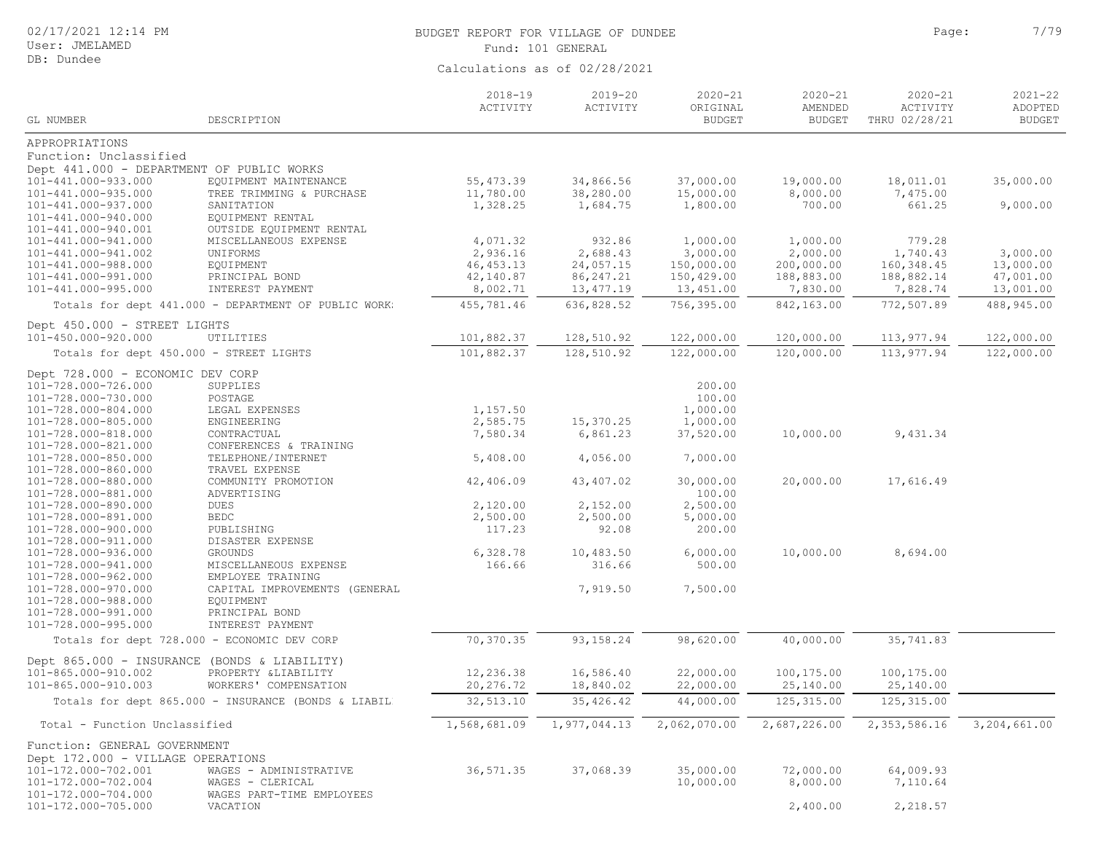| 02/17/2021 12:14 PM |  |  |
|---------------------|--|--|
|---------------------|--|--|

# BUDGET REPORT FOR VILLAGE OF DUNDEE **For a set of the set of the set of the set of the set of the set of the set of the set of the set of the set of the set of the set of the set of the set of the set of the set of the set** Fund: 101 GENERAL

|                                              |                                                      | $2018 - 19$<br>ACTIVITY | $2019 - 20$<br>ACTIVITY | $2020 - 21$<br>ORIGINAL | $2020 - 21$<br>AMENDED | $2020 - 21$<br>ACTIVITY | $2021 - 22$<br>ADOPTED        |
|----------------------------------------------|------------------------------------------------------|-------------------------|-------------------------|-------------------------|------------------------|-------------------------|-------------------------------|
| GL NUMBER                                    | DESCRIPTION                                          |                         |                         | <b>BUDGET</b>           | <b>BUDGET</b>          | THRU 02/28/21           | <b>BUDGET</b>                 |
| APPROPRIATIONS                               |                                                      |                         |                         |                         |                        |                         |                               |
| Function: Unclassified                       |                                                      |                         |                         |                         |                        |                         |                               |
| Dept 441.000 - DEPARTMENT OF PUBLIC WORKS    |                                                      |                         |                         |                         |                        |                         |                               |
| 101-441.000-933.000                          | EQUIPMENT MAINTENANCE                                | 55, 473.39              | 34,866.56               | 37,000.00               | 19,000.00              | 18,011.01               | 35,000.00                     |
| 101-441.000-935.000                          | TREE TRIMMING & PURCHASE                             | 11,780.00               | 38,280.00               | 15,000.00               | 8,000.00               | 7,475.00                |                               |
| 101-441.000-937.000                          | SANITATION                                           | 1,328.25                | 1,684.75                | 1,800.00                | 700.00                 | 661.25                  | 9,000.00                      |
| 101-441.000-940.000                          | EQUIPMENT RENTAL                                     |                         |                         |                         |                        |                         |                               |
| 101-441.000-940.001                          | OUTSIDE EQUIPMENT RENTAL                             |                         |                         |                         |                        |                         |                               |
| 101-441.000-941.000                          | MISCELLANEOUS EXPENSE                                | 4,071.32                | 932.86                  | 1,000.00                | 1,000.00               | 779.28                  |                               |
| 101-441.000-941.002                          | UNIFORMS                                             | 2,936.16                | 2,688.43                | 3,000.00                | 2,000.00               | 1,740.43                | 3,000.00                      |
| 101-441.000-988.000                          | EQUIPMENT                                            | 46, 453.13              | 24,057.15               | 150,000.00              | 200,000.00             | 160,348.45              | 13,000.00                     |
| 101-441.000-991.000                          | PRINCIPAL BOND                                       | 42,140.87               | 86, 247.21              | 150,429.00              | 188,883.00             | 188,882.14              | 47,001.00                     |
| 101-441.000-995.000                          | INTEREST PAYMENT                                     | 8,002.71                | 13, 477.19              | 13,451.00               | 7,830.00               | 7,828.74                | 13,001.00                     |
|                                              | Totals for dept 441.000 - DEPARTMENT OF PUBLIC WORK: | 455,781.46              | 636,828.52              | 756,395.00              | 842,163.00             | 772,507.89              | 488,945.00                    |
| Dept 450.000 - STREET LIGHTS                 |                                                      |                         |                         |                         |                        |                         |                               |
| 101-450.000-920.000                          | UTILITIES                                            | 101,882.37              | 128,510.92              | 122,000.00              | 120,000.00             | 113,977.94              | 122,000.00                    |
| Totals for dept 450.000 - STREET LIGHTS      |                                                      | 101,882.37              | 128,510.92              | 122,000.00              | 120,000.00             | 113,977.94              | 122,000.00                    |
| Dept 728.000 - ECONOMIC DEV CORP             |                                                      |                         |                         |                         |                        |                         |                               |
| 101-728.000-726.000                          | SUPPLIES                                             |                         |                         | 200.00                  |                        |                         |                               |
| 101-728.000-730.000                          | POSTAGE                                              |                         |                         | 100.00                  |                        |                         |                               |
| 101-728.000-804.000                          | LEGAL EXPENSES                                       | 1,157.50                |                         | 1,000.00                |                        |                         |                               |
| 101-728.000-805.000                          | ENGINEERING                                          | 2,585.75                | 15,370.25               | 1,000.00                |                        |                         |                               |
| 101-728.000-818.000                          | CONTRACTUAL                                          | 7,580.34                | 6,861.23                | 37,520.00               | 10,000.00              | 9,431.34                |                               |
| 101-728.000-821.000<br>101-728.000-850.000   | CONFERENCES & TRAINING                               |                         |                         | 7,000.00                |                        |                         |                               |
| 101-728.000-860.000                          | TELEPHONE/INTERNET<br>TRAVEL EXPENSE                 | 5,408.00                | 4,056.00                |                         |                        |                         |                               |
| 101-728.000-880.000                          | COMMUNITY PROMOTION                                  | 42,406.09               | 43, 407.02              | 30,000.00               | 20,000.00              | 17,616.49               |                               |
| 101-728.000-881.000                          | ADVERTISING                                          |                         |                         | 100.00                  |                        |                         |                               |
| 101-728.000-890.000                          | DUES                                                 | 2,120.00                | 2,152.00                | 2,500.00                |                        |                         |                               |
| 101-728.000-891.000                          | BEDC                                                 | 2,500.00                | 2,500.00                | 5,000.00                |                        |                         |                               |
| 101-728.000-900.000                          | PUBLISHING                                           | 117.23                  | 92.08                   | 200.00                  |                        |                         |                               |
| 101-728.000-911.000                          | DISASTER EXPENSE                                     |                         |                         |                         |                        |                         |                               |
| 101-728.000-936.000                          | <b>GROUNDS</b>                                       | 6,328.78                | 10,483.50               | 6,000.00                | 10,000.00              | 8,694.00                |                               |
| 101-728.000-941.000                          | MISCELLANEOUS EXPENSE                                | 166.66                  | 316.66                  | 500.00                  |                        |                         |                               |
| 101-728.000-962.000                          | EMPLOYEE TRAINING                                    |                         |                         |                         |                        |                         |                               |
| 101-728.000-970.000                          | CAPITAL IMPROVEMENTS (GENERAL                        |                         | 7,919.50                | 7,500.00                |                        |                         |                               |
| 101-728.000-988.000                          | EQUIPMENT                                            |                         |                         |                         |                        |                         |                               |
| 101-728.000-991.000                          | PRINCIPAL BOND                                       |                         |                         |                         |                        |                         |                               |
| 101-728.000-995.000                          | INTEREST PAYMENT                                     |                         |                         |                         |                        |                         |                               |
|                                              | Totals for dept 728.000 - ECONOMIC DEV CORP          | 70,370.35               | 93, 158.24              | 98,620.00               | 40,000.00              | 35,741.83               |                               |
| Dept 865.000 - INSURANCE (BONDS & LIABILITY) |                                                      |                         |                         |                         |                        |                         |                               |
| 101-865.000-910.002                          | PROPERTY &LIABILITY                                  | 12,236.38               | 16,586.40               | 22,000.00               | 100,175.00             | 100,175.00              |                               |
| 101-865.000-910.003                          | WORKERS' COMPENSATION                                | 20,276.72               | 18,840.02               | 22,000.00               | 25,140.00              | 25,140.00               |                               |
|                                              | Totals for dept 865.000 - INSURANCE (BONDS & LIABILD | 32,513.10               | 35, 426.42              | 44,000.00               | 125, 315.00            | 125,315.00              |                               |
| Total - Function Unclassified                |                                                      | 1,568,681.09            | 1,977,044.13            | 2,062,070.00            | 2,687,226.00           |                         | 2, 353, 586.16 3, 204, 661.00 |
| Function: GENERAL GOVERNMENT                 |                                                      |                         |                         |                         |                        |                         |                               |
| Dept 172.000 - VILLAGE OPERATIONS            |                                                      |                         |                         |                         |                        |                         |                               |
| 101-172.000-702.001                          | WAGES - ADMINISTRATIVE                               | 36, 571.35              | 37,068.39               | 35,000.00               | 72,000.00              | 64,009.93               |                               |
| 101-172.000-702.004                          | WAGES - CLERICAL                                     |                         |                         | 10,000.00               | 8,000.00               | 7,110.64                |                               |
| 101-172.000-704.000                          | WAGES PART-TIME EMPLOYEES                            |                         |                         |                         |                        |                         |                               |
| 101-172.000-705.000                          | VACATION                                             |                         |                         |                         | 2,400.00               | 2,218.57                |                               |
|                                              |                                                      |                         |                         |                         |                        |                         |                               |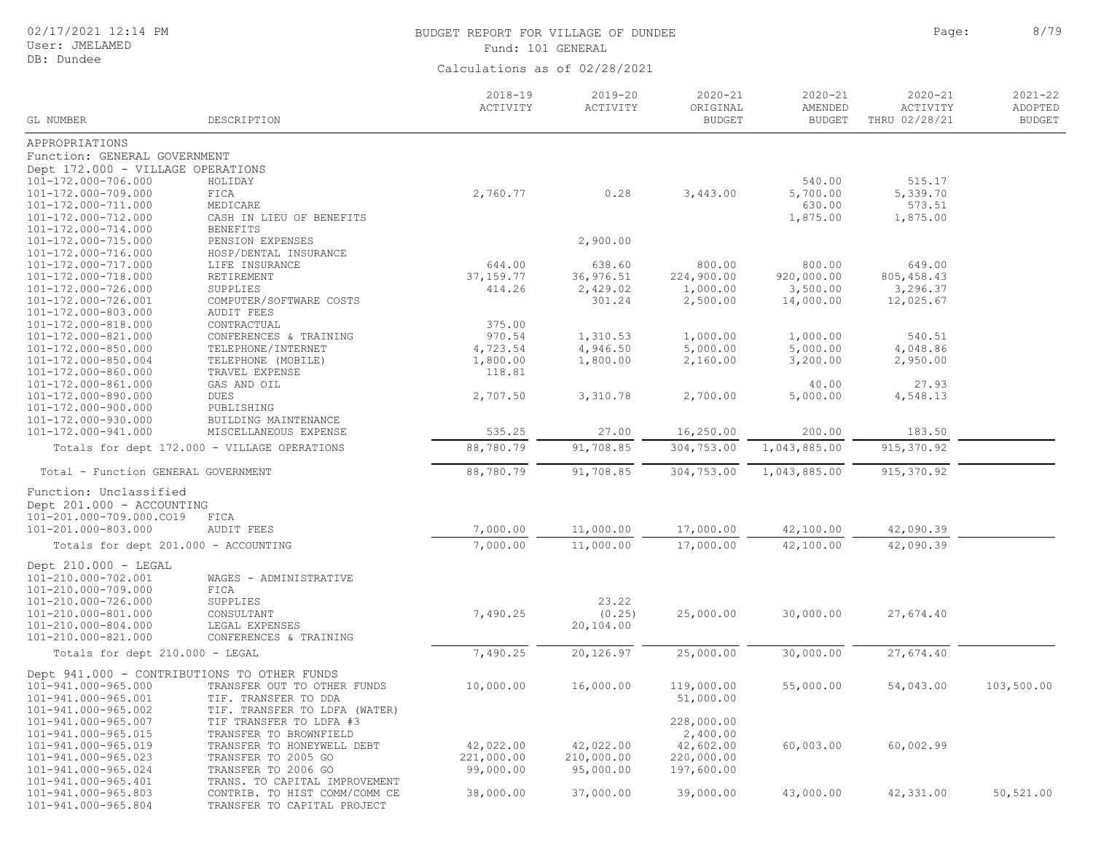User: JMELAMED DB: Dundee

## BUDGET REPORT FOR VILLAGE OF DUNDEE **Page:** 8/79 Fund: 101 GENERAL

|                                             |                                                      | $2018 - 19$<br>ACTIVITY | $2019 - 20$<br>ACTIVITY | $2020 - 21$<br>ORIGINAL | $2020 - 21$<br>AMENDED | $2020 - 21$<br>ACTIVITY | $2021 - 22$<br>ADOPTED |
|---------------------------------------------|------------------------------------------------------|-------------------------|-------------------------|-------------------------|------------------------|-------------------------|------------------------|
| GL NUMBER                                   | DESCRIPTION                                          |                         |                         | <b>BUDGET</b>           | <b>BUDGET</b>          | THRU 02/28/21           | <b>BUDGET</b>          |
| APPROPRIATIONS                              |                                                      |                         |                         |                         |                        |                         |                        |
| Function: GENERAL GOVERNMENT                |                                                      |                         |                         |                         |                        |                         |                        |
| Dept 172.000 - VILLAGE OPERATIONS           |                                                      |                         |                         |                         |                        |                         |                        |
| 101-172.000-706.000                         | HOLIDAY                                              |                         |                         |                         | 540.00                 | 515.17                  |                        |
| 101-172.000-709.000                         | FICA                                                 | 2,760.77                | 0.28                    | 3,443.00                | 5,700.00               | 5,339.70                |                        |
| 101-172.000-711.000                         | MEDICARE                                             |                         |                         |                         | 630.00                 | 573.51                  |                        |
| 101-172.000-712.000                         | CASH IN LIEU OF BENEFITS                             |                         |                         |                         | 1,875.00               | 1,875.00                |                        |
| 101-172.000-714.000                         | <b>BENEFITS</b>                                      |                         |                         |                         |                        |                         |                        |
| 101-172.000-715.000                         | PENSION EXPENSES                                     |                         | 2,900.00                |                         |                        |                         |                        |
| 101-172.000-716.000                         | HOSP/DENTAL INSURANCE                                |                         |                         |                         |                        |                         |                        |
| 101-172.000-717.000<br>101-172.000-718.000  | LIFE INSURANCE<br>RETIREMENT                         | 644.00<br>37, 159. 77   | 638.60<br>36,976.51     | 800.00<br>224,900.00    | 800.00<br>920,000.00   | 649.00<br>805, 458.43   |                        |
| 101-172.000-726.000                         | SUPPLIES                                             | 414.26                  | 2,429.02                | 1,000.00                | 3,500.00               | 3,296.37                |                        |
| 101-172.000-726.001                         | COMPUTER/SOFTWARE COSTS                              |                         | 301.24                  | 2,500.00                | 14,000.00              | 12,025.67               |                        |
| 101-172.000-803.000                         | AUDIT FEES                                           |                         |                         |                         |                        |                         |                        |
| 101-172.000-818.000                         | CONTRACTUAL                                          | 375.00                  |                         |                         |                        |                         |                        |
| 101-172.000-821.000                         | CONFERENCES & TRAINING                               | 970.54                  | 1,310.53                | 1,000.00                | 1,000.00               | 540.51                  |                        |
| 101-172.000-850.000                         | TELEPHONE/INTERNET                                   | 4,723.54                | 4,946.50                | 5,000.00                | 5,000.00               | 4,048.86                |                        |
| 101-172.000-850.004                         | TELEPHONE (MOBILE)                                   | 1,800.00                | 1,800.00                | 2,160.00                | 3,200.00               | 2,950.00                |                        |
| 101-172.000-860.000                         | TRAVEL EXPENSE                                       | 118.81                  |                         |                         |                        |                         |                        |
| 101-172.000-861.000                         | GAS AND OIL                                          |                         |                         |                         | 40.00                  | 27.93                   |                        |
| 101-172.000-890.000                         | DUES                                                 | 2,707.50                | 3,310.78                | 2,700.00                | 5,000.00               | 4,548.13                |                        |
| 101-172.000-900.000                         | PUBLISHING                                           |                         |                         |                         |                        |                         |                        |
| 101-172.000-930.000                         | BUILDING MAINTENANCE                                 |                         |                         |                         |                        |                         |                        |
| 101-172.000-941.000                         | MISCELLANEOUS EXPENSE                                | 535.25                  | 27.00                   | 16,250.00               | 200.00                 | 183.50                  |                        |
|                                             | Totals for dept 172.000 - VILLAGE OPERATIONS         | 88,780.79               | 91,708.85               | 304,753.00              | 1,043,885.00           | 915, 370.92             |                        |
| Total - Function GENERAL GOVERNMENT         |                                                      | 88,780.79               | 91,708.85               | 304,753.00              | 1,043,885.00           | 915,370.92              |                        |
| Function: Unclassified                      |                                                      |                         |                         |                         |                        |                         |                        |
| Dept 201.000 - ACCOUNTING                   |                                                      |                         |                         |                         |                        |                         |                        |
| 101-201.000-709.000.CO19                    | FICA                                                 |                         |                         |                         |                        |                         |                        |
| 101-201.000-803.000                         | <b>AUDIT FEES</b>                                    | 7,000.00                | 11,000.00               | 17,000.00               | 42,100.00              | 42,090.39               |                        |
| Totals for dept 201.000 - ACCOUNTING        |                                                      | 7,000.00                | 11,000.00               | 17,000.00               | 42,100.00              | 42,090.39               |                        |
| Dept $210.000 - LEGAL$                      |                                                      |                         |                         |                         |                        |                         |                        |
| 101-210.000-702.001                         | WAGES - ADMINISTRATIVE                               |                         |                         |                         |                        |                         |                        |
| 101-210.000-709.000                         | FICA                                                 |                         |                         |                         |                        |                         |                        |
| 101-210.000-726.000                         | SUPPLIES                                             |                         | 23.22                   |                         |                        |                         |                        |
| 101-210.000-801.000                         | CONSULTANT                                           | 7,490.25                | (0.25)                  | 25,000.00               | 30,000.00              | 27,674.40               |                        |
| 101-210.000-804.000                         | LEGAL EXPENSES                                       |                         | 20,104.00               |                         |                        |                         |                        |
| 101-210.000-821.000                         | CONFERENCES & TRAINING                               |                         |                         |                         |                        |                         |                        |
| Totals for dept 210.000 - LEGAL             |                                                      | 7,490.25                | 20,126.97               | 25,000.00               | 30,000.00              | 27,674.40               |                        |
| Dept 941.000 - CONTRIBUTIONS TO OTHER FUNDS |                                                      |                         |                         |                         |                        |                         |                        |
| 101-941.000-965.000                         | TRANSFER OUT TO OTHER FUNDS                          | 10,000.00               | 16,000.00               | 119,000.00              | 55,000.00              | 54,043.00               | 103,500.00             |
| 101-941.000-965.001                         | TIF. TRANSFER TO DDA                                 |                         |                         | 51,000.00               |                        |                         |                        |
| 101-941.000-965.002                         | TIF. TRANSFER TO LDFA (WATER)                        |                         |                         |                         |                        |                         |                        |
| 101-941.000-965.007                         | TIF TRANSFER TO LDFA #3                              |                         |                         | 228,000.00              |                        |                         |                        |
| 101-941.000-965.015                         | TRANSFER TO BROWNFIELD                               |                         |                         | 2,400.00                |                        |                         |                        |
| 101-941.000-965.019                         | TRANSFER TO HONEYWELL DEBT                           | 42,022.00               | 42,022.00               | 42,602.00               | 60,003.00              | 60,002.99               |                        |
| 101-941.000-965.023                         | TRANSFER TO 2005 GO                                  | 221,000.00              | 210,000.00              | 220,000.00              |                        |                         |                        |
| 101-941.000-965.024<br>101-941.000-965.401  | TRANSFER TO 2006 GO<br>TRANS. TO CAPITAL IMPROVEMENT | 99,000.00               | 95,000.00               | 197,600.00              |                        |                         |                        |
| 101-941.000-965.803                         | CONTRIB. TO HIST COMM/COMM CE                        | 38,000.00               | 37,000.00               | 39,000.00               | 43,000.00              | 42,331.00               | 50,521.00              |
| 101-941.000-965.804                         | TRANSFER TO CAPITAL PROJECT                          |                         |                         |                         |                        |                         |                        |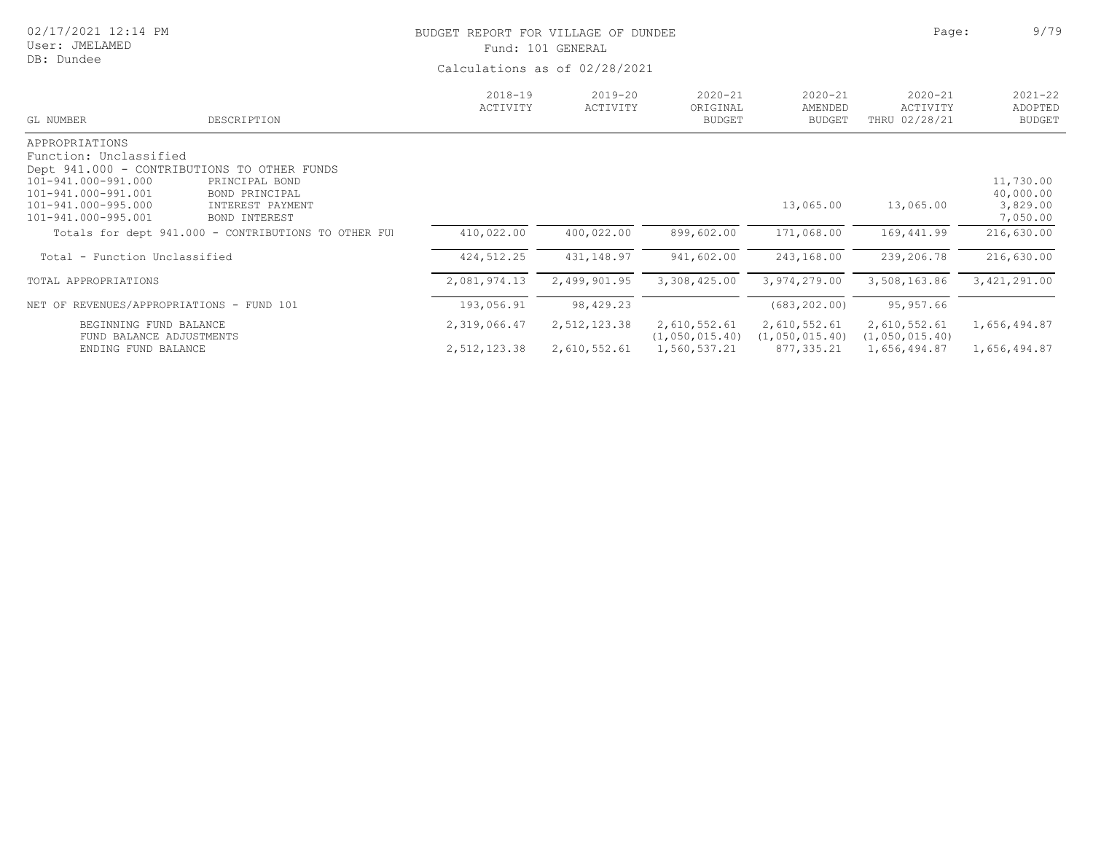| 02/17/2021 12:14 PM<br>User: JMELAMED<br>DB: Dundee                                                                                  |                                                                                                                      | BUDGET REPORT FOR VILLAGE OF DUNDEE | Fund: 101 GENERAL<br>Calculations as of 02/28/2021 |                                          |                                         | Page:                                    | 9/79                                           |
|--------------------------------------------------------------------------------------------------------------------------------------|----------------------------------------------------------------------------------------------------------------------|-------------------------------------|----------------------------------------------------|------------------------------------------|-----------------------------------------|------------------------------------------|------------------------------------------------|
| GL NUMBER                                                                                                                            | DESCRIPTION                                                                                                          | $2018 - 19$<br>ACTIVITY             | $2019 - 20$<br>ACTIVITY                            | $2020 - 21$<br>ORIGINAL<br><b>BUDGET</b> | $2020 - 21$<br>AMENDED<br><b>BUDGET</b> | $2020 - 21$<br>ACTIVITY<br>THRU 02/28/21 | $2021 - 22$<br>ADOPTED<br><b>BUDGET</b>        |
| APPROPRIATIONS<br>Function: Unclassified<br>101-941.000-991.000<br>101-941.000-991.001<br>101-941.000-995.000<br>101-941.000-995.001 | Dept 941.000 - CONTRIBUTIONS TO OTHER FUNDS<br>PRINCIPAL BOND<br>BOND PRINCIPAL<br>INTEREST PAYMENT<br>BOND INTEREST |                                     |                                                    |                                          | 13,065.00                               | 13,065.00                                | 11,730.00<br>40,000.00<br>3,829.00<br>7,050.00 |
|                                                                                                                                      | Totals for dept 941.000 - CONTRIBUTIONS TO OTHER FUI                                                                 | 410,022.00                          | 400,022.00                                         | 899,602.00                               | 171,068.00                              | 169,441.99                               | 216,630.00                                     |
| Total - Function Unclassified                                                                                                        |                                                                                                                      | 424, 512.25                         | 431,148.97                                         | 941,602.00                               | 243,168.00                              | 239,206.78                               | 216,630.00                                     |
| TOTAL APPROPRIATIONS                                                                                                                 |                                                                                                                      | 2,081,974.13                        | 2,499,901.95                                       | 3,308,425.00                             | 3,974,279.00                            | 3,508,163.86                             | 3,421,291.00                                   |
| NET OF REVENUES/APPROPRIATIONS - FUND 101                                                                                            |                                                                                                                      | 193,056.91                          | 98,429.23                                          |                                          | (683, 202.00)                           | 95,957.66                                |                                                |
| BEGINNING FUND BALANCE                                                                                                               |                                                                                                                      | 2,319,066.47                        | 2,512,123.38                                       | 2,610,552.61                             | 2,610,552.61                            | 2,610,552.61                             | 1,656,494.87                                   |

FUND BALANCE ADJUSTMENTS (1,050,015.40) (1,050,015.40) (1,050,015.40)

ENDING FUND BALANCE 2,512,123.38 2,610,552.61 1,560,537.21 877,335.21 1,656,494.87 1,656,494.87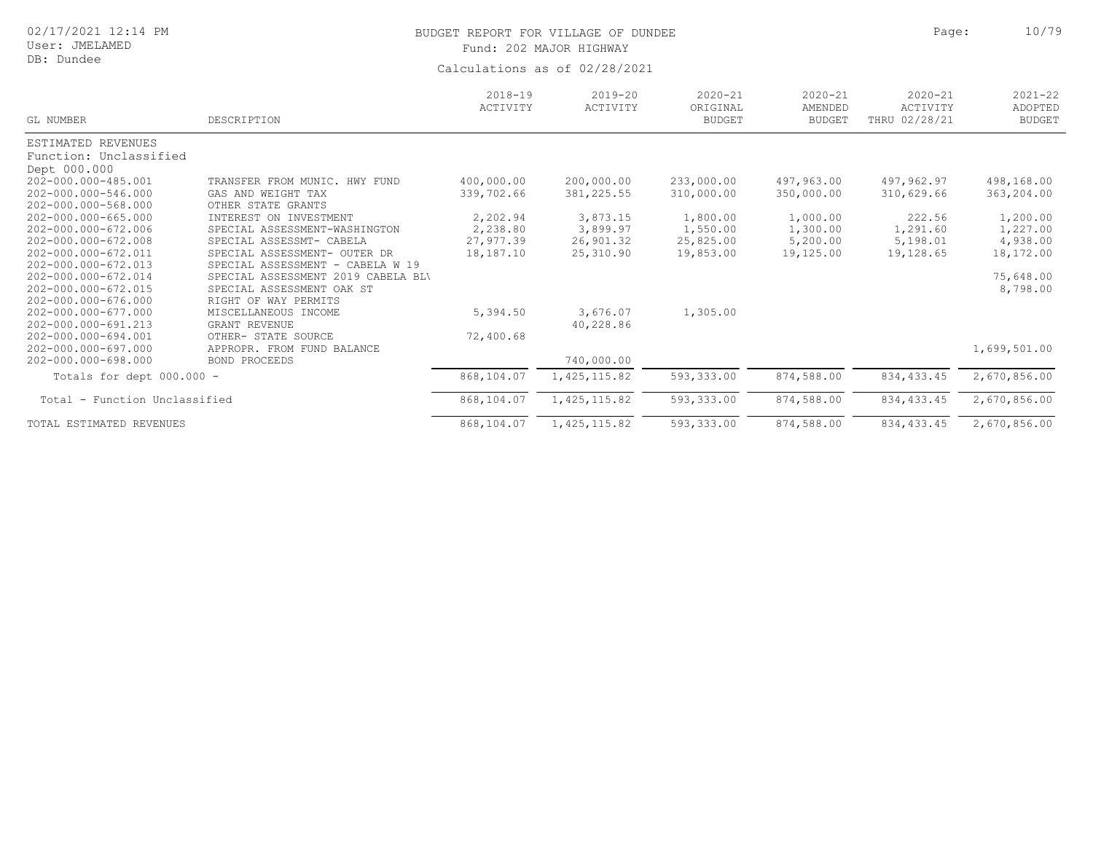## User: JMELAMED

DB: Dundee

# BUDGET REPORT FOR VILLAGE OF DUNDEE **All and Solution** Page: 10/79 Fund: 202 MAJOR HIGHWAY

| GL NUMBER                     | DESCRIPTION                                                   | $2018 - 19$<br>ACTIVITY | $2019 - 20$<br>ACTIVITY | $2020 - 21$<br>ORIGINAL<br><b>BUDGET</b> | $2020 - 21$<br>AMENDED<br><b>BUDGET</b> | $2020 - 21$<br>ACTIVITY<br>THRU 02/28/21 | $2021 - 22$<br>ADOPTED<br><b>BUDGET</b> |
|-------------------------------|---------------------------------------------------------------|-------------------------|-------------------------|------------------------------------------|-----------------------------------------|------------------------------------------|-----------------------------------------|
| ESTIMATED REVENUES            |                                                               |                         |                         |                                          |                                         |                                          |                                         |
| Function: Unclassified        |                                                               |                         |                         |                                          |                                         |                                          |                                         |
| Dept 000.000                  |                                                               |                         |                         |                                          |                                         |                                          |                                         |
| 202-000.000-485.001           | TRANSFER FROM MUNIC. HWY FUND                                 | 400,000.00              | 200,000.00              | 233,000.00                               | 497,963.00                              | 497,962.97                               | 498,168.00                              |
| 202-000.000-546.000           | GAS AND WEIGHT TAX                                            | 339,702.66              | 381, 225.55             | 310,000.00                               | 350,000.00                              | 310,629.66                               | 363,204.00                              |
| 202-000.000-568.000           | OTHER STATE GRANTS                                            |                         |                         |                                          |                                         |                                          |                                         |
| 202-000.000-665.000           | INTEREST ON INVESTMENT                                        | 2,202.94                | 3,873.15                | 1,800.00                                 | 1,000.00                                | 222.56                                   | 1,200.00                                |
| 202-000.000-672.006           | SPECIAL ASSESSMENT-WASHINGTON                                 | 2,238.80                | 3,899.97                | 1,550.00                                 | 1,300.00                                | 1,291.60                                 | 1,227.00                                |
| 202-000.000-672.008           | SPECIAL ASSESSMT- CABELA                                      | 27,977.39               | 26,901.32               | 25,825.00                                | 5,200.00                                | 5,198.01                                 | 4,938.00                                |
| 202-000.000-672.011           | SPECIAL ASSESSMENT- OUTER DR                                  | 18,187.10               | 25,310.90               | 19,853.00                                | 19,125.00                               | 19,128.65                                | 18,172.00                               |
| 202-000.000-672.013           | SPECIAL ASSESSMENT<br>CABELA W 19<br>$\overline{\phantom{a}}$ |                         |                         |                                          |                                         |                                          |                                         |
| 202-000.000-672.014           | 2019 CABELA BLV<br>SPECIAL ASSESSMENT                         |                         |                         |                                          |                                         |                                          | 75,648.00                               |
| 202-000.000-672.015           | SPECIAL ASSESSMENT OAK ST                                     |                         |                         |                                          |                                         |                                          | 8,798.00                                |
| 202-000.000-676.000           | RIGHT OF WAY PERMITS                                          |                         |                         |                                          |                                         |                                          |                                         |
| 202-000.000-677.000           | MISCELLANEOUS INCOME                                          | 5,394.50                | 3,676.07                | 1,305.00                                 |                                         |                                          |                                         |
| 202-000.000-691.213           | GRANT REVENUE                                                 |                         | 40,228.86               |                                          |                                         |                                          |                                         |
| 202-000.000-694.001           | OTHER- STATE SOURCE                                           | 72,400.68               |                         |                                          |                                         |                                          |                                         |
| 202-000.000-697.000           | APPROPR. FROM FUND BALANCE                                    |                         |                         |                                          |                                         |                                          | 1,699,501.00                            |
| 202-000.000-698.000           | BOND PROCEEDS                                                 |                         | 740,000.00              |                                          |                                         |                                          |                                         |
| Totals for dept 000.000 -     |                                                               | 868,104.07              | 1,425,115.82            | 593,333.00                               | 874,588.00                              | 834, 433.45                              | 2,670,856.00                            |
| Total - Function Unclassified |                                                               | 868,104.07              | 1, 425, 115.82          | 593,333.00                               | 874,588.00                              | 834, 433.45                              | 2,670,856.00                            |
| TOTAL ESTIMATED REVENUES      |                                                               | 868,104.07              | 1, 425, 115.82          | 593,333.00                               | 874,588.00                              | 834, 433.45                              | 2,670,856.00                            |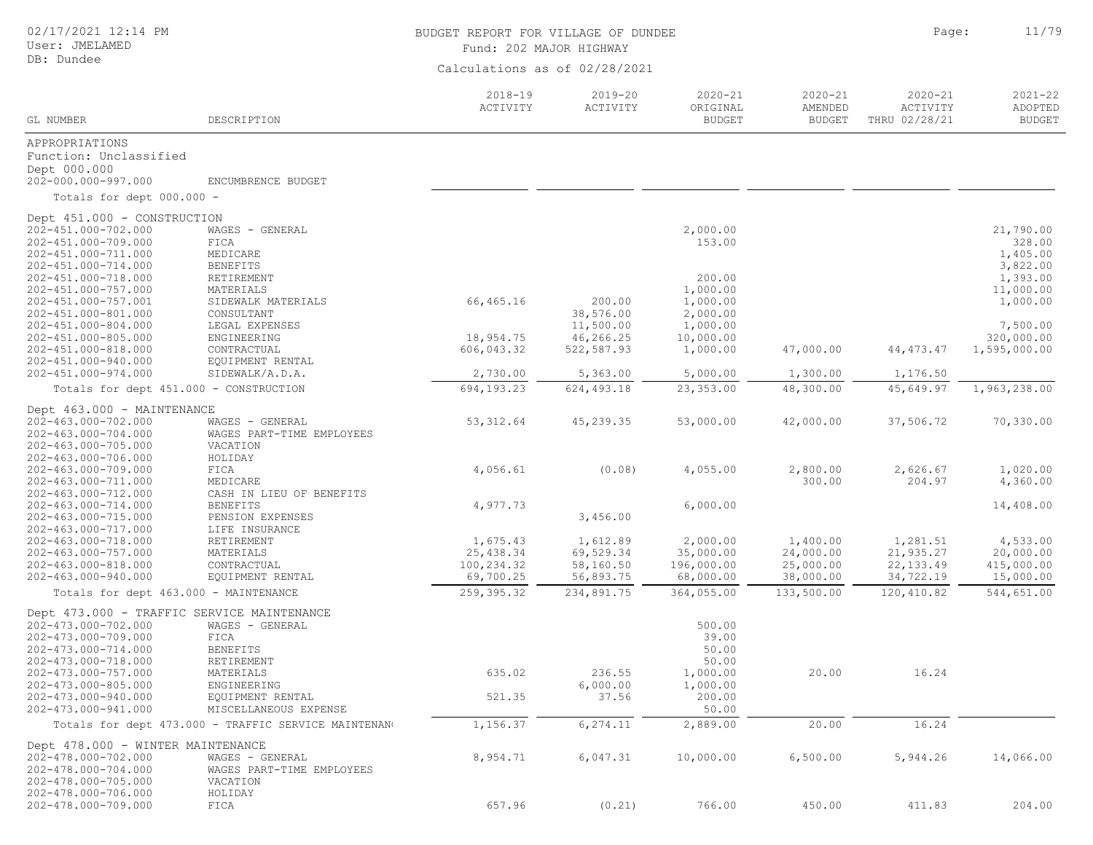## User: JMELAMED DB: Dundee

# BUDGET REPORT FOR VILLAGE OF DUNDEE **Example 2018** Page: 11/79

Fund: 202 MAJOR HIGHWAY

| GL NUMBER                                  | DESCRIPTION                                          | $2018 - 19$<br>ACTIVITY | $2019 - 20$<br>ACTIVITY | $2020 - 21$<br>ORIGINAL<br><b>BUDGET</b> | $2020 - 21$<br>AMENDED<br><b>BUDGET</b> | $2020 - 21$<br>ACTIVITY<br>THRU 02/28/21 | $2021 - 22$<br>ADOPTED<br><b>BUDGET</b> |
|--------------------------------------------|------------------------------------------------------|-------------------------|-------------------------|------------------------------------------|-----------------------------------------|------------------------------------------|-----------------------------------------|
| APPROPRIATIONS                             |                                                      |                         |                         |                                          |                                         |                                          |                                         |
| Function: Unclassified                     |                                                      |                         |                         |                                          |                                         |                                          |                                         |
| Dept 000.000                               |                                                      |                         |                         |                                          |                                         |                                          |                                         |
| 202-000.000-997.000                        | ENCUMBRENCE BUDGET                                   |                         |                         |                                          |                                         |                                          |                                         |
| Totals for dept 000.000 -                  |                                                      |                         |                         |                                          |                                         |                                          |                                         |
| Dept 451.000 - CONSTRUCTION                |                                                      |                         |                         |                                          |                                         |                                          |                                         |
| 202-451.000-702.000                        | WAGES - GENERAL                                      |                         |                         | 2,000.00                                 |                                         |                                          | 21,790.00                               |
| 202-451.000-709.000                        | FICA                                                 |                         |                         | 153.00                                   |                                         |                                          | 328.00                                  |
| 202-451.000-711.000                        | MEDICARE                                             |                         |                         |                                          |                                         |                                          | 1,405.00                                |
| 202-451.000-714.000                        | <b>BENEFITS</b>                                      |                         |                         |                                          |                                         |                                          | 3,822.00                                |
| 202-451.000-718.000                        | RETIREMENT                                           |                         |                         | 200.00                                   |                                         |                                          | 1,393.00                                |
| 202-451.000-757.000<br>202-451.000-757.001 | MATERIALS                                            | 66,465.16               | 200.00                  | 1,000.00<br>1,000.00                     |                                         |                                          | 11,000.00<br>1,000.00                   |
| 202-451.000-801.000                        | SIDEWALK MATERIALS<br>CONSULTANT                     |                         | 38,576.00               | 2,000.00                                 |                                         |                                          |                                         |
| 202-451.000-804.000                        | LEGAL EXPENSES                                       |                         | 11,500.00               | 1,000.00                                 |                                         |                                          | 7,500.00                                |
| 202-451.000-805.000                        | ENGINEERING                                          | 18,954.75               | 46,266.25               | 10,000.00                                |                                         |                                          | 320,000.00                              |
| 202-451.000-818.000                        | CONTRACTUAL                                          | 606,043.32              | 522,587.93              | 1,000.00                                 | 47,000.00                               | 44, 473. 47                              | 1,595,000.00                            |
| 202-451.000-940.000                        | EQUIPMENT RENTAL                                     |                         |                         |                                          |                                         |                                          |                                         |
| 202-451.000-974.000                        | SIDEWALK/A.D.A.                                      | 2,730.00                | 5,363.00                | 5,000.00                                 | 1,300.00                                | 1,176.50                                 |                                         |
| Totals for dept 451.000 - CONSTRUCTION     |                                                      | 694,193.23              | 624,493.18              | 23, 353.00                               | 48,300.00                               | 45,649.97                                | 1,963,238.00                            |
| Dept 463.000 - MAINTENANCE                 |                                                      |                         |                         |                                          |                                         |                                          |                                         |
| 202-463.000-702.000                        | WAGES - GENERAL                                      | 53, 312.64              | 45, 239.35              | 53,000.00                                | 42,000.00                               | 37,506.72                                | 70,330.00                               |
| 202-463.000-704.000                        | WAGES PART-TIME EMPLOYEES                            |                         |                         |                                          |                                         |                                          |                                         |
| 202-463.000-705.000                        | VACATION                                             |                         |                         |                                          |                                         |                                          |                                         |
| 202-463.000-706.000                        | HOLIDAY                                              |                         |                         |                                          |                                         |                                          |                                         |
| 202-463.000-709.000                        | FICA                                                 | 4,056.61                | (0.08)                  | 4,055.00                                 | 2,800.00                                | 2,626.67                                 | 1,020.00                                |
| 202-463.000-711.000<br>202-463.000-712.000 | MEDICARE                                             |                         |                         |                                          | 300.00                                  | 204.97                                   | 4,360.00                                |
| 202-463.000-714.000                        | CASH IN LIEU OF BENEFITS<br><b>BENEFITS</b>          | 4,977.73                |                         | 6,000.00                                 |                                         |                                          | 14,408.00                               |
| 202-463.000-715.000                        | PENSION EXPENSES                                     |                         | 3,456.00                |                                          |                                         |                                          |                                         |
| 202-463.000-717.000                        | LIFE INSURANCE                                       |                         |                         |                                          |                                         |                                          |                                         |
| 202-463.000-718.000                        | RETIREMENT                                           | 1,675.43                | 1,612.89                | 2,000.00                                 | 1,400.00                                | 1,281.51                                 | 4,533.00                                |
| 202-463.000-757.000                        | MATERIALS                                            | 25, 438.34              | 69,529.34               | 35,000.00                                | 24,000.00                               | 21,935.27                                | 20,000.00                               |
| 202-463.000-818.000                        | CONTRACTUAL                                          | 100,234.32              | 58,160.50               | 196,000.00                               | 25,000.00                               | 22, 133.49                               | 415,000.00                              |
| 202-463.000-940.000                        | EQUIPMENT RENTAL                                     | 69,700.25               | 56,893.75               | 68,000.00                                | 38,000.00                               | 34,722.19                                | 15,000.00                               |
| Totals for dept 463.000 - MAINTENANCE      |                                                      | 259, 395.32             | 234,891.75              | 364,055.00                               | 133,500.00                              | 120,410.82                               | 544,651.00                              |
| Dept 473.000 - TRAFFIC SERVICE MAINTENANCE |                                                      |                         |                         |                                          |                                         |                                          |                                         |
| 202-473.000-702.000                        | WAGES - GENERAL                                      |                         |                         | 500.00                                   |                                         |                                          |                                         |
| 202-473.000-709.000                        | FICA                                                 |                         |                         | 39.00                                    |                                         |                                          |                                         |
| 202-473.000-714.000                        | BENEFITS                                             |                         |                         | 50.00                                    |                                         |                                          |                                         |
| 202-473.000-718.000                        | RETIREMENT                                           |                         |                         | 50.00                                    |                                         |                                          |                                         |
| 202-473.000-757.000                        | MATERIALS                                            | 635.02                  | 236.55                  | 1,000.00                                 | 20.00                                   | 16.24                                    |                                         |
| 202-473.000-805.000                        | ENGINEERING                                          | 521.35                  | 6,000.00<br>37.56       | 1,000.00                                 |                                         |                                          |                                         |
| 202-473.000-940.000<br>202-473.000-941.000 | EQUIPMENT RENTAL<br>MISCELLANEOUS EXPENSE            |                         |                         | 200.00<br>50.00                          |                                         |                                          |                                         |
|                                            | Totals for dept 473.000 - TRAFFIC SERVICE MAINTENANO | 1,156.37                | 6,274.11                | 2,889.00                                 | 20.00                                   | 16.24                                    |                                         |
| Dept 478.000 - WINTER MAINTENANCE          |                                                      |                         |                         |                                          |                                         |                                          |                                         |
| 202-478.000-702.000                        | WAGES - GENERAL                                      | 8,954.71                | 6,047.31                | 10,000.00                                | 6,500.00                                | 5,944.26                                 | 14,066.00                               |
| 202-478.000-704.000                        | WAGES PART-TIME EMPLOYEES                            |                         |                         |                                          |                                         |                                          |                                         |
| 202-478.000-705.000                        | VACATION                                             |                         |                         |                                          |                                         |                                          |                                         |
| 202-478.000-706.000                        | HOLIDAY                                              |                         |                         |                                          |                                         |                                          |                                         |
| 202-478.000-709.000                        | FICA                                                 | 657.96                  | (0.21)                  | 766.00                                   | 450.00                                  | 411.83                                   | 204.00                                  |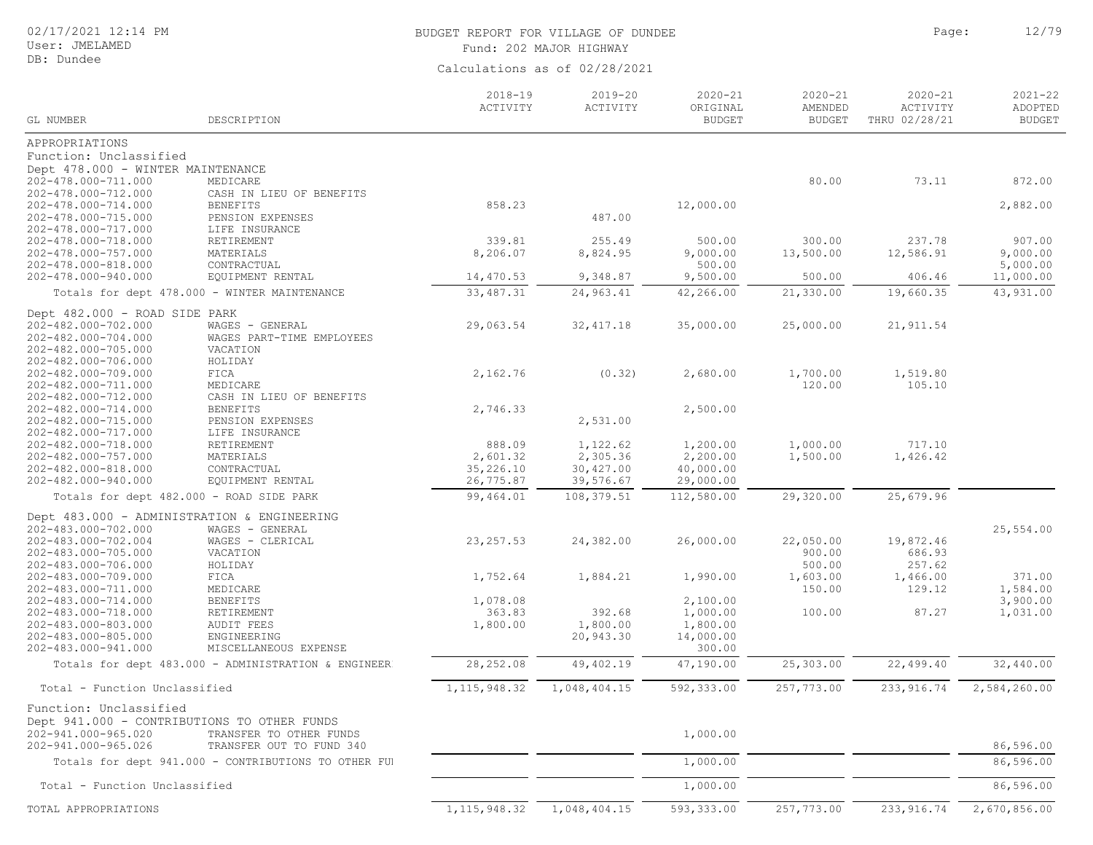# BUDGET REPORT FOR VILLAGE OF DUNDEE **Example 2018** Page: 12/79

Fund: 202 MAJOR HIGHWAY

|                                             |                                                      | $2018 - 19$<br>ACTIVITY | $2019 - 20$<br>ACTIVITY | $2020 - 21$<br>ORIGINAL | $2020 - 21$<br>AMENDED | $2020 - 21$<br>ACTIVITY | $2021 - 22$<br>ADOPTED |
|---------------------------------------------|------------------------------------------------------|-------------------------|-------------------------|-------------------------|------------------------|-------------------------|------------------------|
| GL NUMBER                                   | DESCRIPTION                                          |                         |                         | <b>BUDGET</b>           | <b>BUDGET</b>          | THRU 02/28/21           | <b>BUDGET</b>          |
| APPROPRIATIONS                              |                                                      |                         |                         |                         |                        |                         |                        |
| Function: Unclassified                      |                                                      |                         |                         |                         |                        |                         |                        |
| Dept 478.000 - WINTER MAINTENANCE           |                                                      |                         |                         |                         |                        |                         |                        |
| 202-478.000-711.000                         | MEDICARE                                             |                         |                         |                         | 80.00                  | 73.11                   | 872.00                 |
| 202-478.000-712.000                         | CASH IN LIEU OF BENEFITS                             |                         |                         |                         |                        |                         |                        |
| 202-478.000-714.000                         | <b>BENEFITS</b>                                      | 858.23                  |                         | 12,000.00               |                        |                         | 2,882.00               |
| 202-478.000-715.000                         | PENSION EXPENSES                                     |                         | 487.00                  |                         |                        |                         |                        |
| 202-478.000-717.000                         | LIFE INSURANCE                                       |                         |                         |                         |                        |                         |                        |
| 202-478.000-718.000                         | RETIREMENT                                           | 339.81                  | 255.49                  | 500.00                  | 300.00                 | 237.78                  | 907.00                 |
| 202-478.000-757.000                         | MATERIALS                                            | 8,206.07                | 8,824.95                | 9,000.00                | 13,500.00              | 12,586.91               | 9,000.00               |
| 202-478.000-818.000<br>202-478.000-940.000  | CONTRACTUAL                                          |                         | 9,348.87                | 500.00<br>9,500.00      | 500.00                 | 406.46                  | 5,000.00<br>11,000.00  |
|                                             | EQUIPMENT RENTAL                                     | 14,470.53               |                         |                         |                        |                         |                        |
|                                             | Totals for dept 478.000 - WINTER MAINTENANCE         | 33, 487.31              | 24,963.41               | 42,266.00               | 21,330.00              | 19,660.35               | 43,931.00              |
| Dept 482.000 - ROAD SIDE PARK               |                                                      |                         |                         |                         |                        |                         |                        |
| 202-482.000-702.000                         | WAGES - GENERAL                                      | 29,063.54               | 32, 417.18              | 35,000.00               | 25,000.00              | 21, 911.54              |                        |
| 202-482.000-704.000                         | WAGES PART-TIME EMPLOYEES                            |                         |                         |                         |                        |                         |                        |
| 202-482.000-705.000                         | VACATION                                             |                         |                         |                         |                        |                         |                        |
| 202-482.000-706.000                         | HOLIDAY                                              |                         |                         |                         |                        |                         |                        |
| 202-482.000-709.000                         | FICA                                                 | 2,162.76                | (0.32)                  | 2,680.00                | 1,700.00               | 1,519.80                |                        |
| 202-482.000-711.000                         | MEDICARE                                             |                         |                         |                         | 120.00                 | 105.10                  |                        |
| 202-482.000-712.000<br>202-482.000-714.000  | CASH IN LIEU OF BENEFITS<br><b>BENEFITS</b>          | 2,746.33                |                         | 2,500.00                |                        |                         |                        |
| 202-482.000-715.000                         | PENSION EXPENSES                                     |                         | 2,531.00                |                         |                        |                         |                        |
| 202-482.000-717.000                         | LIFE INSURANCE                                       |                         |                         |                         |                        |                         |                        |
| 202-482.000-718.000                         | RETIREMENT                                           | 888.09                  | 1,122.62                | 1,200.00                | 1,000.00               | 717.10                  |                        |
| 202-482.000-757.000                         | MATERIALS                                            | 2,601.32                | 2,305.36                | 2,200.00                | 1,500.00               | 1,426.42                |                        |
| 202-482.000-818.000                         | CONTRACTUAL                                          | 35,226.10               | 30,427.00               | 40,000.00               |                        |                         |                        |
| 202-482.000-940.000                         | EQUIPMENT RENTAL                                     | 26,775.87               | 39,576.67               | 29,000.00               |                        |                         |                        |
| Totals for dept 482.000 - ROAD SIDE PARK    |                                                      | 99,464.01               | 108,379.51              | 112,580.00              | 29,320.00              | 25,679.96               |                        |
| Dept 483.000 - ADMINISTRATION & ENGINEERING |                                                      |                         |                         |                         |                        |                         |                        |
| 202-483.000-702.000                         | WAGES - GENERAL                                      |                         |                         |                         |                        |                         | 25,554.00              |
| 202-483.000-702.004                         | WAGES - CLERICAL                                     | 23, 257.53              | 24,382.00               | 26,000.00               | 22,050.00              | 19,872.46               |                        |
| 202-483.000-705.000                         | VACATION                                             |                         |                         |                         | 900.00                 | 686.93                  |                        |
| 202-483.000-706.000                         | HOLIDAY                                              |                         |                         |                         | 500.00                 | 257.62                  |                        |
| 202-483.000-709.000                         | FICA                                                 | 1,752.64                | 1,884.21                | 1,990.00                | 1,603.00               | 1,466.00                | 371.00                 |
| 202-483.000-711.000                         | MEDICARE                                             |                         |                         |                         | 150.00                 | 129.12                  | 1,584.00               |
| 202-483.000-714.000                         | <b>BENEFITS</b>                                      | 1,078.08                |                         | 2,100.00                |                        |                         | 3,900.00               |
| 202-483.000-718.000                         | RETIREMENT                                           | 363.83                  | 392.68                  | 1,000.00                | 100.00                 | 87.27                   | 1,031.00               |
| 202-483.000-803.000                         | <b>AUDIT FEES</b>                                    | 1,800.00                | 1,800.00                | 1,800.00                |                        |                         |                        |
| 202-483.000-805.000                         | ENGINEERING                                          |                         | 20,943.30               | 14,000.00               |                        |                         |                        |
| 202-483.000-941.000                         | MISCELLANEOUS EXPENSE                                |                         |                         | 300.00                  |                        |                         |                        |
|                                             | Totals for dept 483.000 - ADMINISTRATION & ENGINEER  | 28, 252.08              | 49, 402.19              | 47,190.00               | 25,303.00              | 22,499.40               | 32,440.00              |
| Total - Function Unclassified               |                                                      | 1, 115, 948.32          | 1,048,404.15            | 592,333.00              | 257,773.00             | 233, 916.74             | 2,584,260.00           |
| Function: Unclassified                      |                                                      |                         |                         |                         |                        |                         |                        |
| Dept 941.000 - CONTRIBUTIONS TO OTHER FUNDS |                                                      |                         |                         |                         |                        |                         |                        |
| 202-941.000-965.020                         | TRANSFER TO OTHER FUNDS                              |                         |                         | 1,000.00                |                        |                         |                        |
| 202-941.000-965.026                         | TRANSFER OUT TO FUND 340                             |                         |                         |                         |                        |                         | 86,596.00              |
|                                             | Totals for dept 941.000 - CONTRIBUTIONS TO OTHER FUI |                         |                         | 1,000.00                |                        |                         | 86,596.00              |
|                                             |                                                      |                         |                         |                         |                        |                         |                        |
| Total - Function Unclassified               |                                                      |                         |                         | 1,000.00                |                        |                         | 86,596.00              |
| TOTAL APPROPRIATIONS                        |                                                      | 1, 115, 948.32          | 1,048,404.15            | 593,333.00              | 257,773.00             | 233, 916.74             | 2,670,856.00           |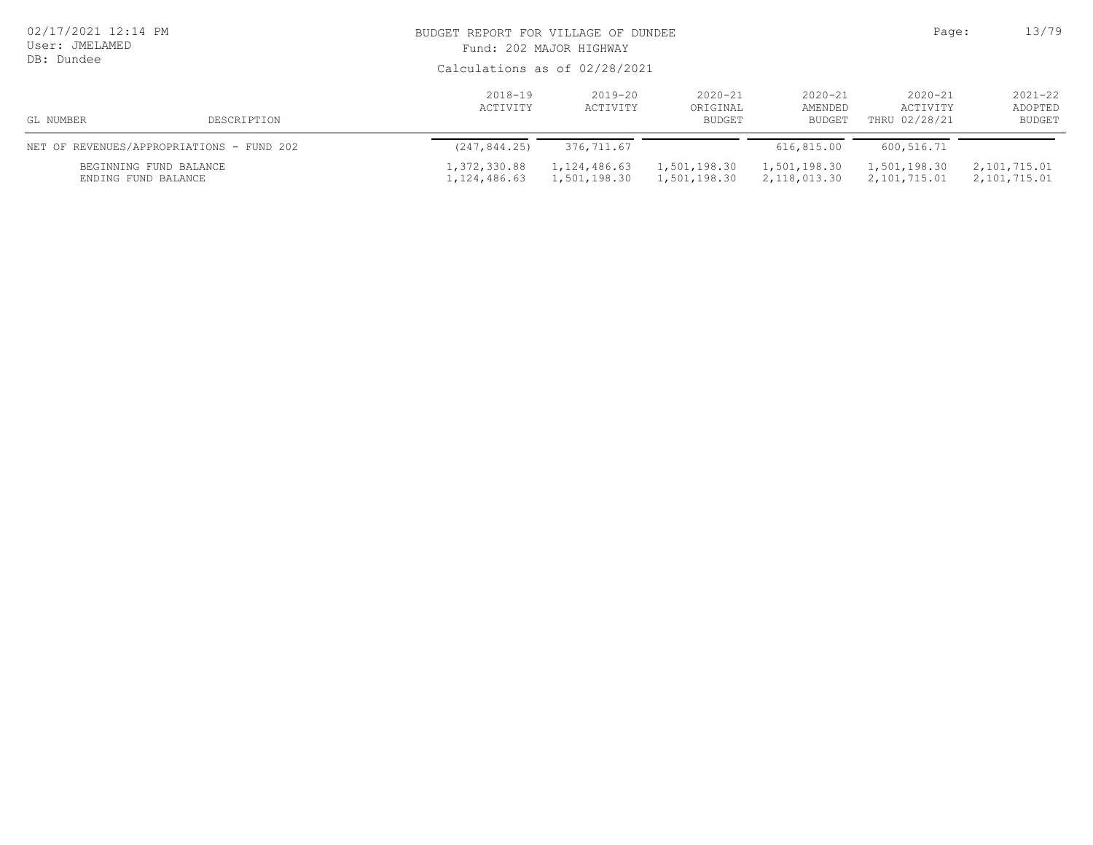| 02/17/2021 12:14 PM<br>User: JMELAMED<br>DB: Dundee |                                           |                              | BUDGET REPORT FOR VILLAGE OF DUNDEE<br>Fund: 202 MAJOR HIGHWAY<br>Calculations as of 02/28/2021 |                                                                                                                   |                              |                              |                                  |  |
|-----------------------------------------------------|-------------------------------------------|------------------------------|-------------------------------------------------------------------------------------------------|-------------------------------------------------------------------------------------------------------------------|------------------------------|------------------------------|----------------------------------|--|
| GL NUMBER                                           | DESCRIPTION                               | 2018-19<br>ACTIVITY          | 2019-20<br>ACTIVITY                                                                             | $2020 - 21$<br>$2020 - 21$<br>$2020 - 21$<br>ORIGINAL<br>AMENDED<br>ACTIVITY<br>THRU 02/28/21<br>BUDGET<br>BUDGET |                              |                              | $2021 - 22$<br>ADOPTED<br>BUDGET |  |
|                                                     | NET OF REVENUES/APPROPRIATIONS - FUND 202 | (247, 844.25)                | 376,711.67                                                                                      |                                                                                                                   | 616,815.00                   | 600,516.71                   |                                  |  |
| BEGINNING FUND BALANCE<br>ENDING FUND BALANCE       |                                           | 1,372,330.88<br>1,124,486.63 | 1,124,486.63<br>1,501,198.30                                                                    | 1,501,198.30<br>1,501,198.30                                                                                      | 1,501,198.30<br>2,118,013.30 | 1,501,198.30<br>2,101,715.01 | 2,101,715.01<br>2,101,715.01     |  |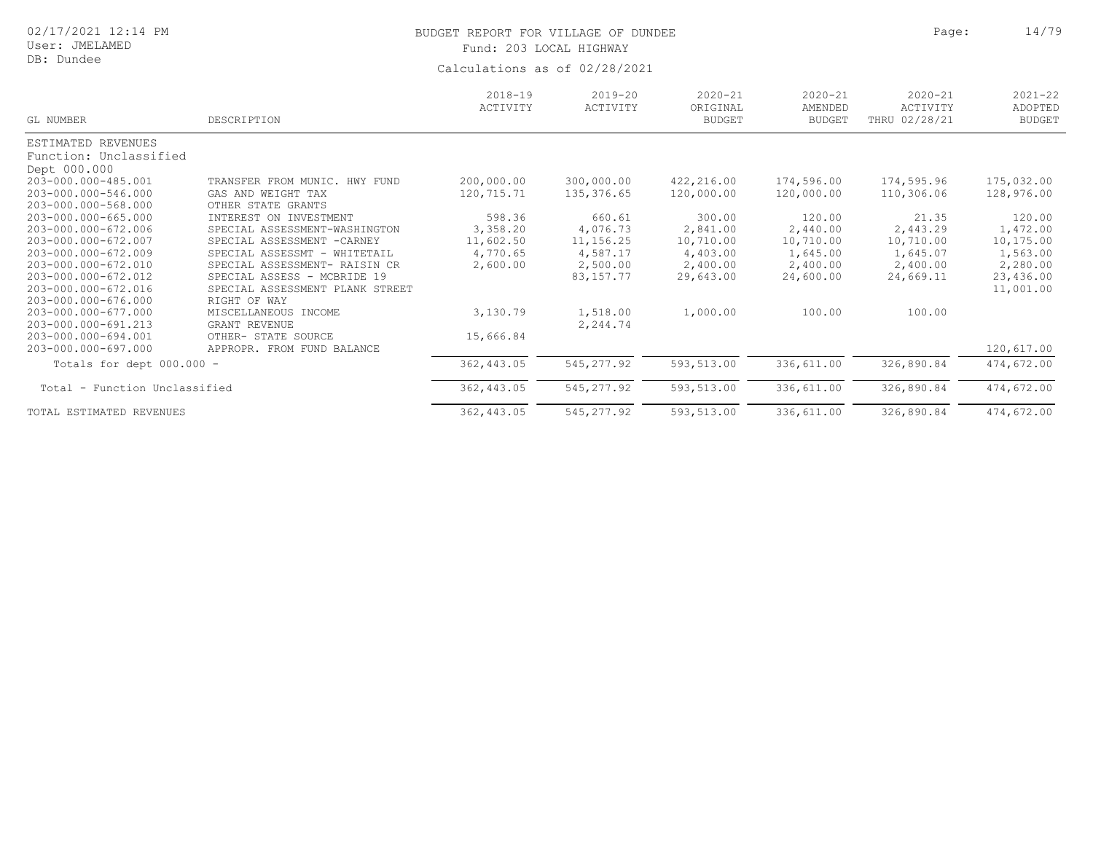# BUDGET REPORT FOR VILLAGE OF DUNDEE **Page:** 24/79 Fund: 203 LOCAL HIGHWAY

| GL NUMBER                     | DESCRIPTION                     | $2018 - 19$<br>ACTIVITY | $2019 - 20$<br>ACTIVITY | $2020 - 21$<br>ORIGINAL<br><b>BUDGET</b> | $2020 - 21$<br>AMENDED<br><b>BUDGET</b> | $2020 - 21$<br>ACTIVITY<br>THRU 02/28/21 | $2021 - 22$<br>ADOPTED<br><b>BUDGET</b> |
|-------------------------------|---------------------------------|-------------------------|-------------------------|------------------------------------------|-----------------------------------------|------------------------------------------|-----------------------------------------|
| ESTIMATED REVENUES            |                                 |                         |                         |                                          |                                         |                                          |                                         |
| Function: Unclassified        |                                 |                         |                         |                                          |                                         |                                          |                                         |
| Dept 000.000                  |                                 |                         |                         |                                          |                                         |                                          |                                         |
| 203-000.000-485.001           | TRANSFER FROM MUNIC. HWY FUND   | 200,000.00              | 300,000.00              | 422,216.00                               | 174,596.00                              | 174,595.96                               | 175,032.00                              |
| 203-000.000-546.000           | GAS AND WEIGHT TAX              | 120,715.71              | 135, 376.65             | 120,000.00                               | 120,000.00                              | 110,306.06                               | 128,976.00                              |
| 203-000.000-568.000           | OTHER STATE GRANTS              |                         |                         |                                          |                                         |                                          |                                         |
| 203-000.000-665.000           | INTEREST ON INVESTMENT          | 598.36                  | 660.61                  | 300.00                                   | 120.00                                  | 21.35                                    | 120.00                                  |
| 203-000.000-672.006           | SPECIAL ASSESSMENT-WASHINGTON   | 3,358.20                | 4,076.73                | 2,841.00                                 | 2,440.00                                | 2,443.29                                 | 1,472.00                                |
| 203-000.000-672.007           | SPECIAL ASSESSMENT - CARNEY     | 11,602.50               | 11,156.25               | 10,710.00                                | 10,710.00                               | 10,710.00                                | 10,175.00                               |
| 203-000.000-672.009           | SPECIAL ASSESSMT - WHITETAIL    | 4,770.65                | 4,587.17                | 4,403.00                                 | 1,645.00                                | 1,645.07                                 | 1,563.00                                |
| 203-000.000-672.010           | SPECIAL ASSESSMENT- RAISIN CR   | 2,600.00                | 2,500.00                | 2,400.00                                 | 2,400.00                                | 2,400.00                                 | 2,280.00                                |
| 203-000.000-672.012           | SPECIAL ASSESS - MCBRIDE 19     |                         | 83, 157. 77             | 29,643.00                                | 24,600.00                               | 24,669.11                                | 23,436.00                               |
| 203-000.000-672.016           | SPECIAL ASSESSMENT PLANK STREET |                         |                         |                                          |                                         |                                          | 11,001.00                               |
| 203-000.000-676.000           | RIGHT OF WAY                    |                         |                         |                                          |                                         |                                          |                                         |
| 203-000.000-677.000           | MISCELLANEOUS INCOME            | 3,130.79                | 1,518.00                | 1,000.00                                 | 100.00                                  | 100.00                                   |                                         |
| 203-000.000-691.213           | GRANT REVENUE                   |                         | 2,244.74                |                                          |                                         |                                          |                                         |
| 203-000.000-694.001           | OTHER- STATE SOURCE             | 15,666.84               |                         |                                          |                                         |                                          |                                         |
| 203-000.000-697.000           | APPROPR. FROM FUND BALANCE      |                         |                         |                                          |                                         |                                          | 120,617.00                              |
| Totals for dept 000.000 -     |                                 | 362,443.05              | 545, 277.92             | 593,513.00                               | 336,611.00                              | 326,890.84                               | 474,672.00                              |
| Total - Function Unclassified |                                 | 362,443.05              | 545, 277.92             | 593,513.00                               | 336,611.00                              | 326,890.84                               | 474,672.00                              |
| TOTAL ESTIMATED REVENUES      |                                 | 362,443.05              | 545, 277.92             | 593,513.00                               | 336,611.00                              | 326,890.84                               | 474,672.00                              |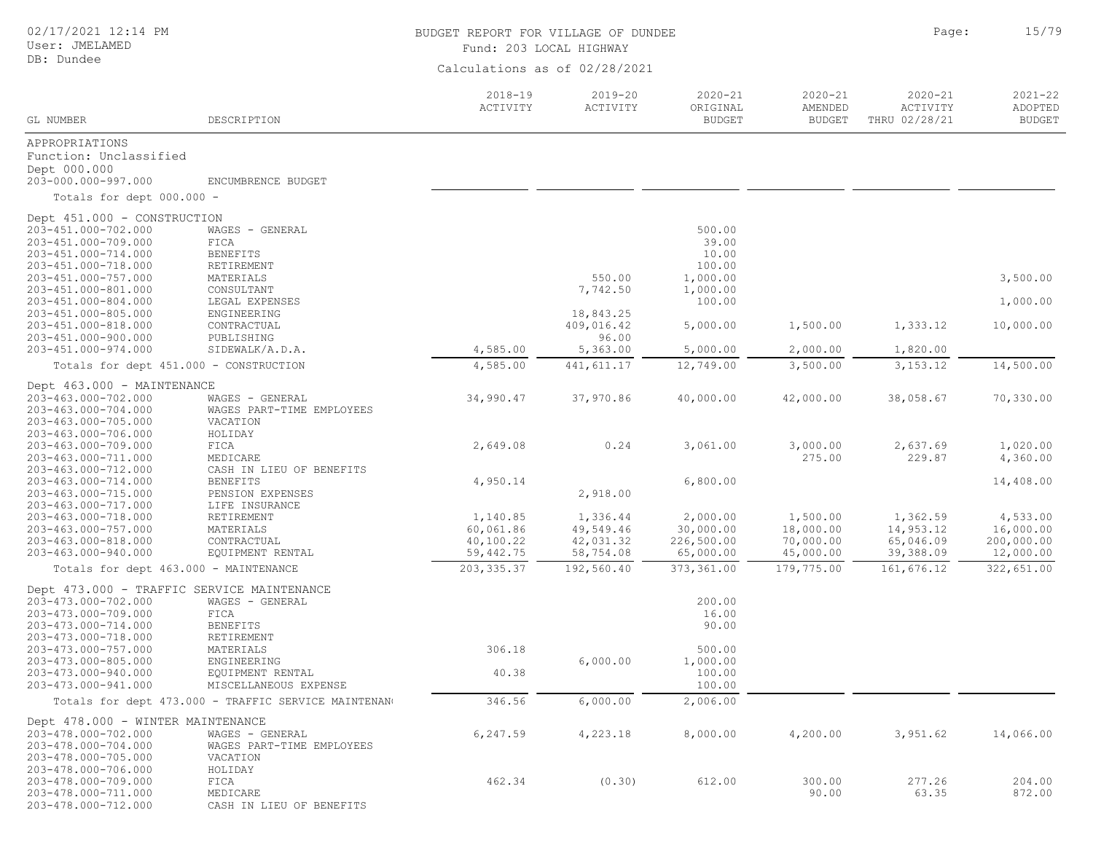## User: JMELAMED DB: Dundee

# BUDGET REPORT FOR VILLAGE OF DUNDEE **Page:** 15/79 Fund: 203 LOCAL HIGHWAY

| GL NUMBER                                                | DESCRIPTION                                          | $2018 - 19$<br>ACTIVITY | $2019 - 20$<br>ACTIVITY | $2020 - 21$<br>ORIGINAL<br><b>BUDGET</b> | $2020 - 21$<br>AMENDED<br><b>BUDGET</b> | $2020 - 21$<br>ACTIVITY<br>THRU 02/28/21 | $2021 - 22$<br>ADOPTED<br><b>BUDGET</b> |
|----------------------------------------------------------|------------------------------------------------------|-------------------------|-------------------------|------------------------------------------|-----------------------------------------|------------------------------------------|-----------------------------------------|
|                                                          |                                                      |                         |                         |                                          |                                         |                                          |                                         |
| APPROPRIATIONS<br>Function: Unclassified<br>Dept 000.000 |                                                      |                         |                         |                                          |                                         |                                          |                                         |
| 203-000.000-997.000                                      | ENCUMBRENCE BUDGET                                   |                         |                         |                                          |                                         |                                          |                                         |
| Totals for dept 000.000 -                                |                                                      |                         |                         |                                          |                                         |                                          |                                         |
| Dept 451.000 - CONSTRUCTION                              |                                                      |                         |                         |                                          |                                         |                                          |                                         |
| 203-451.000-702.000                                      | WAGES - GENERAL                                      |                         |                         | 500.00                                   |                                         |                                          |                                         |
| 203-451.000-709.000                                      | FICA                                                 |                         |                         | 39.00                                    |                                         |                                          |                                         |
| 203-451.000-714.000                                      | <b>BENEFITS</b>                                      |                         |                         | 10.00                                    |                                         |                                          |                                         |
| 203-451.000-718.000                                      | RETIREMENT                                           |                         |                         | 100.00                                   |                                         |                                          |                                         |
| 203-451.000-757.000                                      | MATERIALS                                            |                         | 550.00                  | 1,000.00                                 |                                         |                                          | 3,500.00                                |
| 203-451.000-801.000                                      | CONSULTANT                                           |                         | 7,742.50                | 1,000.00                                 |                                         |                                          |                                         |
| 203-451.000-804.000                                      | LEGAL EXPENSES                                       |                         |                         | 100.00                                   |                                         |                                          | 1,000.00                                |
| 203-451.000-805.000                                      | ENGINEERING                                          |                         | 18,843.25               |                                          |                                         |                                          |                                         |
| 203-451.000-818.000                                      | CONTRACTUAL                                          |                         | 409,016.42              | 5,000.00                                 | 1,500.00                                | 1,333.12                                 | 10,000.00                               |
| 203-451.000-900.000                                      | PUBLISHING                                           | 4,585.00                | 96.00                   |                                          | 2,000.00                                | 1,820.00                                 |                                         |
| 203-451.000-974.000                                      | SIDEWALK/A.D.A.                                      |                         | 5,363.00                | 5,000.00                                 |                                         |                                          |                                         |
| Totals for dept 451.000 - CONSTRUCTION                   |                                                      | 4,585.00                | 441,611.17              | 12,749.00                                | 3,500.00                                | 3, 153. 12                               | 14,500.00                               |
| Dept 463.000 - MAINTENANCE                               |                                                      |                         |                         |                                          |                                         |                                          |                                         |
| 203-463.000-702.000                                      | WAGES - GENERAL                                      | 34,990.47               | 37,970.86               | 40,000.00                                | 42,000.00                               | 38,058.67                                | 70,330.00                               |
| 203-463.000-704.000                                      | WAGES PART-TIME EMPLOYEES                            |                         |                         |                                          |                                         |                                          |                                         |
| 203-463.000-705.000                                      | VACATION                                             |                         |                         |                                          |                                         |                                          |                                         |
| 203-463.000-706.000                                      | HOLIDAY                                              |                         |                         |                                          |                                         |                                          |                                         |
| 203-463.000-709.000                                      | FICA                                                 | 2,649.08                | 0.24                    | 3,061.00                                 | 3,000.00                                | 2,637.69                                 | 1,020.00                                |
| 203-463.000-711.000                                      | MEDICARE                                             |                         |                         |                                          | 275.00                                  | 229.87                                   | 4,360.00                                |
| 203-463.000-712.000                                      | CASH IN LIEU OF BENEFITS                             |                         |                         |                                          |                                         |                                          |                                         |
| 203-463.000-714.000                                      | <b>BENEFITS</b>                                      | 4,950.14                |                         | 6,800.00                                 |                                         |                                          | 14,408.00                               |
| 203-463.000-715.000                                      | PENSION EXPENSES                                     |                         | 2,918.00                |                                          |                                         |                                          |                                         |
| 203-463.000-717.000                                      | LIFE INSURANCE                                       |                         |                         |                                          |                                         |                                          |                                         |
| 203-463.000-718.000                                      | RETIREMENT                                           | 1,140.85                | 1,336.44                | 2,000.00                                 | 1,500.00                                | 1,362.59                                 | 4,533.00                                |
| 203-463.000-757.000                                      | MATERIALS                                            | 60,061.86               | 49,549.46               | 30,000.00                                | 18,000.00                               | 14,953.12                                | 16,000.00                               |
| 203-463.000-818.000<br>203-463.000-940.000               | CONTRACTUAL                                          | 40,100.22               | 42,031.32               | 226,500.00                               | 70,000.00                               | 65,046.09                                | 200,000.00                              |
|                                                          | EQUIPMENT RENTAL                                     | 59,442.75               | 58,754.08               | 65,000.00                                | 45,000.00                               | 39,388.09                                | 12,000.00                               |
| Totals for dept 463.000 - MAINTENANCE                    |                                                      | 203, 335.37             | 192,560.40              | 373,361.00                               | 179,775.00                              | 161,676.12                               | 322,651.00                              |
| Dept 473.000 - TRAFFIC SERVICE MAINTENANCE               |                                                      |                         |                         |                                          |                                         |                                          |                                         |
| 203-473.000-702.000                                      | WAGES - GENERAL                                      |                         |                         | 200.00                                   |                                         |                                          |                                         |
| 203-473.000-709.000                                      | FICA                                                 |                         |                         | 16.00                                    |                                         |                                          |                                         |
| 203-473.000-714.000                                      | <b>BENEFITS</b>                                      |                         |                         | 90.00                                    |                                         |                                          |                                         |
| 203-473.000-718.000                                      | RETIREMENT                                           |                         |                         |                                          |                                         |                                          |                                         |
| 203-473.000-757.000                                      | MATERIALS                                            | 306.18                  |                         | 500.00                                   |                                         |                                          |                                         |
| 203-473.000-805.000                                      | ENGINEERING                                          |                         | 6,000.00                | 1,000.00                                 |                                         |                                          |                                         |
| 203-473.000-940.000                                      | EQUIPMENT RENTAL                                     | 40.38                   |                         | 100.00                                   |                                         |                                          |                                         |
| 203-473.000-941.000                                      | MISCELLANEOUS EXPENSE                                |                         | 6,000.00                | 100.00<br>2,006.00                       |                                         |                                          |                                         |
|                                                          | Totals for dept 473.000 - TRAFFIC SERVICE MAINTENANO | 346.56                  |                         |                                          |                                         |                                          |                                         |
| Dept 478.000 - WINTER MAINTENANCE                        |                                                      |                         |                         |                                          |                                         |                                          |                                         |
| 203-478.000-702.000                                      | WAGES - GENERAL                                      | 6,247.59                | 4,223.18                | 8,000.00                                 | 4,200.00                                | 3,951.62                                 | 14,066.00                               |
| 203-478.000-704.000                                      | WAGES PART-TIME EMPLOYEES                            |                         |                         |                                          |                                         |                                          |                                         |
| 203-478.000-705.000                                      | VACATION                                             |                         |                         |                                          |                                         |                                          |                                         |
| 203-478.000-706.000                                      | HOLIDAY                                              |                         |                         |                                          |                                         |                                          |                                         |
| 203-478.000-709.000                                      | FICA                                                 | 462.34                  | (0.30)                  | 612.00                                   | 300.00                                  | 277.26                                   | 204.00                                  |
| 203-478.000-711.000                                      | MEDICARE<br>CASH IN LIEU OF BENEFITS                 |                         |                         |                                          | 90.00                                   | 63.35                                    | 872.00                                  |
| 203-478.000-712.000                                      |                                                      |                         |                         |                                          |                                         |                                          |                                         |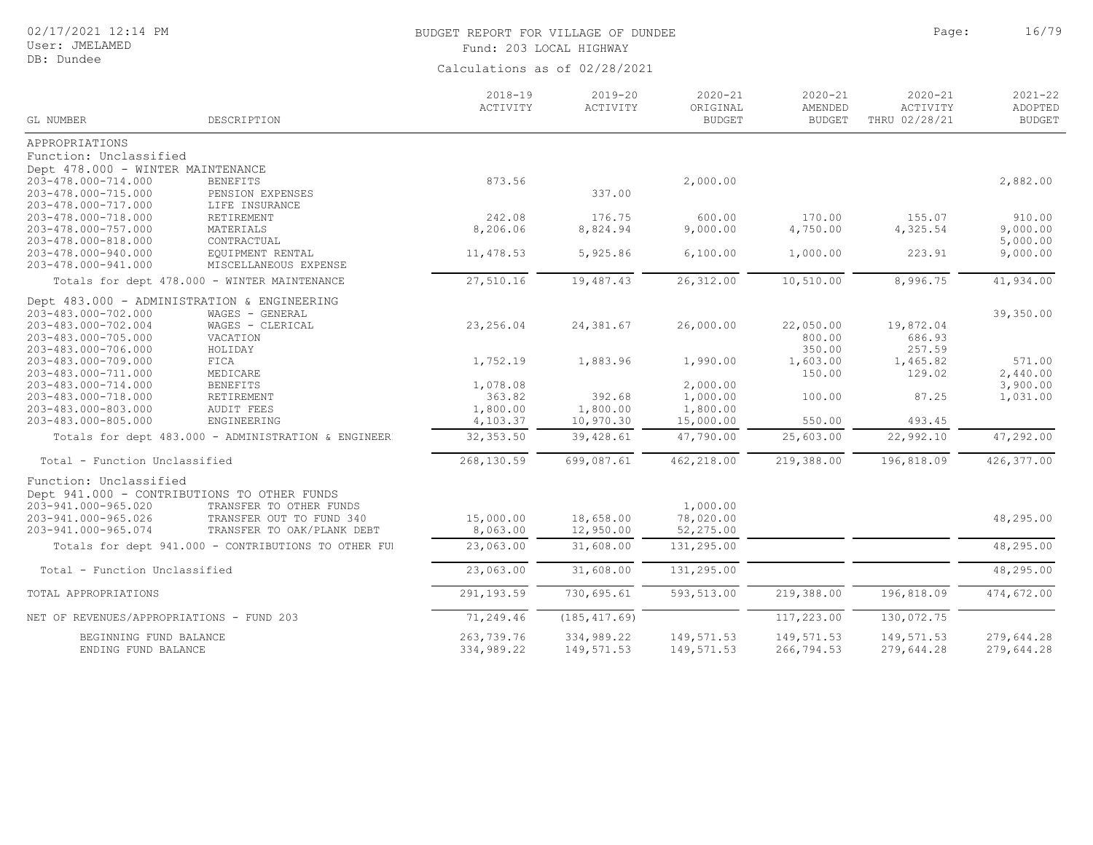User: JMELAMED DB: Dundee

# BUDGET REPORT FOR VILLAGE OF DUNDEE **Page:** 26/79 Fund: 203 LOCAL HIGHWAY

|                                            |                                                                       | $2018 - 19$<br>ACTIVITY | $2019 - 20$<br>ACTIVITY | $2020 - 21$<br>ORIGINAL | $2020 - 21$<br>AMENDED | $2020 - 21$<br>ACTIVITY | $2021 - 22$<br>ADOPTED |
|--------------------------------------------|-----------------------------------------------------------------------|-------------------------|-------------------------|-------------------------|------------------------|-------------------------|------------------------|
| <b>GL NUMBER</b>                           | DESCRIPTION                                                           |                         |                         | <b>BUDGET</b>           | <b>BUDGET</b>          | THRU 02/28/21           | <b>BUDGET</b>          |
| APPROPRIATIONS                             |                                                                       |                         |                         |                         |                        |                         |                        |
| Function: Unclassified                     |                                                                       |                         |                         |                         |                        |                         |                        |
| Dept 478.000 - WINTER MAINTENANCE          |                                                                       |                         |                         |                         |                        |                         |                        |
| 203-478.000-714.000                        | <b>BENEFITS</b>                                                       | 873.56                  |                         | 2,000.00                |                        |                         | 2,882.00               |
| 203-478.000-715.000                        | PENSION EXPENSES                                                      |                         | 337.00                  |                         |                        |                         |                        |
| 203-478.000-717.000                        | LIFE INSURANCE                                                        |                         |                         |                         |                        |                         |                        |
| 203-478.000-718.000                        | RETIREMENT                                                            | 242.08                  | 176.75                  | 600.00                  | 170.00                 | 155.07                  | 910.00                 |
| 203-478.000-757.000                        | MATERIALS                                                             | 8,206.06                | 8,824.94                | 9,000.00                | 4,750.00               | 4,325.54                | 9,000.00               |
| 203-478.000-818.000                        | CONTRACTUAL                                                           |                         |                         |                         |                        |                         | 5,000.00               |
| 203-478.000-940.000<br>203-478.000-941.000 | EQUIPMENT RENTAL                                                      | 11,478.53               | 5,925.86                | 6,100.00                | 1,000.00               | 223.91                  | 9,000.00               |
|                                            | MISCELLANEOUS EXPENSE<br>Totals for dept 478.000 - WINTER MAINTENANCE | 27,510.16               | 19,487.43               | 26, 312.00              | 10,510.00              | 8,996.75                | 41,934.00              |
|                                            |                                                                       |                         |                         |                         |                        |                         |                        |
|                                            | Dept 483.000 - ADMINISTRATION & ENGINEERING                           |                         |                         |                         |                        |                         |                        |
| 203-483.000-702.000                        | WAGES - GENERAL                                                       |                         |                         |                         |                        |                         | 39,350.00              |
| 203-483.000-702.004                        | WAGES - CLERICAL                                                      | 23, 256.04              | 24,381.67               | 26,000.00               | 22,050.00              | 19,872.04               |                        |
| 203-483.000-705.000                        | VACATION                                                              |                         |                         |                         | 800.00                 | 686.93                  |                        |
| 203-483.000-706.000                        | HOLIDAY                                                               |                         |                         |                         | 350.00                 | 257.59                  |                        |
| 203-483.000-709.000                        | FICA                                                                  | 1,752.19                | 1,883.96                | 1,990.00                | 1,603.00<br>150.00     | 1,465.82<br>129.02      | 571.00<br>2,440.00     |
| 203-483.000-711.000<br>203-483.000-714.000 | MEDICARE<br><b>BENEFITS</b>                                           | 1,078.08                |                         | 2,000.00                |                        |                         | 3,900.00               |
| 203-483.000-718.000                        | RETIREMENT                                                            | 363.82                  | 392.68                  | 1,000.00                | 100.00                 | 87.25                   | 1,031.00               |
| 203-483.000-803.000                        | <b>AUDIT FEES</b>                                                     | 1,800.00                | 1,800.00                | 1,800.00                |                        |                         |                        |
| 203-483.000-805.000                        | ENGINEERING                                                           | 4,103.37                | 10,970.30               | 15,000.00               | 550.00                 | 493.45                  |                        |
|                                            | Totals for dept 483.000 - ADMINISTRATION & ENGINEER                   | 32, 353.50              | 39,428.61               | 47,790.00               | 25,603.00              | 22,992.10               | 47,292.00              |
|                                            |                                                                       |                         |                         |                         |                        |                         |                        |
| Total - Function Unclassified              |                                                                       | 268,130.59              | 699,087.61              | 462,218.00              | 219,388.00             | 196,818.09              | 426, 377.00            |
| Function: Unclassified                     |                                                                       |                         |                         |                         |                        |                         |                        |
|                                            | Dept 941.000 - CONTRIBUTIONS TO OTHER FUNDS                           |                         |                         |                         |                        |                         |                        |
| 203-941.000-965.020                        | TRANSFER TO OTHER FUNDS                                               |                         |                         | 1,000.00                |                        |                         |                        |
| 203-941.000-965.026                        | TRANSFER OUT TO FUND 340                                              | 15,000.00               | 18,658.00               | 78,020.00               |                        |                         | 48,295.00              |
| 203-941.000-965.074                        | TRANSFER TO OAK/PLANK DEBT                                            | 8,063.00                | 12,950.00               | 52,275.00               |                        |                         |                        |
|                                            | Totals for dept 941.000 - CONTRIBUTIONS TO OTHER FUI                  | 23,063.00               | 31,608.00               | 131,295.00              |                        |                         | 48,295.00              |
| Total - Function Unclassified              |                                                                       | 23,063.00               | 31,608.00               | 131,295.00              |                        |                         | 48,295.00              |
|                                            |                                                                       |                         |                         |                         |                        |                         |                        |
| TOTAL APPROPRIATIONS                       |                                                                       | 291,193.59              | 730,695.61              | 593,513.00              | 219,388.00             | 196,818.09              | 474,672.00             |
| NET OF REVENUES/APPROPRIATIONS - FUND 203  |                                                                       | 71,249.46               | (185, 417.69)           |                         | 117,223.00             | 130,072.75              |                        |
| BEGINNING FUND BALANCE                     |                                                                       | 263,739.76              | 334,989.22              | 149,571.53              | 149, 571.53            | 149,571.53              | 279,644.28             |
| ENDING FUND BALANCE                        |                                                                       | 334,989.22              | 149,571.53              | 149,571.53              | 266,794.53             | 279,644.28              | 279,644.28             |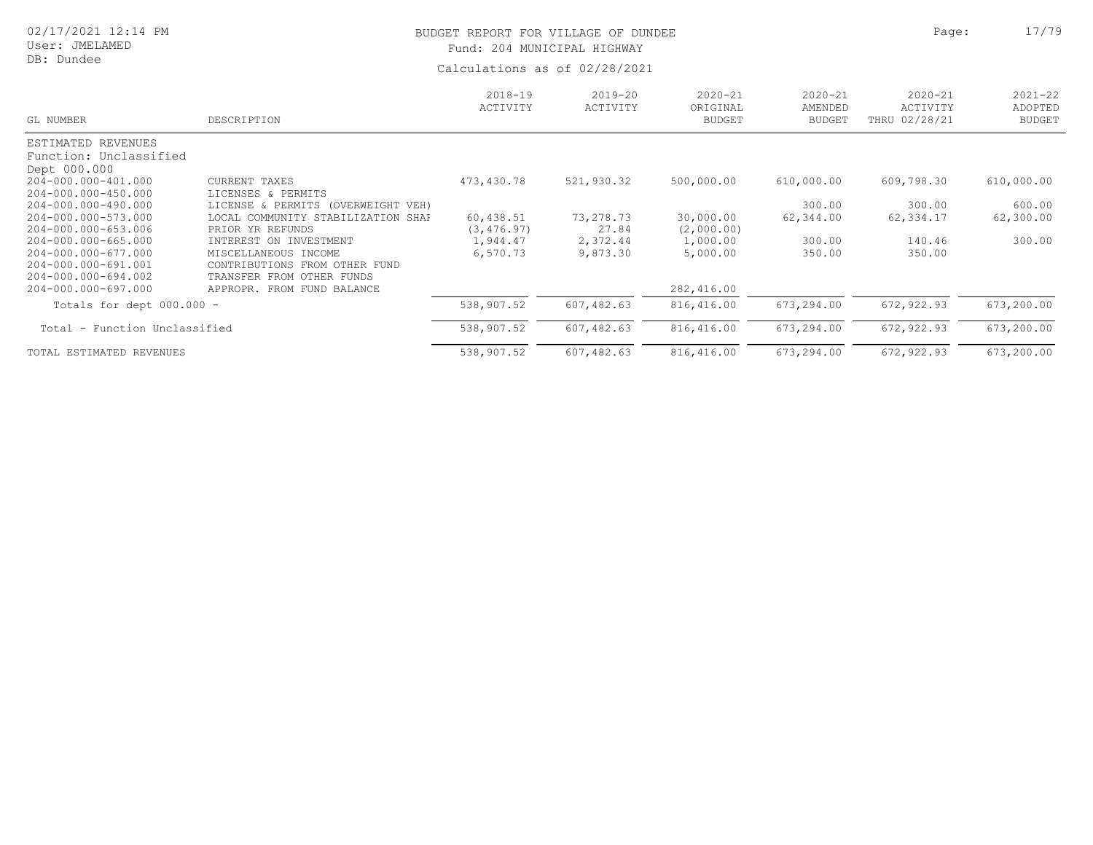## User: JMELAMED DB: Dundee

# BUDGET REPORT FOR VILLAGE OF DUNDEE **Page:** 17/79 Fund: 204 MUNICIPAL HIGHWAY

| GL NUMBER                     | DESCRIPTION                        | $2018 - 19$<br>ACTIVITY | $2019 - 20$<br>ACTIVITY | $2020 - 21$<br>ORIGINAL<br><b>BUDGET</b> | $2020 - 21$<br>AMENDED<br><b>BUDGET</b> | $2020 - 21$<br>ACTIVITY<br>THRU 02/28/21 | $2021 - 22$<br>ADOPTED<br><b>BUDGET</b> |
|-------------------------------|------------------------------------|-------------------------|-------------------------|------------------------------------------|-----------------------------------------|------------------------------------------|-----------------------------------------|
| ESTIMATED REVENUES            |                                    |                         |                         |                                          |                                         |                                          |                                         |
| Function: Unclassified        |                                    |                         |                         |                                          |                                         |                                          |                                         |
| Dept 000.000                  |                                    |                         |                         |                                          |                                         |                                          |                                         |
| 204-000.000-401.000           | CURRENT TAXES                      | 473,430.78              | 521,930.32              | 500,000.00                               | 610,000.00                              | 609,798.30                               | 610,000.00                              |
| 204-000.000-450.000           | LICENSES & PERMITS                 |                         |                         |                                          |                                         |                                          |                                         |
| 204-000.000-490.000           | LICENSE & PERMITS (OVERWEIGHT VEH) |                         |                         |                                          | 300.00                                  | 300.00                                   | 600.00                                  |
| 204-000.000-573.000           | LOCAL COMMUNITY STABILIZATION SHAH | 60,438.51               | 73,278.73               | 30,000.00                                | 62,344.00                               | 62,334.17                                | 62,300.00                               |
| 204-000.000-653.006           | PRIOR YR REFUNDS                   | (3, 476, 97)            | 27.84                   | (2,000.00)                               |                                         |                                          |                                         |
| 204-000.000-665.000           | INTEREST ON INVESTMENT             | 1,944.47                | 2,372.44                | 1,000.00                                 | 300.00                                  | 140.46                                   | 300.00                                  |
| 204-000.000-677.000           | MISCELLANEOUS INCOME               | 6,570.73                | 9,873.30                | 5,000.00                                 | 350.00                                  | 350.00                                   |                                         |
| 204-000.000-691.001           | CONTRIBUTIONS FROM<br>OTHER FUND   |                         |                         |                                          |                                         |                                          |                                         |
| 204-000.000-694.002           | TRANSFER FROM OTHER FUNDS          |                         |                         |                                          |                                         |                                          |                                         |
| 204-000.000-697.000           | APPROPR. FROM FUND BALANCE         |                         |                         | 282,416.00                               |                                         |                                          |                                         |
| Totals for dept 000.000 -     |                                    | 538,907.52              | 607,482.63              | 816,416.00                               | 673,294.00                              | 672,922.93                               | 673,200.00                              |
| Total - Function Unclassified |                                    | 538,907.52              | 607,482.63              | 816,416.00                               | 673,294.00                              | 672,922.93                               | 673,200.00                              |
| TOTAL ESTIMATED REVENUES      |                                    | 538,907.52              | 607,482.63              | 816,416.00                               | 673,294.00                              | 672,922.93                               | 673,200.00                              |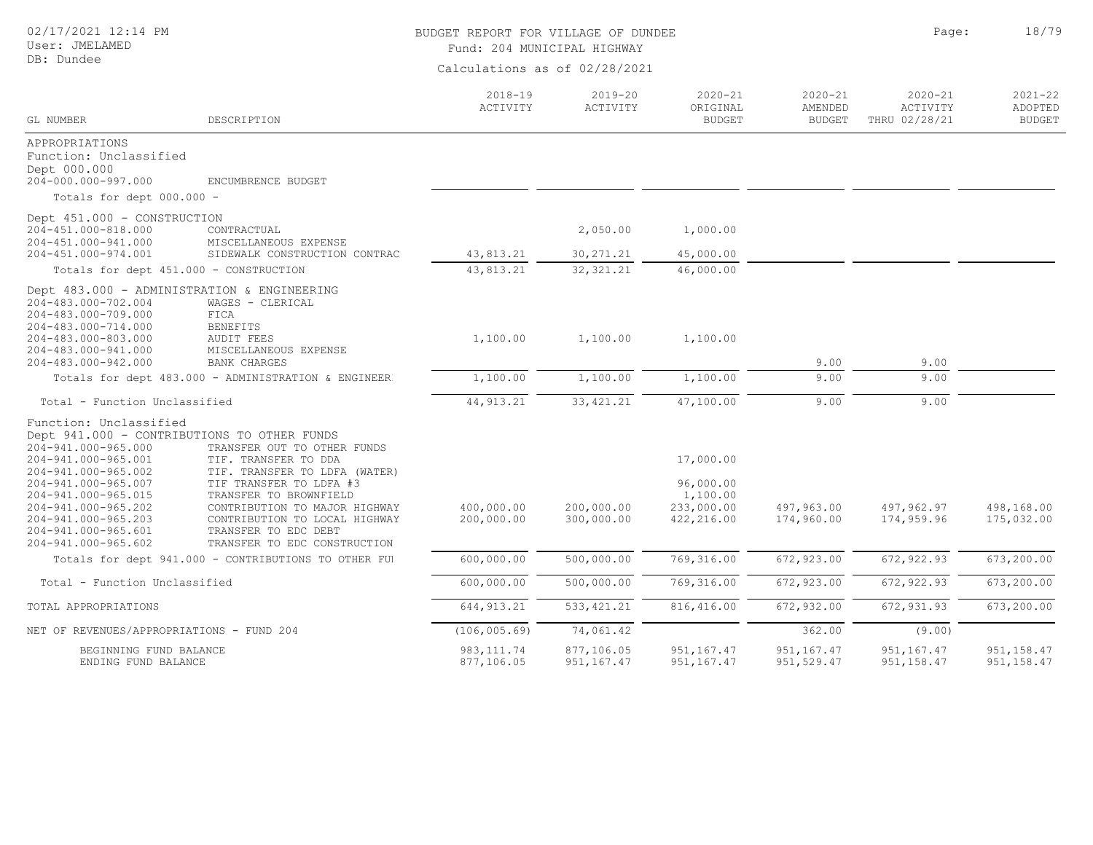## BUDGET REPORT FOR VILLAGE OF DUNDEE **Page:** 18/79 Fund: 204 MUNICIPAL HIGHWAY

| GL NUMBER                                                                                                                                                                                                                             | DESCRIPTION                                                                                                                                                                                                                                                                                                        | $2018 - 19$<br>ACTIVITY   | $2019 - 20$<br>ACTIVITY   | $2020 - 21$<br>ORIGINAL<br><b>BUDGET</b>                       | $2020 - 21$<br>AMENDED<br><b>BUDGET</b> | $2020 - 21$<br>ACTIVITY<br>THRU 02/28/21 | $2021 - 22$<br>ADOPTED<br><b>BUDGET</b> |
|---------------------------------------------------------------------------------------------------------------------------------------------------------------------------------------------------------------------------------------|--------------------------------------------------------------------------------------------------------------------------------------------------------------------------------------------------------------------------------------------------------------------------------------------------------------------|---------------------------|---------------------------|----------------------------------------------------------------|-----------------------------------------|------------------------------------------|-----------------------------------------|
| APPROPRIATIONS<br>Function: Unclassified<br>Dept 000.000<br>204-000.000-997.000                                                                                                                                                       | ENCUMBRENCE BUDGET                                                                                                                                                                                                                                                                                                 |                           |                           |                                                                |                                         |                                          |                                         |
| Totals for dept 000.000 -                                                                                                                                                                                                             |                                                                                                                                                                                                                                                                                                                    |                           |                           |                                                                |                                         |                                          |                                         |
| Dept 451.000 - CONSTRUCTION<br>204-451.000-818.000<br>204-451.000-941.000                                                                                                                                                             | CONTRACTUAL<br>MISCELLANEOUS EXPENSE                                                                                                                                                                                                                                                                               |                           | 2,050.00                  | 1,000.00                                                       |                                         |                                          |                                         |
| 204-451.000-974.001                                                                                                                                                                                                                   | SIDEWALK CONSTRUCTION CONTRAC                                                                                                                                                                                                                                                                                      | 43,813.21                 | 30, 271.21                | 45,000.00                                                      |                                         |                                          |                                         |
|                                                                                                                                                                                                                                       | Totals for dept 451.000 - CONSTRUCTION                                                                                                                                                                                                                                                                             | 43,813.21                 | 32, 321.21                | 46,000.00                                                      |                                         |                                          |                                         |
| 204-483.000-702.004<br>204-483.000-709.000<br>204-483.000-714.000<br>204-483.000-803.000<br>204-483.000-941.000<br>204-483.000-942.000                                                                                                | Dept 483.000 - ADMINISTRATION & ENGINEERING<br>WAGES - CLERICAL<br>FICA<br><b>BENEFITS</b><br>AUDIT FEES<br>MISCELLANEOUS EXPENSE<br><b>BANK CHARGES</b>                                                                                                                                                           | 1,100.00                  | 1,100.00                  | 1,100.00                                                       | 9.00                                    | 9.00                                     |                                         |
|                                                                                                                                                                                                                                       | Totals for dept 483.000 - ADMINISTRATION & ENGINEER                                                                                                                                                                                                                                                                | 1,100.00                  | 1,100.00                  | 1,100.00                                                       | 9.00                                    | 9.00                                     |                                         |
| Total - Function Unclassified                                                                                                                                                                                                         |                                                                                                                                                                                                                                                                                                                    | 44, 913.21                | 33, 421.21                | 47,100.00                                                      | 9.00                                    | 9.00                                     |                                         |
| Function: Unclassified<br>204-941.000-965.000<br>204-941.000-965.001<br>204-941.000-965.002<br>204-941.000-965.007<br>204-941.000-965.015<br>204-941.000-965.202<br>204-941.000-965.203<br>204-941.000-965.601<br>204-941.000-965.602 | Dept 941.000 - CONTRIBUTIONS TO OTHER FUNDS<br>TRANSFER OUT TO OTHER FUNDS<br>TIF. TRANSFER TO DDA<br>TIF. TRANSFER TO LDFA (WATER)<br>TIF TRANSFER TO LDFA #3<br>TRANSFER TO BROWNFIELD<br>CONTRIBUTION TO MAJOR HIGHWAY<br>CONTRIBUTION TO LOCAL HIGHWAY<br>TRANSFER TO EDC DEBT<br>TRANSFER TO EDC CONSTRUCTION | 400,000.00<br>200,000.00  | 200,000.00<br>300,000.00  | 17,000.00<br>96,000.00<br>1,100.00<br>233,000.00<br>422,216.00 | 497,963.00<br>174,960.00                | 497,962.97<br>174,959.96                 | 498,168.00<br>175,032.00                |
|                                                                                                                                                                                                                                       | Totals for dept 941.000 - CONTRIBUTIONS TO OTHER FUI                                                                                                                                                                                                                                                               | 600,000.00                | 500,000.00                | 769,316.00                                                     | 672,923.00                              | 672, 922.93                              | 673,200.00                              |
| Total - Function Unclassified                                                                                                                                                                                                         |                                                                                                                                                                                                                                                                                                                    | 600,000.00                | 500,000.00                | 769,316.00                                                     | 672, 923.00                             | 672, 922.93                              | 673,200.00                              |
| TOTAL APPROPRIATIONS                                                                                                                                                                                                                  |                                                                                                                                                                                                                                                                                                                    | 644, 913.21               | 533, 421.21               | 816, 416.00                                                    | 672,932.00                              | 672, 931.93                              | 673,200.00                              |
| NET OF REVENUES/APPROPRIATIONS - FUND 204                                                                                                                                                                                             |                                                                                                                                                                                                                                                                                                                    | (106, 005, 69)            | 74,061.42                 |                                                                | 362.00                                  | (9.00)                                   |                                         |
| BEGINNING FUND BALANCE<br>ENDING FUND BALANCE                                                                                                                                                                                         |                                                                                                                                                                                                                                                                                                                    | 983, 111.74<br>877,106.05 | 877,106.05<br>951, 167.47 | 951, 167.47<br>951, 167.47                                     | 951, 167.47<br>951,529.47               | 951,167.47<br>951, 158.47                | 951, 158.47<br>951, 158.47              |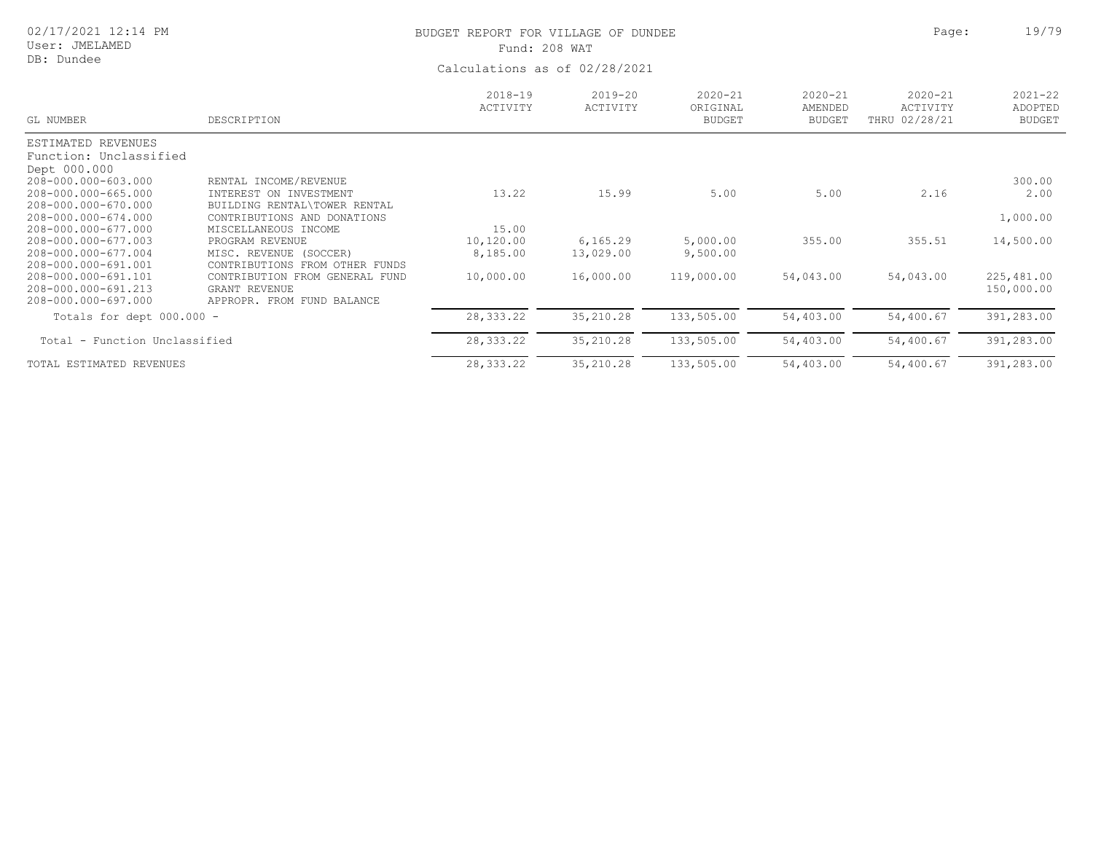| 02/17/2021 12:14 PM |
|---------------------|
|                     |

# BUDGET REPORT FOR VILLAGE OF DUNDEE **Example 2018** Page: 19/79 Fund: 208 WAT

| GL NUMBER                     | DESCRIPTION                       | $2018 - 19$<br>ACTIVITY | 2019-20<br>ACTIVITY | $2020 - 21$<br>ORIGINAL<br><b>BUDGET</b> | $2020 - 21$<br>AMENDED<br><b>BUDGET</b> | $2020 - 21$<br>ACTIVITY<br>THRU 02/28/21 | $2021 - 22$<br>ADOPTED<br><b>BUDGET</b> |
|-------------------------------|-----------------------------------|-------------------------|---------------------|------------------------------------------|-----------------------------------------|------------------------------------------|-----------------------------------------|
| ESTIMATED REVENUES            |                                   |                         |                     |                                          |                                         |                                          |                                         |
| Function: Unclassified        |                                   |                         |                     |                                          |                                         |                                          |                                         |
| Dept 000.000                  |                                   |                         |                     |                                          |                                         |                                          |                                         |
| 208-000.000-603.000           | RENTAL INCOME/REVENUE             |                         |                     |                                          |                                         |                                          | 300.00                                  |
| 208-000.000-665.000           | INTEREST ON INVESTMENT            | 13.22                   | 15.99               | 5.00                                     | 5.00                                    | 2.16                                     | 2.00                                    |
| 208-000.000-670.000           | BUILDING RENTAL\TOWER RENTAL      |                         |                     |                                          |                                         |                                          |                                         |
| 208-000.000-674.000           | CONTRIBUTIONS AND DONATIONS       |                         |                     |                                          |                                         |                                          | 1,000.00                                |
| 208-000.000-677.000           | MISCELLANEOUS INCOME              | 15.00                   |                     |                                          |                                         |                                          |                                         |
| 208-000.000-677.003           | PROGRAM REVENUE                   | 10,120.00               | 6,165.29            | 5,000.00                                 | 355.00                                  | 355.51                                   | 14,500.00                               |
| 208-000.000-677.004           | MISC. REVENUE (SOCCER)            | 8,185.00                | 13,029.00           | 9,500.00                                 |                                         |                                          |                                         |
| 208-000.000-691.001           | CONTRIBUTIONS FROM<br>OTHER FUNDS |                         |                     |                                          |                                         |                                          |                                         |
| 208-000.000-691.101           | CONTRIBUTION FROM GENERAL FUND    | 10,000.00               | 16,000.00           | 119,000.00                               | 54,043.00                               | 54,043.00                                | 225,481.00                              |
| 208-000.000-691.213           | GRANT REVENUE                     |                         |                     |                                          |                                         |                                          | 150,000.00                              |
| 208-000.000-697.000           | APPROPR. FROM FUND BALANCE        |                         |                     |                                          |                                         |                                          |                                         |
| Totals for dept 000.000 -     |                                   | 28, 333. 22             | 35,210.28           | 133,505.00                               | 54,403.00                               | 54,400.67                                | 391,283.00                              |
| Total - Function Unclassified |                                   | 28,333.22               | 35, 210.28          | 133,505.00                               | 54,403.00                               | 54,400.67                                | 391,283.00                              |
| TOTAL ESTIMATED REVENUES      |                                   | 28, 333. 22             | 35, 210.28          | 133,505.00                               | 54,403.00                               | 54,400.67                                | 391,283.00                              |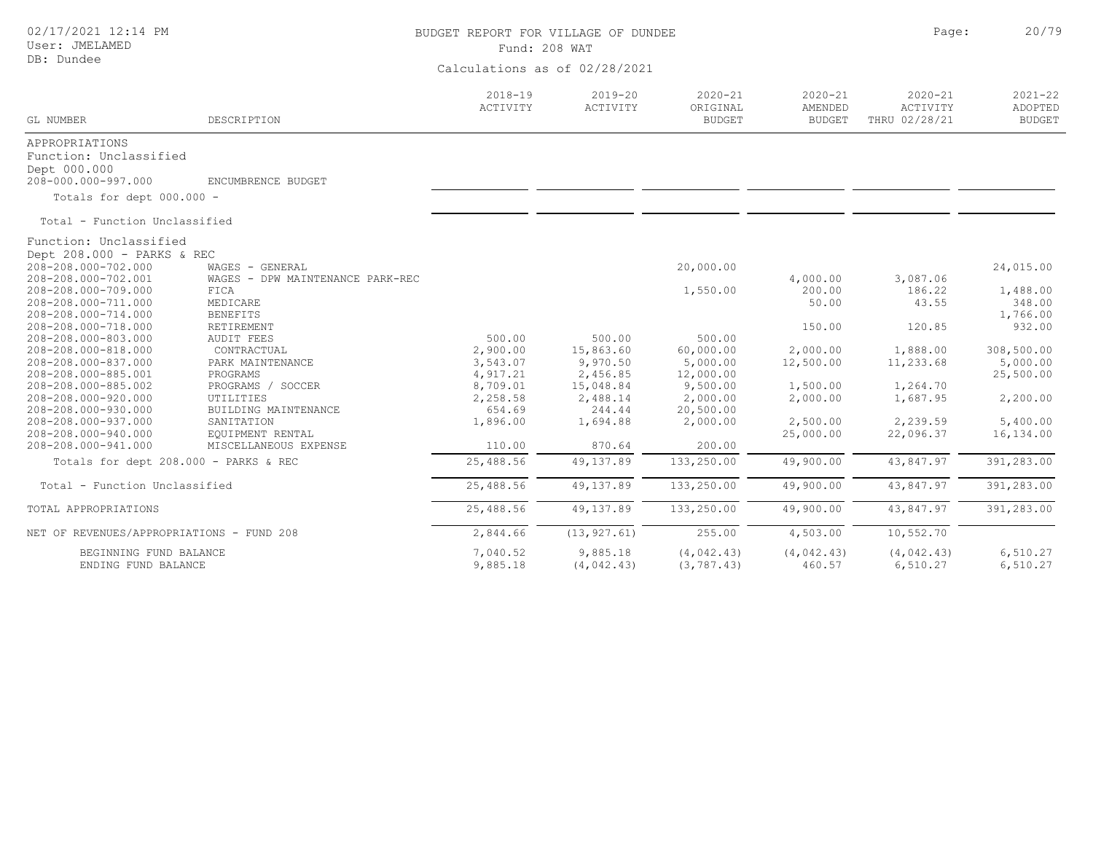| 02/17/2021 12:14 PM<br>User: JMELAMED<br>DB: Dundee                                                                                                                     |                                                                                                     | BUDGET REPORT FOR VILLAGE OF DUNDEE<br>Fund: 208 WAT<br>Calculations as of 02/28/2021 | Page:                                                    | 20/79                                                    |                                             |                                             |                                               |
|-------------------------------------------------------------------------------------------------------------------------------------------------------------------------|-----------------------------------------------------------------------------------------------------|---------------------------------------------------------------------------------------|----------------------------------------------------------|----------------------------------------------------------|---------------------------------------------|---------------------------------------------|-----------------------------------------------|
| GL NUMBER                                                                                                                                                               | DESCRIPTION                                                                                         | $2018 - 19$<br>ACTIVITY                                                               | $2019 - 20$<br>ACTIVITY                                  | $2020 - 21$<br>ORIGINAL<br><b>BUDGET</b>                 | $2020 - 21$<br>AMENDED<br><b>BUDGET</b>     | $2020 - 21$<br>ACTIVITY<br>THRU 02/28/21    | $2021 - 22$<br>ADOPTED<br><b>BUDGET</b>       |
| APPROPRIATIONS<br>Function: Unclassified<br>Dept 000.000<br>208-000.000-997.000<br>Totals for dept 000.000 -                                                            | ENCUMBRENCE BUDGET                                                                                  |                                                                                       |                                                          |                                                          |                                             |                                             |                                               |
| Total - Function Unclassified                                                                                                                                           |                                                                                                     |                                                                                       |                                                          |                                                          |                                             |                                             |                                               |
| Function: Unclassified<br>Dept 208.000 - PARKS & REC<br>208-208.000-702.000<br>208-208.000-702.001<br>208-208.000-709.000<br>208-208.000-711.000<br>208-208.000-714.000 | WAGES - GENERAL<br>WAGES - DPW MAINTENANCE PARK-REC<br>FICA<br>MEDICARE<br><b>BENEFITS</b>          |                                                                                       |                                                          | 20,000.00<br>1,550.00                                    | 4,000.00<br>200.00<br>50.00                 | 3,087.06<br>186.22<br>43.55                 | 24,015.00<br>1,488.00<br>348.00<br>1,766.00   |
| 208-208.000-718.000<br>208-208.000-803.000<br>208-208.000-818.000<br>208-208.000-837.000<br>208-208.000-885.001<br>208-208.000-885.002                                  | RETIREMENT<br><b>AUDIT FEES</b><br>CONTRACTUAL<br>PARK MAINTENANCE<br>PROGRAMS<br>PROGRAMS / SOCCER | 500.00<br>2,900.00<br>3,543.07<br>4,917.21<br>8,709.01                                | 500.00<br>15,863.60<br>9,970.50<br>2,456.85<br>15,048.84 | 500.00<br>60,000.00<br>5,000.00<br>12,000.00<br>9,500.00 | 150.00<br>2,000.00<br>12,500.00<br>1,500.00 | 120.85<br>1,888.00<br>11,233.68<br>1,264.70 | 932.00<br>308,500.00<br>5,000.00<br>25,500.00 |
| 208-208.000-920.000<br>208-208.000-930.000<br>208-208.000-937.000<br>208-208.000-940.000<br>208-208.000-941.000                                                         | UTILITIES<br>BUILDING MAINTENANCE<br>SANITATION<br>EOUIPMENT RENTAL<br>MISCELLANEOUS EXPENSE        | 2,258.58<br>654.69<br>1,896.00<br>110.00                                              | 2,488.14<br>244.44<br>1,694.88<br>870.64                 | 2,000.00<br>20,500.00<br>2,000.00<br>200.00              | 2,000.00<br>2,500.00<br>25,000.00           | 1,687.95<br>2,239.59<br>22,096.37           | 2,200.00<br>5,400.00<br>16,134.00             |
| Totals for dept 208.000 - PARKS & REC                                                                                                                                   |                                                                                                     | 25,488.56                                                                             | 49, 137.89                                               | 133,250.00                                               | 49,900.00                                   | 43,847.97                                   | 391,283.00                                    |
| Total - Function Unclassified                                                                                                                                           |                                                                                                     | 25,488.56                                                                             | 49,137.89                                                | 133,250.00                                               | 49,900.00                                   | 43,847.97                                   | 391,283.00                                    |
| TOTAL APPROPRIATIONS                                                                                                                                                    |                                                                                                     | 25,488.56                                                                             | 49,137.89                                                | 133,250.00                                               | 49,900.00                                   | 43,847.97                                   | 391,283.00                                    |
| NET OF REVENUES/APPROPRIATIONS - FUND 208                                                                                                                               |                                                                                                     | 2,844.66                                                                              | (13, 927.61)                                             | 255.00                                                   | 4,503.00                                    | 10,552.70                                   |                                               |
| BEGINNING FUND BALANCE<br>ENDING FUND BALANCE                                                                                                                           |                                                                                                     | 7,040.52<br>9,885.18                                                                  | 9,885.18<br>(4, 042.43)                                  | (4, 042.43)<br>(3, 787.43)                               | (4, 042.43)<br>460.57                       | (4, 042.43)<br>6,510.27                     | 6, 510.27<br>6,510.27                         |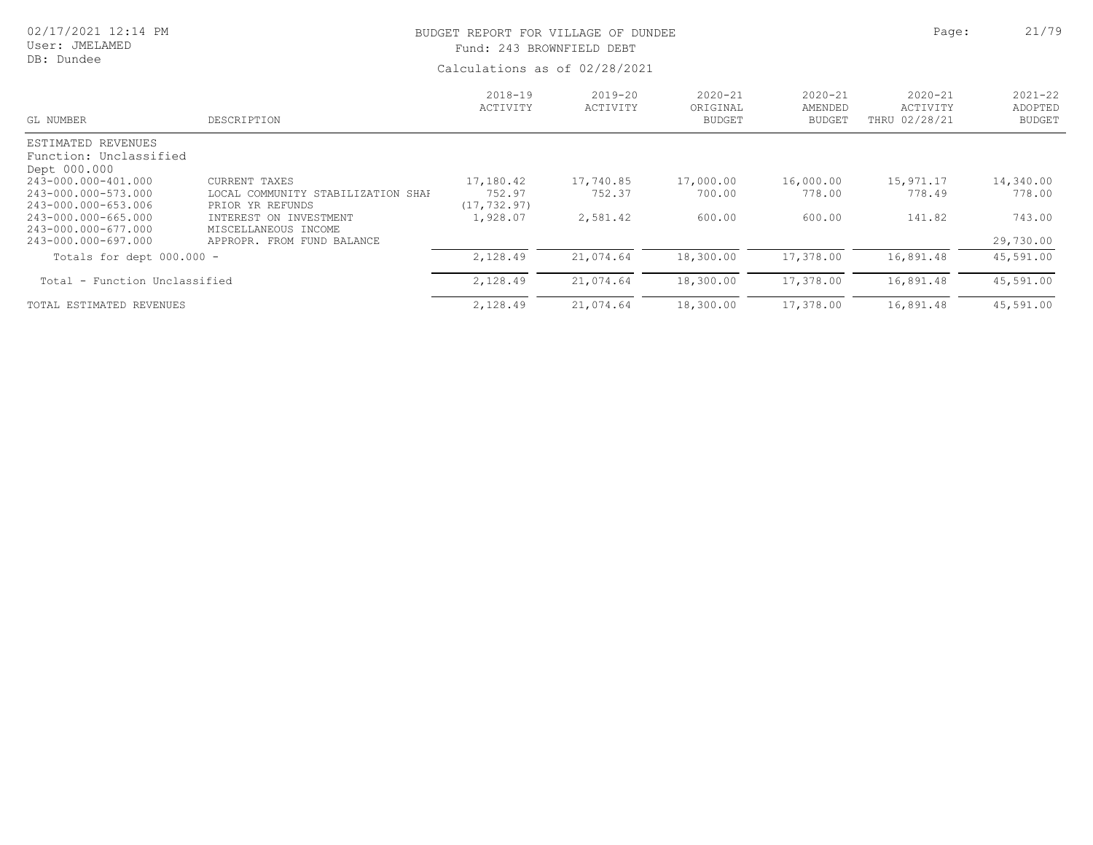# User: JMELAMED

# DB: Dundee

# BUDGET REPORT FOR VILLAGE OF DUNDEE **Page:** 21/79 Fund: 243 BROWNFIELD DEBT

| GL NUMBER                                                    | DESCRIPTION                                            | $2018 - 19$<br>ACTIVITY | $2019 - 20$<br>ACTIVITY | $2020 - 21$<br>ORIGINAL<br><b>BUDGET</b> | $2020 - 21$<br>AMENDED<br><b>BUDGET</b> | $2020 - 21$<br>ACTIVITY<br>THRU 02/28/21 | $2021 - 22$<br>ADOPTED<br><b>BUDGET</b> |
|--------------------------------------------------------------|--------------------------------------------------------|-------------------------|-------------------------|------------------------------------------|-----------------------------------------|------------------------------------------|-----------------------------------------|
| ESTIMATED REVENUES<br>Function: Unclassified<br>Dept 000.000 |                                                        |                         |                         |                                          |                                         |                                          |                                         |
| 243-000.000-401.000                                          | CURRENT TAXES                                          | 17,180.42               | 17,740.85               | 17,000.00                                | 16,000.00                               | 15,971.17                                | 14,340.00                               |
| 243-000.000-573.000<br>243-000.000-653.006                   | LOCAL COMMUNITY STABILIZATION SHAF<br>PRIOR YR REFUNDS | 752.97<br>(17, 732, 97) | 752.37                  | 700.00                                   | 778.00                                  | 778.49                                   | 778.00                                  |
| 243-000.000-665.000<br>243-000.000-677.000                   | INTEREST ON INVESTMENT<br>MISCELLANEOUS INCOME         | 1,928.07                | 2,581.42                | 600.00                                   | 600.00                                  | 141.82                                   | 743.00                                  |
| 243-000.000-697.000                                          | APPROPR. FROM FUND BALANCE                             |                         |                         |                                          |                                         |                                          | 29,730.00                               |
| Totals for dept $000.000 -$                                  |                                                        | 2,128.49                | 21,074.64               | 18,300.00                                | 17,378.00                               | 16,891.48                                | 45,591.00                               |
| Total - Function Unclassified                                |                                                        | 2,128.49                | 21,074.64               | 18,300.00                                | 17,378.00                               | 16,891.48                                | 45,591.00                               |
| TOTAL ESTIMATED REVENUES                                     |                                                        | 2,128.49                | 21,074.64               | 18,300.00                                | 17,378.00                               | 16,891.48                                | 45,591.00                               |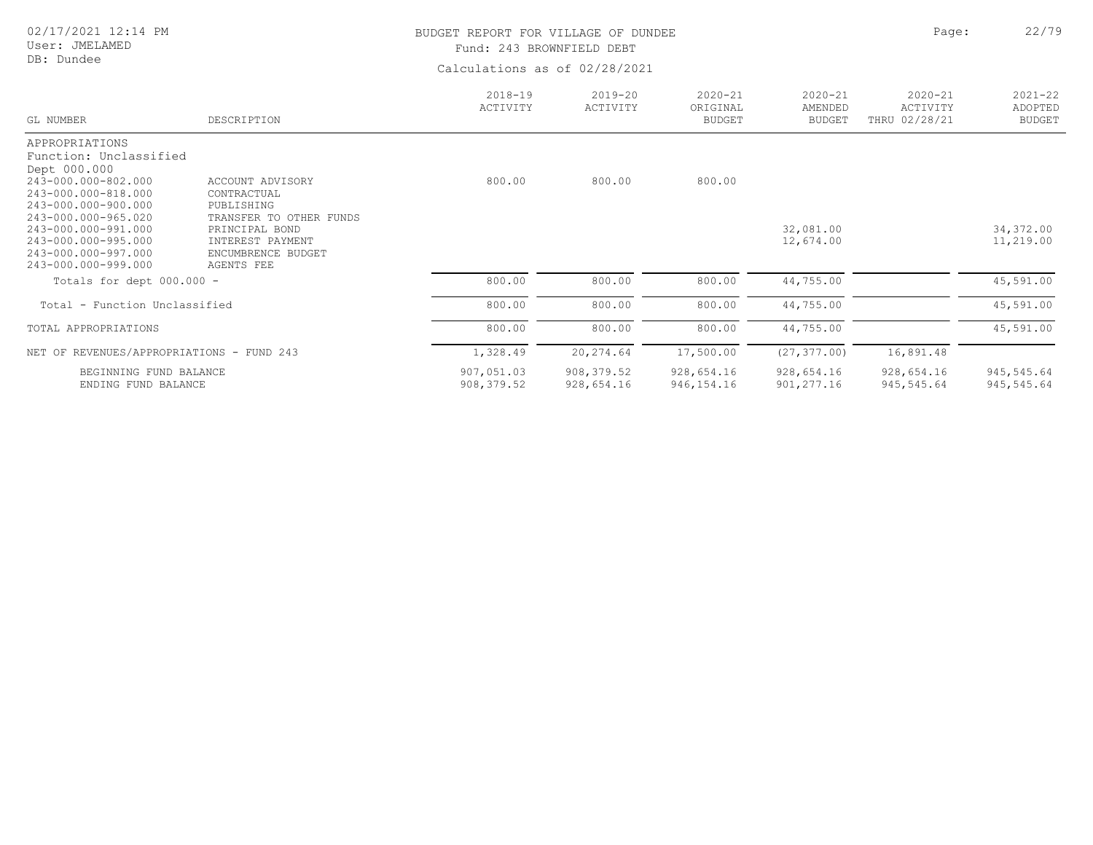User: JMELAMED DB: Dundee

# BUDGET REPORT FOR VILLAGE OF DUNDEE **Page:** 22/79 Fund: 243 BROWNFIELD DEBT

| GL NUMBER                                  | DESCRIPTION               | $2018 - 19$<br>ACTIVITY | $2019 - 20$<br>ACTIVITY | $2020 - 21$<br>ORIGINAL<br><b>BUDGET</b> | $2020 - 21$<br>AMENDED<br><b>BUDGET</b> | $2020 - 21$<br>ACTIVITY<br>THRU 02/28/21 | $2021 - 22$<br>ADOPTED<br><b>BUDGET</b> |
|--------------------------------------------|---------------------------|-------------------------|-------------------------|------------------------------------------|-----------------------------------------|------------------------------------------|-----------------------------------------|
| APPROPRIATIONS                             |                           |                         |                         |                                          |                                         |                                          |                                         |
| Function: Unclassified                     |                           |                         |                         |                                          |                                         |                                          |                                         |
| Dept 000.000                               |                           |                         |                         |                                          |                                         |                                          |                                         |
| 243-000.000-802.000                        | ACCOUNT ADVISORY          | 800.00                  | 800.00                  | 800.00                                   |                                         |                                          |                                         |
| 243-000.000-818.000<br>243-000.000-900.000 | CONTRACTUAL<br>PUBLISHING |                         |                         |                                          |                                         |                                          |                                         |
| 243-000.000-965.020                        | TRANSFER TO OTHER FUNDS   |                         |                         |                                          |                                         |                                          |                                         |
| 243-000.000-991.000                        | PRINCIPAL BOND            |                         |                         |                                          | 32,081.00                               |                                          | 34, 372.00                              |
| 243-000.000-995.000                        | INTEREST PAYMENT          |                         |                         |                                          | 12,674.00                               |                                          | 11,219.00                               |
| 243-000.000-997.000                        | ENCUMBRENCE BUDGET        |                         |                         |                                          |                                         |                                          |                                         |
| 243-000.000-999.000                        | AGENTS FEE                |                         |                         |                                          |                                         |                                          |                                         |
| Totals for dept $000.000 -$                |                           | 800.00                  | 800.00                  | 800.00                                   | 44,755.00                               |                                          | 45,591.00                               |
| Total - Function Unclassified              |                           | 800.00                  | 800.00                  | 800.00                                   | 44,755.00                               |                                          | 45,591.00                               |
| TOTAL APPROPRIATIONS                       |                           | 800.00                  | 800.00                  | 800.00                                   | 44,755.00                               |                                          | 45,591.00                               |
| NET OF REVENUES/APPROPRIATIONS - FUND 243  |                           | 1,328.49                | 20,274.64               | 17,500.00                                | (27, 377, 00)                           | 16,891.48                                |                                         |
| BEGINNING FUND BALANCE                     |                           | 907,051.03              | 908, 379.52             | 928,654.16                               | 928,654.16                              | 928,654.16                               | 945,545.64                              |
| ENDING FUND BALANCE                        |                           | 908, 379.52             | 928,654.16              | 946, 154. 16                             | 901, 277.16                             | 945,545.64                               | 945,545.64                              |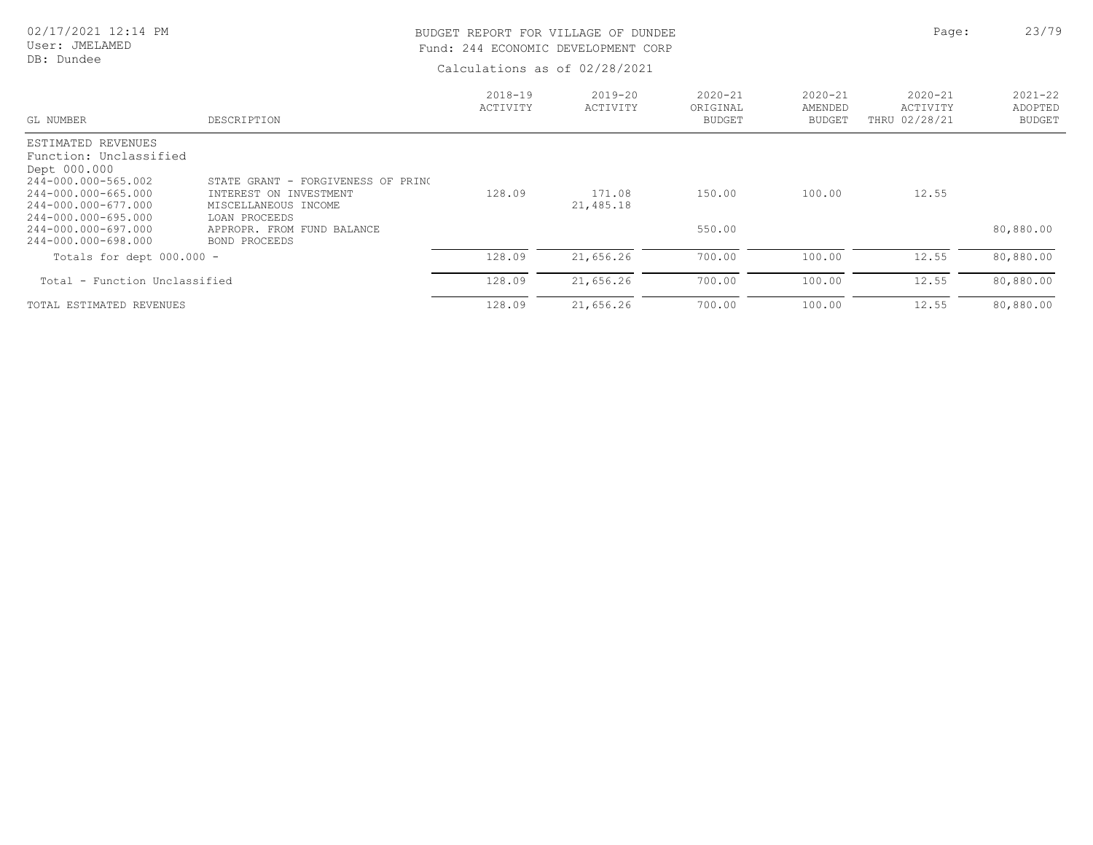User: JMELAMED DB: Dundee

# BUDGET REPORT FOR VILLAGE OF DUNDEE **Page:** 23/79 Fund: 244 ECONOMIC DEVELOPMENT CORP

| GL NUMBER                                  | DESCRIPTION                                 | $2018 - 19$<br>ACTIVITY | $2019 - 20$<br>ACTIVITY | $2020 - 21$<br>ORIGINAL<br><b>BUDGET</b> | $2020 - 21$<br>AMENDED<br><b>BUDGET</b> | $2020 - 21$<br>ACTIVITY<br>THRU 02/28/21 | $2021 - 22$<br>ADOPTED<br><b>BUDGET</b> |
|--------------------------------------------|---------------------------------------------|-------------------------|-------------------------|------------------------------------------|-----------------------------------------|------------------------------------------|-----------------------------------------|
| ESTIMATED REVENUES                         |                                             |                         |                         |                                          |                                         |                                          |                                         |
| Function: Unclassified<br>Dept 000.000     |                                             |                         |                         |                                          |                                         |                                          |                                         |
| 244-000.000-565.002                        | STATE GRANT - FORGIVENESS OF PRINC          |                         |                         |                                          |                                         |                                          |                                         |
| 244-000.000-665.000                        | INTEREST ON INVESTMENT                      | 128.09                  | 171.08                  | 150.00                                   | 100.00                                  | 12.55                                    |                                         |
| 244-000.000-677.000                        | MISCELLANEOUS INCOME                        |                         | 21,485.18               |                                          |                                         |                                          |                                         |
| 244-000.000-695.000<br>244-000.000-697.000 | LOAN PROCEEDS<br>APPROPR. FROM FUND BALANCE |                         |                         | 550.00                                   |                                         |                                          | 80,880.00                               |
| 244-000.000-698.000                        | BOND PROCEEDS                               |                         |                         |                                          |                                         |                                          |                                         |
| Totals for dept $000.000 -$                |                                             | 128.09                  | 21,656.26               | 700.00                                   | 100.00                                  | 12.55                                    | 80,880.00                               |
| Total - Function Unclassified              |                                             | 128.09                  | 21,656.26               | 700.00                                   | 100.00                                  | 12.55                                    | 80,880.00                               |
| TOTAL ESTIMATED REVENUES                   |                                             | 128.09                  | 21,656.26               | 700.00                                   | 100.00                                  | 12.55                                    | 80,880.00                               |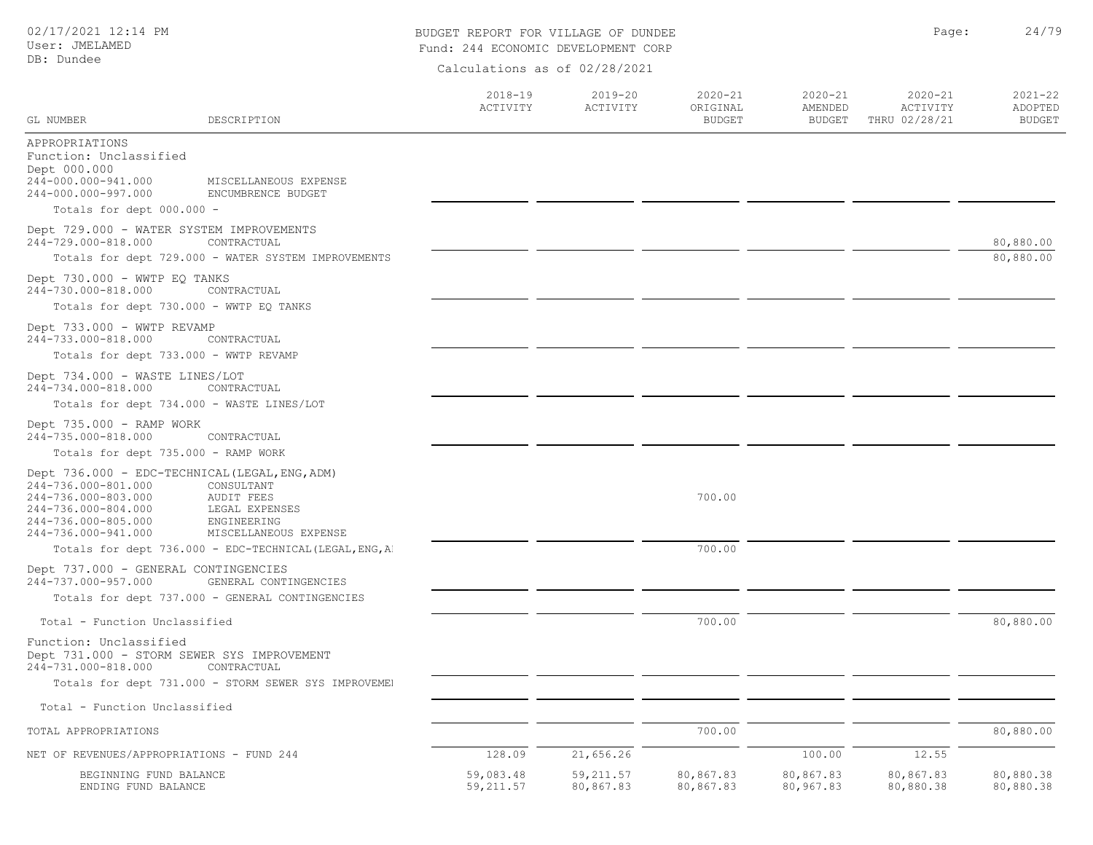## BUDGET REPORT FOR VILLAGE OF DUNDEE **Page:** 24/79 Fund: 244 ECONOMIC DEVELOPMENT CORP

| GL NUMBER                                                                                                                                                         | DESCRIPTION                                                                               | $2018 - 19$<br>ACTIVITY | $2019 - 20$<br>ACTIVITY | $2020 - 21$<br>ORIGINAL<br><b>BUDGET</b> | $2020 - 21$<br>AMENDED<br><b>BUDGET</b> | $2020 - 21$<br>ACTIVITY<br>THRU 02/28/21 | $2021 - 22$<br>ADOPTED<br><b>BUDGET</b> |
|-------------------------------------------------------------------------------------------------------------------------------------------------------------------|-------------------------------------------------------------------------------------------|-------------------------|-------------------------|------------------------------------------|-----------------------------------------|------------------------------------------|-----------------------------------------|
| APPROPRIATIONS<br>Function: Unclassified<br>Dept 000.000<br>244-000.000-941.000                                                                                   | MISCELLANEOUS EXPENSE                                                                     |                         |                         |                                          |                                         |                                          |                                         |
| 244-000.000-997.000                                                                                                                                               | ENCUMBRENCE BUDGET                                                                        |                         |                         |                                          |                                         |                                          |                                         |
| Totals for dept 000.000 -                                                                                                                                         |                                                                                           |                         |                         |                                          |                                         |                                          |                                         |
| Dept 729.000 - WATER SYSTEM IMPROVEMENTS<br>244-729.000-818.000                                                                                                   | CONTRACTUAL                                                                               |                         |                         |                                          |                                         |                                          | 80,880.00                               |
|                                                                                                                                                                   | Totals for dept 729.000 - WATER SYSTEM IMPROVEMENTS                                       |                         |                         |                                          |                                         |                                          | 80,880.00                               |
| Dept 730.000 - WWTP EQ TANKS<br>244-730.000-818.000                                                                                                               | CONTRACTUAL                                                                               |                         |                         |                                          |                                         |                                          |                                         |
| Totals for dept 730.000 - WWTP EQ TANKS                                                                                                                           |                                                                                           |                         |                         |                                          |                                         |                                          |                                         |
| Dept 733.000 - WWTP REVAMP<br>244-733.000-818.000                                                                                                                 | CONTRACTUAL                                                                               |                         |                         |                                          |                                         |                                          |                                         |
| Totals for dept 733.000 - WWTP REVAMP                                                                                                                             |                                                                                           |                         |                         |                                          |                                         |                                          |                                         |
| Dept 734.000 - WASTE LINES/LOT<br>244-734.000-818.000                                                                                                             | CONTRACTUAL                                                                               |                         |                         |                                          |                                         |                                          |                                         |
| Totals for dept 734.000 - WASTE LINES/LOT                                                                                                                         |                                                                                           |                         |                         |                                          |                                         |                                          |                                         |
| Dept 735.000 - RAMP WORK<br>244-735.000-818.000                                                                                                                   | CONTRACTUAL                                                                               |                         |                         |                                          |                                         |                                          |                                         |
| Totals for dept 735.000 - RAMP WORK                                                                                                                               |                                                                                           |                         |                         |                                          |                                         |                                          |                                         |
| Dept 736.000 - EDC-TECHNICAL (LEGAL, ENG, ADM)<br>244-736.000-801.000<br>244-736.000-803.000<br>244-736.000-804.000<br>244-736.000-805.000<br>244-736.000-941.000 | CONSULTANT<br><b>AUDIT FEES</b><br>LEGAL EXPENSES<br>ENGINEERING<br>MISCELLANEOUS EXPENSE |                         |                         | 700.00                                   |                                         |                                          |                                         |
|                                                                                                                                                                   | Totals for dept 736.000 - EDC-TECHNICAL (LEGAL, ENG, A)                                   |                         |                         | 700.00                                   |                                         |                                          |                                         |
| Dept 737.000 - GENERAL CONTINGENCIES<br>244-737.000-957.000                                                                                                       | GENERAL CONTINGENCIES                                                                     |                         |                         |                                          |                                         |                                          |                                         |
|                                                                                                                                                                   | Totals for dept 737.000 - GENERAL CONTINGENCIES                                           |                         |                         |                                          |                                         |                                          |                                         |
| Total - Function Unclassified                                                                                                                                     |                                                                                           |                         |                         | 700.00                                   |                                         |                                          | 80,880.00                               |
| Function: Unclassified<br>Dept 731.000 - STORM SEWER SYS IMPROVEMENT<br>244-731.000-818.000                                                                       | CONTRACTUAL                                                                               |                         |                         |                                          |                                         |                                          |                                         |
|                                                                                                                                                                   | Totals for dept 731.000 - STORM SEWER SYS IMPROVEMEN                                      |                         |                         |                                          |                                         |                                          |                                         |
| Total - Function Unclassified                                                                                                                                     |                                                                                           |                         |                         |                                          |                                         |                                          |                                         |
| TOTAL APPROPRIATIONS                                                                                                                                              |                                                                                           |                         |                         | 700.00                                   |                                         |                                          | 80,880.00                               |
| NET OF REVENUES/APPROPRIATIONS - FUND 244                                                                                                                         |                                                                                           | 128.09                  | 21,656.26               |                                          | 100.00                                  | 12.55                                    |                                         |
| BEGINNING FUND BALANCE<br>ENDING FUND BALANCE                                                                                                                     |                                                                                           | 59,083.48<br>59, 211.57 | 59, 211.57<br>80,867.83 | 80,867.83<br>80,867.83                   | 80,867.83<br>80,967.83                  | 80,867.83<br>80,880.38                   | 80,880.38<br>80,880.38                  |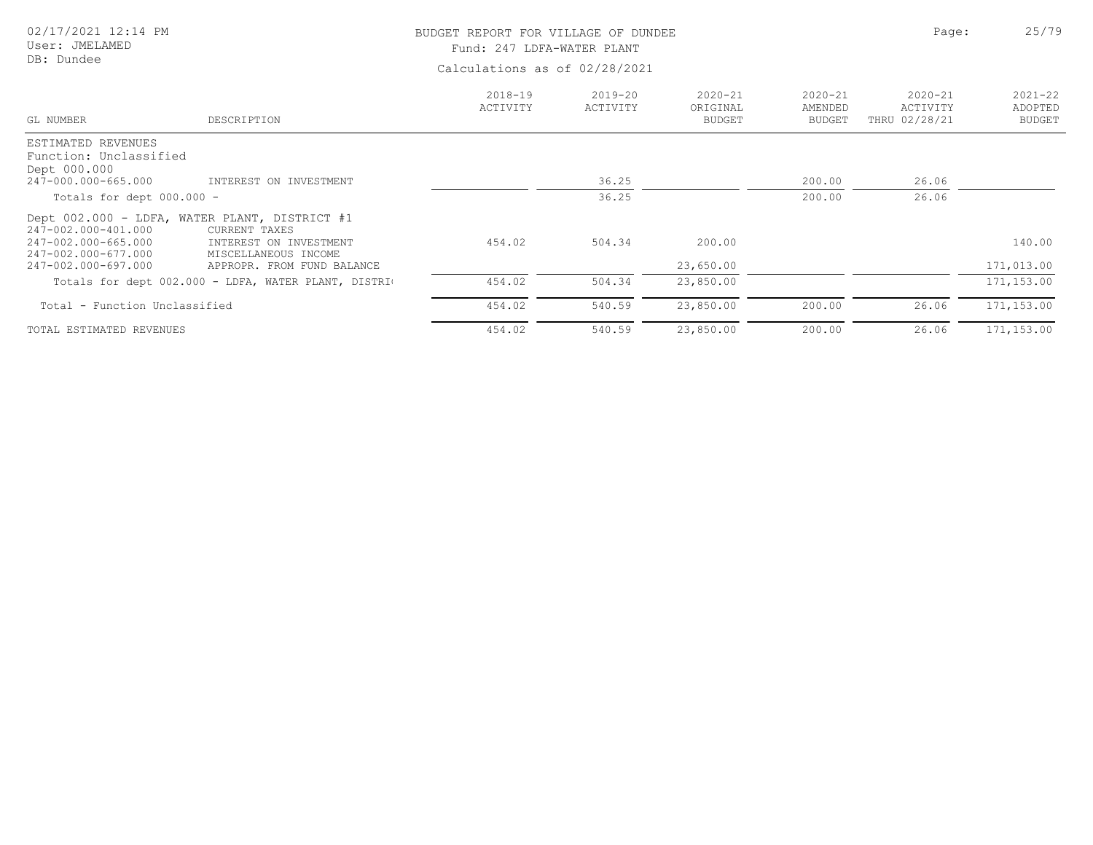# BUDGET REPORT FOR VILLAGE OF DUNDEE **Page:** 25/79

Fund: 247 LDFA-WATER PLANT

| GL NUMBER                                    | DESCRIPTION                                                    | $2018 - 19$<br>ACTIVITY | 2019-20<br>ACTIVITY | $2020 - 21$<br>ORIGINAL<br><b>BUDGET</b> | $2020 - 21$<br>AMENDED<br><b>BUDGET</b> | $2020 - 21$<br>ACTIVITY<br>THRU 02/28/21 | $2021 - 22$<br>ADOPTED<br><b>BUDGET</b> |
|----------------------------------------------|----------------------------------------------------------------|-------------------------|---------------------|------------------------------------------|-----------------------------------------|------------------------------------------|-----------------------------------------|
| ESTIMATED REVENUES<br>Function: Unclassified |                                                                |                         |                     |                                          |                                         |                                          |                                         |
| Dept 000.000                                 |                                                                |                         |                     |                                          |                                         |                                          |                                         |
| 247-000.000-665.000                          | INTEREST ON INVESTMENT                                         |                         | 36.25               |                                          | 200.00                                  | 26.06                                    |                                         |
| Totals for dept $000.000 -$                  |                                                                |                         | 36.25               |                                          | 200.00                                  | 26.06                                    |                                         |
| 247-002.000-401.000                          | Dept 002.000 - LDFA, WATER PLANT, DISTRICT #1<br>CURRENT TAXES |                         |                     |                                          |                                         |                                          |                                         |
| 247-002.000-665.000<br>247-002.000-677.000   | INTEREST ON INVESTMENT<br>MISCELLANEOUS INCOME                 | 454.02                  | 504.34              | 200.00                                   |                                         |                                          | 140.00                                  |
| 247-002.000-697.000                          | APPROPR. FROM FUND BALANCE                                     |                         |                     | 23,650.00                                |                                         |                                          | 171,013.00                              |
|                                              | Totals for dept 002.000 - LDFA, WATER PLANT, DISTRIC           | 454.02                  | 504.34              | 23,850.00                                |                                         |                                          | 171, 153.00                             |
| Total - Function Unclassified                |                                                                | 454.02                  | 540.59              | 23,850.00                                | 200.00                                  | 26.06                                    | 171,153.00                              |
| TOTAL ESTIMATED REVENUES                     |                                                                | 454.02                  | 540.59              | 23,850.00                                | 200.00                                  | 26.06                                    | 171, 153.00                             |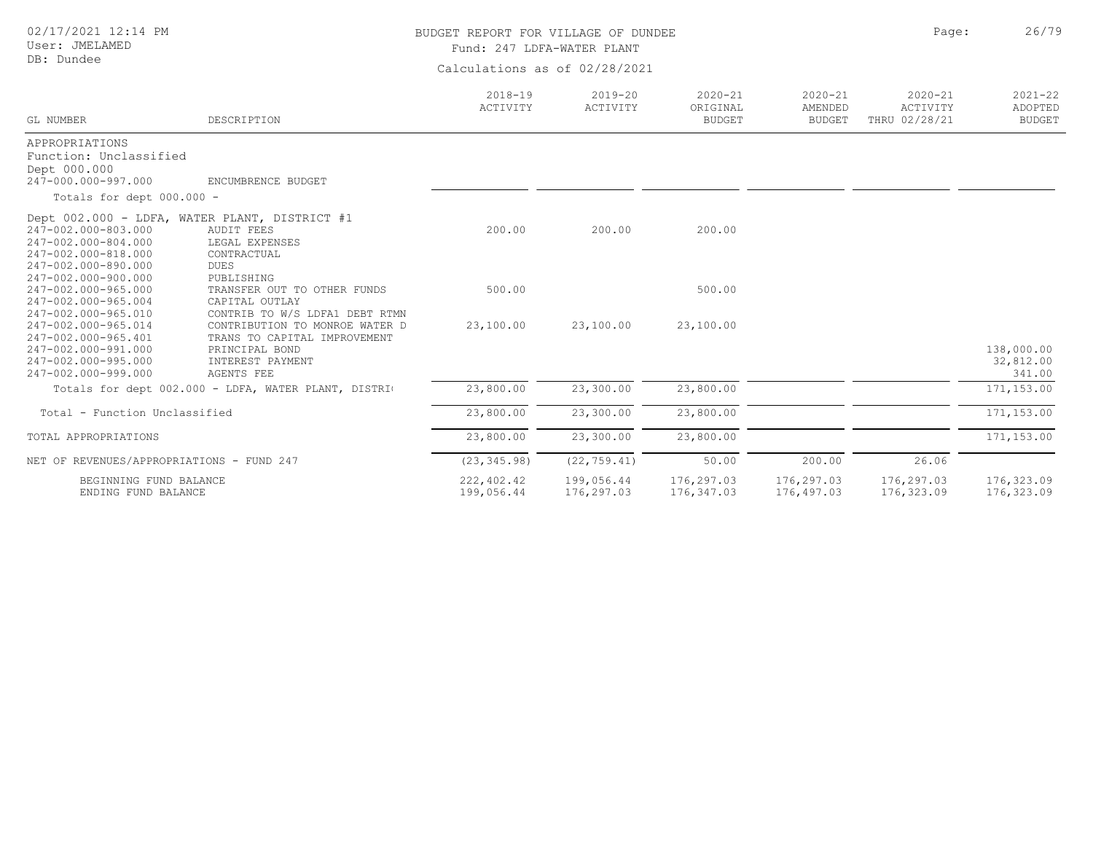02/17/2021 12:14 PM

# BUDGET REPORT FOR VILLAGE OF DUNDEE **Page:** 26/79

Fund: 247 LDFA-WATER PLANT

| GL NUMBER                                  | DESCRIPTION                                          | $2018 - 19$<br>ACTIVITY | $2019 - 20$<br>ACTIVITY | $2020 - 21$<br>ORIGINAL<br><b>BUDGET</b> | $2020 - 21$<br>AMENDED<br><b>BUDGET</b> | $2020 - 21$<br>ACTIVITY<br>THRU 02/28/21 | $2021 - 22$<br>ADOPTED<br><b>BUDGET</b> |
|--------------------------------------------|------------------------------------------------------|-------------------------|-------------------------|------------------------------------------|-----------------------------------------|------------------------------------------|-----------------------------------------|
| APPROPRIATIONS                             |                                                      |                         |                         |                                          |                                         |                                          |                                         |
| Function: Unclassified                     |                                                      |                         |                         |                                          |                                         |                                          |                                         |
| Dept 000.000                               |                                                      |                         |                         |                                          |                                         |                                          |                                         |
| 247-000.000-997.000                        | ENCUMBRENCE BUDGET                                   |                         |                         |                                          |                                         |                                          |                                         |
| Totals for dept 000.000 -                  |                                                      |                         |                         |                                          |                                         |                                          |                                         |
|                                            | Dept 002.000 - LDFA, WATER PLANT, DISTRICT #1        |                         |                         |                                          |                                         |                                          |                                         |
| 247-002.000-803.000                        | <b>AUDIT FEES</b>                                    | 200.00                  | 200.00                  | 200.00                                   |                                         |                                          |                                         |
| 247-002.000-804.000                        | LEGAL EXPENSES                                       |                         |                         |                                          |                                         |                                          |                                         |
| 247-002.000-818.000                        | CONTRACTUAL                                          |                         |                         |                                          |                                         |                                          |                                         |
| 247-002.000-890.000                        | <b>DUES</b>                                          |                         |                         |                                          |                                         |                                          |                                         |
| 247-002.000-900.000                        | PUBLISHING                                           |                         |                         |                                          |                                         |                                          |                                         |
| 247-002.000-965.000                        | TRANSFER OUT TO OTHER FUNDS                          | 500.00                  |                         | 500.00                                   |                                         |                                          |                                         |
| 247-002.000-965.004                        | CAPITAL OUTLAY                                       |                         |                         |                                          |                                         |                                          |                                         |
| 247-002.000-965.010                        | CONTRIB TO W/S LDFA1 DEBT RTMN                       |                         |                         |                                          |                                         |                                          |                                         |
| 247-002.000-965.014                        | CONTRIBUTION TO MONROE WATER D                       | 23,100.00               | 23,100.00               | 23,100.00                                |                                         |                                          |                                         |
| 247-002.000-965.401<br>247-002.000-991.000 | TRANS TO CAPITAL IMPROVEMENT                         |                         |                         |                                          |                                         |                                          |                                         |
| 247-002.000-995.000                        | PRINCIPAL BOND<br>INTEREST PAYMENT                   |                         |                         |                                          |                                         |                                          | 138,000.00<br>32,812.00                 |
| 247-002.000-999.000                        | <b>AGENTS FEE</b>                                    |                         |                         |                                          |                                         |                                          | 341.00                                  |
|                                            |                                                      | 23,800.00               | 23,300.00               | 23,800.00                                |                                         |                                          | 171,153.00                              |
|                                            | Totals for dept 002.000 - LDFA, WATER PLANT, DISTRIC |                         |                         |                                          |                                         |                                          |                                         |
| Total - Function Unclassified              |                                                      | 23,800.00               | 23,300.00               | 23,800.00                                |                                         |                                          | 171, 153.00                             |
| TOTAL APPROPRIATIONS                       |                                                      | 23,800.00               | 23,300.00               | 23,800.00                                |                                         |                                          | 171,153.00                              |
| NET OF REVENUES/APPROPRIATIONS - FUND 247  |                                                      | (23, 345.98)            | (22, 759.41)            | 50.00                                    | 200.00                                  | 26.06                                    |                                         |
| BEGINNING FUND BALANCE                     |                                                      | 222,402.42              | 199,056.44              | 176,297.03                               | 176,297.03                              | 176,297.03                               | 176,323.09                              |
| ENDING FUND BALANCE                        |                                                      | 199,056.44              | 176,297.03              | 176,347.03                               | 176,497.03                              | 176,323.09                               | 176,323.09                              |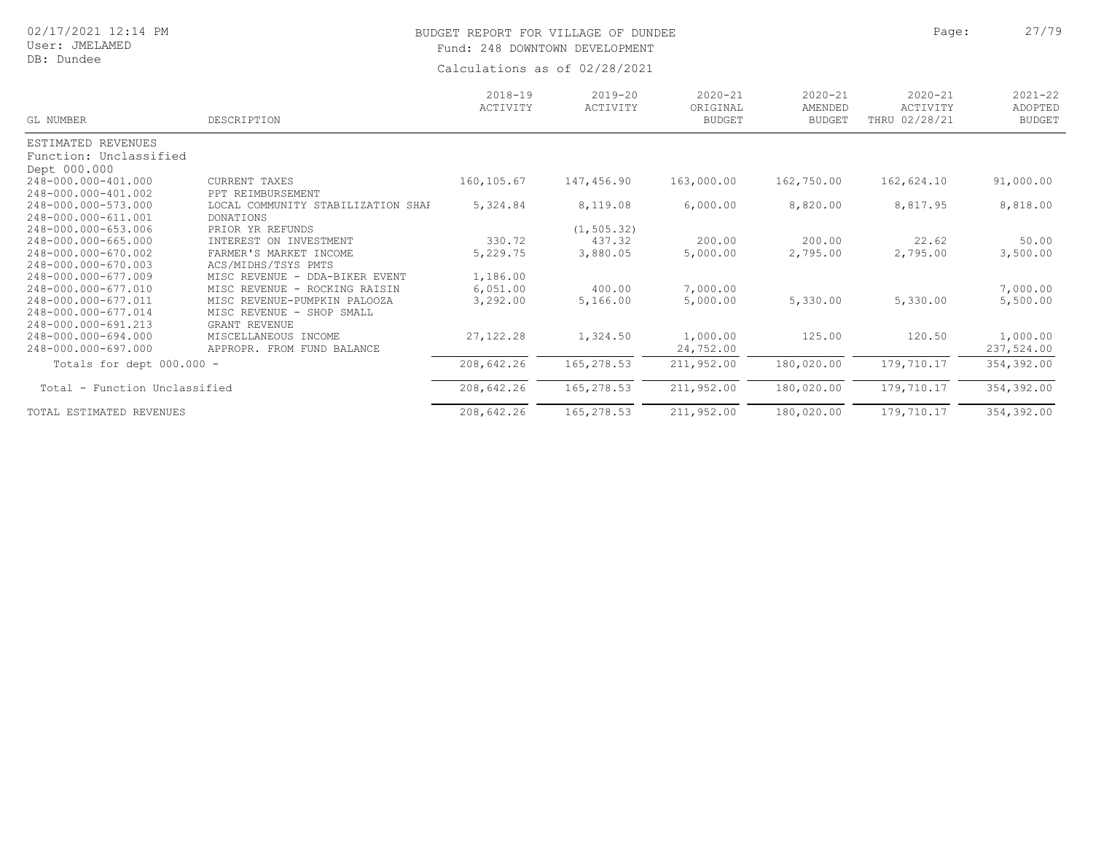User: JMELAMED DB: Dundee

# BUDGET REPORT FOR VILLAGE OF DUNDEE **Page:** 27/79 Fund: 248 DOWNTOWN DEVELOPMENT

| GL NUMBER                     | DESCRIPTION                        | $2018 - 19$<br>ACTIVITY | $2019 - 20$<br>ACTIVITY | $2020 - 21$<br>ORIGINAL<br><b>BUDGET</b> | $2020 - 21$<br>AMENDED<br><b>BUDGET</b> | $2020 - 21$<br>ACTIVITY<br>THRU 02/28/21 | $2021 - 22$<br>ADOPTED<br><b>BUDGET</b> |
|-------------------------------|------------------------------------|-------------------------|-------------------------|------------------------------------------|-----------------------------------------|------------------------------------------|-----------------------------------------|
| ESTIMATED REVENUES            |                                    |                         |                         |                                          |                                         |                                          |                                         |
| Function: Unclassified        |                                    |                         |                         |                                          |                                         |                                          |                                         |
| Dept 000.000                  |                                    |                         |                         |                                          |                                         |                                          |                                         |
| 248-000.000-401.000           | CURRENT TAXES                      | 160,105.67              | 147,456.90              | 163,000.00                               | 162,750.00                              | 162,624.10                               | 91,000.00                               |
| 248-000.000-401.002           | PPT REIMBURSEMENT                  |                         |                         |                                          |                                         |                                          |                                         |
| 248-000.000-573.000           | LOCAL COMMUNITY STABILIZATION SHAP | 5,324.84                | 8,119.08                | 6,000.00                                 | 8,820.00                                | 8,817.95                                 | 8,818.00                                |
| 248-000.000-611.001           | DONATIONS                          |                         |                         |                                          |                                         |                                          |                                         |
| 248-000.000-653.006           | PRIOR YR REFUNDS                   |                         | (1, 505.32)             |                                          |                                         |                                          |                                         |
| 248-000.000-665.000           | INTEREST ON<br>INVESTMENT          | 330.72                  | 437.32                  | 200.00                                   | 200.00                                  | 22.62                                    | 50.00                                   |
| 248-000.000-670.002           | FARMER'S MARKET INCOME             | 5,229.75                | 3,880.05                | 5,000.00                                 | 2,795.00                                | 2,795.00                                 | 3,500.00                                |
| 248-000.000-670.003           | ACS/MIDHS/TSYS PMTS                |                         |                         |                                          |                                         |                                          |                                         |
| 248-000.000-677.009           | MISC REVENUE - DDA-BIKER EVENT     | 1,186.00                |                         |                                          |                                         |                                          |                                         |
| 248-000.000-677.010           | MISC REVENUE - ROCKING RAISIN      | 6,051.00                | 400.00                  | 7,000.00                                 |                                         |                                          | 7,000.00                                |
| 248-000.000-677.011           | MISC REVENUE-PUMPKIN PALOOZA       | 3,292.00                | 5,166.00                | 5,000.00                                 | 5,330.00                                | 5,330.00                                 | 5,500.00                                |
| 248-000.000-677.014           | MISC REVENUE - SHOP SMALL          |                         |                         |                                          |                                         |                                          |                                         |
| 248-000.000-691.213           | GRANT REVENUE                      |                         |                         |                                          |                                         |                                          |                                         |
| 248-000.000-694.000           | MISCELLANEOUS INCOME               | 27, 122.28              | 1,324.50                | 1,000.00                                 | 125.00                                  | 120.50                                   | 1,000.00                                |
| 248-000.000-697.000           | APPROPR. FROM FUND BALANCE         |                         |                         | 24,752.00                                |                                         |                                          | 237,524.00                              |
| Totals for dept 000.000 -     |                                    | 208,642.26              | 165,278.53              | 211,952.00                               | 180,020.00                              | 179,710.17                               | 354,392.00                              |
| Total - Function Unclassified |                                    | 208,642.26              | 165,278.53              | 211,952.00                               | 180,020.00                              | 179,710.17                               | 354,392.00                              |
| TOTAL ESTIMATED REVENUES      |                                    | 208,642.26              | 165,278.53              | 211,952.00                               | 180,020.00                              | 179,710.17                               | 354,392.00                              |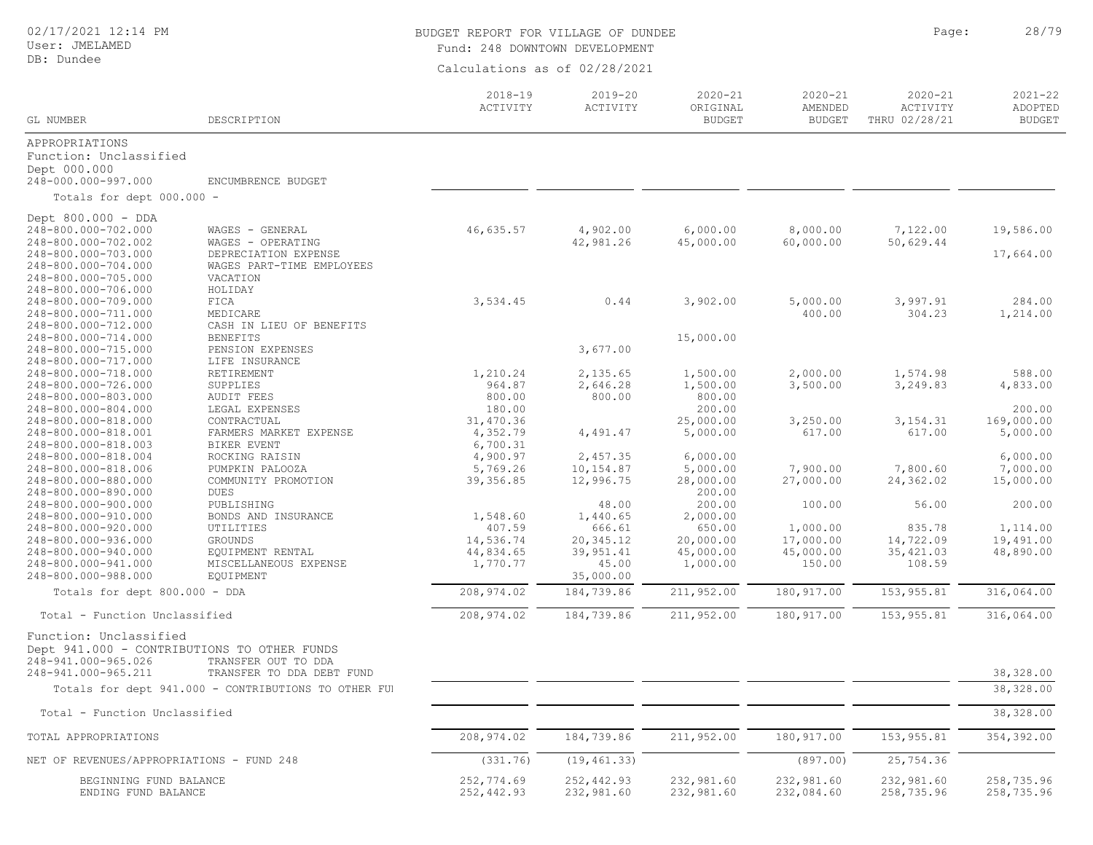02/17/2021 12:14 PM

# BUDGET REPORT FOR VILLAGE OF DUNDEE **Page:** 28/79 Fund: 248 DOWNTOWN DEVELOPMENT

| GL NUMBER                                 | DESCRIPTION                                          | $2018 - 19$<br>ACTIVITY | $2019 - 20$<br>ACTIVITY | $2020 - 21$<br>ORIGINAL<br><b>BUDGET</b> | $2020 - 21$<br>AMENDED<br><b>BUDGET</b> | $2020 - 21$<br>ACTIVITY<br>THRU 02/28/21 | $2021 - 22$<br>ADOPTED<br><b>BUDGET</b> |
|-------------------------------------------|------------------------------------------------------|-------------------------|-------------------------|------------------------------------------|-----------------------------------------|------------------------------------------|-----------------------------------------|
| APPROPRIATIONS                            |                                                      |                         |                         |                                          |                                         |                                          |                                         |
| Function: Unclassified                    |                                                      |                         |                         |                                          |                                         |                                          |                                         |
| Dept 000.000                              |                                                      |                         |                         |                                          |                                         |                                          |                                         |
| 248-000.000-997.000                       | ENCUMBRENCE BUDGET                                   |                         |                         |                                          |                                         |                                          |                                         |
| Totals for dept 000.000 -                 |                                                      |                         |                         |                                          |                                         |                                          |                                         |
| Dept 800.000 - DDA                        |                                                      |                         |                         |                                          |                                         |                                          |                                         |
| 248-800.000-702.000                       | WAGES - GENERAL                                      | 46,635.57               | 4,902.00                | 6,000.00                                 | 8,000.00                                | 7,122.00                                 | 19,586.00                               |
| 248-800.000-702.002                       | WAGES - OPERATING                                    |                         | 42,981.26               | 45,000.00                                | 60,000.00                               | 50,629.44                                |                                         |
| 248-800.000-703.000                       | DEPRECIATION EXPENSE                                 |                         |                         |                                          |                                         |                                          | 17,664.00                               |
| 248-800.000-704.000                       | WAGES PART-TIME EMPLOYEES                            |                         |                         |                                          |                                         |                                          |                                         |
| 248-800.000-705.000                       | VACATION                                             |                         |                         |                                          |                                         |                                          |                                         |
| 248-800.000-706.000                       | HOLIDAY                                              |                         |                         |                                          |                                         |                                          |                                         |
| 248-800.000-709.000                       | FICA                                                 | 3,534.45                | 0.44                    | 3,902.00                                 | 5,000.00                                | 3,997.91                                 | 284.00                                  |
| 248-800.000-711.000                       | MEDICARE                                             |                         |                         |                                          | 400.00                                  | 304.23                                   | 1,214.00                                |
| 248-800.000-712.000                       | CASH IN LIEU OF BENEFITS                             |                         |                         |                                          |                                         |                                          |                                         |
| 248-800.000-714.000                       | <b>BENEFITS</b>                                      |                         |                         | 15,000.00                                |                                         |                                          |                                         |
| 248-800.000-715.000                       | PENSION EXPENSES                                     |                         | 3,677.00                |                                          |                                         |                                          |                                         |
| 248-800.000-717.000                       | LIFE INSURANCE                                       |                         |                         |                                          |                                         |                                          |                                         |
| 248-800.000-718.000                       | RETIREMENT                                           | 1,210.24                | 2,135.65                | 1,500.00                                 | 2,000.00                                | 1,574.98                                 | 588.00                                  |
| 248-800.000-726.000                       | SUPPLIES                                             | 964.87                  | 2,646.28                | 1,500.00                                 | 3,500.00                                | 3,249.83                                 | 4,833.00                                |
| 248-800.000-803.000                       | <b>AUDIT FEES</b>                                    | 800.00                  | 800.00                  | 800.00                                   |                                         |                                          |                                         |
| 248-800.000-804.000                       | LEGAL EXPENSES                                       | 180.00                  |                         | 200.00                                   |                                         |                                          | 200.00                                  |
| 248-800.000-818.000                       | CONTRACTUAL                                          | 31,470.36               |                         | 25,000.00                                | 3,250.00                                | 3, 154. 31                               | 169,000.00                              |
| 248-800.000-818.001                       | FARMERS MARKET EXPENSE                               | 4,352.79                | 4,491.47                | 5,000.00                                 | 617.00                                  | 617.00                                   | 5,000.00                                |
| 248-800.000-818.003                       | BIKER EVENT                                          | 6,700.31                |                         |                                          |                                         |                                          |                                         |
| 248-800.000-818.004                       | ROCKING RAISIN                                       | 4,900.97                | 2,457.35                | 6,000.00                                 |                                         |                                          | 6,000.00                                |
| 248-800.000-818.006                       | PUMPKIN PALOOZA                                      | 5,769.26                | 10,154.87               | 5,000.00                                 | 7,900.00                                | 7,800.60                                 | 7,000.00                                |
| 248-800.000-880.000                       | COMMUNITY PROMOTION                                  | 39, 356.85              | 12,996.75               | 28,000.00                                | 27,000.00                               | 24,362.02                                | 15,000.00                               |
| 248-800.000-890.000                       | <b>DUES</b>                                          |                         |                         | 200.00                                   |                                         |                                          |                                         |
| 248-800.000-900.000                       | PUBLISHING                                           |                         | 48.00                   | 200.00                                   | 100.00                                  | 56.00                                    | 200.00                                  |
| 248-800.000-910.000                       | BONDS AND INSURANCE                                  | 1,548.60                | 1,440.65                | 2,000.00                                 |                                         |                                          |                                         |
| 248-800.000-920.000                       | UTILITIES                                            | 407.59                  | 666.61                  | 650.00                                   | 1,000.00                                | 835.78                                   | 1,114.00                                |
| 248-800.000-936.000                       | GROUNDS                                              | 14,536.74               | 20,345.12               | 20,000.00                                | 17,000.00                               | 14,722.09                                | 19,491.00                               |
| 248-800.000-940.000                       | EQUIPMENT RENTAL                                     | 44,834.65               | 39,951.41               | 45,000.00                                | 45,000.00                               | 35, 421.03                               | 48,890.00                               |
| 248-800.000-941.000                       | MISCELLANEOUS EXPENSE                                | 1,770.77                | 45.00                   | 1,000.00                                 | 150.00                                  | 108.59                                   |                                         |
| 248-800.000-988.000                       | EQUIPMENT                                            | 208,974.02              | 35,000.00<br>184,739.86 | 211,952.00                               | 180, 917.00                             | 153, 955.81                              |                                         |
| Totals for dept 800.000 - DDA             |                                                      |                         |                         |                                          |                                         |                                          | 316,064.00                              |
| Total - Function Unclassified             |                                                      | 208,974.02              | 184,739.86              | 211,952.00                               | 180, 917.00                             | 153, 955.81                              | 316,064.00                              |
| Function: Unclassified                    |                                                      |                         |                         |                                          |                                         |                                          |                                         |
|                                           | Dept 941.000 - CONTRIBUTIONS TO OTHER FUNDS          |                         |                         |                                          |                                         |                                          |                                         |
| 248-941.000-965.026                       | TRANSFER OUT TO DDA                                  |                         |                         |                                          |                                         |                                          |                                         |
| 248-941.000-965.211                       | TRANSFER TO DDA DEBT FUND                            |                         |                         |                                          |                                         |                                          | 38,328.00                               |
|                                           | Totals for dept 941.000 - CONTRIBUTIONS TO OTHER FUI |                         |                         |                                          |                                         |                                          | 38,328.00                               |
|                                           |                                                      |                         |                         |                                          |                                         |                                          |                                         |
| Total - Function Unclassified             |                                                      |                         |                         |                                          |                                         |                                          | 38,328.00                               |
| TOTAL APPROPRIATIONS                      |                                                      | 208,974.02              | 184,739.86              | 211,952.00                               | 180, 917.00                             | 153, 955.81                              | 354,392.00                              |
| NET OF REVENUES/APPROPRIATIONS - FUND 248 |                                                      | (331.76)                | (19, 461.33)            |                                          | (897.00)                                | 25,754.36                                |                                         |
| BEGINNING FUND BALANCE                    |                                                      | 252,774.69              | 252, 442.93             | 232,981.60                               | 232,981.60                              | 232,981.60                               | 258,735.96                              |
| ENDING FUND BALANCE                       |                                                      | 252,442.93              | 232,981.60              | 232,981.60                               | 232,084.60                              | 258,735.96                               | 258,735.96                              |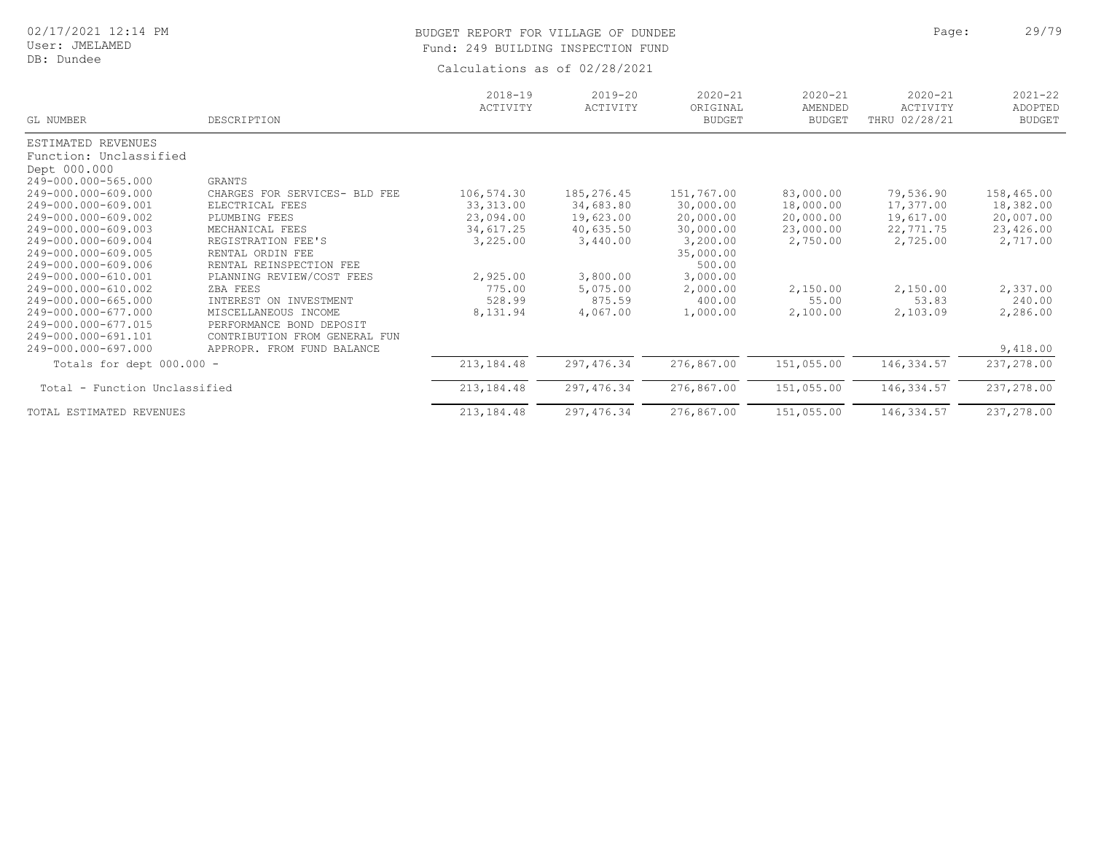# BUDGET REPORT FOR VILLAGE OF DUNDEE **Page:** 29/79 Fund: 249 BUILDING INSPECTION FUND

| GL NUMBER                                                                           | DESCRIPTION                                                                          | $2018 - 19$<br>ACTIVITY | $2019 - 20$<br>ACTIVITY | $2020 - 21$<br>ORIGINAL<br><b>BUDGET</b> | $2020 - 21$<br>AMENDED<br><b>BUDGET</b> | $2020 - 21$<br>ACTIVITY<br>THRU 02/28/21 | $2021 - 22$<br>ADOPTED<br><b>BUDGET</b> |
|-------------------------------------------------------------------------------------|--------------------------------------------------------------------------------------|-------------------------|-------------------------|------------------------------------------|-----------------------------------------|------------------------------------------|-----------------------------------------|
| ESTIMATED REVENUES<br>Function: Unclassified<br>Dept 000.000<br>249-000.000-565.000 | GRANTS                                                                               |                         |                         |                                          |                                         |                                          |                                         |
| 249-000.000-609.000                                                                 | CHARGES FOR SERVICES- BLD FEE                                                        | 106,574.30              | 185, 276.45             | 151,767.00                               | 83,000.00                               | 79,536.90                                | 158,465.00                              |
| 249-000.000-609.001                                                                 | ELECTRICAL FEES                                                                      | 33, 313.00              | 34,683.80               | 30,000.00                                | 18,000.00                               | 17,377.00                                | 18,382.00                               |
| 249-000.000-609.002                                                                 | PLUMBING FEES                                                                        | 23,094.00               | 19,623.00               | 20,000.00                                | 20,000.00                               | 19,617.00                                | 20,007.00                               |
| 249-000.000-609.003                                                                 | MECHANICAL FEES                                                                      | 34,617.25               | 40,635.50               | 30,000.00                                | 23,000.00                               | 22,771.75                                | 23,426.00                               |
| 249-000.000-609.004<br>249-000.000-609.005<br>249-000.000-609.006                   | REGISTRATION FEE'S<br>RENTAL ORDIN FEE<br>RENTAL REINSPECTION FEE                    | 3,225.00                | 3,440.00                | 3,200.00<br>35,000.00<br>500.00          | 2,750.00                                | 2,725.00                                 | 2,717.00                                |
| 249-000.000-610.001                                                                 | PLANNING REVIEW/COST FEES                                                            | 2,925.00                | 3,800.00                | 3,000.00                                 |                                         |                                          |                                         |
| 249-000.000-610.002                                                                 | ZBA FEES                                                                             | 775.00                  | 5,075.00                | 2,000.00                                 | 2,150.00                                | 2,150.00                                 | 2,337.00                                |
| 249-000.000-665.000                                                                 | INTEREST ON INVESTMENT                                                               | 528.99                  | 875.59                  | 400.00                                   | 55.00                                   | 53.83                                    | 240.00                                  |
| 249-000.000-677.000<br>249-000.000-677.015<br>249-000.000-691.101                   | MISCELLANEOUS INCOME<br>PERFORMANCE BOND DEPOSIT<br>FROM GENERAL FUN<br>CONTRIBUTION | 8,131.94                | 4,067.00                | 1,000.00                                 | 2,100.00                                | 2,103.09                                 | 2,286.00                                |
| 249-000.000-697.000                                                                 | APPROPR. FROM FUND BALANCE                                                           |                         |                         |                                          |                                         |                                          | 9,418.00                                |
| Totals for dept $000.000 -$                                                         |                                                                                      | 213, 184.48             | 297, 476.34             | 276,867.00                               | 151,055.00                              | 146,334.57                               | 237,278.00                              |
| Total - Function Unclassified                                                       |                                                                                      | 213,184.48              | 297, 476.34             | 276,867.00                               | 151,055.00                              | 146,334.57                               | 237,278.00                              |
| TOTAL ESTIMATED REVENUES                                                            |                                                                                      | 213,184.48              | 297, 476.34             | 276,867.00                               | 151,055.00                              | 146,334.57                               | 237,278.00                              |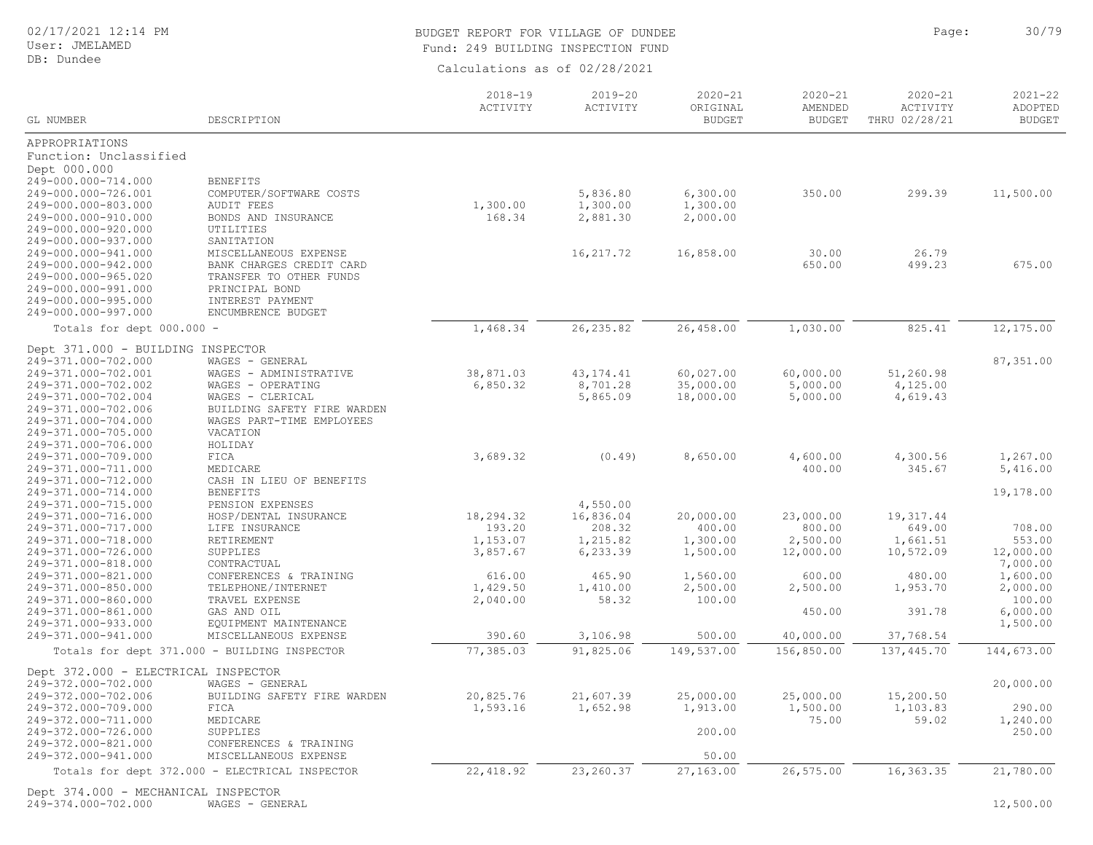### User: JMELAMED DB: Dundee

## BUDGET REPORT FOR VILLAGE OF DUNDEE **Page:** 20/79 Fund: 249 BUILDING INSPECTION FUND

Calculations as of 02/28/2021

| GL NUMBER                                  | DESCRIPTION                                                           | $2018 - 19$<br>ACTIVITY | $2019 - 20$<br>ACTIVITY | $2020 - 21$<br>ORIGINAL<br><b>BUDGET</b> | $2020 - 21$<br>AMENDED<br><b>BUDGET</b> | $2020 - 21$<br>ACTIVITY<br>THRU 02/28/21 | $2021 - 22$<br>ADOPTED<br><b>BUDGET</b> |
|--------------------------------------------|-----------------------------------------------------------------------|-------------------------|-------------------------|------------------------------------------|-----------------------------------------|------------------------------------------|-----------------------------------------|
| APPROPRIATIONS                             |                                                                       |                         |                         |                                          |                                         |                                          |                                         |
| Function: Unclassified                     |                                                                       |                         |                         |                                          |                                         |                                          |                                         |
| Dept 000.000                               |                                                                       |                         |                         |                                          |                                         |                                          |                                         |
| 249-000.000-714.000                        | <b>BENEFITS</b>                                                       |                         |                         |                                          |                                         |                                          |                                         |
| 249-000.000-726.001                        | COMPUTER/SOFTWARE COSTS                                               |                         | 5,836.80                | 6,300.00                                 | 350.00                                  | 299.39                                   | 11,500.00                               |
| 249-000.000-803.000                        | <b>AUDIT FEES</b>                                                     | 1,300.00                | 1,300.00                | 1,300.00                                 |                                         |                                          |                                         |
| 249-000.000-910.000                        | BONDS AND INSURANCE                                                   | 168.34                  | 2,881.30                | 2,000.00                                 |                                         |                                          |                                         |
| 249-000.000-920.000                        | UTILITIES                                                             |                         |                         |                                          |                                         |                                          |                                         |
| 249-000.000-937.000                        | SANITATION                                                            |                         |                         |                                          |                                         |                                          |                                         |
| 249-000.000-941.000                        | MISCELLANEOUS EXPENSE                                                 |                         | 16, 217.72              | 16,858.00                                | 30.00                                   | 26.79                                    |                                         |
| 249-000.000-942.000                        | BANK CHARGES CREDIT CARD                                              |                         |                         |                                          | 650.00                                  | 499.23                                   | 675.00                                  |
| 249-000.000-965.020                        | TRANSFER TO OTHER FUNDS                                               |                         |                         |                                          |                                         |                                          |                                         |
| 249-000.000-991.000                        | PRINCIPAL BOND                                                        |                         |                         |                                          |                                         |                                          |                                         |
| 249-000.000-995.000                        | INTEREST PAYMENT                                                      |                         |                         |                                          |                                         |                                          |                                         |
| 249-000.000-997.000                        | ENCUMBRENCE BUDGET                                                    |                         |                         |                                          |                                         |                                          |                                         |
| Totals for dept 000.000 -                  |                                                                       | 1,468.34                | 26, 235.82              | 26,458.00                                | 1,030.00                                | 825.41                                   | 12,175.00                               |
| Dept 371.000 - BUILDING INSPECTOR          |                                                                       |                         |                         |                                          |                                         |                                          |                                         |
| 249-371.000-702.000                        | WAGES - GENERAL                                                       |                         |                         |                                          |                                         |                                          | 87,351.00                               |
| 249-371.000-702.001                        | WAGES - ADMINISTRATIVE                                                | 38,871.03               | 43, 174. 41             | 60,027.00                                | 60,000.00                               | 51,260.98                                |                                         |
| 249-371.000-702.002                        | WAGES - OPERATING                                                     | 6,850.32                | 8,701.28                | 35,000.00                                | 5,000.00                                | 4,125.00                                 |                                         |
| 249-371.000-702.004                        | WAGES - CLERICAL                                                      |                         | 5,865.09                | 18,000.00                                | 5,000.00                                | 4,619.43                                 |                                         |
| 249-371.000-702.006                        | BUILDING SAFETY FIRE WARDEN                                           |                         |                         |                                          |                                         |                                          |                                         |
| 249-371.000-704.000                        | WAGES PART-TIME EMPLOYEES                                             |                         |                         |                                          |                                         |                                          |                                         |
| 249-371.000-705.000                        | VACATION                                                              |                         |                         |                                          |                                         |                                          |                                         |
| 249-371.000-706.000                        | HOLIDAY<br>FICA                                                       | 3,689.32                |                         |                                          | 4,600.00                                | 4,300.56                                 | 1,267.00                                |
| 249-371.000-709.000<br>249-371.000-711.000 | MEDICARE                                                              |                         | (0.49)                  | 8,650.00                                 | 400.00                                  | 345.67                                   | 5,416.00                                |
| 249-371.000-712.000                        | CASH IN LIEU OF BENEFITS                                              |                         |                         |                                          |                                         |                                          |                                         |
| 249-371.000-714.000                        | <b>BENEFITS</b>                                                       |                         |                         |                                          |                                         |                                          | 19,178.00                               |
| 249-371.000-715.000                        | PENSION EXPENSES                                                      |                         | 4,550.00                |                                          |                                         |                                          |                                         |
| 249-371.000-716.000                        | HOSP/DENTAL INSURANCE                                                 | 18,294.32               | 16,836.04               | 20,000.00                                | 23,000.00                               | 19, 317.44                               |                                         |
| 249-371.000-717.000                        | LIFE INSURANCE                                                        | 193.20                  | 208.32                  | 400.00                                   | 800.00                                  | 649.00                                   | 708.00                                  |
| 249-371.000-718.000                        | RETIREMENT                                                            | 1,153.07                | 1,215.82                | 1,300.00                                 | 2,500.00                                | 1,661.51                                 | 553.00                                  |
| 249-371.000-726.000                        | SUPPLIES                                                              | 3,857.67                | 6,233.39                | 1,500.00                                 | 12,000.00                               | 10,572.09                                | 12,000.00                               |
| 249-371.000-818.000                        | CONTRACTUAL                                                           |                         |                         |                                          |                                         |                                          | 7,000.00                                |
| 249-371.000-821.000                        | CONFERENCES & TRAINING                                                | 616.00                  | 465.90                  | 1,560.00                                 | 600.00                                  | 480.00                                   | 1,600.00                                |
| 249-371.000-850.000                        | TELEPHONE/INTERNET                                                    | 1,429.50                | 1,410.00                | 2,500.00                                 | 2,500.00                                | 1,953.70                                 | 2,000.00                                |
| 249-371.000-860.000                        | TRAVEL EXPENSE                                                        | 2,040.00                | 58.32                   | 100.00                                   |                                         |                                          | 100.00                                  |
| 249-371.000-861.000                        | GAS AND OIL                                                           |                         |                         |                                          | 450.00                                  | 391.78                                   | 6,000.00                                |
| 249-371.000-933.000                        | EQUIPMENT MAINTENANCE                                                 |                         |                         |                                          |                                         |                                          | 1,500.00                                |
| 249-371.000-941.000                        | MISCELLANEOUS EXPENSE<br>Totals for dept 371.000 - BUILDING INSPECTOR | 390.60<br>77,385.03     | 3,106.98<br>91,825.06   | 500.00<br>149,537.00                     | 40,000.00<br>156,850.00                 | 37,768.54<br>137, 445.70                 | 144,673.00                              |
|                                            |                                                                       |                         |                         |                                          |                                         |                                          |                                         |
| Dept 372.000 - ELECTRICAL INSPECTOR        |                                                                       |                         |                         |                                          |                                         |                                          |                                         |
| 249-372.000-702.000                        | WAGES - GENERAL                                                       |                         |                         |                                          |                                         |                                          | 20,000.00                               |
| 249-372.000-702.006                        | BUILDING SAFETY FIRE WARDEN                                           | 20,825.76               | 21,607.39               | 25,000.00                                | 25,000.00                               | 15,200.50                                |                                         |
| 249-372.000-709.000                        | FICA                                                                  | 1,593.16                | 1,652.98                | 1,913.00                                 | 1,500.00                                | 1,103.83                                 | 290.00                                  |
| 249-372.000-711.000                        | MEDICARE                                                              |                         |                         | 200.00                                   | 75.00                                   | 59.02                                    | 1,240.00<br>250.00                      |
| 249-372.000-726.000<br>249-372.000-821.000 | SUPPLIES<br>CONFERENCES & TRAINING                                    |                         |                         |                                          |                                         |                                          |                                         |
| 249-372.000-941.000                        | MISCELLANEOUS EXPENSE                                                 |                         |                         | 50.00                                    |                                         |                                          |                                         |
|                                            |                                                                       |                         |                         |                                          |                                         |                                          |                                         |
|                                            | Totals for dept 372.000 - ELECTRICAL INSPECTOR                        | 22, 418.92              | 23, 260.37              | 27,163.00                                | 26,575.00                               | 16,363.35                                | 21,780.00                               |
| Dept 374.000 - MECHANICAL INSPECTOR        |                                                                       |                         |                         |                                          |                                         |                                          |                                         |

249-374.000-702.000 WAGES - GENERAL 12,500.00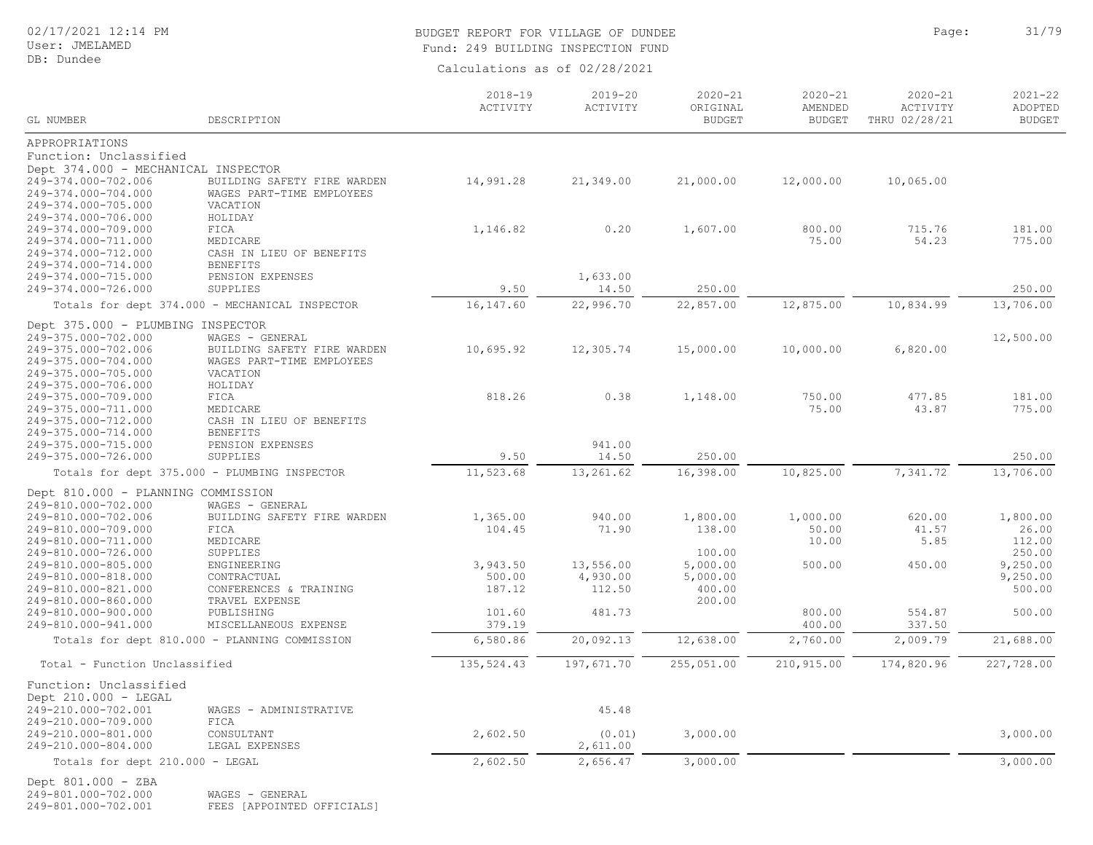# BUDGET REPORT FOR VILLAGE OF DUNDEE **Page:** 31/79 Fund: 249 BUILDING INSPECTION FUND

Calculations as of 02/28/2021

| GL NUMBER                                  | DESCRIPTION                                    | $2018 - 19$<br>ACTIVITY | $2019 - 20$<br>ACTIVITY | $2020 - 21$<br>ORIGINAL<br><b>BUDGET</b> | $2020 - 21$<br>AMENDED<br><b>BUDGET</b> | $2020 - 21$<br>ACTIVITY<br>THRU 02/28/21 | $2021 - 22$<br>ADOPTED<br><b>BUDGET</b> |
|--------------------------------------------|------------------------------------------------|-------------------------|-------------------------|------------------------------------------|-----------------------------------------|------------------------------------------|-----------------------------------------|
|                                            |                                                |                         |                         |                                          |                                         |                                          |                                         |
| APPROPRIATIONS<br>Function: Unclassified   |                                                |                         |                         |                                          |                                         |                                          |                                         |
| Dept 374.000 - MECHANICAL INSPECTOR        |                                                |                         |                         |                                          |                                         |                                          |                                         |
| 249-374.000-702.006                        | BUILDING SAFETY FIRE WARDEN                    | 14,991.28               | 21,349.00               | 21,000.00                                | 12,000.00                               | 10,065.00                                |                                         |
| 249-374.000-704.000                        | WAGES PART-TIME EMPLOYEES                      |                         |                         |                                          |                                         |                                          |                                         |
| 249-374.000-705.000                        | VACATION                                       |                         |                         |                                          |                                         |                                          |                                         |
| 249-374.000-706.000                        | HOLIDAY                                        |                         |                         |                                          |                                         |                                          |                                         |
| 249-374.000-709.000                        | FICA                                           | 1,146.82                | 0.20                    | 1,607.00                                 | 800.00                                  | 715.76                                   | 181.00                                  |
| 249-374.000-711.000                        | MEDICARE                                       |                         |                         |                                          | 75.00                                   | 54.23                                    | 775.00                                  |
| 249-374.000-712.000                        | CASH IN LIEU OF BENEFITS                       |                         |                         |                                          |                                         |                                          |                                         |
| 249-374.000-714.000                        | <b>BENEFITS</b>                                |                         |                         |                                          |                                         |                                          |                                         |
| 249-374.000-715.000                        | PENSION EXPENSES                               |                         | 1,633.00                |                                          |                                         |                                          |                                         |
| 249-374.000-726.000                        | SUPPLIES                                       | 9.50                    | 14.50                   | 250.00                                   |                                         |                                          | 250.00                                  |
|                                            | Totals for dept 374.000 - MECHANICAL INSPECTOR | 16,147.60               | 22,996.70               | 22,857.00                                | 12,875.00                               | 10,834.99                                | 13,706.00                               |
| Dept 375.000 - PLUMBING INSPECTOR          |                                                |                         |                         |                                          |                                         |                                          |                                         |
| 249-375.000-702.000                        | WAGES - GENERAL                                |                         |                         |                                          |                                         |                                          | 12,500.00                               |
| 249-375.000-702.006                        | BUILDING SAFETY FIRE WARDEN                    | 10,695.92               | 12,305.74               | 15,000.00                                | 10,000.00                               | 6,820.00                                 |                                         |
| 249-375.000-704.000                        | WAGES PART-TIME EMPLOYEES                      |                         |                         |                                          |                                         |                                          |                                         |
| 249-375.000-705.000                        | VACATION                                       |                         |                         |                                          |                                         |                                          |                                         |
| 249-375.000-706.000                        | HOLIDAY                                        |                         |                         |                                          |                                         |                                          |                                         |
| 249-375.000-709.000                        | FICA                                           | 818.26                  | 0.38                    | 1,148.00                                 | 750.00                                  | 477.85                                   | 181.00                                  |
| 249-375.000-711.000                        | MEDICARE                                       |                         |                         |                                          | 75.00                                   | 43.87                                    | 775.00                                  |
| 249-375.000-712.000<br>249-375.000-714.000 | CASH IN LIEU OF BENEFITS                       |                         |                         |                                          |                                         |                                          |                                         |
| 249-375.000-715.000                        | <b>BENEFITS</b><br>PENSION EXPENSES            |                         | 941.00                  |                                          |                                         |                                          |                                         |
| 249-375.000-726.000                        | SUPPLIES                                       | 9.50                    | 14.50                   | 250.00                                   |                                         |                                          | 250.00                                  |
|                                            | Totals for dept 375.000 - PLUMBING INSPECTOR   | 11,523.68               | 13,261.62               | 16,398.00                                | 10,825.00                               | 7,341.72                                 | 13,706.00                               |
|                                            |                                                |                         |                         |                                          |                                         |                                          |                                         |
| Dept 810.000 - PLANNING COMMISSION         |                                                |                         |                         |                                          |                                         |                                          |                                         |
| 249-810.000-702.000<br>249-810.000-702.006 | WAGES - GENERAL                                | 1,365.00                | 940.00                  | 1,800.00                                 | 1,000.00                                | 620.00                                   | 1,800.00                                |
| 249-810.000-709.000                        | BUILDING SAFETY FIRE WARDEN<br>FICA            | 104.45                  | 71.90                   | 138.00                                   | 50.00                                   | 41.57                                    | 26.00                                   |
| 249-810.000-711.000                        | MEDICARE                                       |                         |                         |                                          | 10.00                                   | 5.85                                     | 112.00                                  |
| 249-810.000-726.000                        | SUPPLIES                                       |                         |                         | 100.00                                   |                                         |                                          | 250.00                                  |
| 249-810.000-805.000                        | ENGINEERING                                    | 3,943.50                | 13,556.00               | 5,000.00                                 | 500.00                                  | 450.00                                   | 9,250.00                                |
| 249-810.000-818.000                        | CONTRACTUAL                                    | 500.00                  | 4,930.00                | 5,000.00                                 |                                         |                                          | 9,250.00                                |
| 249-810.000-821.000                        | CONFERENCES & TRAINING                         | 187.12                  | 112.50                  | 400.00                                   |                                         |                                          | 500.00                                  |
| 249-810.000-860.000                        | TRAVEL EXPENSE                                 |                         |                         | 200.00                                   |                                         |                                          |                                         |
| 249-810.000-900.000                        | PUBLISHING                                     | 101.60                  | 481.73                  |                                          | 800.00                                  | 554.87                                   | 500.00                                  |
| 249-810.000-941.000                        | MISCELLANEOUS EXPENSE                          | 379.19                  |                         |                                          | 400.00                                  | 337.50                                   |                                         |
|                                            | Totals for dept 810.000 - PLANNING COMMISSION  | 6,580.86                | 20,092.13               | 12,638.00                                | 2,760.00                                | 2,009.79                                 | 21,688.00                               |
| Total - Function Unclassified              |                                                | 135, 524.43             | 197,671.70              | 255,051.00                               | 210,915.00                              | 174,820.96                               | 227,728.00                              |
| Function: Unclassified                     |                                                |                         |                         |                                          |                                         |                                          |                                         |
| Dept 210.000 - LEGAL                       |                                                |                         |                         |                                          |                                         |                                          |                                         |
| 249-210.000-702.001                        | WAGES - ADMINISTRATIVE                         |                         | 45.48                   |                                          |                                         |                                          |                                         |
| 249-210.000-709.000                        | FICA                                           |                         |                         |                                          |                                         |                                          |                                         |
| 249-210.000-801.000                        | CONSULTANT                                     | 2,602.50                | (0.01)                  | 3,000.00                                 |                                         |                                          | 3,000.00                                |
| 249-210.000-804.000                        | LEGAL EXPENSES                                 |                         | 2,611.00                |                                          |                                         |                                          |                                         |
| Totals for dept 210.000 - LEGAL            |                                                | 2,602.50                | 2,656.47                | 3,000.00                                 |                                         |                                          | 3,000.00                                |
| Dept 801.000 - ZBA                         |                                                |                         |                         |                                          |                                         |                                          |                                         |

249-801.000-702.000 249-801.000-702.000 WAGES - GENERAL 249-801.000-702.001 FEES [APPOINTED OFFICIALS]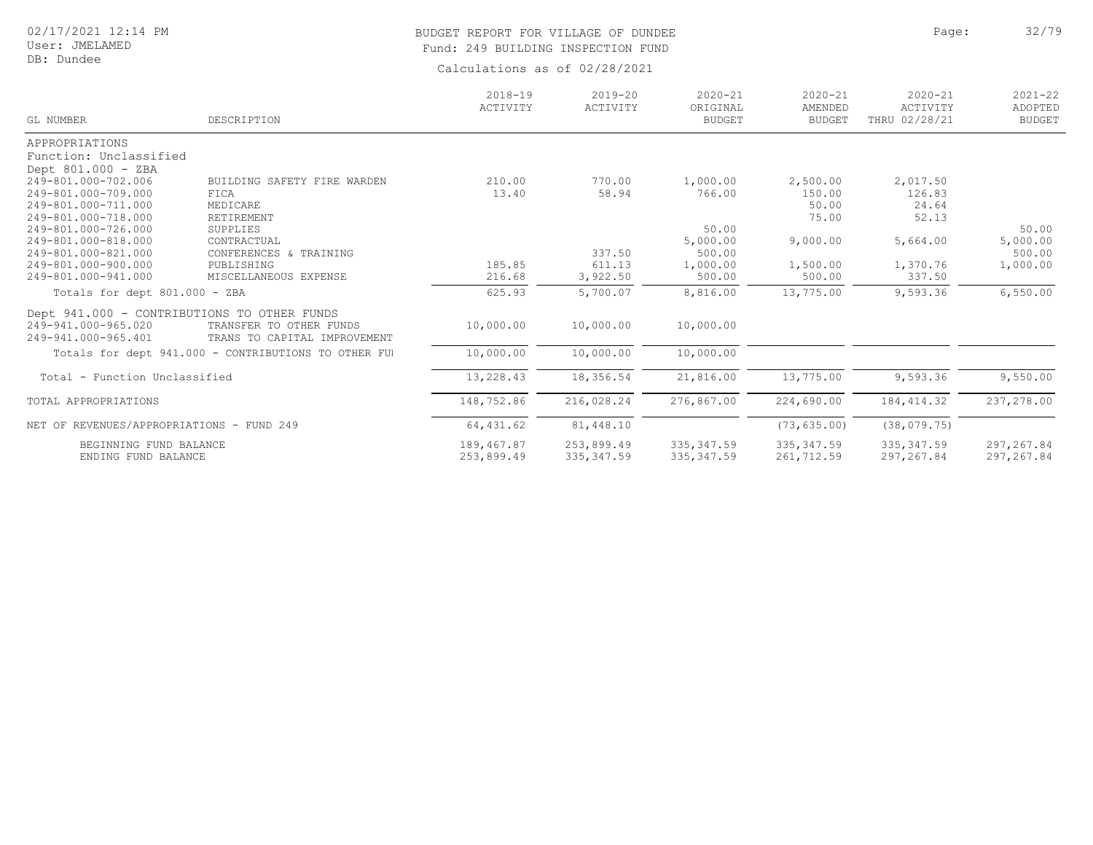# BUDGET REPORT FOR VILLAGE OF DUNDEE **Page:** 22/79 Fund: 249 BUILDING INSPECTION FUND

| GL NUMBER                                   | DESCRIPTION                                          | $2018 - 19$<br>ACTIVITY | $2019 - 20$<br>ACTIVITY | $2020 - 21$<br>ORIGINAL<br><b>BUDGET</b> | $2020 - 21$<br>AMENDED<br><b>BUDGET</b> | $2020 - 21$<br>ACTIVITY<br>THRU 02/28/21 | $2021 - 22$<br>ADOPTED<br><b>BUDGET</b> |
|---------------------------------------------|------------------------------------------------------|-------------------------|-------------------------|------------------------------------------|-----------------------------------------|------------------------------------------|-----------------------------------------|
| APPROPRIATIONS                              |                                                      |                         |                         |                                          |                                         |                                          |                                         |
| Function: Unclassified                      |                                                      |                         |                         |                                          |                                         |                                          |                                         |
| Dept 801.000 - ZBA                          |                                                      |                         |                         |                                          |                                         |                                          |                                         |
| 249-801.000-702.006                         | BUILDING SAFETY FIRE WARDEN                          | 210.00                  | 770.00                  | 1,000.00                                 | 2,500.00                                | 2,017.50                                 |                                         |
| 249-801.000-709.000                         | FICA                                                 | 13.40                   | 58.94                   | 766.00                                   | 150.00                                  | 126.83                                   |                                         |
| 249-801.000-711.000                         | MEDICARE                                             |                         |                         |                                          | 50.00                                   | 24.64                                    |                                         |
| 249-801.000-718.000                         | RETIREMENT                                           |                         |                         |                                          | 75.00                                   | 52.13                                    |                                         |
| 249-801.000-726.000                         | SUPPLIES                                             |                         |                         | 50.00                                    |                                         |                                          | 50.00                                   |
| 249-801.000-818.000                         | CONTRACTUAL                                          |                         |                         | 5,000.00                                 | 9,000.00                                | 5,664.00                                 | 5,000.00                                |
| 249-801.000-821.000                         | CONFERENCES & TRAINING                               |                         | 337.50                  | 500.00                                   |                                         |                                          | 500.00                                  |
| 249-801.000-900.000                         | PUBLISHING                                           | 185.85                  | 611.13                  | 1,000.00                                 | 1,500.00                                | 1,370.76                                 | 1,000.00                                |
| 249-801.000-941.000                         | MISCELLANEOUS EXPENSE                                | 216.68                  | 3,922.50                | 500.00                                   | 500.00                                  | 337.50                                   |                                         |
| Totals for dept 801.000 - ZBA               |                                                      | 625.93                  | 5,700.07                | 8,816.00                                 | 13,775.00                               | 9,593.36                                 | 6,550.00                                |
| Dept 941.000 - CONTRIBUTIONS TO OTHER FUNDS |                                                      |                         |                         |                                          |                                         |                                          |                                         |
| 249-941.000-965.020                         | TRANSFER TO OTHER FUNDS                              | 10,000.00               | 10,000.00               | 10,000.00                                |                                         |                                          |                                         |
| 249-941.000-965.401                         | TRANS TO CAPITAL IMPROVEMENT                         |                         |                         |                                          |                                         |                                          |                                         |
|                                             | Totals for dept 941.000 - CONTRIBUTIONS TO OTHER FUI | 10,000.00               | 10,000.00               | 10,000.00                                |                                         |                                          |                                         |
| Total - Function Unclassified               |                                                      | 13,228.43               | 18,356.54               | 21,816.00                                | 13,775.00                               | 9,593.36                                 | 9,550.00                                |
|                                             |                                                      |                         |                         |                                          |                                         |                                          |                                         |
| TOTAL APPROPRIATIONS                        |                                                      | 148,752.86              | 216,028.24              | 276,867.00                               | 224,690.00                              | 184, 414.32                              | 237,278.00                              |
| NET OF REVENUES/APPROPRIATIONS - FUND 249   |                                                      | 64, 431.62              | 81,448.10               |                                          | (73, 635.00)                            | (38, 079, 75)                            |                                         |
| BEGINNING FUND BALANCE                      |                                                      | 189,467.87              | 253,899.49              | 335, 347.59                              | 335, 347.59                             | 335, 347.59                              | 297, 267.84                             |
| ENDING FUND BALANCE                         |                                                      | 253,899.49              | 335, 347.59             | 335, 347.59                              | 261,712.59                              | 297,267.84                               | 297, 267.84                             |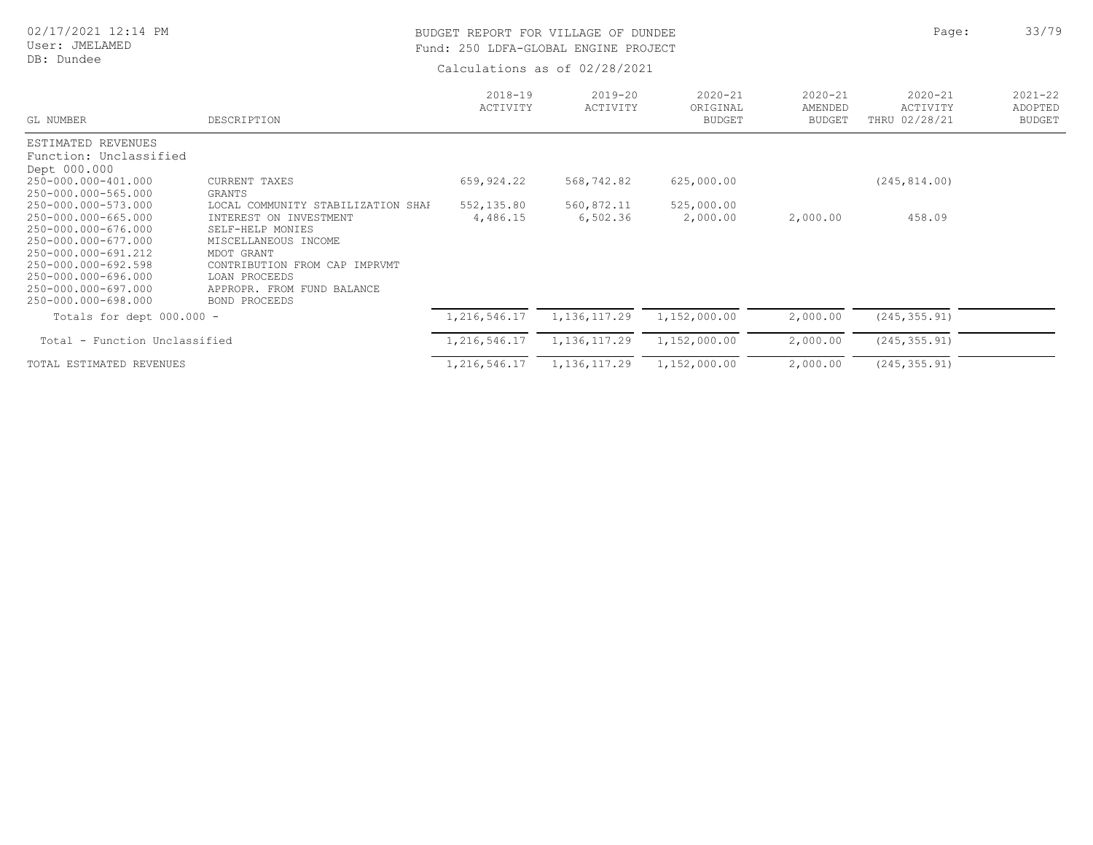# User: JMELAMED

## DB: Dundee

# BUDGET REPORT FOR VILLAGE OF DUNDEE **Page:** 23/79 Fund: 250 LDFA-GLOBAL ENGINE PROJECT

| GL NUMBER                                                                                                                                                                                                   | DESCRIPTION                                                                                                                                                                                                             | $2018 - 19$<br>ACTIVITY | $2019 - 20$<br>ACTIVITY | $2020 - 21$<br>ORIGINAL<br><b>BUDGET</b> | $2020 - 21$<br>AMENDED<br><b>BUDGET</b> | $2020 - 21$<br>ACTIVITY<br>THRU 02/28/21 | $2021 - 22$<br>ADOPTED<br><b>BUDGET</b> |
|-------------------------------------------------------------------------------------------------------------------------------------------------------------------------------------------------------------|-------------------------------------------------------------------------------------------------------------------------------------------------------------------------------------------------------------------------|-------------------------|-------------------------|------------------------------------------|-----------------------------------------|------------------------------------------|-----------------------------------------|
| ESTIMATED REVENUES<br>Function: Unclassified<br>Dept 000.000                                                                                                                                                |                                                                                                                                                                                                                         |                         |                         |                                          |                                         |                                          |                                         |
| 250-000.000-401.000<br>250-000.000-565.000                                                                                                                                                                  | CURRENT TAXES<br>GRANTS                                                                                                                                                                                                 | 659,924.22              | 568,742.82              | 625,000.00                               |                                         | (245, 814, 00)                           |                                         |
| 250-000.000-573.000<br>250-000.000-665.000<br>250-000.000-676.000<br>250-000.000-677.000<br>250-000.000-691.212<br>250-000.000-692.598<br>250-000.000-696.000<br>250-000.000-697.000<br>250-000.000-698.000 | LOCAL COMMUNITY STABILIZATION SHAF<br>INTEREST ON INVESTMENT<br>SELF-HELP MONIES<br>MISCELLANEOUS INCOME<br>MDOT GRANT<br>CONTRIBUTION FROM CAP IMPRVMT<br>LOAN PROCEEDS<br>APPROPR. FROM FUND BALANCE<br>BOND PROCEEDS | 552,135.80<br>4,486.15  | 560,872.11<br>6,502.36  | 525,000.00<br>2,000.00                   | 2,000.00                                | 458.09                                   |                                         |
| Totals for dept 000.000 -                                                                                                                                                                                   |                                                                                                                                                                                                                         | 1,216,546.17            | 1, 136, 117.29          | 1,152,000.00                             | 2,000.00                                | (245, 355, 91)                           |                                         |
| Total - Function Unclassified                                                                                                                                                                               |                                                                                                                                                                                                                         | 1,216,546.17            | 1, 136, 117.29          | 1,152,000.00                             | 2,000.00                                | (245, 355.91)                            |                                         |
| TOTAL ESTIMATED REVENUES                                                                                                                                                                                    |                                                                                                                                                                                                                         | 1,216,546.17            | 1, 136, 117.29          | 1,152,000.00                             | 2,000.00                                | (245, 355.91)                            |                                         |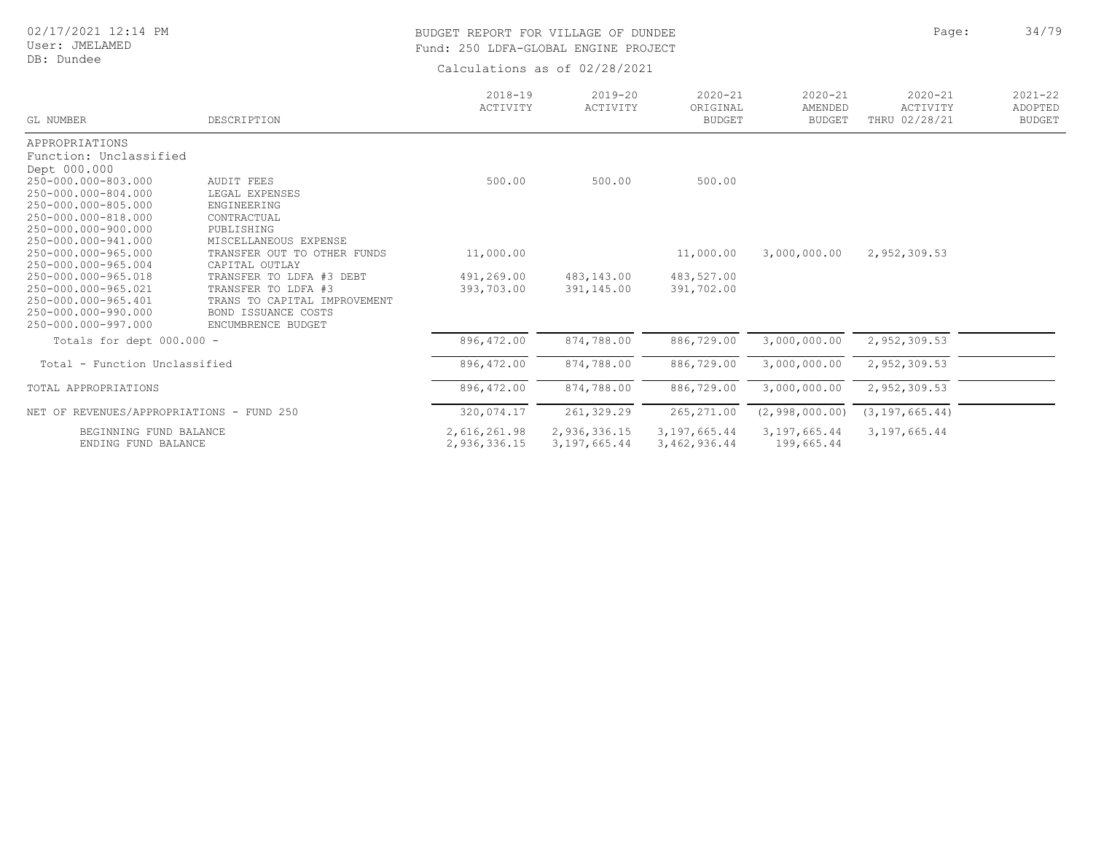User: JMELAMED DB: Dundee

## BUDGET REPORT FOR VILLAGE OF DUNDEE **Page:** 24/79 Fund: 250 LDFA-GLOBAL ENGINE PROJECT

| GL NUMBER                                  | DESCRIPTION                               | $2018 - 19$<br>ACTIVITY | $2019 - 20$<br>ACTIVITY | $2020 - 21$<br>ORIGINAL<br><b>BUDGET</b> | $2020 - 21$<br>AMENDED<br><b>BUDGET</b> | $2020 - 21$<br>ACTIVITY<br>THRU 02/28/21 | $2021 - 22$<br>ADOPTED<br><b>BUDGET</b> |
|--------------------------------------------|-------------------------------------------|-------------------------|-------------------------|------------------------------------------|-----------------------------------------|------------------------------------------|-----------------------------------------|
| APPROPRIATIONS                             |                                           |                         |                         |                                          |                                         |                                          |                                         |
| Function: Unclassified                     |                                           |                         |                         |                                          |                                         |                                          |                                         |
| Dept 000.000                               |                                           |                         |                         |                                          |                                         |                                          |                                         |
| 250-000.000-803.000                        | <b>AUDIT FEES</b>                         | 500.00                  | 500.00                  | 500.00                                   |                                         |                                          |                                         |
| 250-000.000-804.000                        | LEGAL EXPENSES                            |                         |                         |                                          |                                         |                                          |                                         |
| 250-000.000-805.000                        | ENGINEERING                               |                         |                         |                                          |                                         |                                          |                                         |
| 250-000.000-818.000                        | CONTRACTUAL                               |                         |                         |                                          |                                         |                                          |                                         |
| 250-000.000-900.000                        | PUBLISHING                                |                         |                         |                                          |                                         |                                          |                                         |
| 250-000.000-941.000                        | MISCELLANEOUS EXPENSE                     |                         |                         |                                          |                                         |                                          |                                         |
| 250-000.000-965.000                        | TRANSFER OUT TO OTHER FUNDS               | 11,000.00               |                         | 11,000.00                                | 3,000,000.00                            | 2,952,309.53                             |                                         |
| 250-000.000-965.004                        | CAPITAL OUTLAY                            |                         |                         |                                          |                                         |                                          |                                         |
| 250-000.000-965.018                        | TRANSFER TO LDFA #3 DEBT                  | 491,269.00              | 483,143.00              | 483,527.00                               |                                         |                                          |                                         |
| 250-000.000-965.021                        | TRANSFER TO LDFA #3                       | 393,703.00              | 391,145.00              | 391,702.00                               |                                         |                                          |                                         |
| 250-000.000-965.401<br>250-000.000-990.000 | TRANS TO CAPITAL IMPROVEMENT              |                         |                         |                                          |                                         |                                          |                                         |
| 250-000.000-997.000                        | BOND ISSUANCE COSTS<br>ENCUMBRENCE BUDGET |                         |                         |                                          |                                         |                                          |                                         |
|                                            |                                           |                         |                         |                                          |                                         |                                          |                                         |
| Totals for dept 000.000 -                  |                                           | 896,472.00              | 874,788.00              | 886,729.00                               | 3,000,000.00                            | 2,952,309.53                             |                                         |
| Total - Function Unclassified              |                                           | 896,472.00              | 874,788.00              | 886,729.00                               | 3,000,000.00                            | 2,952,309.53                             |                                         |
| TOTAL APPROPRIATIONS                       |                                           | 896,472.00              | 874,788.00              | 886,729.00                               | 3,000,000.00                            | 2,952,309.53                             |                                         |
| NET OF REVENUES/APPROPRIATIONS - FUND 250  |                                           | 320,074.17              | 261, 329.29             | 265, 271.00                              | (2, 998, 000.00)                        | (3, 197, 665, 44)                        |                                         |
| BEGINNING FUND BALANCE                     |                                           | 2,616,261.98            | 2,936,336.15            | 3,197,665.44                             | 3,197,665.44                            | 3,197,665.44                             |                                         |
| ENDING FUND BALANCE                        |                                           | 2,936,336.15            | 3,197,665.44            | 3,462,936.44                             | 199,665.44                              |                                          |                                         |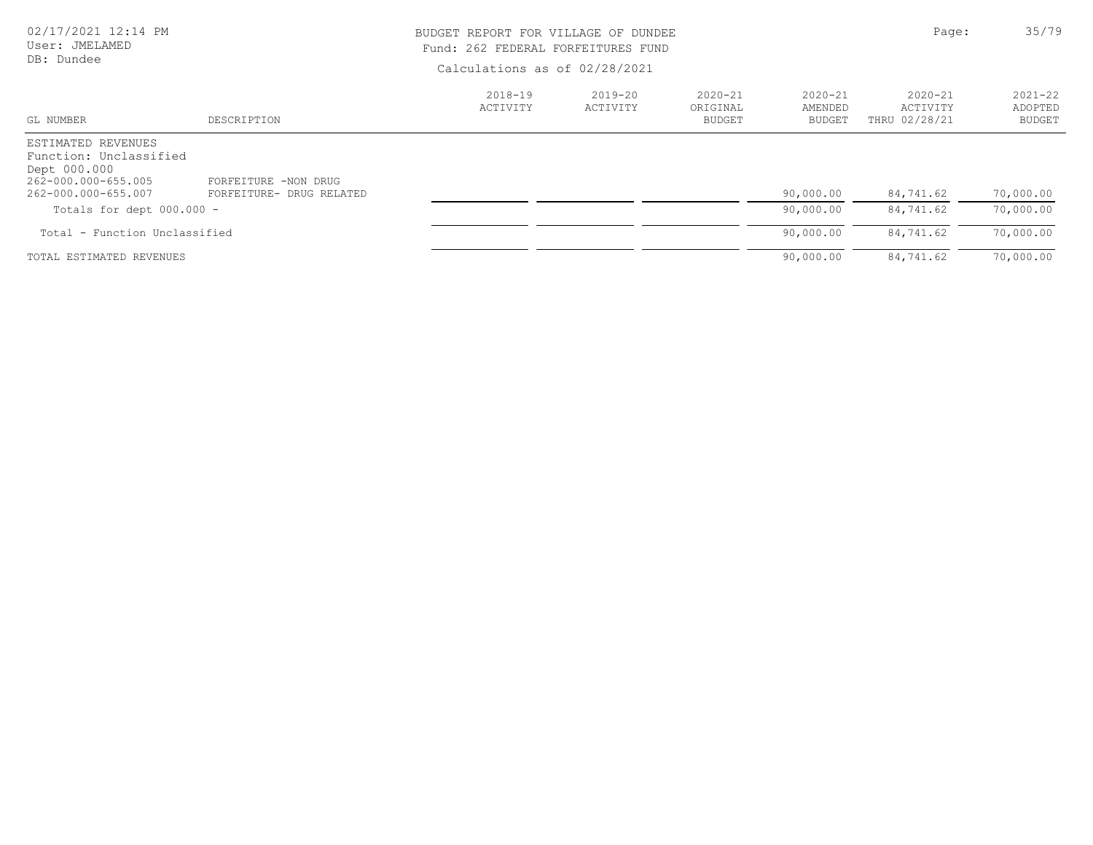| 02/17/2021 12:14 PM |  |  |
|---------------------|--|--|
| User: JMELAMED      |  |  |

# DB: Dundee

# BUDGET REPORT FOR VILLAGE OF DUNDEE **Page:** 25/79 Fund: 262 FEDERAL FORFEITURES FUND

| GL NUMBER                                                                                                  | DESCRIPTION                                      | $2018 - 19$<br>ACTIVITY | $2019 - 20$<br>ACTIVITY | $2020 - 21$<br>ORIGINAL<br><b>BUDGET</b> | $2020 - 21$<br>AMENDED<br><b>BUDGET</b> | $2020 - 21$<br>ACTIVITY<br>THRU 02/28/21 | $2021 - 22$<br>ADOPTED<br><b>BUDGET</b> |
|------------------------------------------------------------------------------------------------------------|--------------------------------------------------|-------------------------|-------------------------|------------------------------------------|-----------------------------------------|------------------------------------------|-----------------------------------------|
| ESTIMATED REVENUES<br>Function: Unclassified<br>Dept 000.000<br>262-000.000-655.005<br>262-000.000-655.007 | FORFEITURE -NON DRUG<br>FORFEITURE- DRUG RELATED |                         |                         |                                          | 90,000.00                               | 84,741.62                                | 70,000.00                               |
| Totals for dept $000.000 -$                                                                                |                                                  |                         |                         |                                          | 90,000.00                               | 84,741.62                                | 70,000.00                               |
| Total - Function Unclassified                                                                              |                                                  |                         |                         |                                          | 90,000.00                               | 84,741.62                                | 70,000.00                               |
| TOTAL ESTIMATED REVENUES                                                                                   |                                                  |                         |                         |                                          | 90,000.00                               | 84,741.62                                | 70,000.00                               |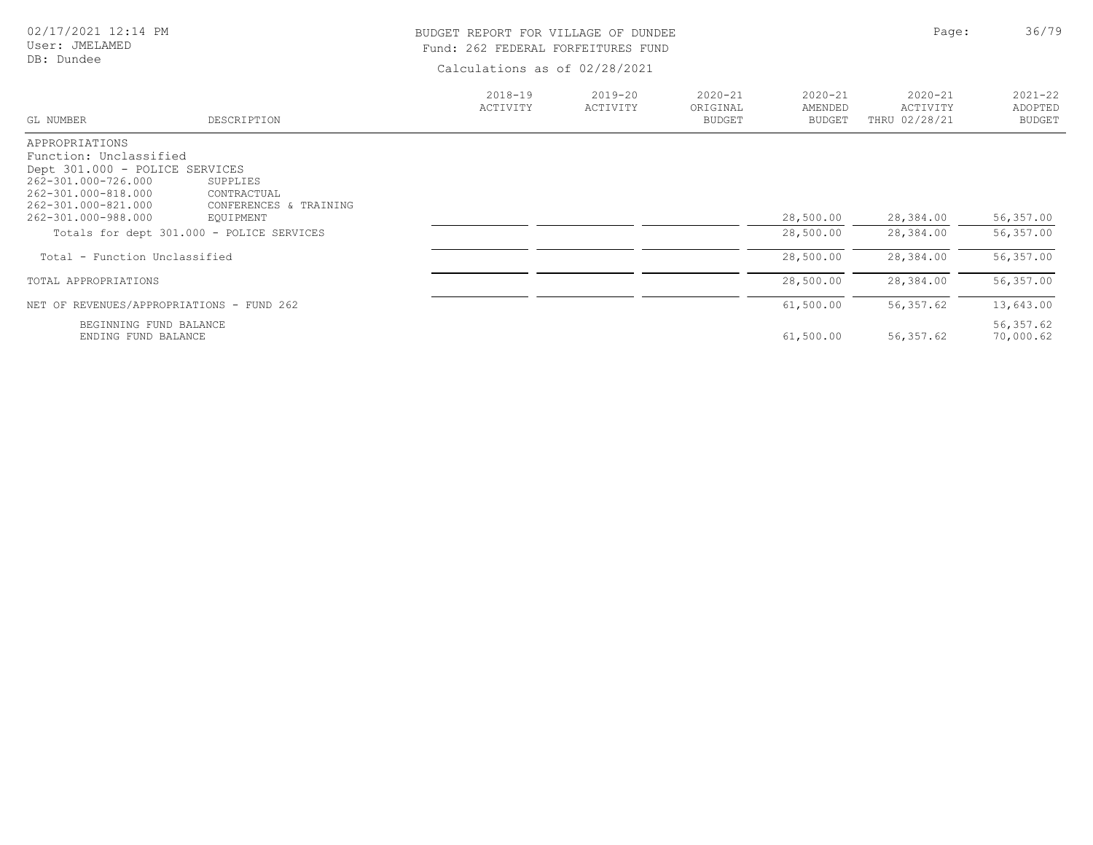|  | 02/17/2021 12:14 PM |  |
|--|---------------------|--|
|  |                     |  |

## BUDGET REPORT FOR VILLAGE OF DUNDEE **Page:** 26/79 Fund: 262 FEDERAL FORFEITURES FUND

|                                            |                                           | $2018 - 19$ | 2019-20  | $2020 - 21$               | $2020 - 21$              | $2020 - 21$               | $2021 - 22$              |
|--------------------------------------------|-------------------------------------------|-------------|----------|---------------------------|--------------------------|---------------------------|--------------------------|
| GL NUMBER                                  | DESCRIPTION                               | ACTIVITY    | ACTIVITY | ORIGINAL<br><b>BUDGET</b> | AMENDED<br><b>BUDGET</b> | ACTIVITY<br>THRU 02/28/21 | ADOPTED<br><b>BUDGET</b> |
| APPROPRIATIONS                             |                                           |             |          |                           |                          |                           |                          |
| Function: Unclassified                     |                                           |             |          |                           |                          |                           |                          |
| Dept 301.000 - POLICE SERVICES             |                                           |             |          |                           |                          |                           |                          |
| 262-301.000-726.000<br>262-301.000-818.000 | SUPPLIES<br>CONTRACTUAL                   |             |          |                           |                          |                           |                          |
| 262-301.000-821.000                        | CONFERENCES & TRAINING                    |             |          |                           |                          |                           |                          |
| 262-301.000-988.000                        | EQUIPMENT                                 |             |          |                           | 28,500.00                | 28,384.00                 | 56,357.00                |
|                                            | Totals for dept 301.000 - POLICE SERVICES |             |          |                           | 28,500.00                | 28,384.00                 | 56,357.00                |
| Total - Function Unclassified              |                                           |             |          |                           | 28,500.00                | 28,384.00                 | 56,357.00                |
| TOTAL APPROPRIATIONS                       |                                           |             |          |                           | 28,500.00                | 28,384.00                 | 56,357.00                |
| NET OF REVENUES/APPROPRIATIONS - FUND 262  |                                           |             |          |                           | 61,500.00                | 56,357.62                 | 13,643.00                |
| BEGINNING FUND BALANCE                     |                                           |             |          |                           |                          |                           | 56, 357.62               |
| ENDING FUND BALANCE                        |                                           |             |          |                           | 61,500.00                | 56,357.62                 | 70,000.62                |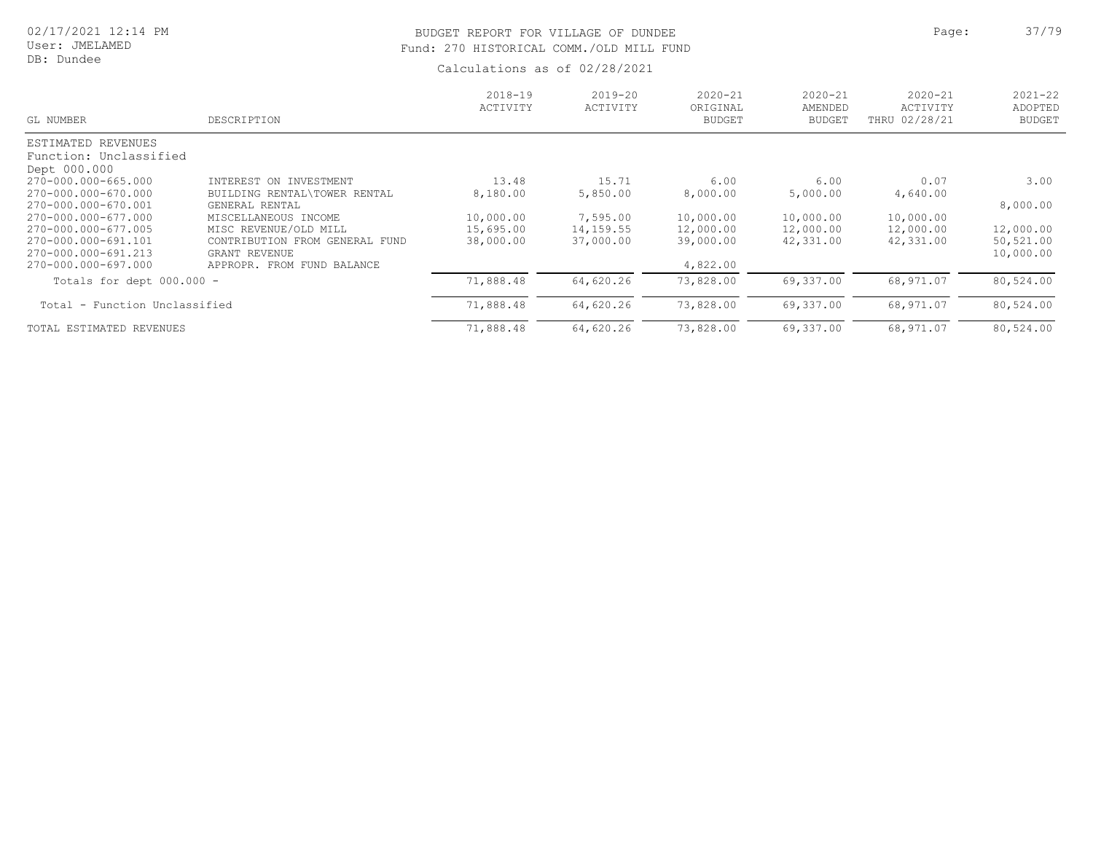# BUDGET REPORT FOR VILLAGE OF DUNDEE **Page:** 27/79 Fund: 270 HISTORICAL COMM./OLD MILL FUND

| GL NUMBER                                                         | DESCRIPTION                                                                     | $2018 - 19$<br>ACTIVITY             | $2019 - 20$<br>ACTIVITY            | $2020 - 21$<br>ORIGINAL<br><b>BUDGET</b> | $2020 - 21$<br>AMENDED<br><b>BUDGET</b> | $2020 - 21$<br>ACTIVITY<br>THRU 02/28/21 | $2021 - 22$<br>ADOPTED<br><b>BUDGET</b> |
|-------------------------------------------------------------------|---------------------------------------------------------------------------------|-------------------------------------|------------------------------------|------------------------------------------|-----------------------------------------|------------------------------------------|-----------------------------------------|
| ESTIMATED REVENUES<br>Function: Unclassified<br>Dept 000.000      |                                                                                 |                                     |                                    |                                          |                                         |                                          |                                         |
| 270-000.000-665.000<br>270-000.000-670.000<br>270-000.000-670.001 | INTEREST ON INVESTMENT<br>BUILDING RENTAL\TOWER RENTAL<br>GENERAL RENTAL        | 13.48<br>8,180.00                   | 15.71<br>5,850.00                  | 6.00<br>8,000.00                         | 6.00<br>5,000.00                        | 0.07<br>4,640.00                         | 3.00<br>8,000.00                        |
| 270-000.000-677.000<br>270-000.000-677.005<br>270-000.000-691.101 | MISCELLANEOUS INCOME<br>MISC REVENUE/OLD MILL<br>CONTRIBUTION FROM GENERAL FUND | 10,000.00<br>15,695.00<br>38,000.00 | 7,595.00<br>14,159.55<br>37,000.00 | 10,000.00<br>12,000.00<br>39,000.00      | 10,000.00<br>12,000.00<br>42,331.00     | 10,000.00<br>12,000.00<br>42,331.00      | 12,000.00<br>50,521.00                  |
| 270-000.000-691.213<br>270-000.000-697.000                        | GRANT REVENUE<br>APPROPR. FROM FUND BALANCE                                     |                                     |                                    | 4,822.00                                 |                                         |                                          | 10,000.00                               |
| Totals for dept $000.000 -$<br>Total - Function Unclassified      |                                                                                 | 71,888.48<br>71,888.48              | 64,620.26<br>64,620.26             | 73,828.00<br>73,828.00                   | 69,337.00<br>69,337.00                  | 68,971.07<br>68,971.07                   | 80,524.00<br>80,524.00                  |
| TOTAL ESTIMATED REVENUES                                          |                                                                                 | 71,888.48                           | 64,620.26                          | 73,828.00                                | 69,337.00                               | 68,971.07                                | 80,524.00                               |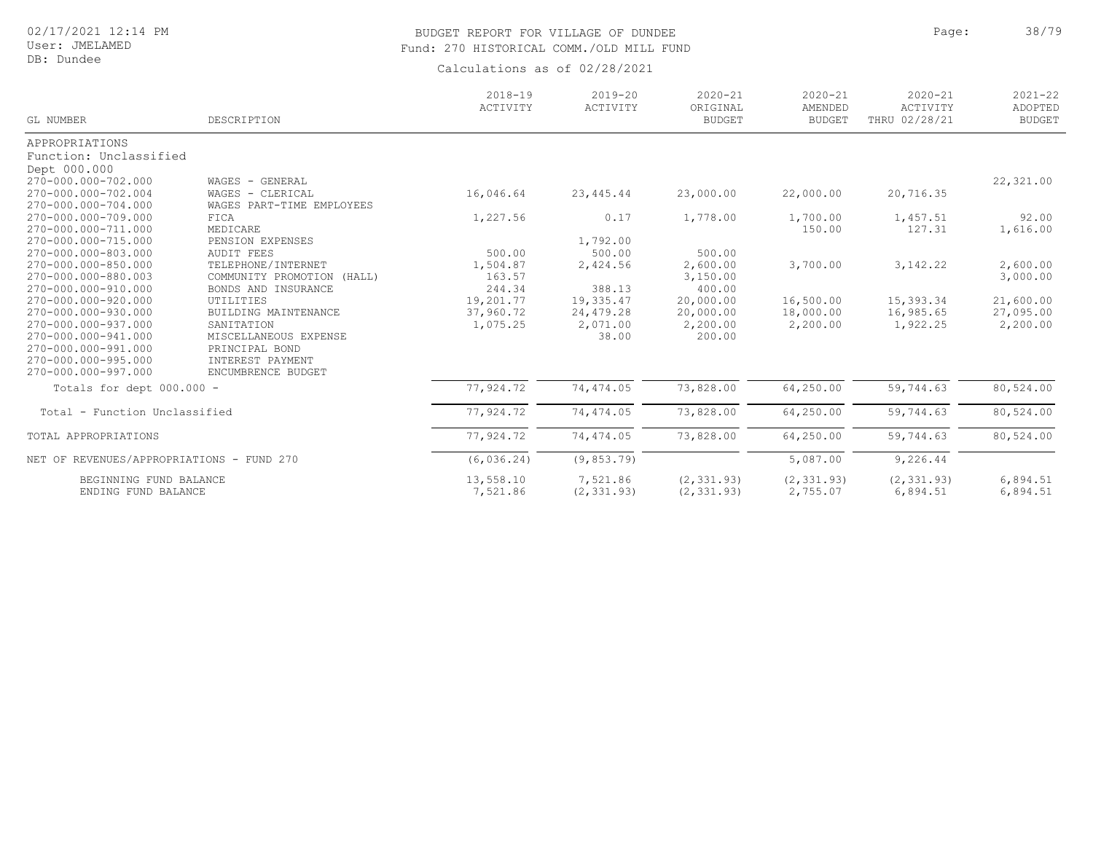User: JMELAMED DB: Dundee

# BUDGET REPORT FOR VILLAGE OF DUNDEE **Page:** 28/79 Fund: 270 HISTORICAL COMM./OLD MILL FUND

| GL NUMBER                                 | DESCRIPTION                   | $2018 - 19$<br>ACTIVITY | $2019 - 20$<br>ACTIVITY | $2020 - 21$<br>ORIGINAL<br><b>BUDGET</b> | $2020 - 21$<br>AMENDED<br><b>BUDGET</b> | $2020 - 21$<br>ACTIVITY<br>THRU 02/28/21 | $2021 - 22$<br>ADOPTED<br><b>BUDGET</b> |
|-------------------------------------------|-------------------------------|-------------------------|-------------------------|------------------------------------------|-----------------------------------------|------------------------------------------|-----------------------------------------|
| APPROPRIATIONS                            |                               |                         |                         |                                          |                                         |                                          |                                         |
| Function: Unclassified                    |                               |                         |                         |                                          |                                         |                                          |                                         |
| Dept 000.000                              |                               |                         |                         |                                          |                                         |                                          |                                         |
| 270-000.000-702.000                       | WAGES - GENERAL               |                         |                         |                                          |                                         |                                          | 22,321.00                               |
| 270-000.000-702.004                       | WAGES - CLERICAL              | 16,046.64               | 23, 445.44              | 23,000.00                                | 22,000.00                               | 20,716.35                                |                                         |
| 270-000.000-704.000                       | WAGES PART-TIME EMPLOYEES     |                         |                         |                                          |                                         |                                          |                                         |
| 270-000.000-709.000                       | FICA                          | 1,227.56                | 0.17                    | 1,778.00                                 | 1,700.00                                | 1,457.51                                 | 92.00                                   |
| 270-000.000-711.000                       | MEDICARE                      |                         |                         |                                          | 150.00                                  | 127.31                                   | 1,616.00                                |
| 270-000.000-715.000                       | PENSION EXPENSES              |                         | 1,792.00                |                                          |                                         |                                          |                                         |
| 270-000.000-803.000                       | <b>AUDIT FEES</b>             | 500.00                  | 500.00                  | 500.00                                   |                                         |                                          |                                         |
| 270-000.000-850.000                       | TELEPHONE/INTERNET            | 1,504.87                | 2,424.56                | 2,600.00                                 | 3,700.00                                | 3, 142.22                                | 2,600.00                                |
| 270-000.000-880.003                       | COMMUNITY PROMOTION<br>(HALL) | 163.57                  |                         | 3,150.00                                 |                                         |                                          | 3,000.00                                |
| 270-000.000-910.000                       | BONDS AND INSURANCE           | 244.34                  | 388.13                  | 400.00                                   |                                         |                                          |                                         |
| 270-000.000-920.000                       | UTILITIES                     | 19,201.77               | 19,335.47               | 20,000.00                                | 16,500.00                               | 15,393.34                                | 21,600.00                               |
| 270-000.000-930.000                       | BUILDING MAINTENANCE          | 37,960.72               | 24,479.28               | 20,000.00                                | 18,000.00                               | 16,985.65                                | 27,095.00                               |
| 270-000.000-937.000                       | SANITATION                    | 1,075.25                | 2,071.00                | 2,200.00                                 | 2,200.00                                | 1,922.25                                 | 2,200.00                                |
| 270-000.000-941.000                       | MISCELLANEOUS EXPENSE         |                         | 38.00                   | 200.00                                   |                                         |                                          |                                         |
| 270-000.000-991.000                       | PRINCIPAL BOND                |                         |                         |                                          |                                         |                                          |                                         |
| 270-000.000-995.000                       | INTEREST PAYMENT              |                         |                         |                                          |                                         |                                          |                                         |
| 270-000.000-997.000                       | ENCUMBRENCE BUDGET            |                         |                         |                                          |                                         |                                          |                                         |
| Totals for dept 000.000 -                 |                               | 77,924.72               | 74,474.05               | 73,828.00                                | 64,250.00                               | 59,744.63                                | 80,524.00                               |
| Total - Function Unclassified             |                               | 77,924.72               | 74, 474.05              | 73,828.00                                | 64,250.00                               | 59,744.63                                | 80,524.00                               |
| TOTAL APPROPRIATIONS                      |                               | 77,924.72               | 74,474.05               | 73,828.00                                | 64,250.00                               | 59,744.63                                | 80,524.00                               |
| NET OF REVENUES/APPROPRIATIONS - FUND 270 |                               | (6, 036.24)             | (9, 853.79)             |                                          | 5,087.00                                | 9,226.44                                 |                                         |
| BEGINNING FUND BALANCE                    |                               | 13,558.10               | 7,521.86                | (2, 331.93)                              | (2, 331.93)                             | (2, 331.93)                              | 6,894.51                                |
| ENDING FUND BALANCE                       |                               | 7,521.86                | (2, 331.93)             | (2, 331.93)                              | 2,755.07                                | 6,894.51                                 | 6,894.51                                |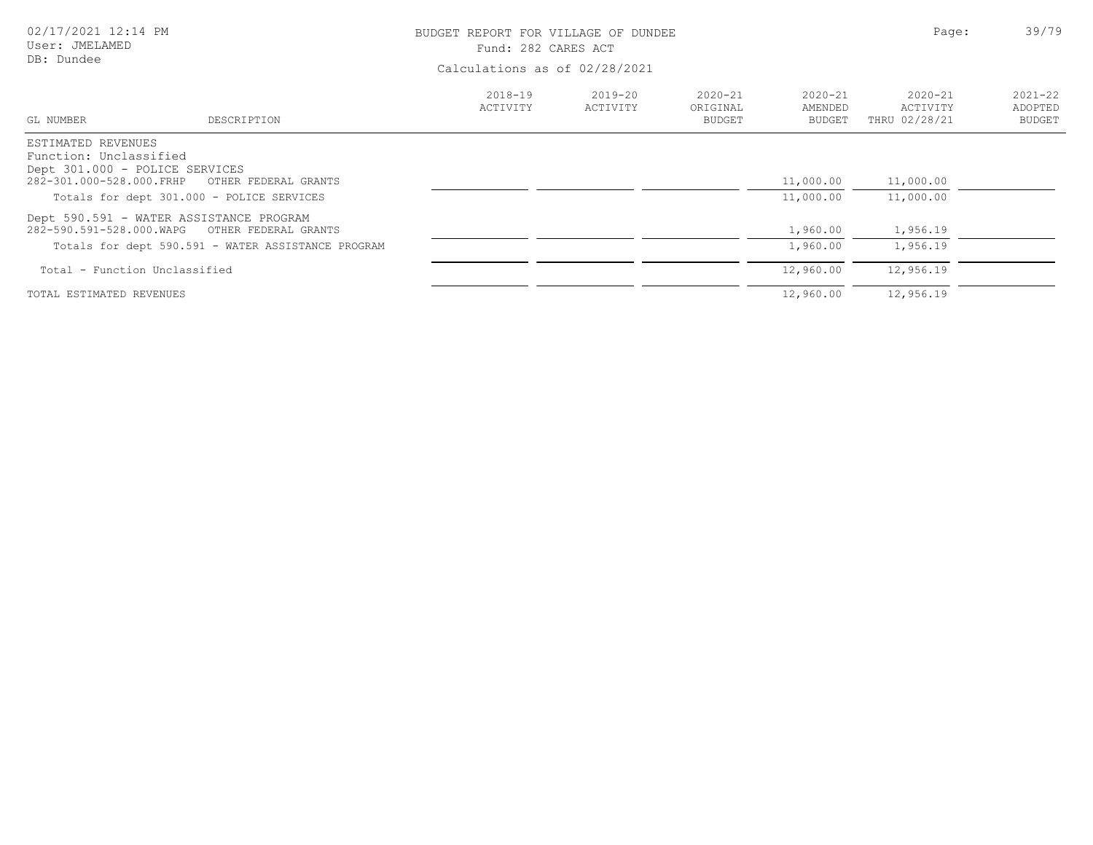| 02/17/2021 12:14 PM<br>User: JMELAMED<br>DB: Dundee                            |                                                                                                                       | BUDGET REPORT FOR VILLAGE OF DUNDEE<br>Fund: 282 CARES ACT<br>Calculations as of 02/28/2021 | Page:                   | 39/79                             |                                  |                                          |                                         |
|--------------------------------------------------------------------------------|-----------------------------------------------------------------------------------------------------------------------|---------------------------------------------------------------------------------------------|-------------------------|-----------------------------------|----------------------------------|------------------------------------------|-----------------------------------------|
| GL NUMBER                                                                      | DESCRIPTION                                                                                                           | $2018 - 19$<br>ACTIVITY                                                                     | $2019 - 20$<br>ACTIVITY | $2020 - 21$<br>ORIGINAL<br>BUDGET | $2020 - 21$<br>AMENDED<br>BUDGET | $2020 - 21$<br>ACTIVITY<br>THRU 02/28/21 | $2021 - 22$<br>ADOPTED<br><b>BUDGET</b> |
| ESTIMATED REVENUES<br>Function: Unclassified<br>Dept 301.000 - POLICE SERVICES | 282-301.000-528.000.FRHP OTHER FEDERAL GRANTS<br>Totals for dept 301.000 - POLICE SERVICES                            |                                                                                             |                         |                                   | 11,000.00<br>11,000.00           | 11,000.00<br>11,000.00                   |                                         |
| 282-590.591-528.000.WAPG                                                       | Dept 590.591 - WATER ASSISTANCE PROGRAM<br>OTHER FEDERAL GRANTS<br>Totals for dept 590.591 - WATER ASSISTANCE PROGRAM |                                                                                             |                         |                                   | 1,960.00<br>1,960.00             | 1,956.19<br>1,956.19                     |                                         |
| Total - Function Unclassified                                                  |                                                                                                                       |                                                                                             |                         |                                   | 12,960.00                        | 12,956.19                                |                                         |
| TOTAL ESTIMATED REVENUES                                                       |                                                                                                                       |                                                                                             |                         |                                   | 12,960.00                        | 12,956.19                                |                                         |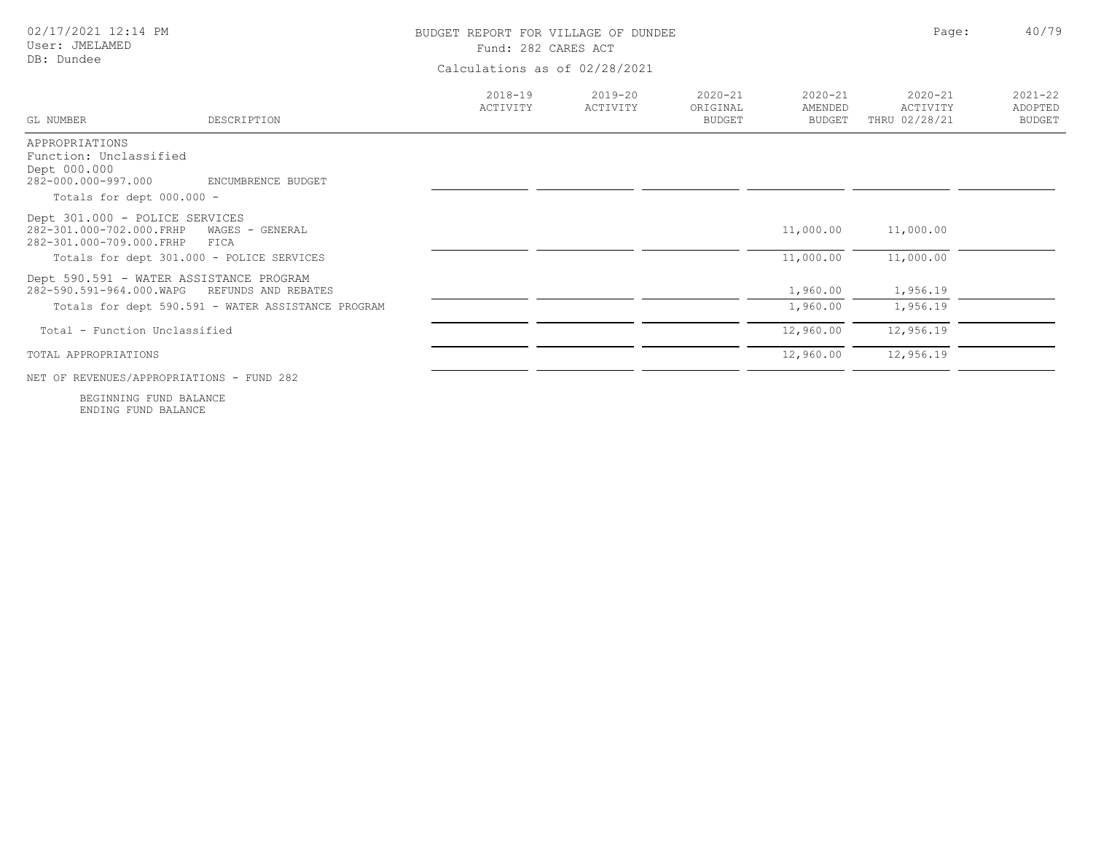| 02/17/2021 12:14 PM<br>User: JMELAMED<br>DB: Dundee                                                              |                                                                           | BUDGET REPORT FOR VILLAGE OF DUNDEE<br>Fund: 282 CARES ACT<br>Calculations as of 02/28/2021 |                         |                                          |                                         |                                          | 40/79<br>Page:                          |
|------------------------------------------------------------------------------------------------------------------|---------------------------------------------------------------------------|---------------------------------------------------------------------------------------------|-------------------------|------------------------------------------|-----------------------------------------|------------------------------------------|-----------------------------------------|
| GL NUMBER                                                                                                        | DESCRIPTION                                                               | $2018 - 19$<br>ACTIVITY                                                                     | $2019 - 20$<br>ACTIVITY | $2020 - 21$<br>ORIGINAL<br><b>BUDGET</b> | $2020 - 21$<br>AMENDED<br><b>BUDGET</b> | $2020 - 21$<br>ACTIVITY<br>THRU 02/28/21 | $2021 - 22$<br>ADOPTED<br><b>BUDGET</b> |
| APPROPRIATIONS<br>Function: Unclassified<br>Dept 000.000<br>282-000.000-997.000<br>Totals for dept 000.000 -     | ENCUMBRENCE BUDGET                                                        |                                                                                             |                         |                                          |                                         |                                          |                                         |
| Dept 301.000 - POLICE SERVICES<br>282-301.000-702.000.FRHP<br>282-301.000-709.000.FRHP                           | WAGES - GENERAL<br>FICA                                                   |                                                                                             |                         |                                          | 11,000.00                               | 11,000.00                                |                                         |
| Totals for dept 301.000 - POLICE SERVICES<br>Dept 590.591 - WATER ASSISTANCE PROGRAM<br>282-590.591-964.000.WAPG | REFUNDS AND REBATES<br>Totals for dept 590.591 - WATER ASSISTANCE PROGRAM |                                                                                             |                         |                                          | 11,000.00<br>1,960.00<br>1,960.00       | 11,000.00<br>1,956.19<br>1,956.19        |                                         |
| Total - Function Unclassified                                                                                    |                                                                           |                                                                                             |                         |                                          | 12,960.00                               | 12,956.19                                |                                         |
| TOTAL APPROPRIATIONS<br>NET OF REVENUES/APPROPRIATIONS - FUND 282                                                |                                                                           |                                                                                             |                         |                                          | 12,960.00                               | 12,956.19                                |                                         |

ENDING FUND BALANCE BEGINNING FUND BALANCE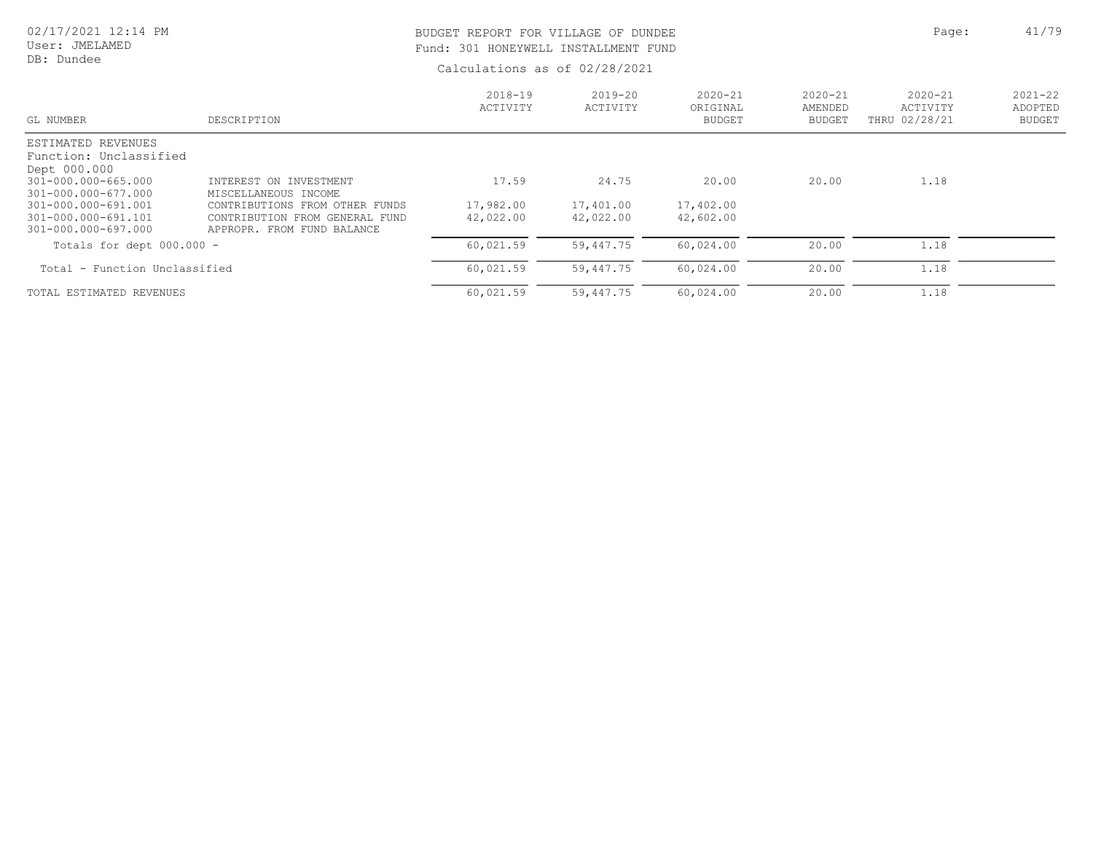User: JMELAMED DB: Dundee

# BUDGET REPORT FOR VILLAGE OF DUNDEE **Page:** 41/79 Fund: 301 HONEYWELL INSTALLMENT FUND

| GL NUMBER                              | DESCRIPTION                       | $2018 - 19$<br>ACTIVITY | 2019-20<br>ACTIVITY | $2020 - 21$<br>ORIGINAL<br><b>BUDGET</b> | $2020 - 21$<br>AMENDED<br><b>BUDGET</b> | $2020 - 21$<br>ACTIVITY<br>THRU 02/28/21 | $2021 - 22$<br>ADOPTED<br><b>BUDGET</b> |
|----------------------------------------|-----------------------------------|-------------------------|---------------------|------------------------------------------|-----------------------------------------|------------------------------------------|-----------------------------------------|
| ESTIMATED REVENUES                     |                                   |                         |                     |                                          |                                         |                                          |                                         |
| Function: Unclassified<br>Dept 000.000 |                                   |                         |                     |                                          |                                         |                                          |                                         |
| 301-000.000-665.000                    | INTEREST ON INVESTMENT            | 17.59                   | 24.75               | 20.00                                    | 20.00                                   | 1.18                                     |                                         |
| 301-000.000-677.000                    | MISCELLANEOUS INCOME              |                         |                     |                                          |                                         |                                          |                                         |
| 301-000.000-691.001                    | OTHER FUNDS<br>CONTRIBUTIONS FROM | 17,982.00               | 17,401.00           | 17,402.00                                |                                         |                                          |                                         |
| 301-000.000-691.101                    | CONTRIBUTION FROM GENERAL FUND    | 42,022.00               | 42,022.00           | 42,602.00                                |                                         |                                          |                                         |
| 301-000.000-697.000                    | APPROPR. FROM FUND BALANCE        |                         |                     |                                          |                                         |                                          |                                         |
| Totals for dept $000.000 -$            |                                   | 60,021.59               | 59,447.75           | 60,024.00                                | 20.00                                   | 1.18                                     |                                         |
| Total - Function Unclassified          |                                   | 60,021.59               | 59,447.75           | 60,024.00                                | 20.00                                   | 1.18                                     |                                         |
| TOTAL ESTIMATED REVENUES               |                                   | 60,021.59               | 59,447.75           | 60,024.00                                | 20.00                                   | 1.18                                     |                                         |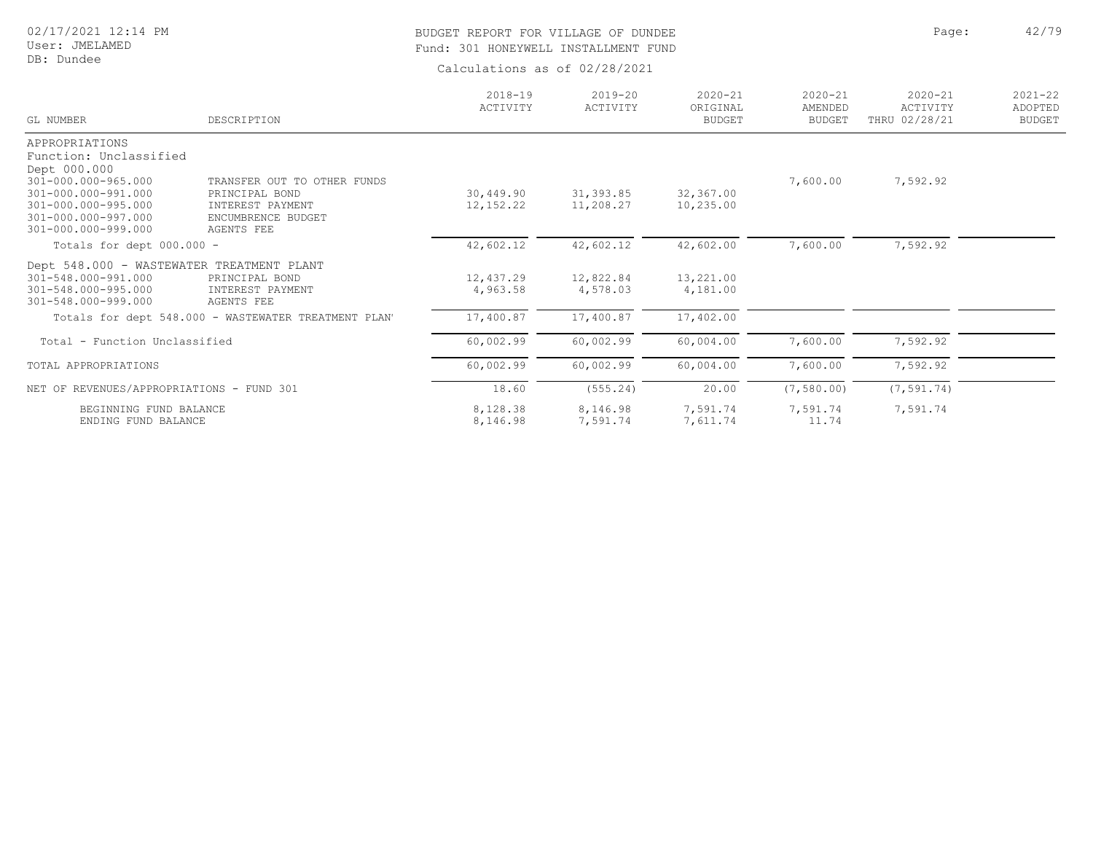# BUDGET REPORT FOR VILLAGE OF DUNDEE **Page:** 42/79 Fund: 301 HONEYWELL INSTALLMENT FUND

| <b>GL NUMBER</b>                                                                                                                                                            | DESCRIPTION                                                                                           | $2018 - 19$<br>ACTIVITY | $2019 - 20$<br>ACTIVITY | $2020 - 21$<br>ORIGINAL<br><b>BUDGET</b> | $2020 - 21$<br>AMENDED<br><b>BUDGET</b> | $2020 - 21$<br>ACTIVITY<br>THRU 02/28/21 | $2021 - 22$<br>ADOPTED<br><b>BUDGET</b> |
|-----------------------------------------------------------------------------------------------------------------------------------------------------------------------------|-------------------------------------------------------------------------------------------------------|-------------------------|-------------------------|------------------------------------------|-----------------------------------------|------------------------------------------|-----------------------------------------|
| APPROPRIATIONS<br>Function: Unclassified<br>Dept 000.000<br>301-000.000-965.000<br>301-000.000-991.000<br>301-000.000-995.000<br>301-000.000-997.000<br>301-000.000-999.000 | TRANSFER OUT TO OTHER FUNDS<br>PRINCIPAL BOND<br>INTEREST PAYMENT<br>ENCUMBRENCE BUDGET<br>AGENTS FEE | 30,449.90<br>12,152.22  | 31, 393.85<br>11,208.27 | 32,367.00<br>10,235.00                   | 7,600.00                                | 7,592.92                                 |                                         |
| Totals for dept 000.000 -                                                                                                                                                   |                                                                                                       | 42,602.12               | 42,602.12               | 42,602.00                                | 7,600.00                                | 7,592.92                                 |                                         |
| Dept 548.000 - WASTEWATER TREATMENT PLANT<br>301-548.000-991.000<br>301-548.000-995.000<br>301-548.000-999.000                                                              | PRINCIPAL BOND<br>INTEREST PAYMENT<br>AGENTS FEE                                                      | 12,437.29<br>4,963.58   | 12,822.84<br>4,578.03   | 13,221.00<br>4,181.00                    |                                         |                                          |                                         |
|                                                                                                                                                                             | Totals for dept 548.000 - WASTEWATER TREATMENT PLAN'                                                  | 17,400.87               | 17,400.87               | 17,402.00                                |                                         |                                          |                                         |
| Total - Function Unclassified                                                                                                                                               |                                                                                                       | 60,002.99               | 60,002.99               | 60,004.00                                | 7,600.00                                | 7,592.92                                 |                                         |
| TOTAL APPROPRIATIONS                                                                                                                                                        |                                                                                                       | 60,002.99               | 60,002.99               | 60,004.00                                | 7,600.00                                | 7,592.92                                 |                                         |
| NET OF REVENUES/APPROPRIATIONS - FUND 301                                                                                                                                   |                                                                                                       | 18.60                   | (555.24)                | 20.00                                    | (7, 580.00)                             | (7, 591.74)                              |                                         |
| BEGINNING FUND BALANCE<br>ENDING FUND BALANCE                                                                                                                               |                                                                                                       | 8,128.38<br>8,146.98    | 8,146.98<br>7,591.74    | 7,591.74<br>7,611.74                     | 7,591.74<br>11.74                       | 7,591.74                                 |                                         |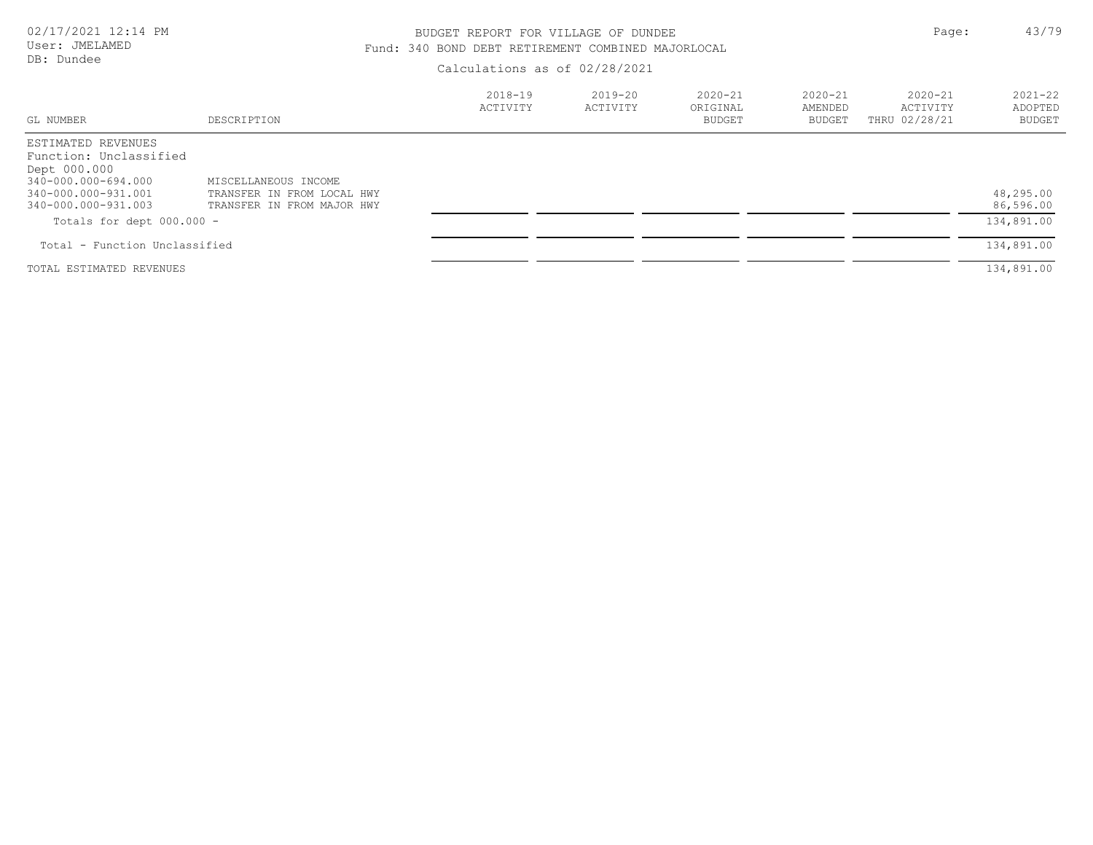# BUDGET REPORT FOR VILLAGE OF DUNDEE **Page:** 43/79 Fund: 340 BOND DEBT RETIREMENT COMBINED MAJORLOCAL

| GL NUMBER                                                                                                                         | DESCRIPTION                                                                      | $2018 - 19$<br>ACTIVITY | $2019 - 20$<br>ACTIVITY | $2020 - 21$<br>ORIGINAL<br>BUDGET | $2020 - 21$<br>AMENDED<br>BUDGET | $2020 - 21$<br>ACTIVITY<br>THRU 02/28/21 | $2021 - 22$<br>ADOPTED<br>BUDGET |
|-----------------------------------------------------------------------------------------------------------------------------------|----------------------------------------------------------------------------------|-------------------------|-------------------------|-----------------------------------|----------------------------------|------------------------------------------|----------------------------------|
| ESTIMATED REVENUES<br>Function: Unclassified<br>Dept 000.000<br>340-000.000-694.000<br>340-000.000-931.001<br>340-000.000-931.003 | MISCELLANEOUS INCOME<br>TRANSFER IN FROM LOCAL HWY<br>TRANSFER IN FROM MAJOR HWY |                         |                         |                                   |                                  |                                          | 48,295.00<br>86,596.00           |
| Totals for dept $000.000 -$                                                                                                       |                                                                                  |                         |                         |                                   |                                  |                                          | 134,891.00                       |
| Total - Function Unclassified                                                                                                     |                                                                                  |                         |                         |                                   |                                  |                                          | 134,891.00                       |
| TOTAL ESTIMATED REVENUES                                                                                                          |                                                                                  |                         |                         |                                   |                                  |                                          | 134,891.00                       |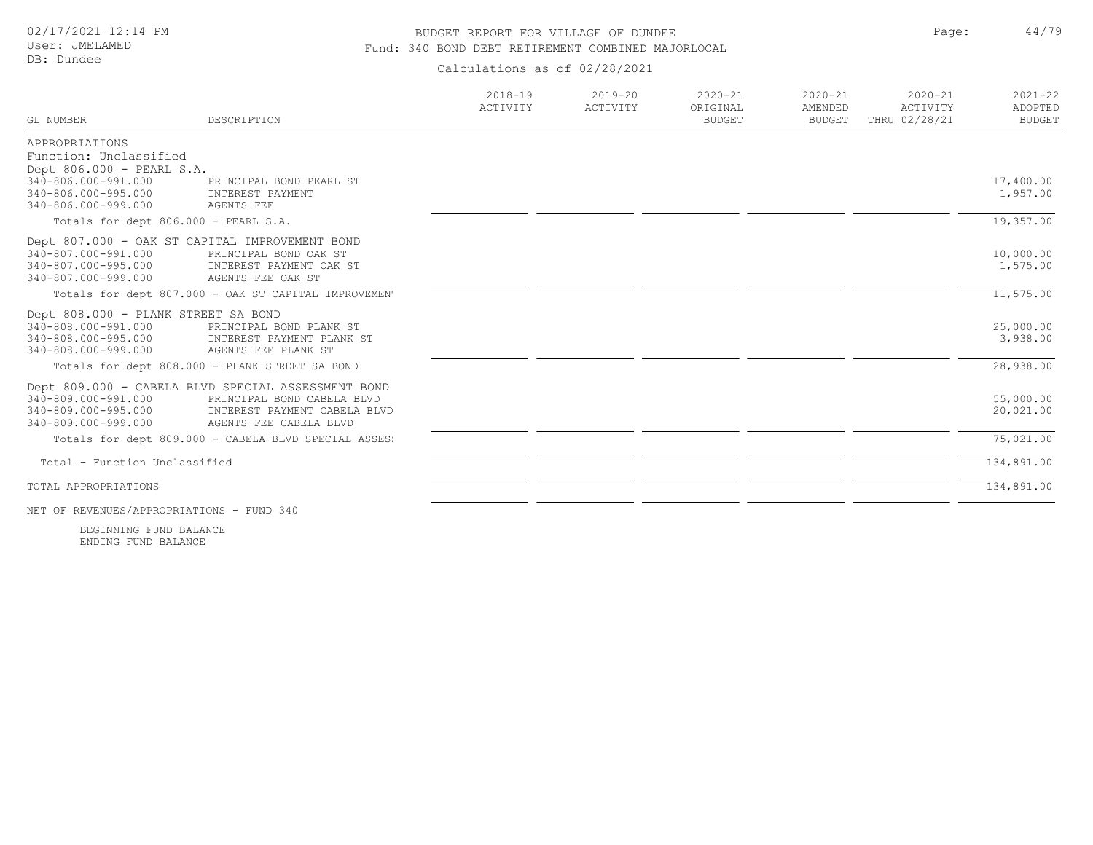# BUDGET REPORT FOR VILLAGE OF DUNDEE **Page:** 44/79 Fund: 340 BOND DEBT RETIREMENT COMBINED MAJORLOCAL

Calculations as of 02/28/2021

| GL NUMBER                                           | DESCRIPTION                                                                      | $2018 - 19$<br>ACTIVITY | $2019 - 20$<br>ACTIVITY | $2020 - 21$<br>ORIGINAL<br><b>BUDGET</b> | $2020 - 21$<br>AMENDED<br><b>BUDGET</b> | $2020 - 21$<br>ACTIVITY<br>THRU 02/28/21 | $2021 - 22$<br>ADOPTED<br><b>BUDGET</b> |
|-----------------------------------------------------|----------------------------------------------------------------------------------|-------------------------|-------------------------|------------------------------------------|-----------------------------------------|------------------------------------------|-----------------------------------------|
| APPROPRIATIONS                                      |                                                                                  |                         |                         |                                          |                                         |                                          |                                         |
| Function: Unclassified<br>Dept 806.000 - PEARL S.A. |                                                                                  |                         |                         |                                          |                                         |                                          |                                         |
| 340-806.000-991.000                                 | PRINCIPAL BOND PEARL ST                                                          |                         |                         |                                          |                                         |                                          | 17,400.00                               |
| 340-806.000-995.000                                 | INTEREST PAYMENT                                                                 |                         |                         |                                          |                                         |                                          | 1,957.00                                |
| 340-806.000-999.000                                 | AGENTS FEE                                                                       |                         |                         |                                          |                                         |                                          |                                         |
| Totals for dept 806.000 - PEARL S.A.                |                                                                                  |                         |                         |                                          |                                         |                                          | 19,357.00                               |
|                                                     | Dept 807.000 - OAK ST CAPITAL IMPROVEMENT BOND                                   |                         |                         |                                          |                                         |                                          |                                         |
| 340-807.000-991.000<br>340-807.000-995.000          | PRINCIPAL BOND OAK ST<br>INTEREST PAYMENT OAK ST                                 |                         |                         |                                          |                                         |                                          | 10,000.00<br>1,575.00                   |
| 340-807.000-999.000                                 | AGENTS FEE OAK ST                                                                |                         |                         |                                          |                                         |                                          |                                         |
|                                                     | Totals for dept 807.000 - OAK ST CAPITAL IMPROVEMEN'                             |                         |                         |                                          |                                         |                                          | 11,575.00                               |
| Dept 808.000 - PLANK STREET SA BOND                 |                                                                                  |                         |                         |                                          |                                         |                                          |                                         |
| 340-808.000-991.000                                 | PRINCIPAL BOND PLANK ST                                                          |                         |                         |                                          |                                         |                                          | 25,000.00                               |
| 340-808.000-995.000<br>340-808.000-999.000          | INTEREST PAYMENT PLANK ST<br>AGENTS FEE PLANK ST                                 |                         |                         |                                          |                                         |                                          | 3,938.00                                |
|                                                     | Totals for dept 808.000 - PLANK STREET SA BOND                                   |                         |                         |                                          |                                         |                                          | 28,938.00                               |
|                                                     |                                                                                  |                         |                         |                                          |                                         |                                          |                                         |
| 340-809.000-991.000                                 | Dept 809.000 - CABELA BLVD SPECIAL ASSESSMENT BOND<br>PRINCIPAL BOND CABELA BLVD |                         |                         |                                          |                                         |                                          | 55,000.00                               |
| 340-809.000-995.000                                 | INTEREST PAYMENT CABELA BLVD                                                     |                         |                         |                                          |                                         |                                          | 20,021.00                               |
| 340-809.000-999.000                                 | AGENTS FEE CABELA BLVD                                                           |                         |                         |                                          |                                         |                                          |                                         |
|                                                     | Totals for dept 809.000 - CABELA BLVD SPECIAL ASSES:                             |                         |                         |                                          |                                         |                                          | 75,021.00                               |
| Total - Function Unclassified                       |                                                                                  |                         |                         |                                          |                                         |                                          | 134,891.00                              |
| TOTAL APPROPRIATIONS                                |                                                                                  |                         |                         |                                          |                                         |                                          | 134,891.00                              |
| NET OF REVENUES/APPROPRIATIONS - FUND 340           |                                                                                  |                         |                         |                                          |                                         |                                          |                                         |

ENDING FUND BALANCE BEGINNING FUND BALANCE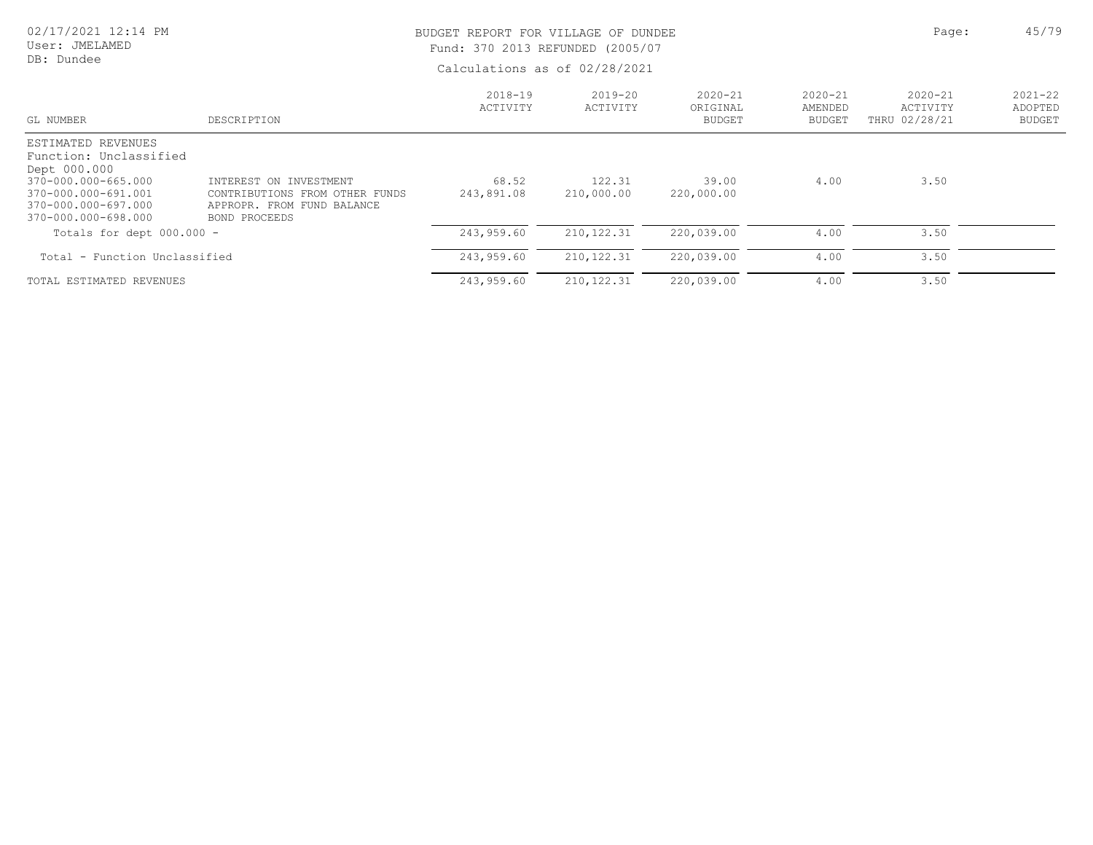#### User: JMELAMED DB: Dundee

# BUDGET REPORT FOR VILLAGE OF DUNDEE **All and Solution** Page: 45/79 Fund: 370 2013 REFUNDED (2005/07

| GL NUMBER                                                                                                                                                | DESCRIPTION                                                                                             | $2018 - 19$<br>ACTIVITY | $2019 - 20$<br>ACTIVITY | $2020 - 21$<br>ORIGINAL<br>BUDGET | $2020 - 21$<br>AMENDED<br><b>BUDGET</b> | $2020 - 21$<br>ACTIVITY<br>THRU 02/28/21 | $2021 - 22$<br>ADOPTED<br><b>BUDGET</b> |
|----------------------------------------------------------------------------------------------------------------------------------------------------------|---------------------------------------------------------------------------------------------------------|-------------------------|-------------------------|-----------------------------------|-----------------------------------------|------------------------------------------|-----------------------------------------|
| ESTIMATED REVENUES<br>Function: Unclassified<br>Dept 000.000<br>370-000.000-665.000<br>370-000.000-691.001<br>370-000.000-697.000<br>370-000.000-698.000 | INTEREST ON INVESTMENT<br>CONTRIBUTIONS FROM OTHER FUNDS<br>APPROPR. FROM FUND BALANCE<br>BOND PROCEEDS | 68.52<br>243,891.08     | 122.31<br>210,000.00    | 39.00<br>220,000.00               | 4.00                                    | 3.50                                     |                                         |
| Totals for dept $000.000 -$                                                                                                                              |                                                                                                         | 243,959.60              | 210, 122.31             | 220,039.00                        | 4.00                                    | 3.50                                     |                                         |
| Total - Function Unclassified                                                                                                                            |                                                                                                         | 243,959.60              | 210, 122.31             | 220,039.00                        | 4.00                                    | 3.50                                     |                                         |
| TOTAL ESTIMATED REVENUES                                                                                                                                 |                                                                                                         | 243,959.60              | 210, 122.31             | 220,039.00                        | 4.00                                    | 3.50                                     |                                         |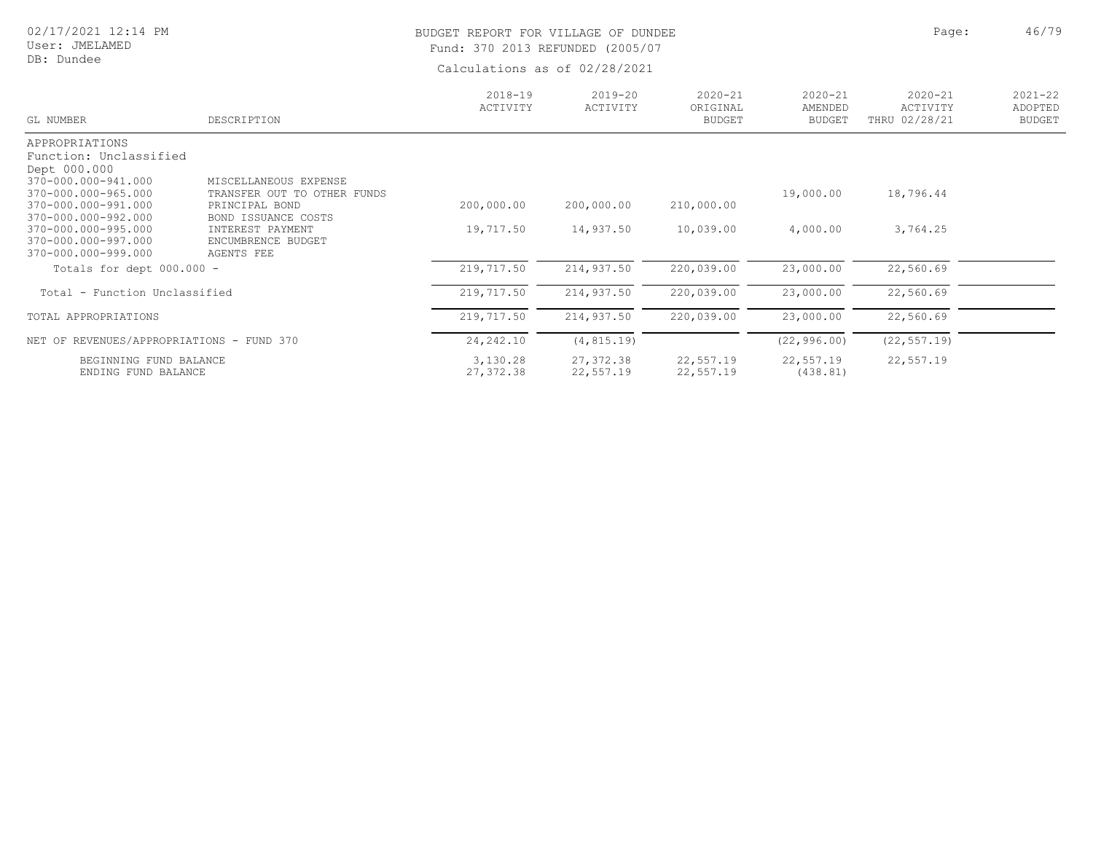User: JMELAMED DB: Dundee

# BUDGET REPORT FOR VILLAGE OF DUNDEE **All the Second Automobile Page:** 46/79 Fund: 370 2013 REFUNDED (2005/07

| GL NUMBER                                  | DESCRIPTION                                   | $2018 - 19$<br>ACTIVITY | $2019 - 20$<br>ACTIVITY | $2020 - 21$<br>ORIGINAL<br><b>BUDGET</b> | $2020 - 21$<br>AMENDED<br><b>BUDGET</b> | $2020 - 21$<br>ACTIVITY<br>THRU 02/28/21 | $2021 - 22$<br>ADOPTED<br><b>BUDGET</b> |
|--------------------------------------------|-----------------------------------------------|-------------------------|-------------------------|------------------------------------------|-----------------------------------------|------------------------------------------|-----------------------------------------|
| APPROPRIATIONS                             |                                               |                         |                         |                                          |                                         |                                          |                                         |
| Function: Unclassified                     |                                               |                         |                         |                                          |                                         |                                          |                                         |
| Dept 000.000                               |                                               |                         |                         |                                          |                                         |                                          |                                         |
| 370-000.000-941.000<br>370-000.000-965.000 | MISCELLANEOUS EXPENSE                         |                         |                         |                                          |                                         |                                          |                                         |
| 370-000.000-991.000                        | TRANSFER OUT TO OTHER FUNDS<br>PRINCIPAL BOND | 200,000.00              | 200,000.00              | 210,000.00                               | 19,000.00                               | 18,796.44                                |                                         |
| 370-000.000-992.000                        | BOND ISSUANCE COSTS                           |                         |                         |                                          |                                         |                                          |                                         |
| 370-000.000-995.000                        | INTEREST PAYMENT                              | 19,717.50               | 14,937.50               | 10,039.00                                | 4,000.00                                | 3,764.25                                 |                                         |
| 370-000.000-997.000                        | ENCUMBRENCE BUDGET                            |                         |                         |                                          |                                         |                                          |                                         |
| 370-000.000-999.000                        | AGENTS FEE                                    |                         |                         |                                          |                                         |                                          |                                         |
| Totals for dept $000.000 -$                |                                               | 219,717.50              | 214,937.50              | 220,039.00                               | 23,000.00                               | 22,560.69                                |                                         |
| Total - Function Unclassified              |                                               | 219,717.50              | 214,937.50              | 220,039.00                               | 23,000.00                               | 22,560.69                                |                                         |
| TOTAL APPROPRIATIONS                       |                                               | 219,717.50              | 214,937.50              | 220,039.00                               | 23,000.00                               | 22,560.69                                |                                         |
| NET OF REVENUES/APPROPRIATIONS - FUND 370  |                                               | 24, 242.10              | (4, 815.19)             |                                          | (22, 996.00)                            | (22, 557.19)                             |                                         |
| BEGINNING FUND BALANCE                     |                                               | 3,130.28                | 27,372.38               | 22,557.19                                | 22,557.19                               | 22,557.19                                |                                         |
| ENDING FUND BALANCE                        |                                               | 27,372.38               | 22,557.19               | 22,557.19                                | (438.81)                                |                                          |                                         |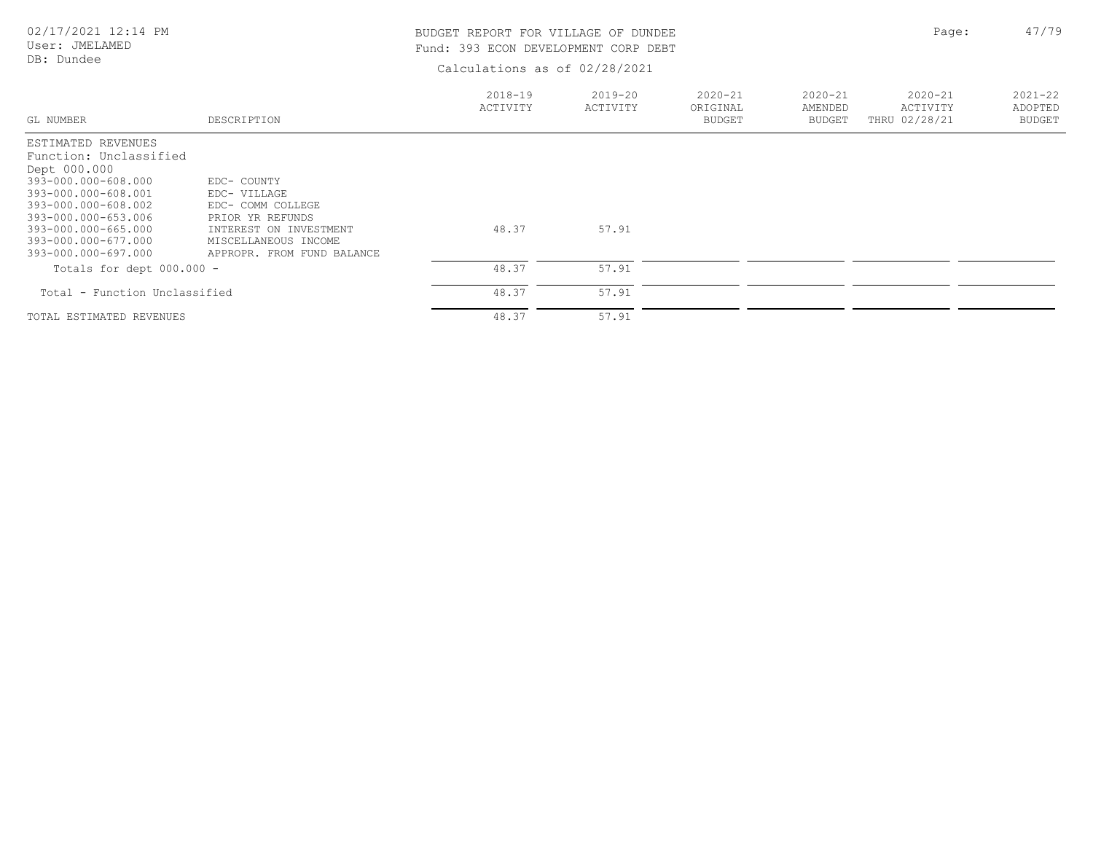# DB: Dundee

# BUDGET REPORT FOR VILLAGE OF DUNDEE **Page:** 47/79 Fund: 393 ECON DEVELOPMENT CORP DEBT

| GL NUMBER                                                                                                                                                                                                                     | DESCRIPTION                                                                                                                                          | $2018 - 19$<br>ACTIVITY | 2019-20<br>ACTIVITY | $2020 - 21$<br>ORIGINAL<br><b>BUDGET</b> | $2020 - 21$<br>AMENDED<br><b>BUDGET</b> | $2020 - 21$<br>ACTIVITY<br>THRU 02/28/21 | $2021 - 22$<br>ADOPTED<br><b>BUDGET</b> |
|-------------------------------------------------------------------------------------------------------------------------------------------------------------------------------------------------------------------------------|------------------------------------------------------------------------------------------------------------------------------------------------------|-------------------------|---------------------|------------------------------------------|-----------------------------------------|------------------------------------------|-----------------------------------------|
| ESTIMATED REVENUES<br>Function: Unclassified<br>Dept 000.000<br>393-000.000-608.000<br>393-000.000-608.001<br>393-000.000-608.002<br>393-000.000-653.006<br>393-000.000-665.000<br>393-000.000-677.000<br>393-000.000-697.000 | EDC- COUNTY<br>EDC- VILLAGE<br>EDC- COMM COLLEGE<br>PRIOR YR REFUNDS<br>INTEREST ON INVESTMENT<br>MISCELLANEOUS INCOME<br>APPROPR. FROM FUND BALANCE | 48.37                   | 57.91               |                                          |                                         |                                          |                                         |
| Totals for dept $000.000 -$                                                                                                                                                                                                   |                                                                                                                                                      | 48.37                   | 57.91               |                                          |                                         |                                          |                                         |
| Total - Function Unclassified                                                                                                                                                                                                 |                                                                                                                                                      | 48.37                   | 57.91               |                                          |                                         |                                          |                                         |
| TOTAL ESTIMATED REVENUES                                                                                                                                                                                                      |                                                                                                                                                      | 48.37                   | 57.91               |                                          |                                         |                                          |                                         |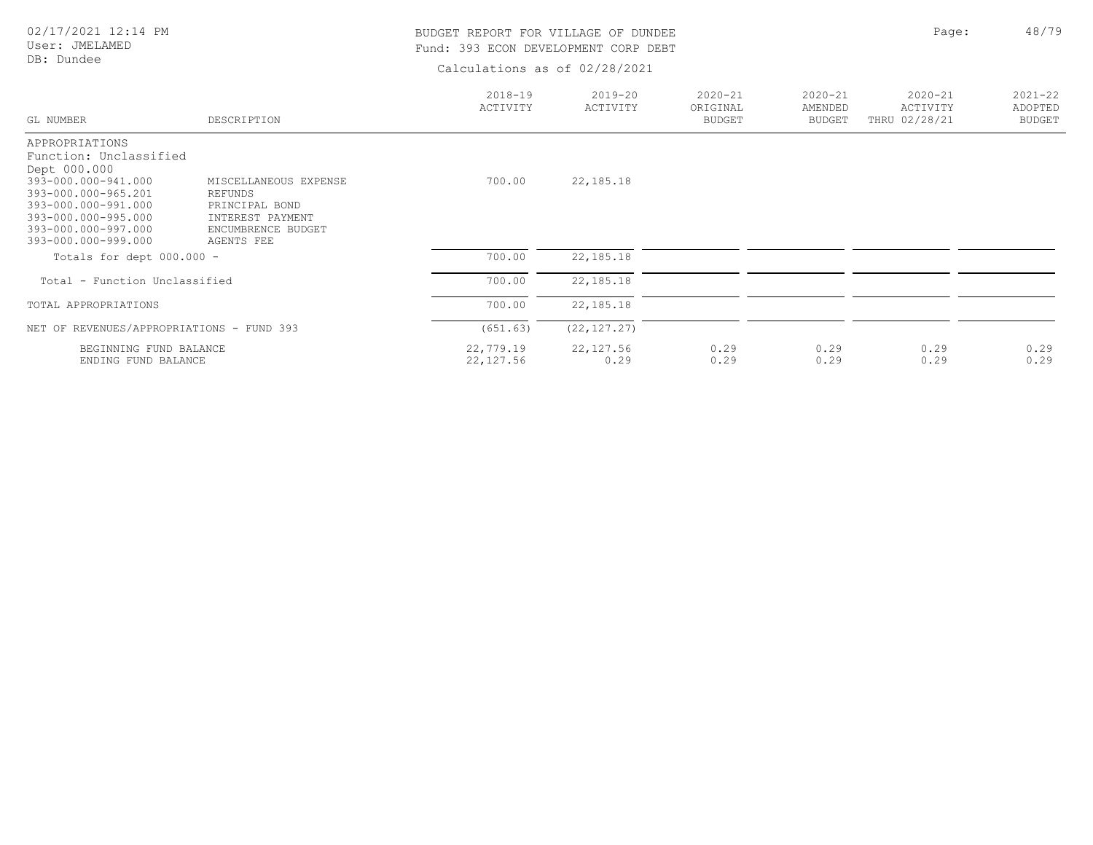User: JMELAMED DB: Dundee

# BUDGET REPORT FOR VILLAGE OF DUNDEE **Page:** 48/79 Fund: 393 ECON DEVELOPMENT CORP DEBT

| GL NUMBER                                  | DESCRIPTION                            | $2018 - 19$<br>ACTIVITY | $2019 - 20$<br>ACTIVITY | $2020 - 21$<br>ORIGINAL<br><b>BUDGET</b> | $2020 - 21$<br>AMENDED<br><b>BUDGET</b> | $2020 - 21$<br>ACTIVITY<br>THRU 02/28/21 | $2021 - 22$<br>ADOPTED<br><b>BUDGET</b> |
|--------------------------------------------|----------------------------------------|-------------------------|-------------------------|------------------------------------------|-----------------------------------------|------------------------------------------|-----------------------------------------|
| APPROPRIATIONS                             |                                        |                         |                         |                                          |                                         |                                          |                                         |
| Function: Unclassified                     |                                        |                         |                         |                                          |                                         |                                          |                                         |
| Dept 000.000                               |                                        |                         |                         |                                          |                                         |                                          |                                         |
| 393-000.000-941.000                        | MISCELLANEOUS EXPENSE                  | 700.00                  | 22,185.18               |                                          |                                         |                                          |                                         |
| 393-000.000-965.201                        | REFUNDS                                |                         |                         |                                          |                                         |                                          |                                         |
| 393-000.000-991.000                        | PRINCIPAL BOND                         |                         |                         |                                          |                                         |                                          |                                         |
| 393-000.000-995.000<br>393-000.000-997.000 | INTEREST PAYMENT<br>ENCUMBRENCE BUDGET |                         |                         |                                          |                                         |                                          |                                         |
| 393-000.000-999.000                        | AGENTS FEE                             |                         |                         |                                          |                                         |                                          |                                         |
|                                            |                                        |                         |                         |                                          |                                         |                                          |                                         |
| Totals for dept $000.000 -$                |                                        | 700.00                  | 22, 185. 18             |                                          |                                         |                                          |                                         |
| Total - Function Unclassified              |                                        | 700.00                  | 22, 185. 18             |                                          |                                         |                                          |                                         |
| TOTAL APPROPRIATIONS                       |                                        | 700.00                  | 22, 185. 18             |                                          |                                         |                                          |                                         |
|                                            |                                        |                         |                         |                                          |                                         |                                          |                                         |
| NET OF REVENUES/APPROPRIATIONS - FUND 393  |                                        | (651.63)                | (22, 127.27)            |                                          |                                         |                                          |                                         |
| BEGINNING FUND BALANCE                     |                                        | 22,779.19               | 22, 127.56              | 0.29                                     | 0.29                                    | 0.29                                     | 0.29                                    |
| ENDING FUND BALANCE                        |                                        | 22, 127.56              | 0.29                    | 0.29                                     | 0.29                                    | 0.29                                     | 0.29                                    |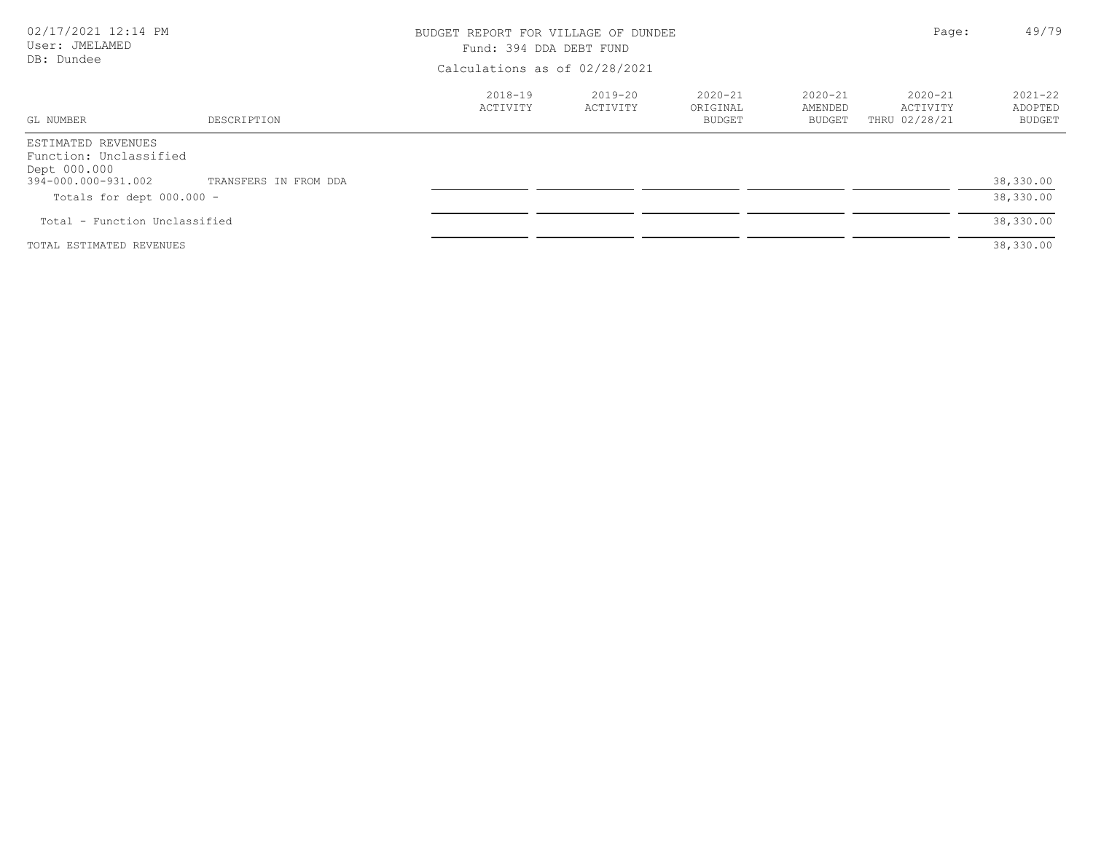| 02/17/2021 12:14 PM<br>User: JMELAMED<br>DB: Dundee                                                                |                       | BUDGET REPORT FOR VILLAGE OF DUNDEE<br>Fund: 394 DDA DEBT FUND | Page:                         | 49/79                                    |                                         |                                          |                                         |  |
|--------------------------------------------------------------------------------------------------------------------|-----------------------|----------------------------------------------------------------|-------------------------------|------------------------------------------|-----------------------------------------|------------------------------------------|-----------------------------------------|--|
|                                                                                                                    |                       |                                                                | Calculations as of 02/28/2021 |                                          |                                         |                                          |                                         |  |
| GL NUMBER                                                                                                          | DESCRIPTION           | 2018-19<br>ACTIVITY                                            | 2019-20<br>ACTIVITY           | $2020 - 21$<br>ORIGINAL<br><b>BUDGET</b> | $2020 - 21$<br>AMENDED<br><b>BUDGET</b> | $2020 - 21$<br>ACTIVITY<br>THRU 02/28/21 | $2021 - 22$<br>ADOPTED<br><b>BUDGET</b> |  |
| ESTIMATED REVENUES<br>Function: Unclassified<br>Dept 000.000<br>394-000.000-931.002<br>Totals for dept $000.000 -$ | TRANSFERS IN FROM DDA |                                                                |                               |                                          |                                         |                                          | 38,330.00<br>38,330.00                  |  |
| Total - Function Unclassified                                                                                      |                       |                                                                |                               |                                          |                                         |                                          | 38,330.00                               |  |
| TOTAL ESTIMATED REVENUES                                                                                           |                       |                                                                |                               |                                          |                                         |                                          | 38,330.00                               |  |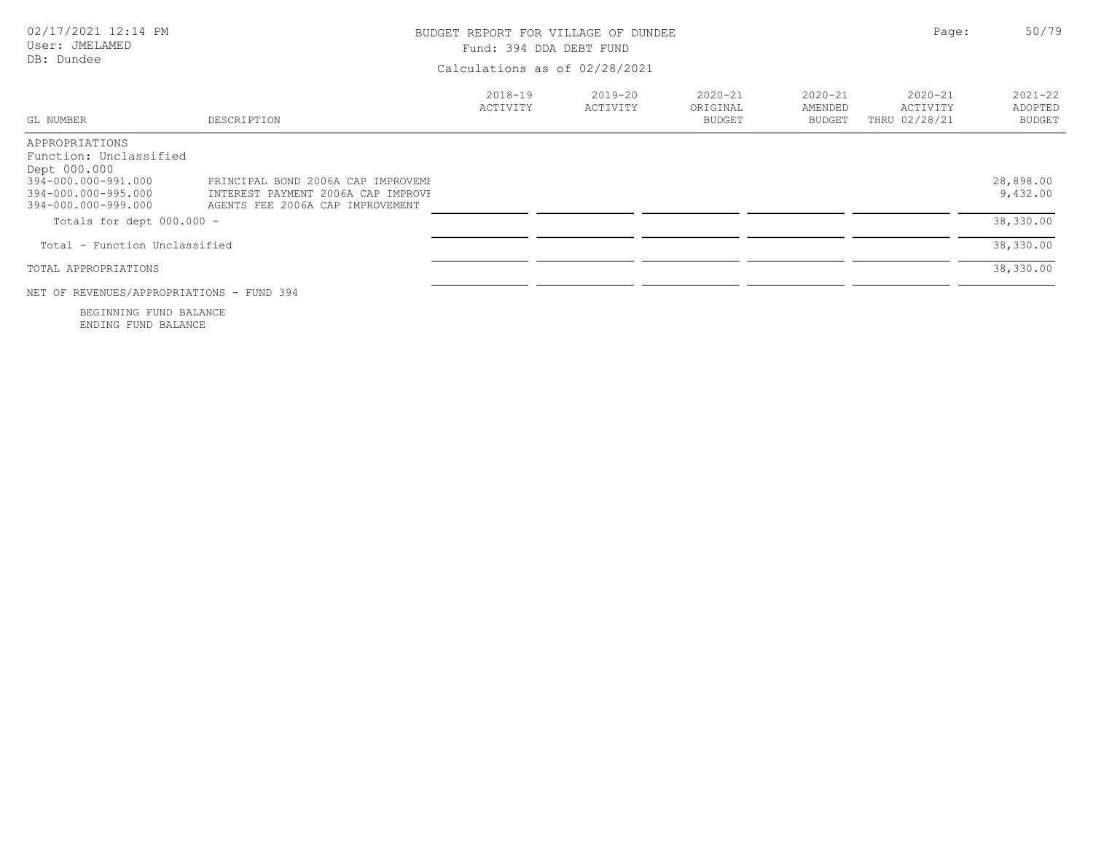| 02/17/2021 12:14 PM<br>User: JMELAMED<br>DB: Dundee                                                                           | BUDGET REPORT FOR VILLAGE OF DUNDEE<br>Fund: 394 DDA DEBT FUND<br>Calculations as of 02/28/2021              |                     | Page:                   | 50/79                                    |                                         |                                          |                                         |
|-------------------------------------------------------------------------------------------------------------------------------|--------------------------------------------------------------------------------------------------------------|---------------------|-------------------------|------------------------------------------|-----------------------------------------|------------------------------------------|-----------------------------------------|
| GL NUMBER                                                                                                                     | DESCRIPTION                                                                                                  | 2018-19<br>ACTIVITY | $2019 - 20$<br>ACTIVITY | $2020 - 21$<br>ORIGINAL<br><b>BUDGET</b> | $2020 - 21$<br>AMENDED<br><b>BUDGET</b> | $2020 - 21$<br>ACTIVITY<br>THRU 02/28/21 | $2021 - 22$<br>ADOPTED<br><b>BUDGET</b> |
| APPROPRIATIONS<br>Function: Unclassified<br>Dept 000.000<br>394-000.000-991.000<br>394-000.000-995.000<br>394-000.000-999.000 | PRINCIPAL BOND 2006A CAP IMPROVEME<br>INTEREST PAYMENT 2006A CAP IMPROVE<br>AGENTS FEE 2006A CAP IMPROVEMENT |                     |                         |                                          |                                         |                                          | 28,898.00<br>9,432.00                   |
| Totals for dept $000.000 -$                                                                                                   |                                                                                                              |                     |                         |                                          |                                         |                                          | 38,330.00                               |
| Total - Function Unclassified                                                                                                 |                                                                                                              |                     |                         |                                          |                                         |                                          | 38,330.00                               |
| TOTAL APPROPRIATIONS                                                                                                          |                                                                                                              |                     |                         |                                          |                                         |                                          | 38,330.00                               |
| NET OF REVENUES/APPROPRIATIONS - FUND 394                                                                                     |                                                                                                              |                     |                         |                                          |                                         |                                          |                                         |
| BEGINNING FUND BALANCE                                                                                                        |                                                                                                              |                     |                         |                                          |                                         |                                          |                                         |

ENDING FUND BALANCE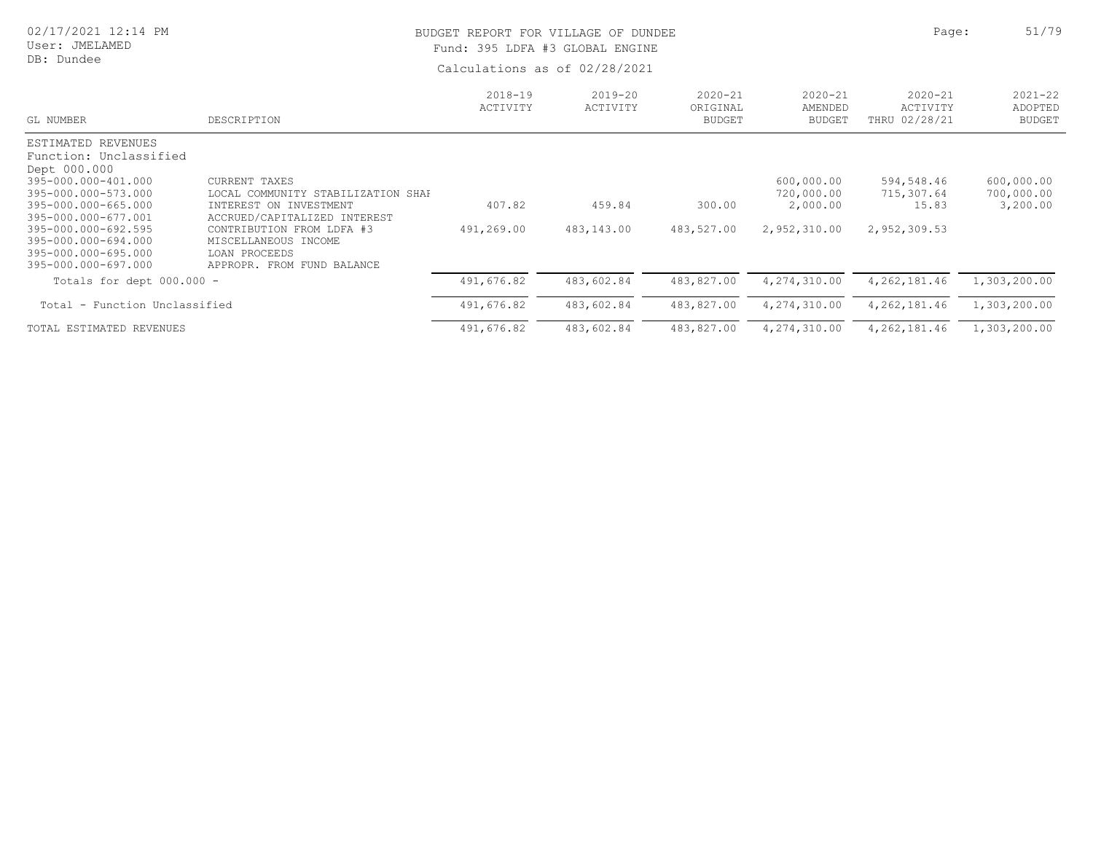#### User: JMELAMED DB: Dundee

# BUDGET REPORT FOR VILLAGE OF DUNDEE **Page:** 51/79 Fund: 395 LDFA #3 GLOBAL ENGINE

| GL NUMBER                                                                                | DESCRIPTION                                                                                      | $2018 - 19$<br>ACTIVITY | $2019 - 20$<br>ACTIVITY | $2020 - 21$<br>ORIGINAL<br><b>BUDGET</b> | $2020 - 21$<br>AMENDED<br><b>BUDGET</b> | $2020 - 21$<br>ACTIVITY<br>THRU 02/28/21 | $2021 - 22$<br>ADOPTED<br><b>BUDGET</b> |
|------------------------------------------------------------------------------------------|--------------------------------------------------------------------------------------------------|-------------------------|-------------------------|------------------------------------------|-----------------------------------------|------------------------------------------|-----------------------------------------|
| ESTIMATED REVENUES<br>Function: Unclassified<br>Dept 000.000                             |                                                                                                  |                         |                         |                                          |                                         |                                          |                                         |
| 395-000.000-401.000<br>395-000.000-573.000                                               | CURRENT TAXES<br>LOCAL COMMUNITY STABILIZATION SHAF                                              |                         |                         |                                          | 600,000.00<br>720,000.00                | 594,548.46<br>715,307.64                 | 600,000.00<br>700,000.00                |
| 395-000.000-665.000<br>395-000.000-677.001                                               | INTEREST ON INVESTMENT<br>ACCRUED/CAPITALIZED INTEREST                                           | 407.82                  | 459.84                  | 300.00                                   | 2,000.00                                | 15.83                                    | 3,200.00                                |
| 395-000.000-692.595<br>395-000.000-694.000<br>395-000.000-695.000<br>395-000.000-697.000 | CONTRIBUTION FROM LDFA #3<br>MISCELLANEOUS INCOME<br>LOAN PROCEEDS<br>APPROPR. FROM FUND BALANCE | 491,269.00              | 483,143.00              | 483,527.00                               | 2,952,310.00                            | 2,952,309.53                             |                                         |
| Totals for dept $000.000 -$                                                              |                                                                                                  | 491,676.82              | 483,602.84              | 483,827.00                               | 4,274,310.00                            | 4, 262, 181.46                           | 1,303,200.00                            |
| Total - Function Unclassified                                                            |                                                                                                  | 491,676.82              | 483,602.84              | 483,827.00                               | 4,274,310.00                            | 4, 262, 181.46                           | 1,303,200.00                            |
| TOTAL ESTIMATED REVENUES                                                                 |                                                                                                  | 491,676.82              | 483,602.84              | 483,827.00                               | 4,274,310.00                            | 4, 262, 181.46                           | 1,303,200.00                            |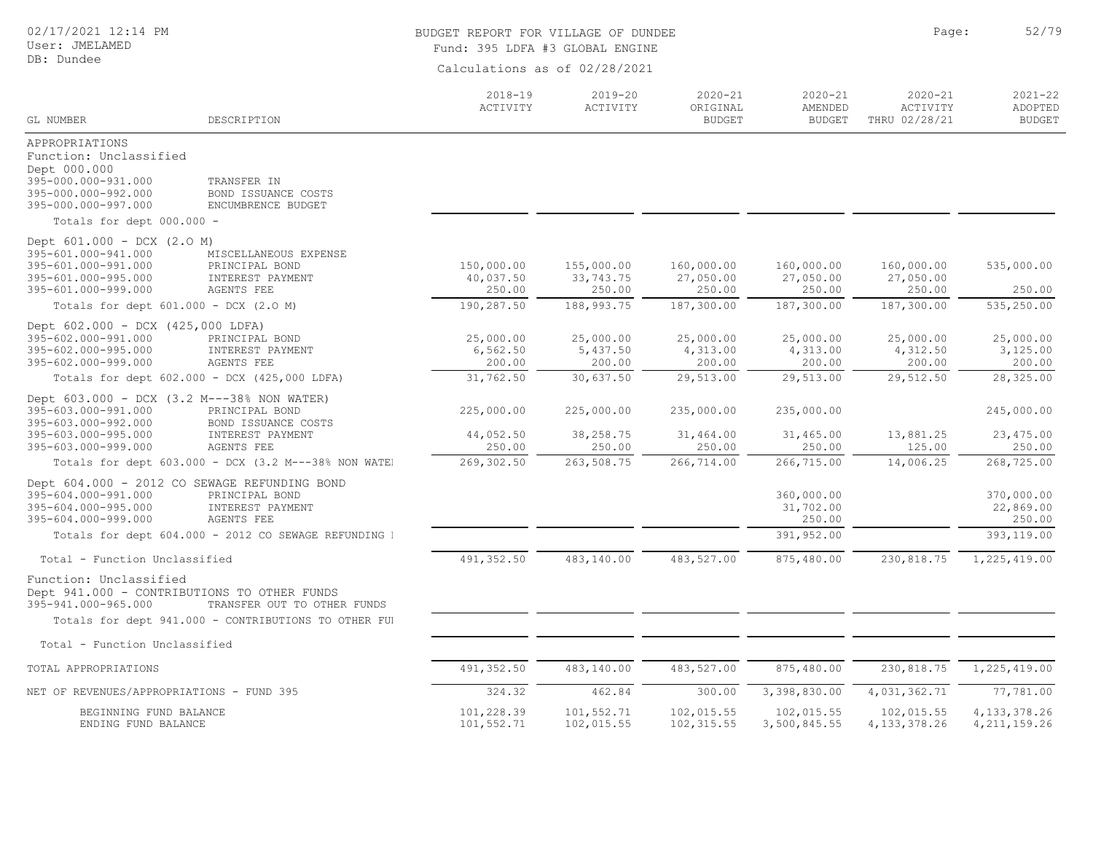#### User: JMELAMED DB: Dundee

# BUDGET REPORT FOR VILLAGE OF DUNDEE **Page:** 52/79 Fund: 395 LDFA #3 GLOBAL ENGINE

|                                                                                                                                        |                                                                                                         | $2018 - 19$                       | $2019 - 20$                        | $2020 - 21$                       | $2020 - 21$                       | $2020 - 21$                       | $2021 - 22$                        |
|----------------------------------------------------------------------------------------------------------------------------------------|---------------------------------------------------------------------------------------------------------|-----------------------------------|------------------------------------|-----------------------------------|-----------------------------------|-----------------------------------|------------------------------------|
| GL NUMBER                                                                                                                              | DESCRIPTION                                                                                             | ACTIVITY                          | ACTIVITY                           | ORIGINAL<br><b>BUDGET</b>         | AMENDED<br><b>BUDGET</b>          | ACTIVITY<br>THRU 02/28/21         | ADOPTED<br><b>BUDGET</b>           |
| APPROPRIATIONS<br>Function: Unclassified<br>Dept 000.000<br>395-000.000-931.000<br>395-000.000-992.000<br>395-000.000-997.000          | TRANSFER IN<br>BOND ISSUANCE COSTS<br>ENCUMBRENCE BUDGET                                                |                                   |                                    |                                   |                                   |                                   |                                    |
| Totals for dept 000.000 -                                                                                                              |                                                                                                         |                                   |                                    |                                   |                                   |                                   |                                    |
| Dept 601.000 - DCX (2.0 M)<br>395-601.000-941.000<br>395-601.000-991.000<br>395-601.000-995.000<br>395-601.000-999.000                 | MISCELLANEOUS EXPENSE<br>PRINCIPAL BOND<br>INTEREST PAYMENT<br>AGENTS FEE                               | 150,000.00<br>40,037.50<br>250.00 | 155,000.00<br>33,743.75<br>250.00  | 160,000.00<br>27,050.00<br>250.00 | 160,000.00<br>27,050.00<br>250.00 | 160,000.00<br>27,050.00<br>250.00 | 535,000.00<br>250.00               |
| Totals for dept 601.000 - DCX (2.0 M)                                                                                                  |                                                                                                         | 190,287.50                        | 188, 993.75                        | 187,300.00                        | 187,300.00                        | 187,300.00                        | 535,250.00                         |
| Dept 602.000 - DCX (425,000 LDFA)<br>395-602.000-991.000<br>395-602.000-995.000<br>395-602.000-999.000                                 | PRINCIPAL BOND<br>INTEREST PAYMENT<br><b>AGENTS FEE</b>                                                 | 25,000.00<br>6, 562.50<br>200.00  | 25,000.00<br>5,437.50<br>200.00    | 25,000.00<br>4,313.00<br>200.00   | 25,000.00<br>4,313.00<br>200.00   | 25,000.00<br>4,312.50<br>200.00   | 25,000.00<br>3,125.00<br>200.00    |
|                                                                                                                                        | Totals for dept 602.000 - DCX (425,000 LDFA)                                                            | 31,762.50                         | 30,637.50                          | 29,513.00                         | 29,513.00                         | 29,512.50                         | 28,325.00                          |
| Dept 603.000 - DCX (3.2 M---38% NON WATER)<br>395-603.000-991.000<br>395-603.000-992.000<br>395-603.000-995.000<br>395-603.000-999.000 | PRINCIPAL BOND<br>BOND ISSUANCE COSTS<br>INTEREST PAYMENT<br>AGENTS FEE                                 | 225,000.00<br>44,052.50<br>250.00 | 225,000.00<br>38, 258.75<br>250.00 | 235,000.00<br>31,464.00<br>250.00 | 235,000.00<br>31,465.00           | 13,881.25<br>125.00               | 245,000.00<br>23, 475.00<br>250.00 |
|                                                                                                                                        | Totals for dept 603.000 - DCX (3.2 M---38% NON WATE)                                                    | 269,302.50                        | 263,508.75                         | 266,714.00                        | 250.00<br>266,715.00              | 14,006.25                         | 268,725.00                         |
| 395-604.000-991.000<br>395-604.000-995.000<br>395-604.000-999.000                                                                      | Dept 604.000 - 2012 CO SEWAGE REFUNDING BOND<br>PRINCIPAL BOND<br>INTEREST PAYMENT<br><b>AGENTS FEE</b> |                                   |                                    |                                   | 360,000.00<br>31,702.00<br>250.00 |                                   | 370,000.00<br>22,869.00<br>250.00  |
|                                                                                                                                        | Totals for dept 604.000 - 2012 CO SEWAGE REFUNDING I                                                    |                                   |                                    |                                   | 391,952.00                        |                                   | 393, 119.00                        |
| Total - Function Unclassified                                                                                                          |                                                                                                         | 491,352.50                        | 483,140.00                         | 483,527.00                        | 875,480.00                        | 230,818.75                        | 1,225,419.00                       |
| Function: Unclassified<br>Dept 941.000 - CONTRIBUTIONS TO OTHER FUNDS<br>395-941.000-965.000                                           | TRANSFER OUT TO OTHER FUNDS                                                                             |                                   |                                    |                                   |                                   |                                   |                                    |
|                                                                                                                                        | Totals for dept 941.000 - CONTRIBUTIONS TO OTHER FUI                                                    |                                   |                                    |                                   |                                   |                                   |                                    |
| Total - Function Unclassified                                                                                                          |                                                                                                         |                                   |                                    |                                   |                                   |                                   |                                    |
| TOTAL APPROPRIATIONS                                                                                                                   |                                                                                                         | 491,352.50                        | 483,140.00                         | 483,527.00                        | 875,480.00                        | 230,818.75                        | 1,225,419.00                       |
| NET OF REVENUES/APPROPRIATIONS - FUND 395                                                                                              |                                                                                                         | 324.32                            | 462.84                             | 300.00                            | 3,398,830.00                      | 4,031,362.71                      | 77,781.00                          |
| BEGINNING FUND BALANCE<br>ENDING FUND BALANCE                                                                                          |                                                                                                         | 101,228.39<br>101,552.71          | 101,552.71<br>102,015.55           | 102,015.55<br>102, 315.55         | 102,015.55<br>3,500,845.55        | 102,015.55<br>4, 133, 378. 26     | 4, 133, 378. 26<br>4, 211, 159.26  |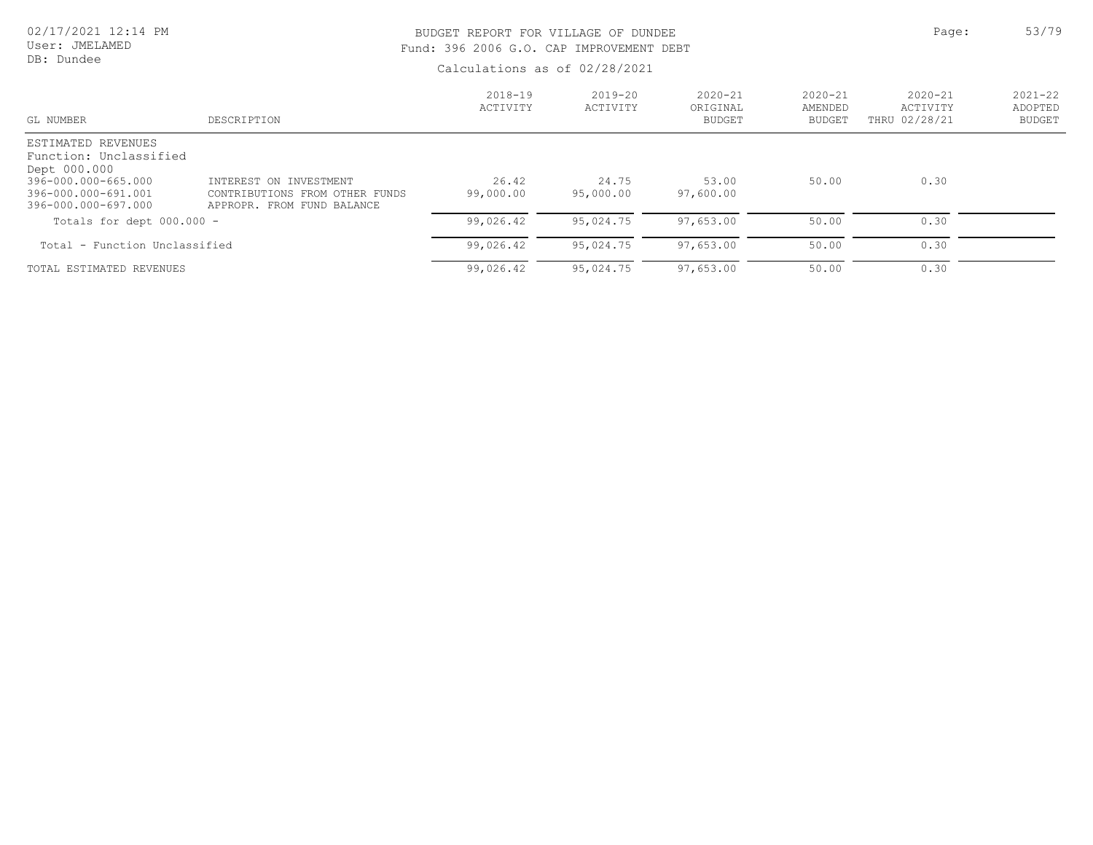User: JMELAMED DB: Dundee

# BUDGET REPORT FOR VILLAGE OF DUNDEE **Page:** 53/79 Fund: 396 2006 G.O. CAP IMPROVEMENT DEBT

| GL NUMBER                                                                                                                         | DESCRIPTION                                                                            | $2018 - 19$<br>ACTIVITY | $2019 - 20$<br>ACTIVITY | $2020 - 21$<br>ORIGINAL<br><b>BUDGET</b> | $2020 - 21$<br>AMENDED<br><b>BUDGET</b> | $2020 - 21$<br>ACTIVITY<br>THRU 02/28/21 | $2021 - 22$<br>ADOPTED<br><b>BUDGET</b> |
|-----------------------------------------------------------------------------------------------------------------------------------|----------------------------------------------------------------------------------------|-------------------------|-------------------------|------------------------------------------|-----------------------------------------|------------------------------------------|-----------------------------------------|
| ESTIMATED REVENUES<br>Function: Unclassified<br>Dept 000.000<br>396-000.000-665.000<br>396-000.000-691.001<br>396-000.000-697.000 | INTEREST ON INVESTMENT<br>CONTRIBUTIONS FROM OTHER FUNDS<br>APPROPR. FROM FUND BALANCE | 26.42<br>99,000.00      | 24.75<br>95,000.00      | 53.00<br>97,600.00                       | 50.00                                   | 0.30                                     |                                         |
| Totals for dept $000.000 -$                                                                                                       |                                                                                        | 99,026.42               | 95,024.75               | 97,653.00                                | 50.00                                   | 0.30                                     |                                         |
| Total - Function Unclassified                                                                                                     |                                                                                        | 99,026.42               | 95,024.75               | 97,653.00                                | 50.00                                   | 0.30                                     |                                         |
| TOTAL ESTIMATED REVENUES                                                                                                          |                                                                                        | 99,026.42               | 95,024.75               | 97,653.00                                | 50.00                                   | 0.30                                     |                                         |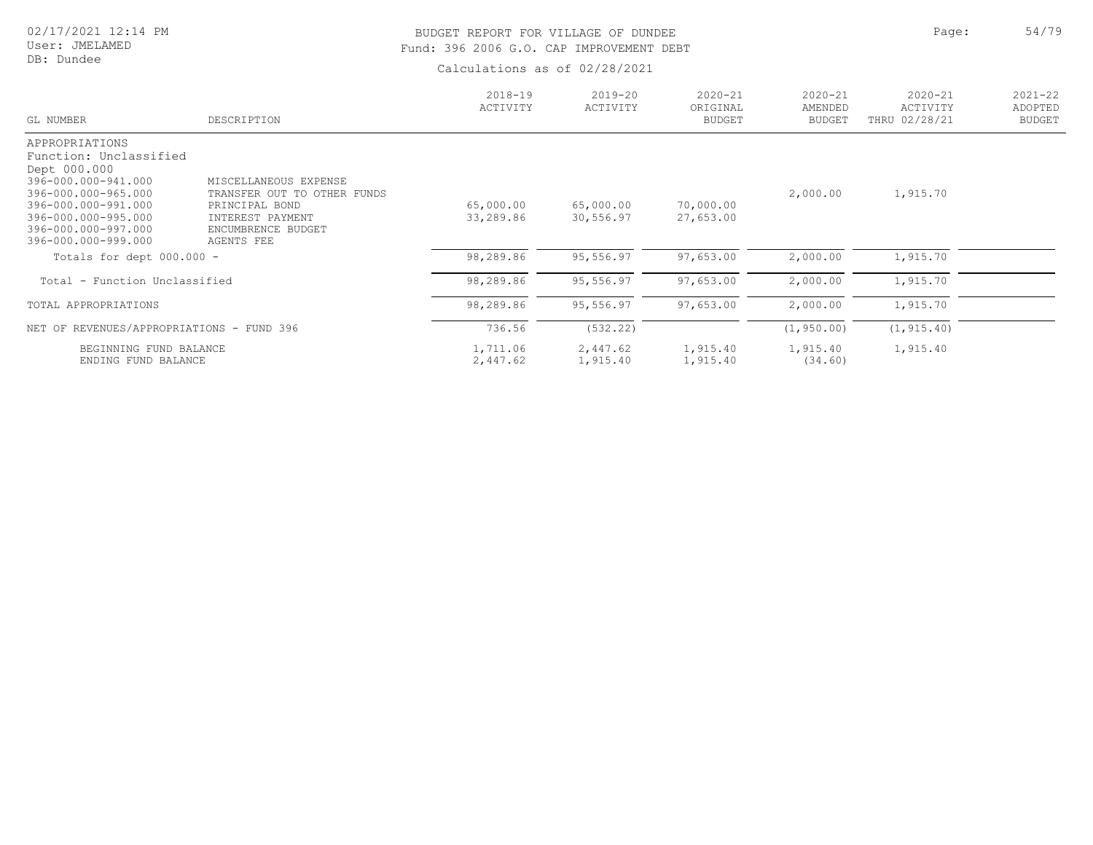User: JMELAMED DB: Dundee

# BUDGET REPORT FOR VILLAGE OF DUNDEE **Page:** 54/79 Fund: 396 2006 G.O. CAP IMPROVEMENT DEBT

| GL NUMBER                                  | DESCRIPTION                      | $2018 - 19$<br>ACTIVITY | $2019 - 20$<br>ACTIVITY | $2020 - 21$<br>ORIGINAL<br><b>BUDGET</b> | $2020 - 21$<br>AMENDED<br><b>BUDGET</b> | $2020 - 21$<br>ACTIVITY<br>THRU 02/28/21 | $2021 - 22$<br>ADOPTED<br><b>BUDGET</b> |
|--------------------------------------------|----------------------------------|-------------------------|-------------------------|------------------------------------------|-----------------------------------------|------------------------------------------|-----------------------------------------|
| APPROPRIATIONS                             |                                  |                         |                         |                                          |                                         |                                          |                                         |
| Function: Unclassified                     |                                  |                         |                         |                                          |                                         |                                          |                                         |
| Dept 000.000<br>396-000.000-941.000        | MISCELLANEOUS EXPENSE            |                         |                         |                                          |                                         |                                          |                                         |
| 396-000.000-965.000                        | TRANSFER OUT TO OTHER FUNDS      |                         |                         |                                          | 2,000.00                                | 1,915.70                                 |                                         |
| 396-000.000-991.000                        | PRINCIPAL BOND                   | 65,000.00               | 65,000.00               | 70,000.00                                |                                         |                                          |                                         |
| 396-000.000-995.000                        | INTEREST PAYMENT                 | 33,289.86               | 30,556.97               | 27,653.00                                |                                         |                                          |                                         |
| 396-000.000-997.000<br>396-000.000-999.000 | ENCUMBRENCE BUDGET<br>AGENTS FEE |                         |                         |                                          |                                         |                                          |                                         |
| Totals for dept 000.000 -                  |                                  | 98,289.86               | 95,556.97               | 97,653.00                                | 2,000.00                                | 1,915.70                                 |                                         |
| Total - Function Unclassified              |                                  | 98,289.86               | 95,556.97               | 97,653.00                                | 2,000.00                                | 1,915.70                                 |                                         |
| TOTAL APPROPRIATIONS                       |                                  | 98,289.86               | 95,556.97               | 97,653.00                                | 2,000.00                                | 1,915.70                                 |                                         |
| NET OF REVENUES/APPROPRIATIONS - FUND 396  |                                  | 736.56                  | (532.22)                |                                          | (1, 950.00)                             | (1, 915.40)                              |                                         |
| BEGINNING FUND BALANCE                     |                                  | 1,711.06                | 2,447.62                | 1,915.40                                 | 1,915.40                                | 1,915.40                                 |                                         |
| ENDING FUND BALANCE                        |                                  | 2,447.62                | 1,915.40                | 1,915.40                                 | (34.60)                                 |                                          |                                         |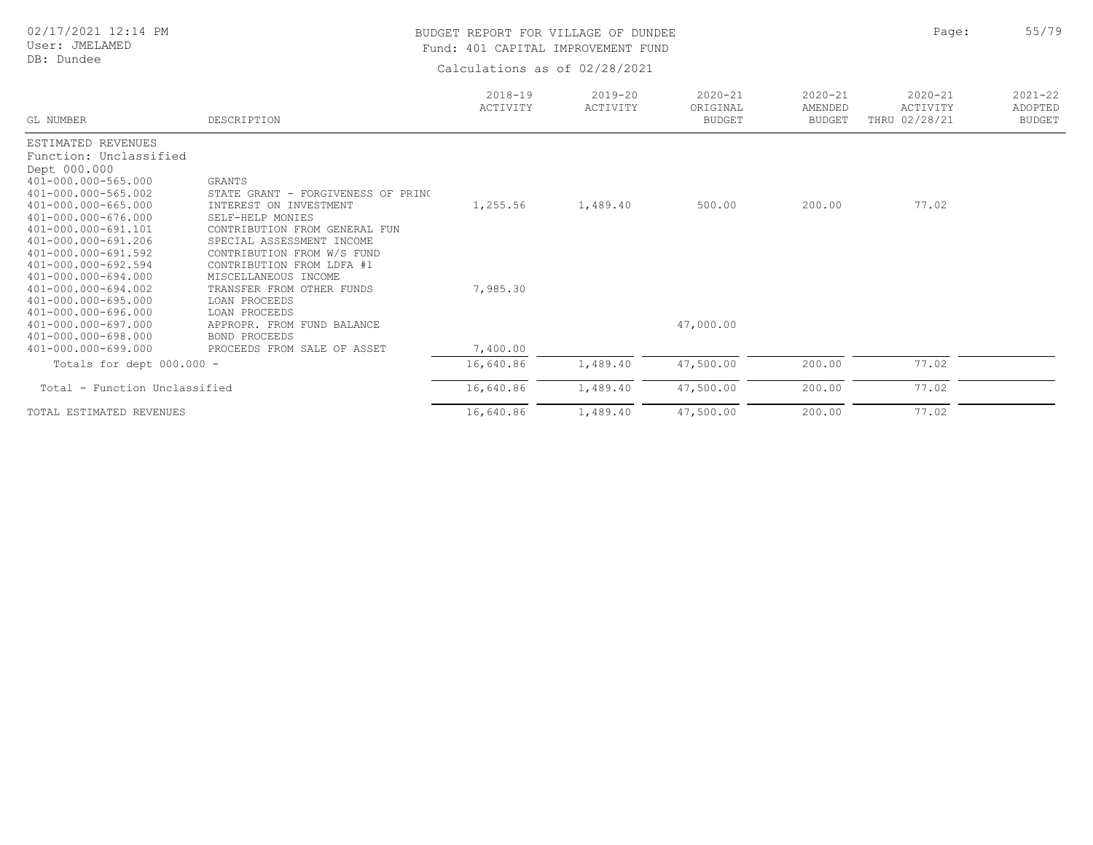#### User: JMELAMED DB: Dundee

# BUDGET REPORT FOR VILLAGE OF DUNDEE **Page:** 55/79 Fund: 401 CAPITAL IMPROVEMENT FUND

| GL NUMBER                                                                                                                                                                                                                                                                                                                                                                                                             | DESCRIPTION                                                                                                                                                                                                                                                                                                                                                                                     | $2018 - 19$<br>ACTIVITY          | $2019 - 20$<br>ACTIVITY | $2020 - 21$<br>ORIGINAL<br><b>BUDGET</b> | $2020 - 21$<br>AMENDED<br><b>BUDGET</b> | $2020 - 21$<br>ACTIVITY<br>THRU 02/28/21 | $2021 - 22$<br>ADOPTED<br><b>BUDGET</b> |
|-----------------------------------------------------------------------------------------------------------------------------------------------------------------------------------------------------------------------------------------------------------------------------------------------------------------------------------------------------------------------------------------------------------------------|-------------------------------------------------------------------------------------------------------------------------------------------------------------------------------------------------------------------------------------------------------------------------------------------------------------------------------------------------------------------------------------------------|----------------------------------|-------------------------|------------------------------------------|-----------------------------------------|------------------------------------------|-----------------------------------------|
| ESTIMATED REVENUES<br>Function: Unclassified<br>Dept 000.000<br>401-000.000-565.000<br>401-000.000-565.002<br>401-000.000-665.000<br>401-000.000-676.000<br>401-000.000-691.101<br>401-000.000-691.206<br>401-000.000-691.592<br>401-000.000-692.594<br>401-000.000-694.000<br>401-000.000-694.002<br>401-000.000-695.000<br>401-000.000-696.000<br>401-000.000-697.000<br>401-000.000-698.000<br>401-000.000-699.000 | <b>GRANTS</b><br>STATE GRANT - FORGIVENESS OF PRINC<br>INTEREST ON INVESTMENT<br>SELF-HELP MONIES<br>CONTRIBUTION FROM GENERAL FUN<br>SPECIAL ASSESSMENT INCOME<br>CONTRIBUTION FROM W/S FUND<br>CONTRIBUTION FROM LDFA #1<br>MISCELLANEOUS INCOME<br>TRANSFER FROM OTHER FUNDS<br>LOAN PROCEEDS<br>LOAN PROCEEDS<br>APPROPR. FROM FUND BALANCE<br>BOND PROCEEDS<br>PROCEEDS FROM SALE OF ASSET | 1,255.56<br>7,985.30<br>7,400.00 | 1,489.40                | 500.00<br>47,000.00                      | 200.00                                  | 77.02                                    |                                         |
| Totals for dept 000.000 -                                                                                                                                                                                                                                                                                                                                                                                             |                                                                                                                                                                                                                                                                                                                                                                                                 | 16,640.86                        | 1,489.40                | 47,500.00                                | 200.00                                  | 77.02                                    |                                         |
| Total - Function Unclassified                                                                                                                                                                                                                                                                                                                                                                                         |                                                                                                                                                                                                                                                                                                                                                                                                 | 16,640.86                        | 1,489.40                | 47,500.00                                | 200.00                                  | 77.02                                    |                                         |
| TOTAL ESTIMATED REVENUES                                                                                                                                                                                                                                                                                                                                                                                              |                                                                                                                                                                                                                                                                                                                                                                                                 | 16,640.86                        | 1,489.40                | 47,500.00                                | 200.00                                  | 77.02                                    |                                         |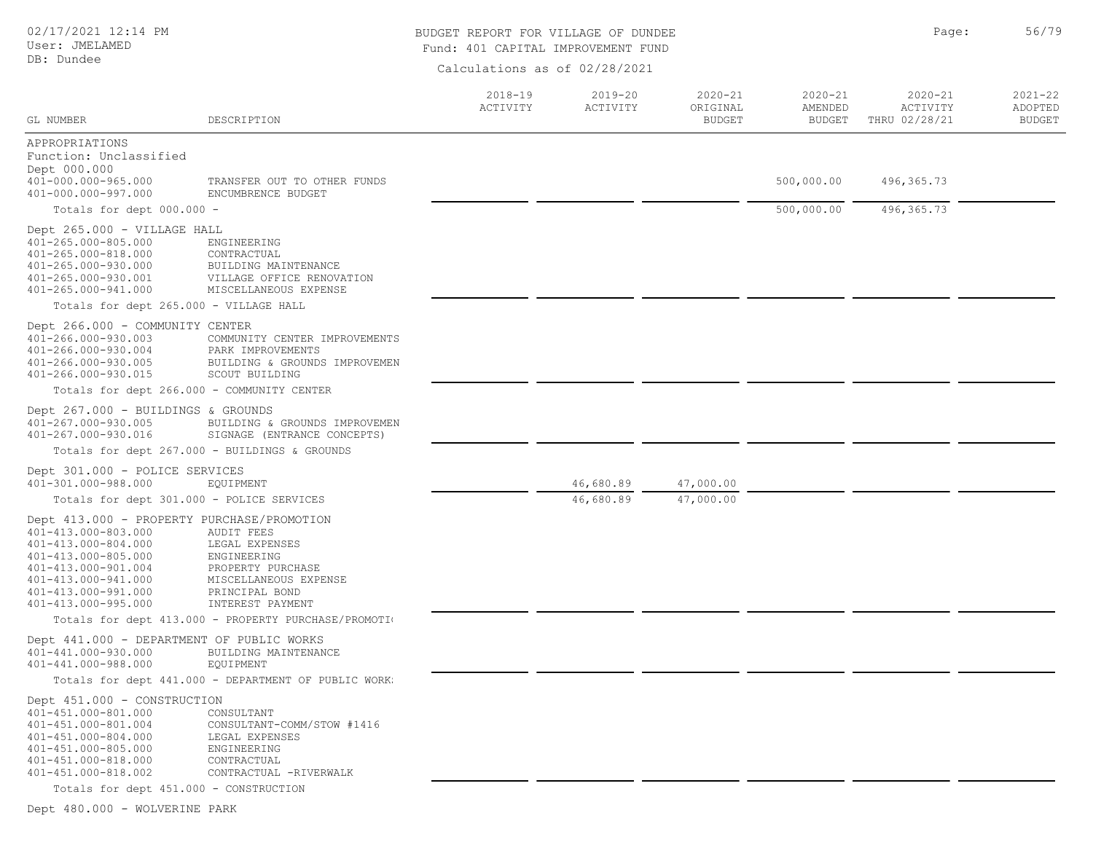#### User: JMELAMED

#### DB: Dundee

# BUDGET REPORT FOR VILLAGE OF DUNDEE **Page:** 56/79 Fund: 401 CAPITAL IMPROVEMENT FUND

Calculations as of 02/28/2021

| GL NUMBER                                                                                                                                                                                                   | DESCRIPTION                                                                                                                            | $2018 - 19$<br>ACTIVITY | $2019 - 20$<br>ACTIVITY | $2020 - 21$<br>ORIGINAL<br><b>BUDGET</b> | $2020 - 21$<br>AMENDED<br><b>BUDGET</b> | $2020 - 21$<br>ACTIVITY<br>THRU 02/28/21 | $2021 - 22$<br>ADOPTED<br><b>BUDGET</b> |
|-------------------------------------------------------------------------------------------------------------------------------------------------------------------------------------------------------------|----------------------------------------------------------------------------------------------------------------------------------------|-------------------------|-------------------------|------------------------------------------|-----------------------------------------|------------------------------------------|-----------------------------------------|
| APPROPRIATIONS<br>Function: Unclassified<br>Dept 000.000<br>401-000.000-965.000                                                                                                                             | TRANSFER OUT TO OTHER FUNDS                                                                                                            |                         |                         |                                          | 500,000.00                              | 496,365.73                               |                                         |
| 401-000.000-997.000                                                                                                                                                                                         | ENCUMBRENCE BUDGET                                                                                                                     |                         |                         |                                          |                                         |                                          |                                         |
| Totals for dept 000.000 -                                                                                                                                                                                   |                                                                                                                                        |                         |                         |                                          | 500,000.00                              | 496, 365.73                              |                                         |
| Dept 265.000 - VILLAGE HALL<br>401-265.000-805.000<br>401-265.000-818.000<br>401-265.000-930.000<br>401-265.000-930.001<br>401-265.000-941.000                                                              | ENGINEERING<br>CONTRACTUAL<br>BUILDING MAINTENANCE<br>VILLAGE OFFICE RENOVATION<br>MISCELLANEOUS EXPENSE                               |                         |                         |                                          |                                         |                                          |                                         |
| Totals for dept 265.000 - VILLAGE HALL                                                                                                                                                                      |                                                                                                                                        |                         |                         |                                          |                                         |                                          |                                         |
| Dept 266.000 - COMMUNITY CENTER<br>401-266.000-930.003<br>401-266.000-930.004<br>401-266.000-930.005<br>401-266.000-930.015                                                                                 | COMMUNITY CENTER IMPROVEMENTS<br>PARK IMPROVEMENTS<br>BUILDING & GROUNDS IMPROVEMEN<br>SCOUT BUILDING                                  |                         |                         |                                          |                                         |                                          |                                         |
| Totals for dept 266.000 - COMMUNITY CENTER                                                                                                                                                                  |                                                                                                                                        |                         |                         |                                          |                                         |                                          |                                         |
| Dept $267.000 - BULDINGS$ & GROUNDS<br>401-267.000-930.005<br>401-267.000-930.016                                                                                                                           | BUILDING & GROUNDS IMPROVEMEN<br>SIGNAGE (ENTRANCE CONCEPTS)                                                                           |                         |                         |                                          |                                         |                                          |                                         |
|                                                                                                                                                                                                             | Totals for dept 267.000 - BUILDINGS & GROUNDS                                                                                          |                         |                         |                                          |                                         |                                          |                                         |
| Dept 301.000 - POLICE SERVICES<br>401-301.000-988.000                                                                                                                                                       | EQUIPMENT                                                                                                                              |                         | 46,680.89               | 47,000.00                                |                                         |                                          |                                         |
| Totals for dept 301.000 - POLICE SERVICES                                                                                                                                                                   |                                                                                                                                        |                         | 46,680.89               | 47,000.00                                |                                         |                                          |                                         |
| Dept 413.000 - PROPERTY PURCHASE/PROMOTION<br>401-413.000-803.000<br>401-413.000-804.000<br>401-413.000-805.000<br>401-413.000-901.004<br>401-413.000-941.000<br>401-413.000-991.000<br>401-413.000-995.000 | <b>AUDIT FEES</b><br>LEGAL EXPENSES<br>ENGINEERING<br>PROPERTY PURCHASE<br>MISCELLANEOUS EXPENSE<br>PRINCIPAL BOND<br>INTEREST PAYMENT |                         |                         |                                          |                                         |                                          |                                         |
|                                                                                                                                                                                                             | Totals for dept 413.000 - PROPERTY PURCHASE/PROMOTIO                                                                                   |                         |                         |                                          |                                         |                                          |                                         |
| Dept 441.000 - DEPARTMENT OF PUBLIC WORKS<br>401-441.000-930.000<br>401-441.000-988.000                                                                                                                     | BUILDING MAINTENANCE<br>EQUIPMENT                                                                                                      |                         |                         |                                          |                                         |                                          |                                         |
|                                                                                                                                                                                                             | Totals for dept 441.000 - DEPARTMENT OF PUBLIC WORK:                                                                                   |                         |                         |                                          |                                         |                                          |                                         |
| Dept 451.000 - CONSTRUCTION<br>401-451.000-801.000<br>401-451.000-801.004<br>401-451.000-804.000<br>401-451.000-805.000<br>401-451.000-818.000<br>401-451.000-818.002                                       | CONSULTANT<br>CONSULTANT-COMM/STOW #1416<br>LEGAL EXPENSES<br>ENGINEERING<br>CONTRACTUAL<br>CONTRACTUAL -RIVERWALK                     |                         |                         |                                          |                                         |                                          |                                         |
| Totals for dept 451.000 - CONSTRUCTION                                                                                                                                                                      |                                                                                                                                        |                         |                         |                                          |                                         |                                          |                                         |

Dept 480.000 - WOLVERINE PARK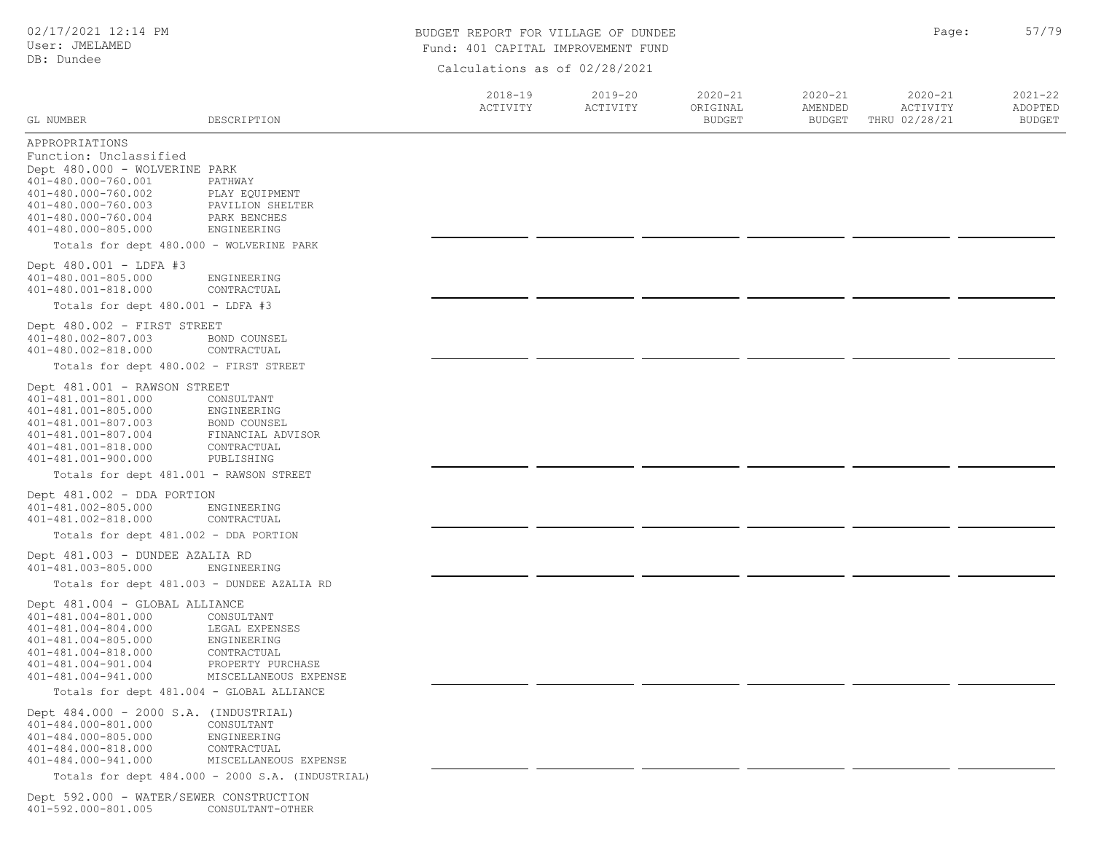### BUDGET REPORT FOR VILLAGE OF DUNDEE **Page:** 57/79 Fund: 401 CAPITAL IMPROVEMENT FUND

|                                                                                                                                                                                              |                                                                                                          | Calculations as Of 02/20/2021 |                         |                                          |                                         |                                          |                                         |
|----------------------------------------------------------------------------------------------------------------------------------------------------------------------------------------------|----------------------------------------------------------------------------------------------------------|-------------------------------|-------------------------|------------------------------------------|-----------------------------------------|------------------------------------------|-----------------------------------------|
| GL NUMBER                                                                                                                                                                                    | DESCRIPTION                                                                                              | $2018 - 19$<br>ACTIVITY       | $2019 - 20$<br>ACTIVITY | $2020 - 21$<br>ORIGINAL<br><b>BUDGET</b> | $2020 - 21$<br>AMENDED<br><b>BUDGET</b> | $2020 - 21$<br>ACTIVITY<br>THRU 02/28/21 | $2021 - 22$<br>ADOPTED<br><b>BUDGET</b> |
| APPROPRIATIONS<br>Function: Unclassified<br>Dept 480.000 - WOLVERINE PARK<br>401-480.000-760.001<br>401-480.000-760.002<br>401-480.000-760.003<br>401-480.000-760.004<br>401-480.000-805.000 | PATHWAY<br>PLAY EQUIPMENT<br>PAVILION SHELTER<br>PARK BENCHES<br>ENGINEERING                             |                               |                         |                                          |                                         |                                          |                                         |
| Totals for dept 480.000 - WOLVERINE PARK                                                                                                                                                     |                                                                                                          |                               |                         |                                          |                                         |                                          |                                         |
| Dept 480.001 - LDFA #3<br>401-480.001-805.000<br>401-480.001-818.000                                                                                                                         | ENGINEERING<br>CONTRACTUAL                                                                               |                               |                         |                                          |                                         |                                          |                                         |
| Totals for dept 480.001 - LDFA #3                                                                                                                                                            |                                                                                                          |                               |                         |                                          |                                         |                                          |                                         |
| Dept 480.002 - FIRST STREET<br>401-480.002-807.003<br>401-480.002-818.000                                                                                                                    | BOND COUNSEL<br>CONTRACTUAL                                                                              |                               |                         |                                          |                                         |                                          |                                         |
| Totals for dept 480.002 - FIRST STREET                                                                                                                                                       |                                                                                                          |                               |                         |                                          |                                         |                                          |                                         |
| Dept 481.001 - RAWSON STREET<br>401-481.001-801.000<br>401-481.001-805.000<br>401-481.001-807.003<br>401-481.001-807.004<br>401-481.001-818.000<br>401-481.001-900.000                       | CONSULTANT<br>ENGINEERING<br>BOND COUNSEL<br>FINANCIAL ADVISOR<br>CONTRACTUAL<br>PUBLISHING              |                               |                         |                                          |                                         |                                          |                                         |
| Totals for dept 481.001 - RAWSON STREET                                                                                                                                                      |                                                                                                          |                               |                         |                                          |                                         |                                          |                                         |
| Dept 481.002 - DDA PORTION<br>401-481.002-805.000<br>401-481.002-818.000                                                                                                                     | ENGINEERING<br>CONTRACTUAL                                                                               |                               |                         |                                          |                                         |                                          |                                         |
| Totals for dept 481.002 - DDA PORTION                                                                                                                                                        |                                                                                                          |                               |                         |                                          |                                         |                                          |                                         |
| Dept 481.003 - DUNDEE AZALIA RD<br>401-481.003-805.000                                                                                                                                       | ENGINEERING                                                                                              |                               |                         |                                          |                                         |                                          |                                         |
|                                                                                                                                                                                              | Totals for dept 481.003 - DUNDEE AZALIA RD                                                               |                               |                         |                                          |                                         |                                          |                                         |
| Dept 481.004 - GLOBAL ALLIANCE<br>401-481.004-801.000<br>401-481.004-804.000<br>401-481.004-805.000<br>401-481.004-818.000<br>401-481.004-901.004<br>401-481.004-941.000                     | CONSULTANT<br>LEGAL EXPENSES<br>ENGINEERING<br>CONTRACTUAL<br>PROPERTY PURCHASE<br>MISCELLANEOUS EXPENSE |                               |                         |                                          |                                         |                                          |                                         |
| Totals for dept 481.004 - GLOBAL ALLIANCE                                                                                                                                                    |                                                                                                          |                               |                         |                                          |                                         |                                          |                                         |
| Dept 484.000 - 2000 S.A. (INDUSTRIAL)<br>401-484.000-801.000<br>401-484.000-805.000<br>401-484.000-818.000<br>401-484.000-941.000                                                            | CONSULTANT<br>ENGINEERING<br>CONTRACTUAL<br>MISCELLANEOUS EXPENSE                                        |                               |                         |                                          |                                         |                                          |                                         |
|                                                                                                                                                                                              | Totals for dept 484.000 - 2000 S.A. (INDUSTRIAL)                                                         |                               |                         |                                          |                                         |                                          |                                         |
| Dept 592.000 - WATER/SEWER CONSTRUCTION<br>401-592.000-801.005                                                                                                                               | CONSULTANT-OTHER                                                                                         |                               |                         |                                          |                                         |                                          |                                         |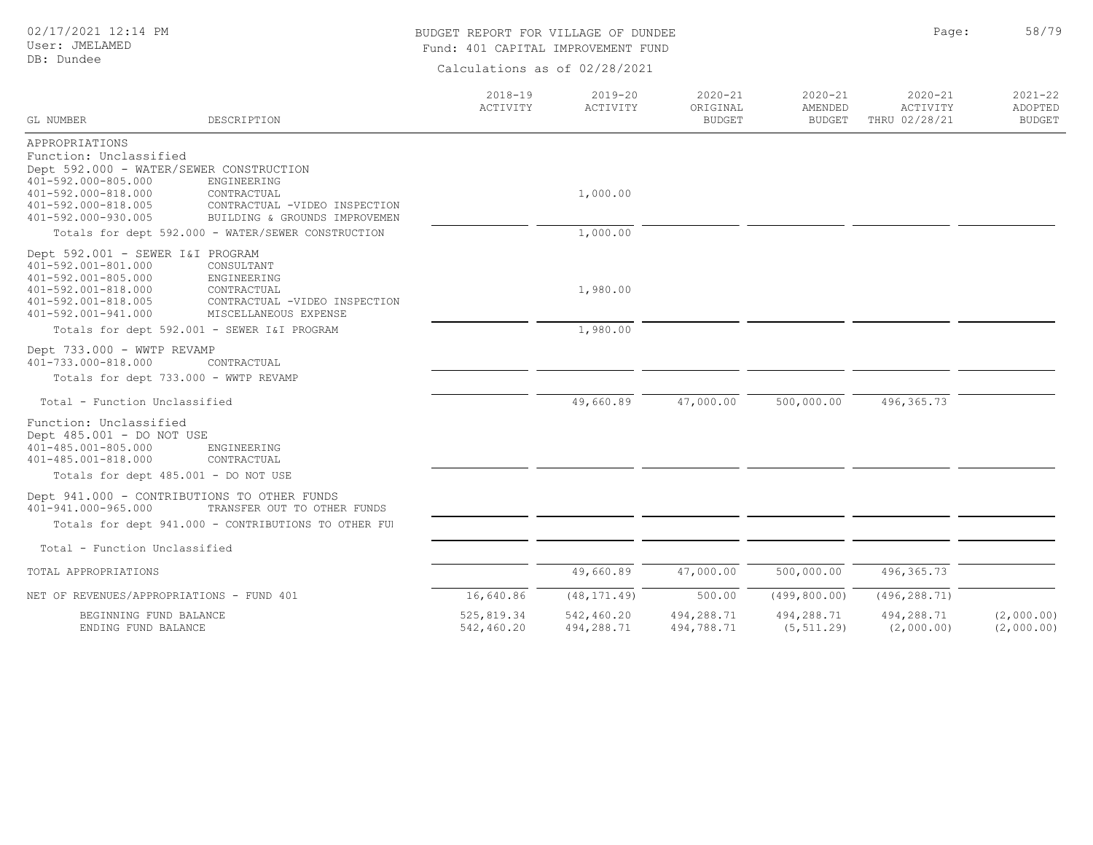### BUDGET REPORT FOR VILLAGE OF DUNDEE **Page:** 58/79 Fund: 401 CAPITAL IMPROVEMENT FUND

| GL NUMBER                                         | DESCRIPTION                                          | $2018 - 19$<br>ACTIVITY | $2019 - 20$<br>ACTIVITY | $2020 - 21$<br>ORIGINAL<br><b>BUDGET</b> | $2020 - 21$<br>AMENDED<br><b>BUDGET</b> | $2020 - 21$<br>ACTIVITY<br>THRU 02/28/21 | $2021 - 22$<br>ADOPTED<br><b>BUDGET</b> |
|---------------------------------------------------|------------------------------------------------------|-------------------------|-------------------------|------------------------------------------|-----------------------------------------|------------------------------------------|-----------------------------------------|
| APPROPRIATIONS<br>Function: Unclassified          |                                                      |                         |                         |                                          |                                         |                                          |                                         |
| Dept 592.000 - WATER/SEWER CONSTRUCTION           |                                                      |                         |                         |                                          |                                         |                                          |                                         |
| 401-592.000-805.000                               | ENGINEERING                                          |                         |                         |                                          |                                         |                                          |                                         |
| 401-592.000-818.000<br>401-592.000-818.005        | CONTRACTUAL<br>CONTRACTUAL -VIDEO INSPECTION         |                         | 1,000.00                |                                          |                                         |                                          |                                         |
| 401-592.000-930.005                               | BUILDING & GROUNDS IMPROVEMEN                        |                         |                         |                                          |                                         |                                          |                                         |
|                                                   | Totals for dept 592.000 - WATER/SEWER CONSTRUCTION   |                         | 1,000.00                |                                          |                                         |                                          |                                         |
| Dept 592.001 - SEWER I&I PROGRAM                  |                                                      |                         |                         |                                          |                                         |                                          |                                         |
| 401-592.001-801.000                               | CONSULTANT                                           |                         |                         |                                          |                                         |                                          |                                         |
| 401-592.001-805.000<br>401-592.001-818.000        | ENGINEERING<br>CONTRACTUAL                           |                         | 1,980.00                |                                          |                                         |                                          |                                         |
| 401-592.001-818.005                               | CONTRACTUAL -VIDEO INSPECTION                        |                         |                         |                                          |                                         |                                          |                                         |
| 401-592.001-941.000                               | MISCELLANEOUS EXPENSE                                |                         |                         |                                          |                                         |                                          |                                         |
|                                                   | Totals for dept 592.001 - SEWER I&I PROGRAM          |                         | 1,980.00                |                                          |                                         |                                          |                                         |
| Dept 733.000 - WWTP REVAMP<br>401-733.000-818.000 |                                                      |                         |                         |                                          |                                         |                                          |                                         |
|                                                   | CONTRACTUAL<br>Totals for dept 733.000 - WWTP REVAMP |                         |                         |                                          |                                         |                                          |                                         |
|                                                   |                                                      |                         |                         |                                          |                                         |                                          |                                         |
| Total - Function Unclassified                     |                                                      |                         | 49,660.89               | 47,000.00                                | 500,000.00                              | 496, 365.73                              |                                         |
| Function: Unclassified                            |                                                      |                         |                         |                                          |                                         |                                          |                                         |
| Dept 485.001 - DO NOT USE                         |                                                      |                         |                         |                                          |                                         |                                          |                                         |
| 401-485.001-805.000<br>401-485.001-818.000        | ENGINEERING<br>CONTRACTUAL                           |                         |                         |                                          |                                         |                                          |                                         |
| Totals for dept 485.001 - DO NOT USE              |                                                      |                         |                         |                                          |                                         |                                          |                                         |
|                                                   | Dept 941.000 - CONTRIBUTIONS TO OTHER FUNDS          |                         |                         |                                          |                                         |                                          |                                         |
| 401-941.000-965.000                               | TRANSFER OUT TO OTHER FUNDS                          |                         |                         |                                          |                                         |                                          |                                         |
|                                                   | Totals for dept 941.000 - CONTRIBUTIONS TO OTHER FUI |                         |                         |                                          |                                         |                                          |                                         |
| Total - Function Unclassified                     |                                                      |                         |                         |                                          |                                         |                                          |                                         |
| TOTAL APPROPRIATIONS                              |                                                      |                         | 49,660.89               | 47,000.00                                | 500,000.00                              | 496, 365.73                              |                                         |
| NET OF REVENUES/APPROPRIATIONS - FUND 401         |                                                      | 16,640.86               | (48, 171.49)            | 500.00                                   | (499, 800.00)                           | (496, 288.71)                            |                                         |
| BEGINNING FUND BALANCE                            |                                                      | 525,819.34              | 542,460.20              | 494,288.71                               | 494,288.71                              | 494,288.71                               | (2,000.00)                              |
| ENDING FUND BALANCE                               |                                                      | 542,460.20              | 494,288.71              | 494,788.71                               | (5, 511.29)                             | (2,000.00)                               | (2,000.00)                              |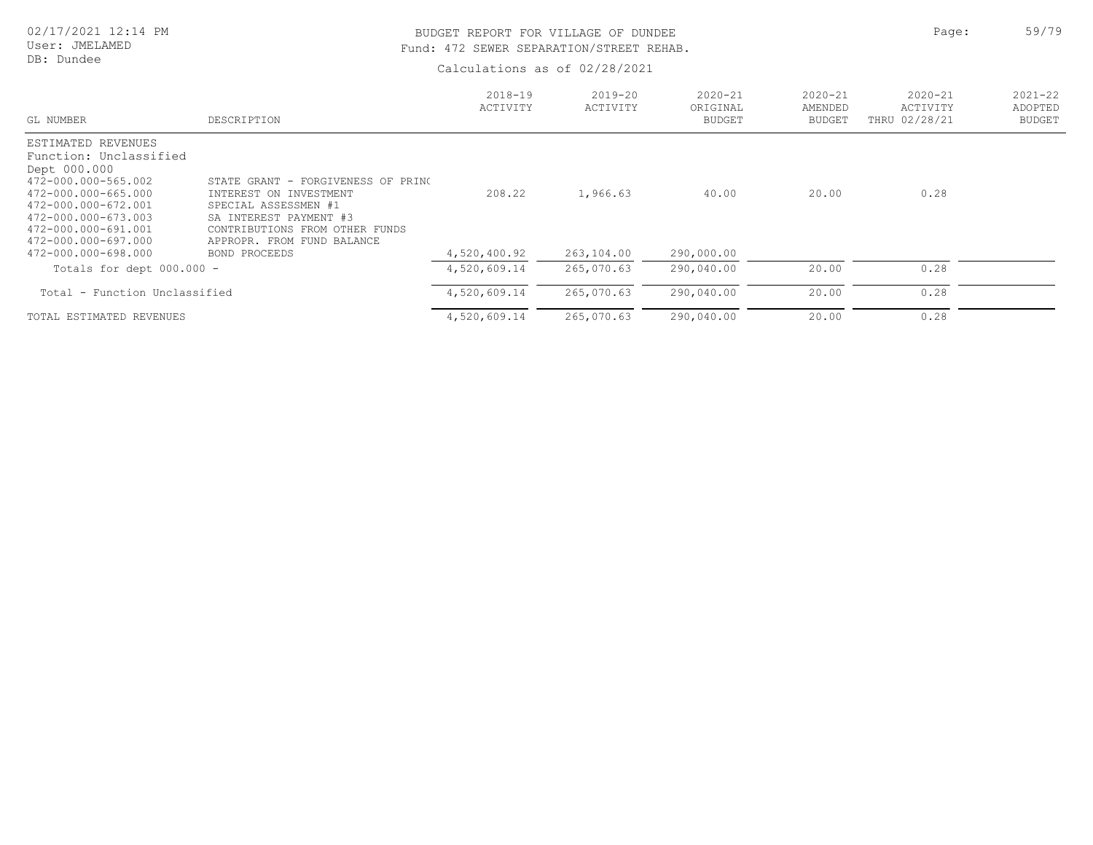# BUDGET REPORT FOR VILLAGE OF DUNDEE **Page:** 59/79 Fund: 472 SEWER SEPARATION/STREET REHAB.

| GL NUMBER                                                                                                                                                                                              | DESCRIPTION                                                                                                                                                                    | $2018 - 19$<br>ACTIVITY | $2019 - 20$<br>ACTIVITY | $2020 - 21$<br>ORIGINAL<br><b>BUDGET</b> | $2020 - 21$<br>AMENDED<br>BUDGET | $2020 - 21$<br>ACTIVITY<br>THRU 02/28/21 | $2021 - 22$<br>ADOPTED<br><b>BUDGET</b> |
|--------------------------------------------------------------------------------------------------------------------------------------------------------------------------------------------------------|--------------------------------------------------------------------------------------------------------------------------------------------------------------------------------|-------------------------|-------------------------|------------------------------------------|----------------------------------|------------------------------------------|-----------------------------------------|
| ESTIMATED REVENUES<br>Function: Unclassified<br>Dept 000.000<br>472-000.000-565.002<br>472-000.000-665.000<br>472-000.000-672.001<br>472-000.000-673.003<br>472-000.000-691.001<br>472-000.000-697.000 | STATE GRANT - FORGIVENESS OF PRINC<br>INTEREST ON INVESTMENT<br>SPECIAL ASSESSMEN #1<br>SA INTEREST PAYMENT #3<br>CONTRIBUTIONS FROM OTHER FUNDS<br>APPROPR. FROM FUND BALANCE | 208.22                  | 1,966.63                | 40.00                                    | 20.00                            | 0.28                                     |                                         |
| 472-000.000-698.000                                                                                                                                                                                    | BOND PROCEEDS                                                                                                                                                                  | 4,520,400.92            | 263,104.00              | 290,000.00                               |                                  |                                          |                                         |
| Totals for dept $000.000 -$                                                                                                                                                                            |                                                                                                                                                                                | 4,520,609.14            | 265,070.63              | 290,040.00                               | 20.00                            | 0.28                                     |                                         |
| Total - Function Unclassified                                                                                                                                                                          |                                                                                                                                                                                | 4,520,609.14            | 265,070.63              | 290,040.00                               | 20.00                            | 0.28                                     |                                         |
| TOTAL ESTIMATED REVENUES                                                                                                                                                                               |                                                                                                                                                                                | 4,520,609.14            | 265,070.63              | 290,040.00                               | 20.00                            | 0.28                                     |                                         |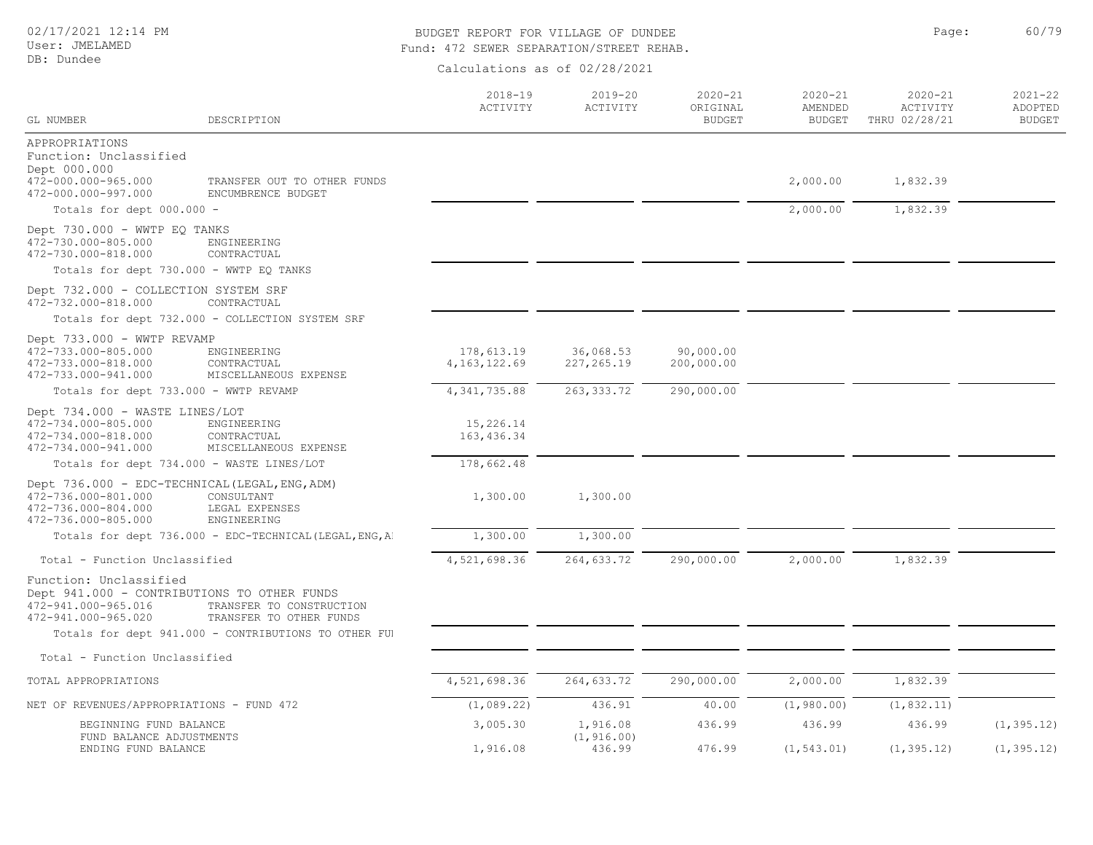# User: JMELAMED

#### DB: Dundee

# BUDGET REPORT FOR VILLAGE OF DUNDEE **Page:** 960/79 Fund: 472 SEWER SEPARATION/STREET REHAB.

| GL NUMBER                                                                                                           | DESCRIPTION                                             | $2018 - 19$<br>ACTIVITY      | $2019 - 20$<br>ACTIVITY  | $2020 - 21$<br>ORIGINAL<br><b>BUDGET</b> | 2020-21<br>AMENDED<br><b>BUDGET</b> | $2020 - 21$<br>ACTIVITY<br>THRU 02/28/21 | $2021 - 22$<br>ADOPTED<br><b>BUDGET</b> |
|---------------------------------------------------------------------------------------------------------------------|---------------------------------------------------------|------------------------------|--------------------------|------------------------------------------|-------------------------------------|------------------------------------------|-----------------------------------------|
|                                                                                                                     |                                                         |                              |                          |                                          |                                     |                                          |                                         |
| APPROPRIATIONS<br>Function: Unclassified<br>Dept 000.000                                                            |                                                         |                              |                          |                                          |                                     |                                          |                                         |
| 472-000.000-965.000<br>472-000.000-997.000                                                                          | TRANSFER OUT TO OTHER FUNDS<br>ENCUMBRENCE BUDGET       |                              |                          |                                          | 2,000.00                            | 1,832.39                                 |                                         |
| Totals for dept 000.000 -                                                                                           |                                                         |                              |                          |                                          | 2,000.00                            | 1,832.39                                 |                                         |
| Dept 730.000 - WWTP EQ TANKS<br>472-730.000-805.000<br>472-730.000-818.000                                          | ENGINEERING<br>CONTRACTUAL                              |                              |                          |                                          |                                     |                                          |                                         |
| Totals for dept 730.000 - WWTP EQ TANKS                                                                             |                                                         |                              |                          |                                          |                                     |                                          |                                         |
| Dept 732.000 - COLLECTION SYSTEM SRF<br>472-732.000-818.000                                                         | CONTRACTUAL                                             |                              |                          |                                          |                                     |                                          |                                         |
|                                                                                                                     | Totals for dept 732.000 - COLLECTION SYSTEM SRF         |                              |                          |                                          |                                     |                                          |                                         |
| Dept 733.000 - WWTP REVAMP<br>472-733.000-805.000<br>472-733.000-818.000<br>472-733.000-941.000                     | ENGINEERING<br>CONTRACTUAL<br>MISCELLANEOUS EXPENSE     | 178,613.19<br>4, 163, 122.69 | 36,068.53<br>227, 265.19 | 90,000.00<br>200,000.00                  |                                     |                                          |                                         |
| Totals for dept 733.000 - WWTP REVAMP                                                                               |                                                         | 4, 341, 735.88               | 263, 333.72              | 290,000.00                               |                                     |                                          |                                         |
| Dept 734.000 - WASTE LINES/LOT<br>472-734.000-805.000<br>472-734.000-818.000<br>472-734.000-941.000                 | ENGINEERING<br>CONTRACTUAL<br>MISCELLANEOUS EXPENSE     | 15,226.14<br>163, 436.34     |                          |                                          |                                     |                                          |                                         |
|                                                                                                                     | Totals for dept 734.000 - WASTE LINES/LOT               | 178,662.48                   |                          |                                          |                                     |                                          |                                         |
| Dept 736.000 - EDC-TECHNICAL (LEGAL, ENG, ADM)<br>472-736.000-801.000<br>472-736.000-804.000<br>472-736.000-805.000 | CONSULTANT<br>LEGAL EXPENSES<br>ENGINEERING             | 1,300.00                     | 1,300.00                 |                                          |                                     |                                          |                                         |
|                                                                                                                     | Totals for dept 736.000 - EDC-TECHNICAL (LEGAL, ENG, A) | 1,300.00                     | 1,300.00                 |                                          |                                     |                                          |                                         |
| Total - Function Unclassified                                                                                       |                                                         | 4,521,698.36                 | 264,633.72               | 290,000.00                               | 2,000.00                            | 1,832.39                                 |                                         |
| Function: Unclassified<br>Dept 941.000 - CONTRIBUTIONS TO OTHER FUNDS<br>472-941.000-965.016<br>472-941.000-965.020 | TRANSFER TO CONSTRUCTION<br>TRANSFER TO OTHER FUNDS     |                              |                          |                                          |                                     |                                          |                                         |
|                                                                                                                     | Totals for dept 941.000 - CONTRIBUTIONS TO OTHER FUI    |                              |                          |                                          |                                     |                                          |                                         |
| Total - Function Unclassified                                                                                       |                                                         |                              |                          |                                          |                                     |                                          |                                         |
| TOTAL APPROPRIATIONS                                                                                                |                                                         | 4,521,698.36                 | 264,633.72               | 290,000.00                               | 2,000.00                            | 1,832.39                                 |                                         |
| NET OF REVENUES/APPROPRIATIONS - FUND 472                                                                           |                                                         | (1,089.22)                   | 436.91                   | 40.00                                    | (1, 980.00)                         | (1, 832.11)                              |                                         |
| BEGINNING FUND BALANCE<br>FUND BALANCE ADJUSTMENTS                                                                  |                                                         | 3,005.30                     | 1,916.08<br>(1, 916.00)  | 436.99                                   | 436.99                              | 436.99                                   | (1, 395.12)                             |
| ENDING FUND BALANCE                                                                                                 |                                                         | 1,916.08                     | 436.99                   | 476.99                                   | (1, 543.01)                         | (1, 395.12)                              | (1, 395.12)                             |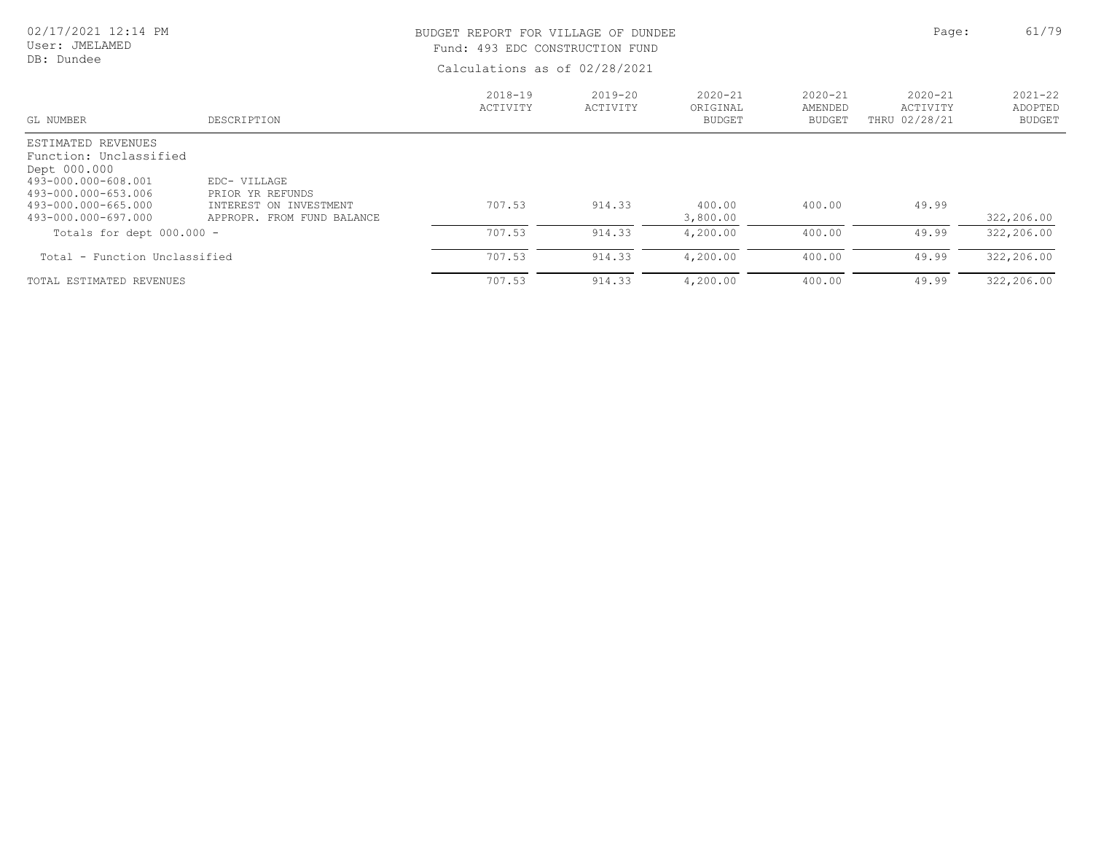#### 02/17/2021 12:14 PM User: JMELAMED BUDGET REPORT FOR VILLAGE OF DUNDEE **Page:** 61/79

DB: Dundee

# Fund: 493 EDC CONSTRUCTION FUND

| GL NUMBER                                                                                                                                                | DESCRIPTION                                                                              | $2018 - 19$<br>ACTIVITY | 2019-20<br>ACTIVITY | $2020 - 21$<br>ORIGINAL<br><b>BUDGET</b> | $2020 - 21$<br>AMENDED<br><b>BUDGET</b> | $2020 - 21$<br>ACTIVITY<br>THRU 02/28/21 | $2021 - 22$<br>ADOPTED<br><b>BUDGET</b> |
|----------------------------------------------------------------------------------------------------------------------------------------------------------|------------------------------------------------------------------------------------------|-------------------------|---------------------|------------------------------------------|-----------------------------------------|------------------------------------------|-----------------------------------------|
| ESTIMATED REVENUES<br>Function: Unclassified<br>Dept 000.000<br>493-000.000-608.001<br>493-000.000-653.006<br>493-000.000-665.000<br>493-000.000-697.000 | EDC- VILLAGE<br>PRIOR YR REFUNDS<br>INTEREST ON INVESTMENT<br>APPROPR. FROM FUND BALANCE | 707.53                  | 914.33              | 400.00<br>3,800.00                       | 400.00                                  | 49.99                                    | 322,206.00                              |
| Totals for dept $000.000 -$                                                                                                                              |                                                                                          | 707.53                  | 914.33              | 4,200.00                                 | 400.00                                  | 49.99                                    | 322,206.00                              |
| Total - Function Unclassified                                                                                                                            |                                                                                          | 707.53                  | 914.33              | 4,200.00                                 | 400.00                                  | 49.99                                    | 322,206.00                              |
| TOTAL ESTIMATED REVENUES                                                                                                                                 |                                                                                          | 707.53                  | 914.33              | 4,200.00                                 | 400.00                                  | 49.99                                    | 322,206.00                              |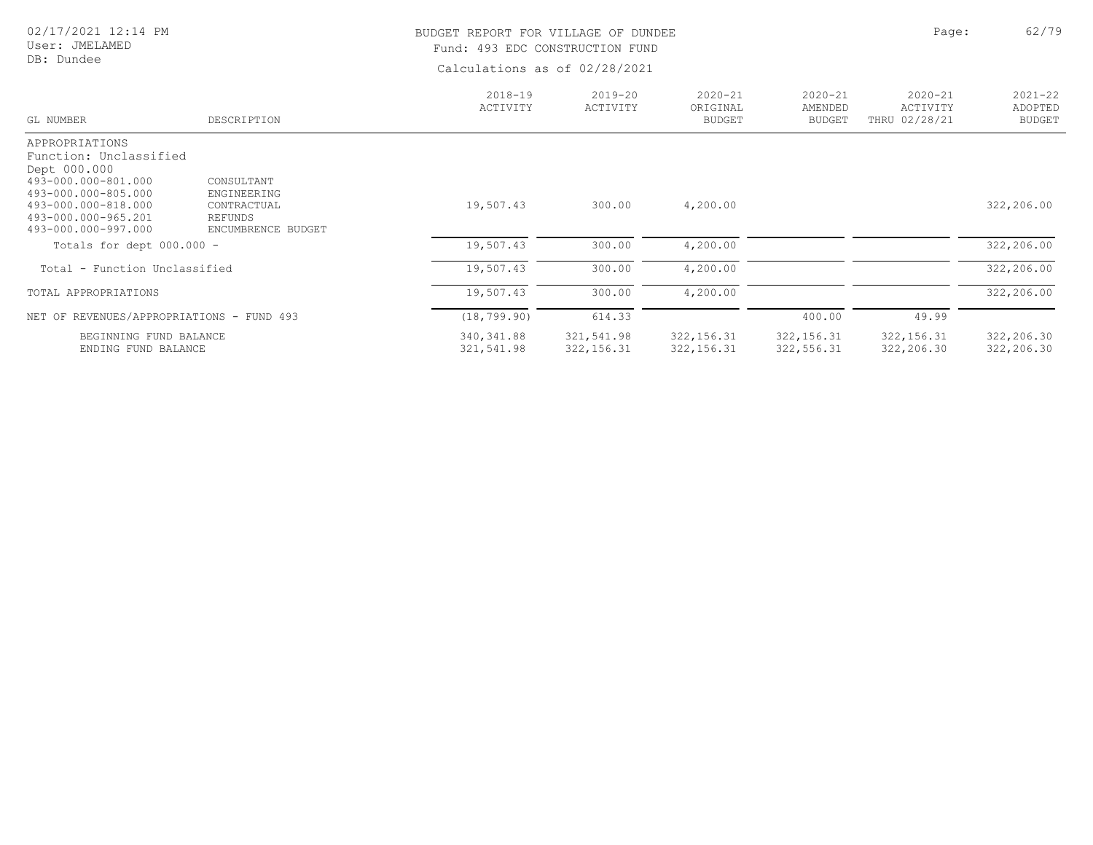#### User: JMELAMED DB: Dundee

# BUDGET REPORT FOR VILLAGE OF DUNDEE **Page:** 62/79 Fund: 493 EDC CONSTRUCTION FUND

| GL NUMBER                                  | DESCRIPTION                | $2018 - 19$<br>ACTIVITY | $2019 - 20$<br>ACTIVITY | $2020 - 21$<br>ORIGINAL<br><b>BUDGET</b> | $2020 - 21$<br>AMENDED<br><b>BUDGET</b> | $2020 - 21$<br>ACTIVITY<br>THRU 02/28/21 | $2021 - 22$<br>ADOPTED<br><b>BUDGET</b> |
|--------------------------------------------|----------------------------|-------------------------|-------------------------|------------------------------------------|-----------------------------------------|------------------------------------------|-----------------------------------------|
| APPROPRIATIONS                             |                            |                         |                         |                                          |                                         |                                          |                                         |
| Function: Unclassified                     |                            |                         |                         |                                          |                                         |                                          |                                         |
| Dept 000.000                               |                            |                         |                         |                                          |                                         |                                          |                                         |
| 493-000.000-801.000                        | CONSULTANT                 |                         |                         |                                          |                                         |                                          |                                         |
| 493-000.000-805.000<br>493-000.000-818.000 | ENGINEERING<br>CONTRACTUAL | 19,507.43               | 300.00                  | 4,200.00                                 |                                         |                                          | 322,206.00                              |
| 493-000.000-965.201                        | REFUNDS                    |                         |                         |                                          |                                         |                                          |                                         |
| 493-000.000-997.000                        | ENCUMBRENCE BUDGET         |                         |                         |                                          |                                         |                                          |                                         |
| Totals for dept $000.000 -$                |                            | 19,507.43               | 300.00                  | 4,200.00                                 |                                         |                                          | 322,206.00                              |
| Total - Function Unclassified              |                            | 19,507.43               | 300.00                  | 4,200.00                                 |                                         |                                          | 322,206.00                              |
| TOTAL APPROPRIATIONS                       |                            | 19,507.43               | 300.00                  | 4,200.00                                 |                                         |                                          | 322,206.00                              |
| NET OF REVENUES/APPROPRIATIONS - FUND 493  |                            | (18, 799, 90)           | 614.33                  |                                          | 400.00                                  | 49.99                                    |                                         |
| BEGINNING FUND BALANCE                     |                            | 340,341.88              | 321,541.98              | 322, 156.31                              | 322, 156.31                             | 322, 156.31                              | 322,206.30                              |
| ENDING FUND BALANCE                        |                            | 321,541.98              | 322, 156.31             | 322, 156.31                              | 322, 556.31                             | 322,206.30                               | 322,206.30                              |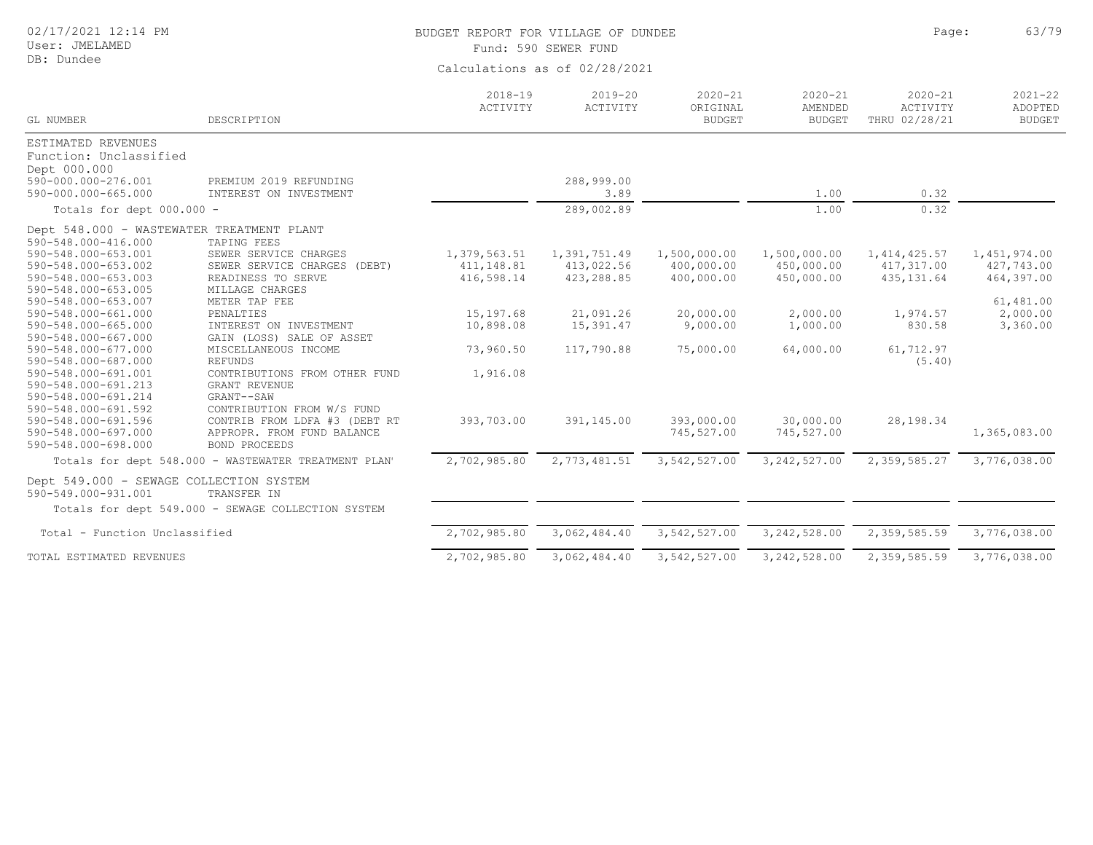| 02/17/2021 12:14 PM |  |  |  |
|---------------------|--|--|--|
|---------------------|--|--|--|

#### User: JMELAMED

DB: Dundee

# BUDGET REPORT FOR VILLAGE OF DUNDEE **For a set of the set of the set of the set of the set of the set of the set of the set of the set of the set of the set of the set of the set of the set of the set of the set of the set**

Fund: 590 SEWER FUND

| GL NUMBER                                                      | DESCRIPTION                                          | $2018 - 19$<br>ACTIVITY | $2019 - 20$<br>ACTIVITY | $2020 - 21$<br>ORIGINAL<br><b>BUDGET</b> | $2020 - 21$<br>AMENDED<br><b>BUDGET</b> | $2020 - 21$<br>ACTIVITY<br>THRU 02/28/21 | $2021 - 22$<br>ADOPTED<br><b>BUDGET</b> |
|----------------------------------------------------------------|------------------------------------------------------|-------------------------|-------------------------|------------------------------------------|-----------------------------------------|------------------------------------------|-----------------------------------------|
| ESTIMATED REVENUES                                             |                                                      |                         |                         |                                          |                                         |                                          |                                         |
| Function: Unclassified                                         |                                                      |                         |                         |                                          |                                         |                                          |                                         |
| Dept 000.000                                                   |                                                      |                         |                         |                                          |                                         |                                          |                                         |
| 590-000.000-276.001                                            | PREMIUM 2019 REFUNDING                               |                         | 288,999.00              |                                          |                                         |                                          |                                         |
| 590-000.000-665.000                                            | INTEREST ON INVESTMENT                               |                         | 3.89                    |                                          | 1.00                                    | 0.32                                     |                                         |
| Totals for dept 000.000 -                                      |                                                      |                         | 289,002.89              |                                          | 1.00                                    | 0.32                                     |                                         |
| Dept 548.000 - WASTEWATER TREATMENT PLANT                      |                                                      |                         |                         |                                          |                                         |                                          |                                         |
| 590-548.000-416.000                                            | TAPING FEES                                          |                         |                         |                                          |                                         |                                          |                                         |
| 590-548.000-653.001                                            | SEWER SERVICE CHARGES                                | 1,379,563.51            | 1,391,751.49            | 1,500,000.00                             | 1,500,000.00                            | 1, 414, 425.57                           | 1,451,974.00                            |
| 590-548.000-653.002                                            | SEWER SERVICE CHARGES (DEBT)                         | 411,148.81              | 413,022.56              | 400,000.00                               | 450,000.00                              | 417,317.00                               | 427,743.00                              |
| 590-548.000-653.003                                            | READINESS TO SERVE                                   | 416,598.14              | 423,288.85              | 400,000.00                               | 450,000.00                              | 435, 131.64                              | 464,397.00                              |
| 590-548.000-653.005                                            | MILLAGE CHARGES                                      |                         |                         |                                          |                                         |                                          |                                         |
| 590-548.000-653.007                                            | METER TAP FEE                                        |                         |                         |                                          |                                         |                                          | 61,481.00                               |
| 590-548.000-661.000                                            | PENALTIES                                            | 15,197.68               | 21,091.26               | 20,000.00                                | 2,000.00                                | 1,974.57                                 | 2,000.00                                |
| 590-548.000-665.000                                            | INTEREST ON INVESTMENT                               | 10,898.08               | 15,391.47               | 9,000.00                                 | 1,000.00                                | 830.58                                   | 3,360.00                                |
| 590-548.000-667.000                                            | GAIN (LOSS) SALE OF ASSET                            |                         |                         |                                          |                                         |                                          |                                         |
| 590-548.000-677.000                                            | MISCELLANEOUS INCOME                                 | 73,960.50               | 117,790.88              | 75,000.00                                | 64,000.00                               | 61,712.97                                |                                         |
| 590-548.000-687.000                                            | <b>REFUNDS</b>                                       |                         |                         |                                          |                                         | (5.40)                                   |                                         |
| 590-548.000-691.001                                            | CONTRIBUTIONS FROM OTHER FUND                        | 1,916.08                |                         |                                          |                                         |                                          |                                         |
| 590-548.000-691.213                                            | GRANT REVENUE                                        |                         |                         |                                          |                                         |                                          |                                         |
| 590-548.000-691.214                                            | GRANT--SAW                                           |                         |                         |                                          |                                         |                                          |                                         |
| 590-548.000-691.592                                            | CONTRIBUTION FROM W/S FUND                           |                         |                         |                                          |                                         |                                          |                                         |
| 590-548.000-691.596                                            | CONTRIB FROM LDFA #3 (DEBT RT                        | 393,703.00              | 391,145.00              | 393,000.00                               | 30,000.00                               | 28,198.34                                |                                         |
| 590-548.000-697.000                                            | APPROPR. FROM FUND BALANCE                           |                         |                         | 745,527.00                               | 745,527.00                              |                                          | 1,365,083.00                            |
| 590-548.000-698.000                                            | <b>BOND PROCEEDS</b>                                 |                         |                         |                                          |                                         |                                          |                                         |
|                                                                | Totals for dept 548.000 - WASTEWATER TREATMENT PLAN' | 2,702,985.80            | 2,773,481.51            | 3,542,527.00                             | 3, 242, 527.00                          | 2,359,585.27                             | 3,776,038.00                            |
| Dept 549.000 - SEWAGE COLLECTION SYSTEM<br>590-549.000-931.001 | TRANSFER IN                                          |                         |                         |                                          |                                         |                                          |                                         |
|                                                                | Totals for dept 549.000 - SEWAGE COLLECTION SYSTEM   |                         |                         |                                          |                                         |                                          |                                         |
|                                                                |                                                      |                         |                         |                                          |                                         |                                          |                                         |
| Total - Function Unclassified                                  |                                                      | 2,702,985.80            | 3,062,484.40            | 3,542,527.00                             | 3, 242, 528.00                          | 2,359,585.59                             | 3,776,038.00                            |
| TOTAL ESTIMATED REVENUES                                       |                                                      | 2,702,985.80            | 3,062,484.40            | 3,542,527.00                             | 3, 242, 528.00                          | 2,359,585.59                             | 3,776,038.00                            |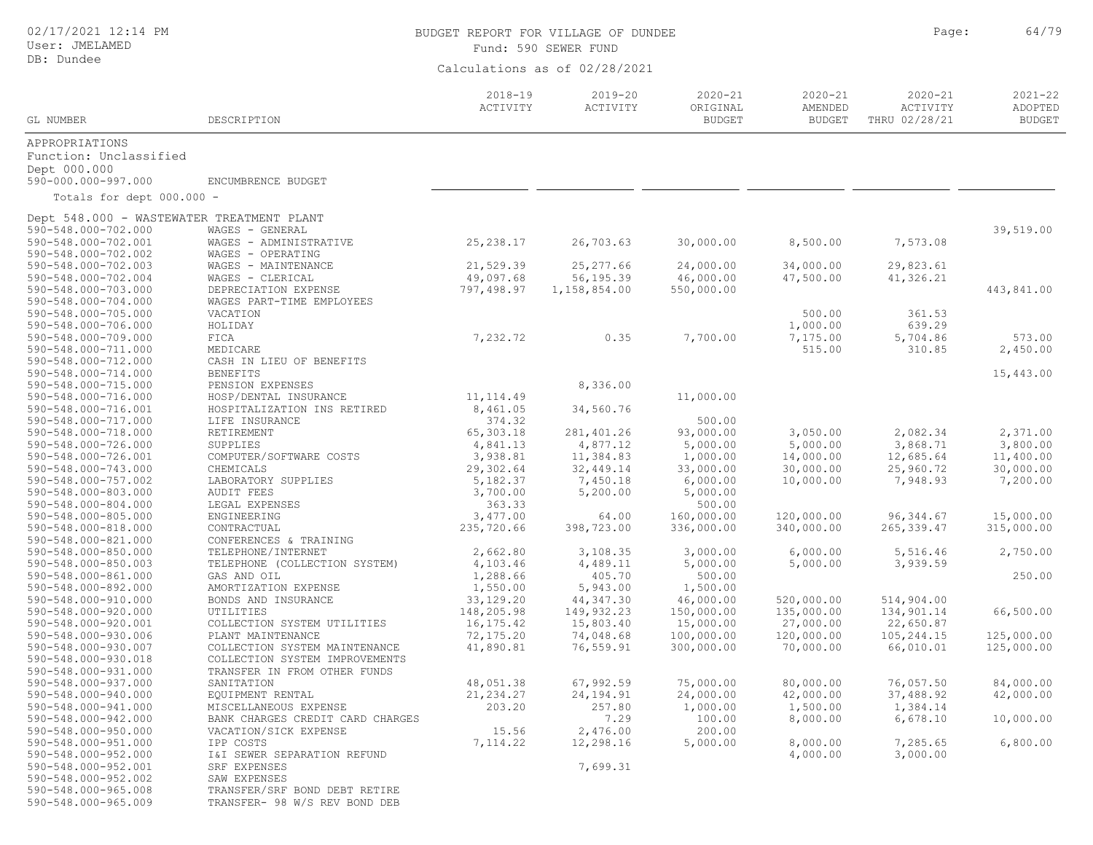User: JMELAMED DB: Dundee

# BUDGET REPORT FOR VILLAGE OF DUNDEE **Page:** 64/79

Fund: 590 SEWER FUND

| GL NUMBER                                 | DESCRIPTION                      | $2018 - 19$<br>ACTIVITY | $2019 - 20$<br>ACTIVITY | $2020 - 21$<br>ORIGINAL<br><b>BUDGET</b> | $2020 - 21$<br>AMENDED<br><b>BUDGET</b> | $2020 - 21$<br>ACTIVITY<br>THRU 02/28/21 | $2021 - 22$<br>ADOPTED<br><b>BUDGET</b> |
|-------------------------------------------|----------------------------------|-------------------------|-------------------------|------------------------------------------|-----------------------------------------|------------------------------------------|-----------------------------------------|
|                                           |                                  |                         |                         |                                          |                                         |                                          |                                         |
| APPROPRIATIONS<br>Function: Unclassified  |                                  |                         |                         |                                          |                                         |                                          |                                         |
| Dept 000.000                              |                                  |                         |                         |                                          |                                         |                                          |                                         |
| 590-000.000-997.000                       | ENCUMBRENCE BUDGET               |                         |                         |                                          |                                         |                                          |                                         |
| Totals for dept 000.000 -                 |                                  |                         |                         |                                          |                                         |                                          |                                         |
| Dept 548.000 - WASTEWATER TREATMENT PLANT |                                  |                         |                         |                                          |                                         |                                          |                                         |
| 590-548.000-702.000                       | WAGES - GENERAL                  |                         |                         |                                          |                                         |                                          | 39,519.00                               |
| 590-548.000-702.001                       | WAGES - ADMINISTRATIVE           | 25, 238.17              | 26,703.63               | 30,000.00                                | 8,500.00                                | 7,573.08                                 |                                         |
| 590-548.000-702.002                       | WAGES - OPERATING                |                         |                         |                                          |                                         |                                          |                                         |
| 590-548.000-702.003                       | WAGES - MAINTENANCE              | 21,529.39               | 25, 277.66              | 24,000.00                                | 34,000.00                               | 29,823.61                                |                                         |
| 590-548.000-702.004                       | WAGES - CLERICAL                 | 49,097.68               | 56, 195.39              | 46,000.00                                | 47,500.00                               | 41,326.21                                |                                         |
| 590-548.000-703.000                       | DEPRECIATION EXPENSE             | 797,498.97              | 1,158,854.00            | 550,000.00                               |                                         |                                          | 443,841.00                              |
| 590-548.000-704.000                       | WAGES PART-TIME EMPLOYEES        |                         |                         |                                          |                                         |                                          |                                         |
| 590-548.000-705.000                       | VACATION                         |                         |                         |                                          | 500.00                                  | 361.53                                   |                                         |
| 590-548.000-706.000                       | HOLIDAY                          |                         |                         |                                          | 1,000.00                                | 639.29                                   |                                         |
| 590-548.000-709.000                       | FICA                             | 7,232.72                | 0.35                    | 7,700.00                                 | 7,175.00                                | 5,704.86                                 | 573.00                                  |
| 590-548.000-711.000                       | MEDICARE                         |                         |                         |                                          | 515.00                                  | 310.85                                   | 2,450.00                                |
| 590-548.000-712.000                       | CASH IN LIEU OF BENEFITS         |                         |                         |                                          |                                         |                                          |                                         |
| 590-548.000-714.000                       | <b>BENEFITS</b>                  |                         |                         |                                          |                                         |                                          | 15,443.00                               |
| 590-548.000-715.000                       | PENSION EXPENSES                 |                         | 8,336.00                |                                          |                                         |                                          |                                         |
| 590-548.000-716.000                       | HOSP/DENTAL INSURANCE            | 11, 114.49              |                         | 11,000.00                                |                                         |                                          |                                         |
| 590-548.000-716.001                       | HOSPITALIZATION INS RETIRED      | 8,461.05                | 34,560.76               |                                          |                                         |                                          |                                         |
| 590-548.000-717.000                       | LIFE INSURANCE                   | 374.32                  |                         | 500.00                                   |                                         |                                          |                                         |
| 590-548.000-718.000                       | RETIREMENT                       | 65,303.18               | 281,401.26              | 93,000.00                                | 3,050.00                                | 2,082.34                                 | 2,371.00                                |
| 590-548.000-726.000                       | SUPPLIES                         | 4,841.13                | 4,877.12                | 5,000.00                                 | 5,000.00                                | 3,868.71                                 | 3,800.00                                |
| 590-548.000-726.001                       | COMPUTER/SOFTWARE COSTS          | 3,938.81                | 11,384.83               | 1,000.00                                 | 14,000.00                               | 12,685.64                                | 11,400.00                               |
| 590-548.000-743.000                       | CHEMICALS                        | 29,302.64               | 32,449.14               | 33,000.00                                | 30,000.00                               | 25,960.72                                | 30,000.00                               |
| 590-548.000-757.002                       | LABORATORY SUPPLIES              | 5,182.37                | 7,450.18                | 6,000.00                                 | 10,000.00                               | 7,948.93                                 | 7,200.00                                |
| 590-548.000-803.000                       | <b>AUDIT FEES</b>                | 3,700.00                | 5,200.00                | 5,000.00                                 |                                         |                                          |                                         |
| 590-548.000-804.000                       | LEGAL EXPENSES                   | 363.33                  |                         | 500.00                                   |                                         |                                          |                                         |
| 590-548.000-805.000                       | ENGINEERING                      | 3,477.00                | 64.00                   | 160,000.00                               | 120,000.00                              | 96, 344.67                               | 15,000.00                               |
| 590-548.000-818.000                       | CONTRACTUAL                      | 235,720.66              | 398,723.00              | 336,000.00                               | 340,000.00                              | 265, 339.47                              | 315,000.00                              |
| 590-548.000-821.000                       | CONFERENCES & TRAINING           |                         |                         |                                          |                                         |                                          |                                         |
| 590-548.000-850.000                       | TELEPHONE/INTERNET               | 2,662.80                | 3,108.35                | 3,000.00                                 | 6,000.00                                | 5,516.46                                 | 2,750.00                                |
| 590-548.000-850.003                       | TELEPHONE (COLLECTION SYSTEM)    | 4,103.46                | 4,489.11                | 5,000.00                                 | 5,000.00                                | 3,939.59                                 |                                         |
| 590-548.000-861.000                       | GAS AND OIL                      | 1,288.66                | 405.70                  | 500.00                                   |                                         |                                          | 250.00                                  |
| 590-548.000-892.000                       | AMORTIZATION EXPENSE             | 1,550.00                | 5,943.00                | 1,500.00                                 |                                         |                                          |                                         |
| 590-548.000-910.000                       | BONDS AND INSURANCE              | 33, 129. 20             | 44, 347.30              | 46,000.00                                | 520,000.00                              | 514,904.00                               |                                         |
| 590-548.000-920.000                       | UTILITIES                        | 148,205.98              | 149,932.23              | 150,000.00                               | 135,000.00                              | 134,901.14                               | 66,500.00                               |
| 590-548.000-920.001                       | COLLECTION SYSTEM UTILITIES      | 16, 175. 42             | 15,803.40               | 15,000.00                                | 27,000.00                               | 22,650.87                                |                                         |
| 590-548.000-930.006                       | PLANT MAINTENANCE                | 72,175.20               | 74,048.68               | 100,000.00                               | 120,000.00                              | 105,244.15                               | 125,000.00                              |
| 590-548.000-930.007                       | COLLECTION SYSTEM MAINTENANCE    | 41,890.81               | 76,559.91               | 300,000.00                               | 70,000.00                               | 66,010.01                                | 125,000.00                              |
| 590-548.000-930.018                       | COLLECTION SYSTEM IMPROVEMENTS   |                         |                         |                                          |                                         |                                          |                                         |
| 590-548.000-931.000                       | TRANSFER IN FROM OTHER FUNDS     |                         |                         |                                          |                                         |                                          |                                         |
| 590-548.000-937.000                       | SANITATION                       | 48,051.38               | 67,992.59               | 75,000.00                                | 80,000.00                               | 76,057.50                                | 84,000.00                               |
| 590-548.000-940.000                       | EQUIPMENT RENTAL                 | 21,234.27               | 24,194.91               | 24,000.00                                | 42,000.00                               | 37,488.92                                | 42,000.00                               |
| 590-548.000-941.000                       | MISCELLANEOUS EXPENSE            | 203.20                  | 257.80                  | 1,000.00                                 | 1,500.00                                | 1,384.14                                 |                                         |
| 590-548.000-942.000                       | BANK CHARGES CREDIT CARD CHARGES |                         | 7.29                    | 100.00                                   | 8,000.00                                | 6,678.10                                 | 10,000.00                               |
| 590-548.000-950.000                       | VACATION/SICK EXPENSE            | 15.56                   | 2,476.00                | 200.00                                   |                                         |                                          |                                         |
| 590-548.000-951.000                       | IPP COSTS                        | 7,114.22                | 12,298.16               | 5,000.00                                 | 8,000.00                                | 7,285.65                                 | 6,800.00                                |
| 590-548.000-952.000                       | I&I SEWER SEPARATION REFUND      |                         |                         |                                          | 4,000.00                                | 3,000.00                                 |                                         |
| 590-548.000-952.001                       | SRF EXPENSES                     |                         | 7,699.31                |                                          |                                         |                                          |                                         |
| 590-548.000-952.002                       | SAW EXPENSES                     |                         |                         |                                          |                                         |                                          |                                         |
| 590-548.000-965.008                       | TRANSFER/SRF BOND DEBT RETIRE    |                         |                         |                                          |                                         |                                          |                                         |
| 590-548.000-965.009                       | TRANSFER- 98 W/S REV BOND DEB    |                         |                         |                                          |                                         |                                          |                                         |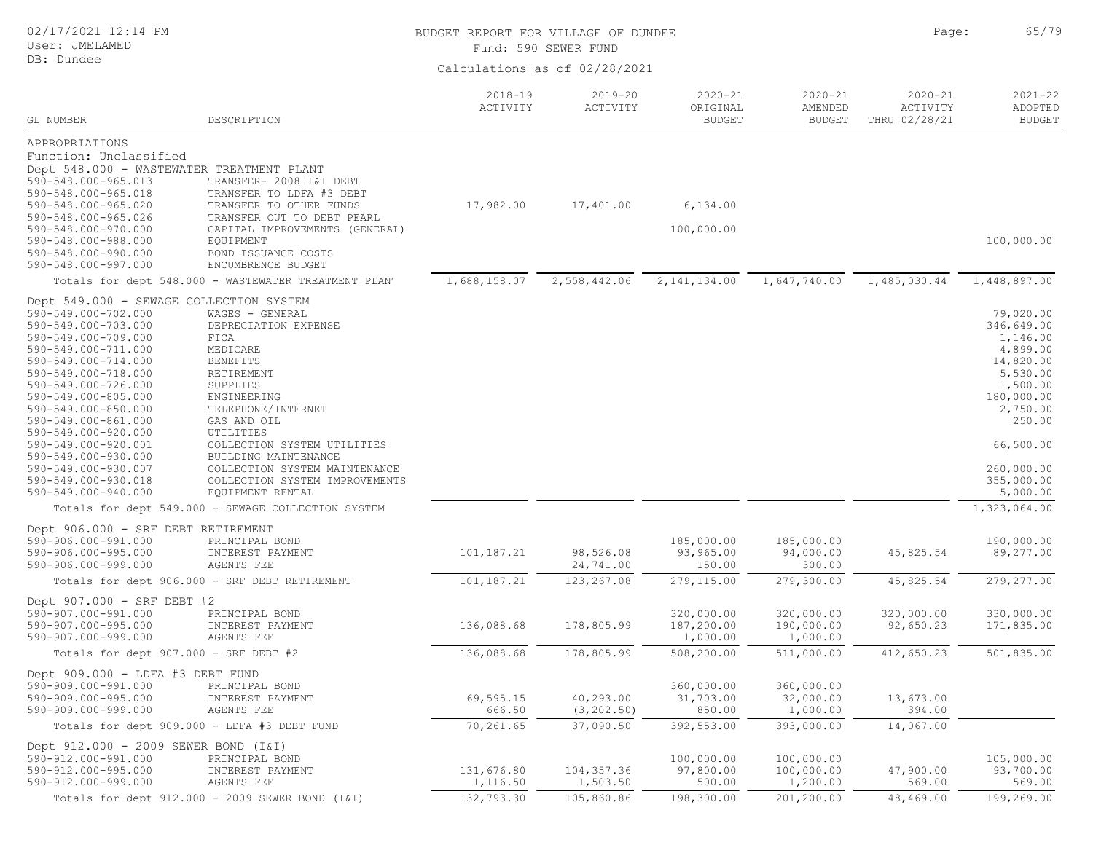| 02/17/2021 12:14 PM<br>User: JMELAMED                                                                                                                                                                                                                                                                                                                                     |                                                                                                                                                                                                                                                                   | BUDGET REPORT FOR VILLAGE OF DUNDEE | Fund: 590 SEWER FUND          |                                          |                                         | Page:                                    | 65/79                                                                                                                                               |
|---------------------------------------------------------------------------------------------------------------------------------------------------------------------------------------------------------------------------------------------------------------------------------------------------------------------------------------------------------------------------|-------------------------------------------------------------------------------------------------------------------------------------------------------------------------------------------------------------------------------------------------------------------|-------------------------------------|-------------------------------|------------------------------------------|-----------------------------------------|------------------------------------------|-----------------------------------------------------------------------------------------------------------------------------------------------------|
| DB: Dundee                                                                                                                                                                                                                                                                                                                                                                |                                                                                                                                                                                                                                                                   |                                     | Calculations as of 02/28/2021 |                                          |                                         |                                          |                                                                                                                                                     |
| GL NUMBER                                                                                                                                                                                                                                                                                                                                                                 | DESCRIPTION                                                                                                                                                                                                                                                       | $2018 - 19$<br>ACTIVITY             | $2019 - 20$<br>ACTIVITY       | $2020 - 21$<br>ORIGINAL<br><b>BUDGET</b> | $2020 - 21$<br>AMENDED<br><b>BUDGET</b> | $2020 - 21$<br>ACTIVITY<br>THRU 02/28/21 | $2021 - 22$<br>ADOPTED<br><b>BUDGET</b>                                                                                                             |
| APPROPRIATIONS                                                                                                                                                                                                                                                                                                                                                            |                                                                                                                                                                                                                                                                   |                                     |                               |                                          |                                         |                                          |                                                                                                                                                     |
| Function: Unclassified<br>Dept 548.000 - WASTEWATER TREATMENT PLANT<br>590-548.000-965.013<br>590-548.000-965.018<br>590-548.000-965.020<br>590-548.000-965.026<br>590-548.000-970.000<br>590-548.000-988.000<br>590-548.000-990.000<br>590-548.000-997.000                                                                                                               | TRANSFER- 2008 I&I DEBT<br>TRANSFER TO LDFA #3 DEBT<br>TRANSFER TO OTHER FUNDS<br>TRANSFER OUT TO DEBT PEARL<br>CAPITAL IMPROVEMENTS (GENERAL)<br>EQUIPMENT<br>BOND ISSUANCE COSTS<br>ENCUMBRENCE BUDGET                                                          | 17,982.00                           | 17,401.00                     | 6,134.00<br>100,000.00                   |                                         |                                          | 100,000.00                                                                                                                                          |
|                                                                                                                                                                                                                                                                                                                                                                           | Totals for dept 548.000 - WASTEWATER TREATMENT PLAN'                                                                                                                                                                                                              | 1,688,158.07                        | 2,558,442.06                  | 2, 141, 134.00                           | 1,647,740.00                            | 1,485,030.44                             | 1,448,897.00                                                                                                                                        |
| Dept 549.000 - SEWAGE COLLECTION SYSTEM<br>590-549.000-702.000<br>590-549.000-703.000<br>590-549.000-709.000<br>590-549.000-711.000<br>590-549.000-714.000<br>590-549.000-718.000<br>590-549.000-726.000<br>590-549.000-805.000<br>590-549.000-850.000<br>590-549.000-861.000<br>590-549.000-920.000<br>590-549.000-920.001<br>590-549.000-930.000<br>590-549.000-930.007 | WAGES - GENERAL<br>DEPRECIATION EXPENSE<br>FICA<br>MEDICARE<br><b>BENEFITS</b><br>RETIREMENT<br>SUPPLIES<br>ENGINEERING<br>TELEPHONE/INTERNET<br>GAS AND OIL<br>UTILITIES<br>COLLECTION SYSTEM UTILITIES<br>BUILDING MAINTENANCE<br>COLLECTION SYSTEM MAINTENANCE |                                     |                               |                                          |                                         |                                          | 79,020.00<br>346,649.00<br>1,146.00<br>4,899.00<br>14,820.00<br>5,530.00<br>1,500.00<br>180,000.00<br>2,750.00<br>250.00<br>66,500.00<br>260,000.00 |
| 590-549.000-930.018<br>590-549.000-940.000                                                                                                                                                                                                                                                                                                                                | COLLECTION SYSTEM IMPROVEMENTS<br>EQUIPMENT RENTAL                                                                                                                                                                                                                |                                     |                               |                                          |                                         |                                          | 355,000.00<br>5,000.00                                                                                                                              |
|                                                                                                                                                                                                                                                                                                                                                                           | Totals for dept 549.000 - SEWAGE COLLECTION SYSTEM                                                                                                                                                                                                                |                                     |                               |                                          |                                         |                                          | 1,323,064.00                                                                                                                                        |
| Dept 906.000 - SRF DEBT RETIREMENT<br>590-906.000-991.000<br>590-906.000-995.000<br>590-906.000-999.000                                                                                                                                                                                                                                                                   | PRINCIPAL BOND<br>INTEREST PAYMENT<br><b>AGENTS FEE</b>                                                                                                                                                                                                           | 101,187.21                          | 98,526.08<br>24,741.00        | 185,000.00<br>93,965.00<br>150.00        | 185,000.00<br>94,000.00<br>300.00       | 45,825.54                                | 190,000.00<br>89,277.00                                                                                                                             |
|                                                                                                                                                                                                                                                                                                                                                                           | Totals for dept 906.000 - SRF DEBT RETIREMENT                                                                                                                                                                                                                     | 101,187.21                          | 123, 267.08                   | 279,115.00                               | 279,300.00                              | 45,825.54                                | 279, 277.00                                                                                                                                         |
| Dept 907.000 - SRF DEBT #2<br>590-907.000-991.000<br>590-907.000-995.000<br>590-907.000-999.000                                                                                                                                                                                                                                                                           | PRINCIPAL BOND<br>INTEREST PAYMENT<br>AGENTS FEE                                                                                                                                                                                                                  | 136,088.68                          | 178,805.99                    | 320,000.00<br>187,200.00<br>1,000.00     | 320,000.00<br>190,000.00<br>1,000.00    | 320,000.00<br>92,650.23                  | 330,000.00<br>171,835.00                                                                                                                            |
| Totals for dept 907.000 - SRF DEBT #2                                                                                                                                                                                                                                                                                                                                     |                                                                                                                                                                                                                                                                   | 136,088.68                          | 178,805.99                    | 508,200.00                               | 511,000.00                              | 412,650.23                               | 501,835.00                                                                                                                                          |
| Dept 909.000 - LDFA #3 DEBT FUND<br>590-909.000-991.000<br>590-909.000-995.000<br>590-909.000-999.000                                                                                                                                                                                                                                                                     | PRINCIPAL BOND<br>INTEREST PAYMENT<br>AGENTS FEE                                                                                                                                                                                                                  | 69,595.15<br>666.50                 | 40,293.00<br>(3, 202.50)      | 360,000.00<br>31,703.00<br>850.00        | 360,000.00<br>32,000.00<br>1,000.00     | 13,673.00<br>394.00                      |                                                                                                                                                     |
|                                                                                                                                                                                                                                                                                                                                                                           | Totals for dept 909.000 - LDFA #3 DEBT FUND                                                                                                                                                                                                                       | 70,261.65                           | 37,090.50                     | 392,553.00                               | 393,000.00                              | 14,067.00                                |                                                                                                                                                     |
| Dept 912.000 - 2009 SEWER BOND (I&I)<br>590-912.000-991.000<br>590-912.000-995.000<br>590-912.000-999.000                                                                                                                                                                                                                                                                 | PRINCIPAL BOND<br>INTEREST PAYMENT<br>AGENTS FEE                                                                                                                                                                                                                  | 131,676.80<br>1,116.50              | 104, 357.36<br>1,503.50       | 100,000.00<br>97,800.00<br>500.00        | 100,000.00<br>100,000.00<br>1,200.00    | 47,900.00<br>569.00                      | 105,000.00<br>93,700.00<br>569.00                                                                                                                   |
|                                                                                                                                                                                                                                                                                                                                                                           | Totals for dept 912.000 - 2009 SEWER BOND (I&I)                                                                                                                                                                                                                   | 132,793.30                          | 105,860.86                    | 198,300.00                               | 201,200.00                              | 48,469.00                                | 199,269.00                                                                                                                                          |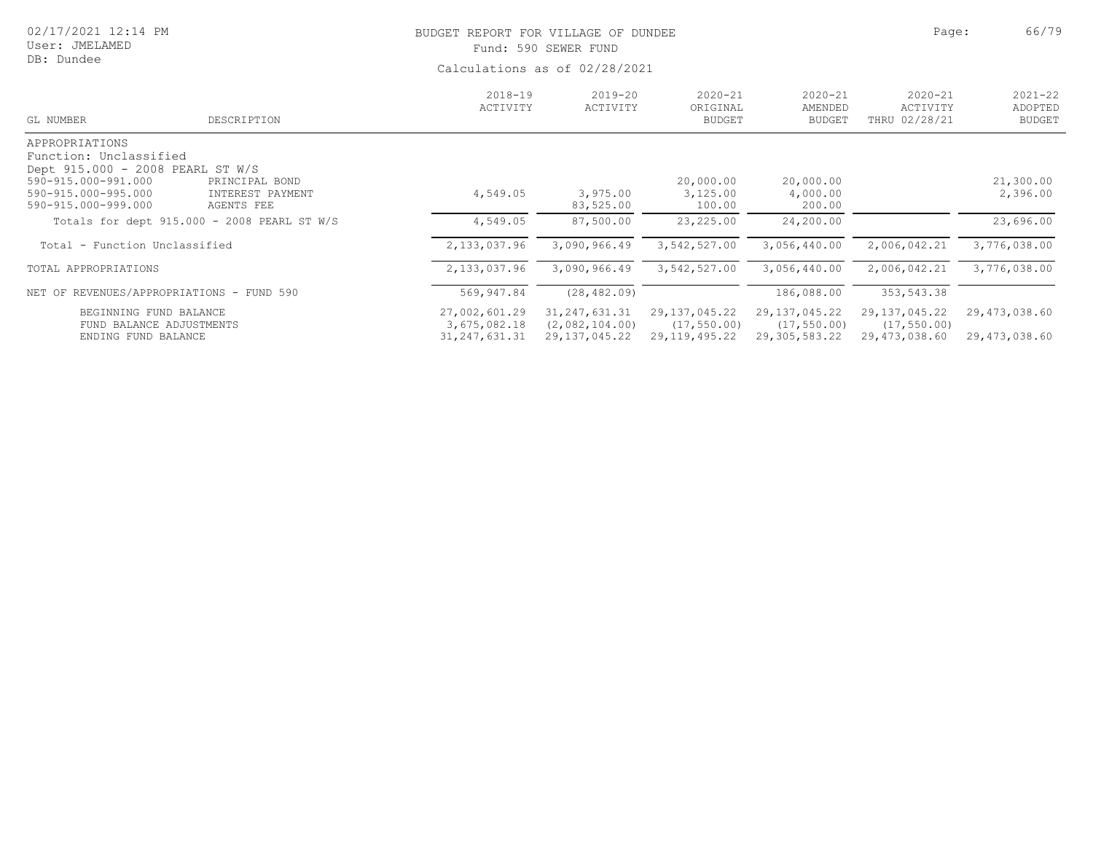| 02/17/2021 12:14 PM<br>User: JMELAMED<br>DB: Dundee                                                                                               |                                                  | BUDGET REPORT FOR VILLAGE OF DUNDEE<br>Fund: 590 SEWER FUND<br>Calculations as of 02/28/2021 |                         |                                          |                                         | Page:                                    | 66/79                                   |
|---------------------------------------------------------------------------------------------------------------------------------------------------|--------------------------------------------------|----------------------------------------------------------------------------------------------|-------------------------|------------------------------------------|-----------------------------------------|------------------------------------------|-----------------------------------------|
| GL NUMBER                                                                                                                                         | DESCRIPTION                                      | $2018 - 19$<br>ACTIVITY                                                                      | $2019 - 20$<br>ACTIVITY | $2020 - 21$<br>ORIGINAL<br><b>BUDGET</b> | $2020 - 21$<br>AMENDED<br><b>BUDGET</b> | $2020 - 21$<br>ACTIVITY<br>THRU 02/28/21 | $2021 - 22$<br>ADOPTED<br><b>BUDGET</b> |
| APPROPRIATIONS<br>Function: Unclassified<br>Dept 915.000 - 2008 PEARL ST W/S<br>590-915.000-991.000<br>590-915.000-995.000<br>590-915.000-999.000 | PRINCIPAL BOND<br>INTEREST PAYMENT<br>AGENTS FEE | 4,549.05                                                                                     | 3,975.00<br>83,525.00   | 20,000.00<br>3,125.00<br>100.00          | 20,000.00<br>4,000.00<br>200.00         |                                          | 21,300.00<br>2,396.00                   |
|                                                                                                                                                   | Totals for dept 915.000 - 2008 PEARL ST W/S      | 4,549.05                                                                                     | 87,500.00               | 23,225.00                                | 24,200.00                               |                                          | 23,696.00                               |

Total - Function Unclassified 2,133,037.96 3,090,966.49 3,542,527.00 3,056,440.00 2,006,042.21 3,776,038.00 TOTAL APPROPRIATIONS 2,133,037.96 3,090,966.49 3,542,527.00 3,056,440.00 2,006,042.21 3,776,038.00

FUND BALANCE ADJUSTMENTS 3,675,082.18 (2,082,104.00) (17,550.00) (17,550.00) (17,550.00)

NET OF REVENUES/APPROPRIATIONS - FUND 590 569,947.84 (28,482.09) 354,6482.09)

ENDING FUND BALANCE 31,247,631.31 29,137,045.22 29,119,495.22 29,305,583.22 29,473,038.60 29,473,038.60

BEGINNING FUND BALANCE 27,002,601.29 31,247,631.31 29,137,045.22 29,137,045.22 29,137,045.22 29,473,038.60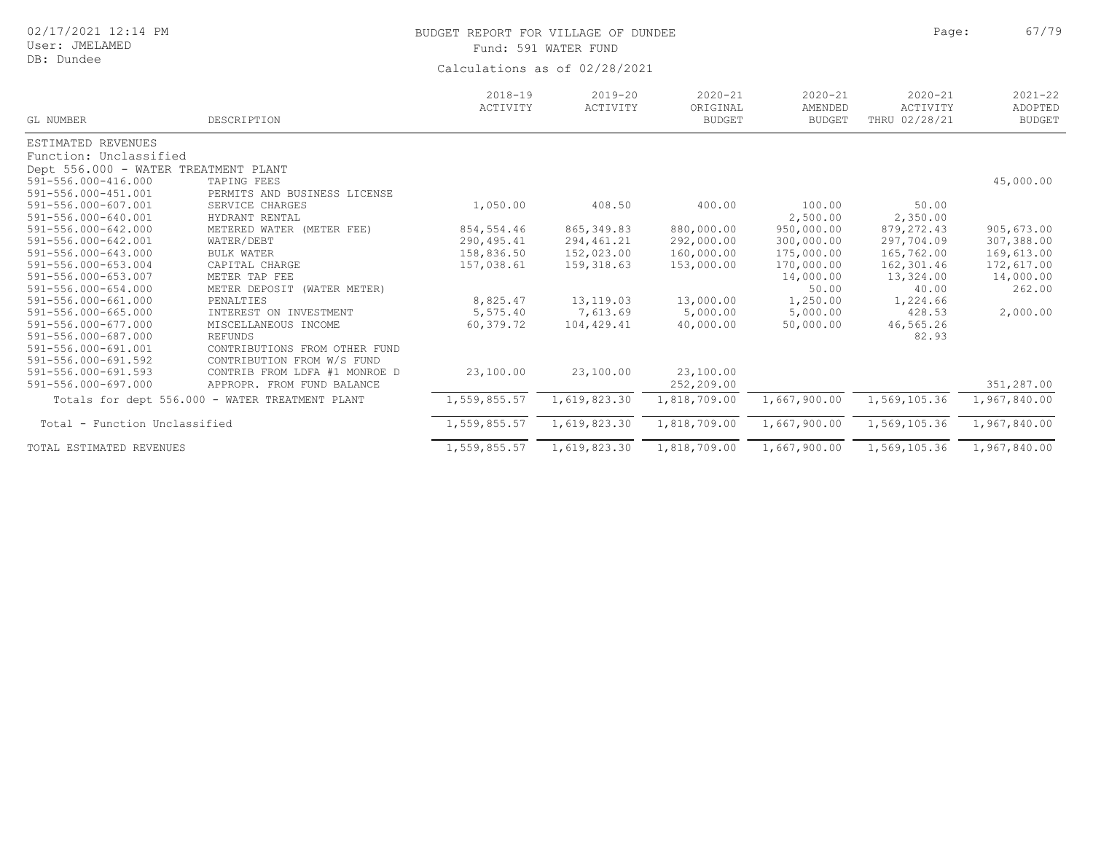| 02/17/2021 12:14 PM |  |  |
|---------------------|--|--|
|---------------------|--|--|

# BUDGET REPORT FOR VILLAGE OF DUNDEE **Example 2018** Page: 67/79 Fund: 591 WATER FUND

| GL NUMBER                            | DESCRIPTION                                     | $2018 - 19$<br>ACTIVITY | $2019 - 20$<br>ACTIVITY | $2020 - 21$<br>ORIGINAL<br><b>BUDGET</b> | $2020 - 21$<br>AMENDED<br><b>BUDGET</b> | $2020 - 21$<br>ACTIVITY<br>THRU 02/28/21 | $2021 - 22$<br>ADOPTED<br><b>BUDGET</b> |
|--------------------------------------|-------------------------------------------------|-------------------------|-------------------------|------------------------------------------|-----------------------------------------|------------------------------------------|-----------------------------------------|
| ESTIMATED REVENUES                   |                                                 |                         |                         |                                          |                                         |                                          |                                         |
| Function: Unclassified               |                                                 |                         |                         |                                          |                                         |                                          |                                         |
| Dept 556.000 - WATER TREATMENT PLANT |                                                 |                         |                         |                                          |                                         |                                          |                                         |
| 591-556.000-416.000                  | TAPING FEES                                     |                         |                         |                                          |                                         |                                          | 45,000.00                               |
| 591-556.000-451.001                  | PERMITS AND BUSINESS LICENSE                    |                         |                         |                                          |                                         |                                          |                                         |
| 591-556.000-607.001                  | SERVICE CHARGES                                 | 1,050.00                | 408.50                  | 400.00                                   | 100.00                                  | 50.00                                    |                                         |
| 591-556.000-640.001                  | HYDRANT RENTAL                                  |                         |                         |                                          | 2,500.00                                | 2,350.00                                 |                                         |
| 591-556.000-642.000                  | METERED WATER (METER FEE)                       | 854,554.46              | 865, 349.83             | 880,000.00                               | 950,000.00                              | 879, 272.43                              | 905,673.00                              |
| 591-556.000-642.001                  | WATER/DEBT                                      | 290,495.41              | 294,461.21              | 292,000.00                               | 300,000.00                              | 297,704.09                               | 307,388.00                              |
| 591-556.000-643.000                  | <b>BULK WATER</b>                               | 158,836.50              | 152,023.00              | 160,000.00                               | 175,000.00                              | 165,762.00                               | 169,613.00                              |
| 591-556.000-653.004                  | CAPITAL CHARGE                                  | 157,038.61              | 159,318.63              | 153,000.00                               | 170,000.00                              | 162,301.46                               | 172,617.00                              |
| 591-556.000-653.007                  | METER TAP FEE                                   |                         |                         |                                          | 14,000.00                               | 13,324.00                                | 14,000.00                               |
| 591-556.000-654.000                  | METER DEPOSIT (WATER METER)                     |                         |                         |                                          | 50.00                                   | 40.00                                    | 262.00                                  |
| 591-556.000-661.000                  | PENALTIES                                       | 8,825.47                | 13, 119.03              | 13,000.00                                | 1,250.00                                | 1,224.66                                 |                                         |
| 591-556.000-665.000                  | INTEREST ON INVESTMENT                          | 5,575.40                | 7,613.69                | 5,000.00                                 | 5,000.00                                | 428.53                                   | 2,000.00                                |
| 591-556.000-677.000                  | MISCELLANEOUS INCOME                            | 60,379.72               | 104,429.41              | 40,000.00                                | 50,000.00                               | 46,565.26                                |                                         |
| 591-556.000-687.000                  | <b>REFUNDS</b>                                  |                         |                         |                                          |                                         | 82.93                                    |                                         |
| 591-556.000-691.001                  | CONTRIBUTIONS FROM OTHER FUND                   |                         |                         |                                          |                                         |                                          |                                         |
| 591-556.000-691.592                  | CONTRIBUTION FROM W/S FUND                      |                         |                         |                                          |                                         |                                          |                                         |
| 591-556.000-691.593                  | CONTRIB FROM LDFA #1 MONROE D                   | 23,100.00               | 23,100.00               | 23,100.00                                |                                         |                                          |                                         |
| 591-556.000-697.000                  | APPROPR. FROM FUND BALANCE                      |                         |                         | 252,209.00                               |                                         |                                          | 351,287.00                              |
|                                      | Totals for dept 556.000 - WATER TREATMENT PLANT | 1,559,855.57            | 1,619,823.30            | 1,818,709.00                             | 1,667,900.00                            | 1,569,105.36                             | 1,967,840.00                            |
| Total - Function Unclassified        |                                                 | 1,559,855.57            | 1,619,823.30            | 1,818,709.00                             | 1,667,900.00                            | 1,569,105.36                             | 1,967,840.00                            |
| TOTAL ESTIMATED REVENUES             |                                                 | 1,559,855.57            | 1,619,823.30            | 1,818,709.00                             | 1,667,900.00                            | 1,569,105.36                             | 1,967,840.00                            |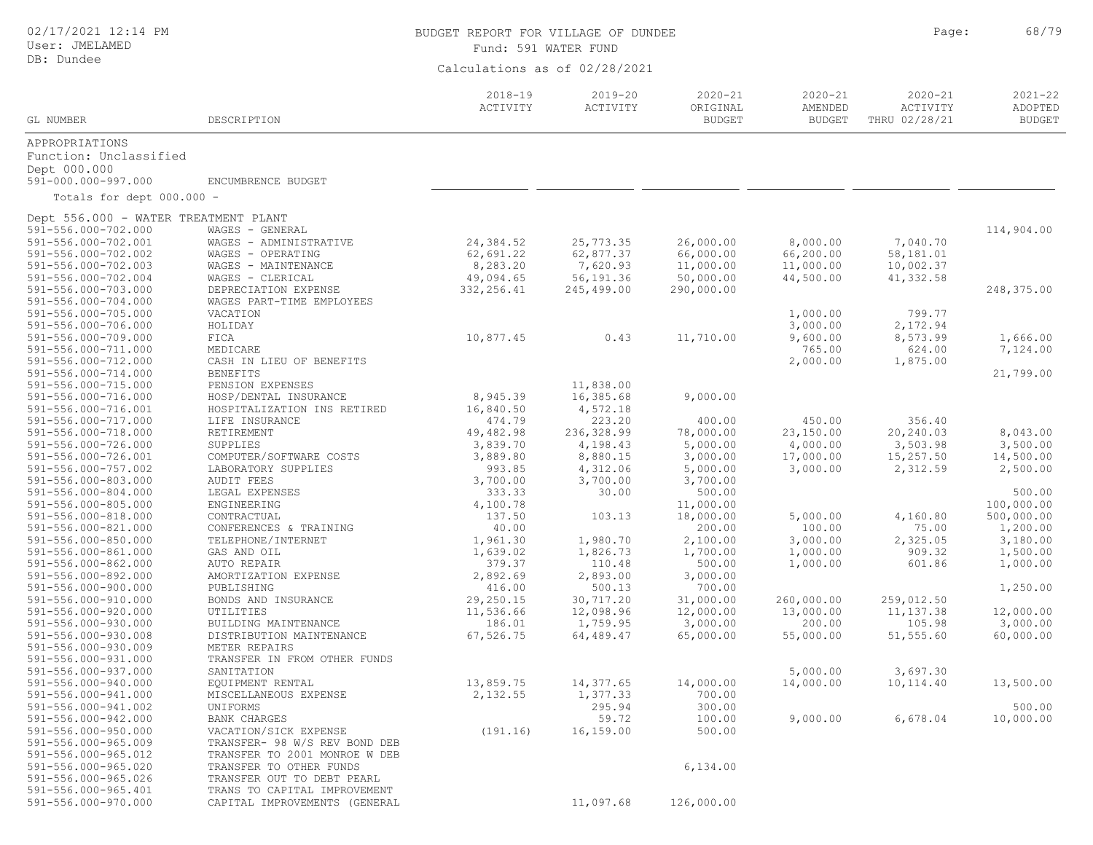| 02/17/2021 12:14 PM |  |  |
|---------------------|--|--|
|---------------------|--|--|

# BUDGET REPORT FOR VILLAGE OF DUNDEE **For a set of the set of the set of the set of the set of the set of the set of the set of the set of the set of the set of the set of the set of the set of the set of the set of the set** Fund: 591 WATER FUND

| GL NUMBER                                  | DESCRIPTION                                  | $2018 - 19$<br>ACTIVITY | $2019 - 20$<br>ACTIVITY | $2020 - 21$<br>ORIGINAL<br><b>BUDGET</b> | $2020 - 21$<br>AMENDED<br><b>BUDGET</b> | $2020 - 21$<br>ACTIVITY<br>THRU 02/28/21 | $2021 - 22$<br>ADOPTED<br><b>BUDGET</b> |
|--------------------------------------------|----------------------------------------------|-------------------------|-------------------------|------------------------------------------|-----------------------------------------|------------------------------------------|-----------------------------------------|
|                                            |                                              |                         |                         |                                          |                                         |                                          |                                         |
| APPROPRIATIONS<br>Function: Unclassified   |                                              |                         |                         |                                          |                                         |                                          |                                         |
| Dept 000.000<br>591-000.000-997.000        | ENCUMBRENCE BUDGET                           |                         |                         |                                          |                                         |                                          |                                         |
| Totals for dept 000.000 -                  |                                              |                         |                         |                                          |                                         |                                          |                                         |
|                                            |                                              |                         |                         |                                          |                                         |                                          |                                         |
| Dept 556.000 - WATER TREATMENT PLANT       |                                              |                         |                         |                                          |                                         |                                          |                                         |
| 591-556.000-702.000<br>591-556.000-702.001 | WAGES - GENERAL<br>WAGES - ADMINISTRATIVE    | 24,384.52               | 25,773.35               | 26,000.00                                | 8,000.00                                | 7,040.70                                 | 114,904.00                              |
| 591-556.000-702.002                        | WAGES - OPERATING                            | 62,691.22               | 62,877.37               | 66,000.00                                | 66,200.00                               | 58,181.01                                |                                         |
| 591-556.000-702.003                        | WAGES - MAINTENANCE                          | 8,283.20                | 7,620.93                | 11,000.00                                | 11,000.00                               | 10,002.37                                |                                         |
| 591-556.000-702.004                        | WAGES - CLERICAL                             | 49,094.65               | 56, 191.36              | 50,000.00                                | 44,500.00                               | 41,332.58                                |                                         |
| 591-556.000-703.000                        | DEPRECIATION EXPENSE                         | 332, 256.41             | 245,499.00              | 290,000.00                               |                                         |                                          | 248,375.00                              |
| 591-556.000-704.000                        | WAGES PART-TIME EMPLOYEES                    |                         |                         |                                          |                                         |                                          |                                         |
| 591-556.000-705.000                        | VACATION                                     |                         |                         |                                          | 1,000.00                                | 799.77                                   |                                         |
| 591-556.000-706.000                        | HOLIDAY                                      |                         |                         |                                          | 3,000.00                                | 2,172.94                                 |                                         |
| 591-556.000-709.000                        | FICA                                         | 10,877.45               | 0.43                    | 11,710.00                                | 9,600.00                                | 8,573.99                                 | 1,666.00                                |
| 591-556.000-711.000                        | MEDICARE                                     |                         |                         |                                          | 765.00                                  | 624.00                                   | 7,124.00                                |
| 591-556.000-712.000                        | CASH IN LIEU OF BENEFITS                     |                         |                         |                                          | 2,000.00                                | 1,875.00                                 |                                         |
| 591-556.000-714.000                        | <b>BENEFITS</b><br>PENSION EXPENSES          |                         |                         |                                          |                                         |                                          | 21,799.00                               |
| 591-556.000-715.000<br>591-556.000-716.000 | HOSP/DENTAL INSURANCE                        | 8,945.39                | 11,838.00<br>16,385.68  | 9,000.00                                 |                                         |                                          |                                         |
| 591-556.000-716.001                        | HOSPITALIZATION INS RETIRED                  | 16,840.50               | 4,572.18                |                                          |                                         |                                          |                                         |
| 591-556.000-717.000                        | LIFE INSURANCE                               | 474.79                  | 223.20                  | 400.00                                   | 450.00                                  | 356.40                                   |                                         |
| 591-556.000-718.000                        | RETIREMENT                                   | 49,482.98               | 236,328.99              | 78,000.00                                | 23,150.00                               | 20,240.03                                | 8,043.00                                |
| 591-556.000-726.000                        | SUPPLIES                                     | 3,839.70                | 4,198.43                | 5,000.00                                 | 4,000.00                                | 3,503.98                                 | 3,500.00                                |
| 591-556.000-726.001                        | COMPUTER/SOFTWARE COSTS                      | 3,889.80                | 8,880.15                | 3,000.00                                 | 17,000.00                               | 15,257.50                                | 14,500.00                               |
| 591-556.000-757.002                        | LABORATORY SUPPLIES                          | 993.85                  | 4,312.06                | 5,000.00                                 | 3,000.00                                | 2,312.59                                 | 2,500.00                                |
| 591-556.000-803.000                        | <b>AUDIT FEES</b>                            | 3,700.00                | 3,700.00                | 3,700.00                                 |                                         |                                          |                                         |
| 591-556.000-804.000                        | LEGAL EXPENSES                               | 333.33                  | 30.00                   | 500.00                                   |                                         |                                          | 500.00                                  |
| 591-556.000-805.000                        | ENGINEERING                                  | 4,100.78                |                         | 11,000.00                                |                                         |                                          | 100,000.00                              |
| 591-556.000-818.000                        | CONTRACTUAL                                  | 137.50                  | 103.13                  | 18,000.00                                | 5,000.00                                | 4,160.80                                 | 500,000.00                              |
| 591-556.000-821.000<br>591-556.000-850.000 | CONFERENCES & TRAINING<br>TELEPHONE/INTERNET | 40.00                   |                         | 200.00<br>2,100.00                       | 100.00<br>3,000.00                      | 75.00<br>2,325.05                        | 1,200.00<br>3,180.00                    |
| 591-556.000-861.000                        | GAS AND OIL                                  | 1,961.30<br>1,639.02    | 1,980.70<br>1,826.73    | 1,700.00                                 | 1,000.00                                | 909.32                                   | 1,500.00                                |
| 591-556.000-862.000                        | AUTO REPAIR                                  | 379.37                  | 110.48                  | 500.00                                   | 1,000.00                                | 601.86                                   | 1,000.00                                |
| 591-556.000-892.000                        | AMORTIZATION EXPENSE                         | 2,892.69                | 2,893.00                | 3,000.00                                 |                                         |                                          |                                         |
| 591-556.000-900.000                        | PUBLISHING                                   | 416.00                  | 500.13                  | 700.00                                   |                                         |                                          | 1,250.00                                |
| 591-556.000-910.000                        | BONDS AND INSURANCE                          | 29,250.15               | 30,717.20               | 31,000.00                                | 260,000.00                              | 259,012.50                               |                                         |
| 591-556.000-920.000                        | UTILITIES                                    | 11,536.66               | 12,098.96               | 12,000.00                                | 13,000.00                               | 11, 137.38                               | 12,000.00                               |
| 591-556.000-930.000                        | BUILDING MAINTENANCE                         | 186.01                  | 1,759.95                | 3,000.00                                 | 200.00                                  | 105.98                                   | 3,000.00                                |
| 591-556.000-930.008                        | DISTRIBUTION MAINTENANCE                     | 67,526.75               | 64,489.47               | 65,000.00                                | 55,000.00                               | 51,555.60                                | 60,000.00                               |
| 591-556.000-930.009                        | METER REPAIRS                                |                         |                         |                                          |                                         |                                          |                                         |
| 591-556.000-931.000                        | TRANSFER IN FROM OTHER FUNDS                 |                         |                         |                                          |                                         |                                          |                                         |
| 591-556.000-937.000                        | SANITATION                                   |                         |                         |                                          | 5,000.00                                | 3,697.30                                 |                                         |
| 591-556.000-940.000<br>591-556.000-941.000 | EQUIPMENT RENTAL<br>MISCELLANEOUS EXPENSE    | 13,859.75<br>2,132.55   | 14,377.65<br>1,377.33   | 14,000.00<br>700.00                      | 14,000.00                               | 10,114.40                                | 13,500.00                               |
| 591-556.000-941.002                        | UNIFORMS                                     |                         | 295.94                  | 300.00                                   |                                         |                                          | 500.00                                  |
| 591-556.000-942.000                        | <b>BANK CHARGES</b>                          |                         | 59.72                   | 100.00                                   | 9,000.00                                | 6,678.04                                 | 10,000.00                               |
| 591-556.000-950.000                        | VACATION/SICK EXPENSE                        | (191.16)                | 16,159.00               | 500.00                                   |                                         |                                          |                                         |
| 591-556.000-965.009                        | TRANSFER- 98 W/S REV BOND DEB                |                         |                         |                                          |                                         |                                          |                                         |
| 591-556.000-965.012                        | TRANSFER TO 2001 MONROE W DEB                |                         |                         |                                          |                                         |                                          |                                         |
| 591-556.000-965.020                        | TRANSFER TO OTHER FUNDS                      |                         |                         | 6, 134.00                                |                                         |                                          |                                         |
| 591-556.000-965.026                        | TRANSFER OUT TO DEBT PEARL                   |                         |                         |                                          |                                         |                                          |                                         |
| 591-556.000-965.401                        | TRANS TO CAPITAL IMPROVEMENT                 |                         |                         |                                          |                                         |                                          |                                         |
| 591-556.000-970.000                        | CAPITAL IMPROVEMENTS (GENERAL                |                         | 11,097.68               | 126,000.00                               |                                         |                                          |                                         |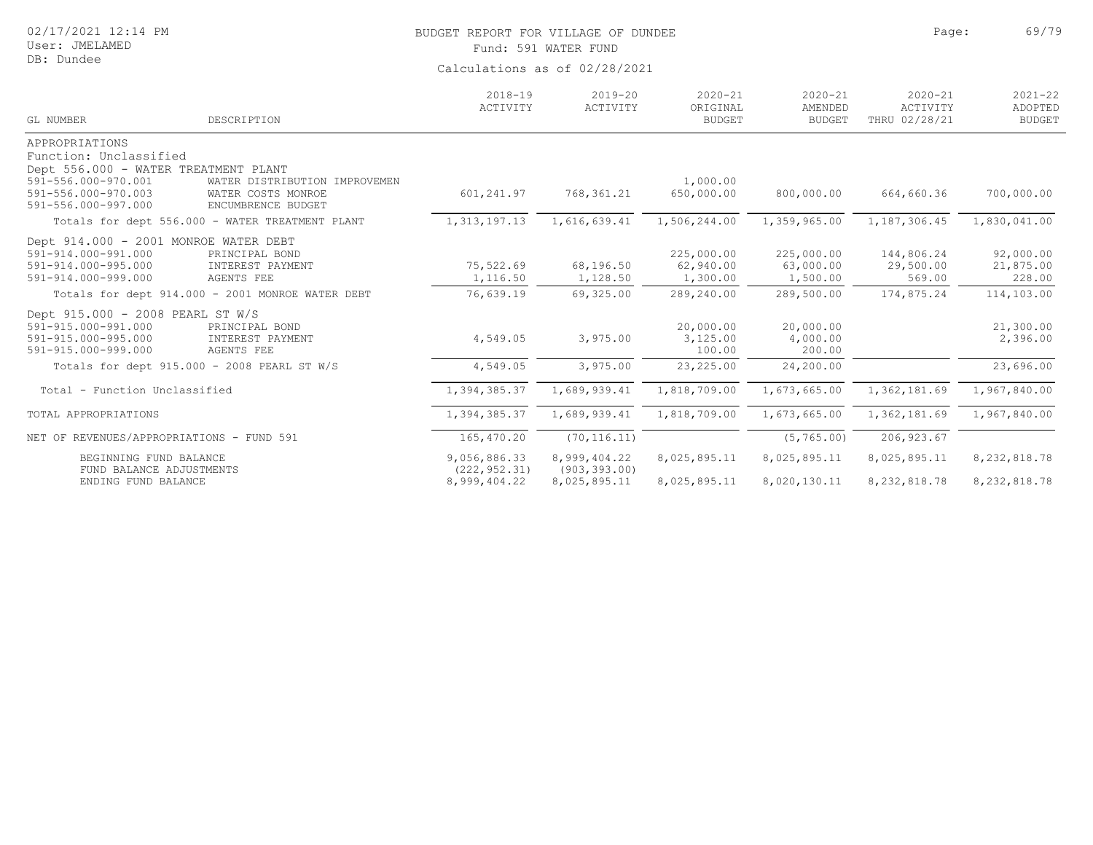User: JMELAMED DB: Dundee

# BUDGET REPORT FOR VILLAGE OF DUNDEE **Page:** 69/79

Fund: 591 WATER FUND

| <b>GL NUMBER</b>                                            | DESCRIPTION                                      | $2018 - 19$<br>ACTIVITY | $2019 - 20$<br>ACTIVITY | $2020 - 21$<br>ORIGINAL<br><b>BUDGET</b> | $2020 - 21$<br>AMENDED<br><b>BUDGET</b> | $2020 - 21$<br>ACTIVITY<br>THRU 02/28/21 | $2021 - 22$<br>ADOPTED<br><b>BUDGET</b> |
|-------------------------------------------------------------|--------------------------------------------------|-------------------------|-------------------------|------------------------------------------|-----------------------------------------|------------------------------------------|-----------------------------------------|
| APPROPRIATIONS                                              |                                                  |                         |                         |                                          |                                         |                                          |                                         |
| Function: Unclassified                                      |                                                  |                         |                         |                                          |                                         |                                          |                                         |
| Dept 556.000 - WATER TREATMENT PLANT<br>591-556.000-970.001 | WATER DISTRIBUTION IMPROVEMEN                    |                         |                         | 1,000.00                                 |                                         |                                          |                                         |
| 591-556.000-970.003<br>591-556.000-997.000                  | WATER COSTS MONROE<br>ENCUMBRENCE BUDGET         | 601,241.97              | 768, 361.21             | 650,000.00                               | 800,000.00                              | 664,660.36                               | 700,000.00                              |
|                                                             | Totals for dept 556.000 - WATER TREATMENT PLANT  | 1,313,197.13            | 1,616,639.41            | 1,506,244.00                             | 1,359,965.00                            | 1,187,306.45                             | 1,830,041.00                            |
| Dept 914.000 - 2001 MONROE WATER DEBT                       |                                                  |                         |                         |                                          |                                         |                                          |                                         |
| 591-914.000-991.000                                         | PRINCIPAL BOND                                   |                         |                         | 225,000.00                               | 225,000.00                              | 144,806.24                               | 92,000.00                               |
| 591-914.000-995.000                                         | INTEREST PAYMENT                                 | 75,522.69               | 68,196.50               | 62,940.00                                | 63,000.00                               | 29,500.00                                | 21,875.00                               |
| 591-914.000-999.000                                         | AGENTS FEE                                       | 1,116.50                | 1,128.50                | 1,300.00                                 | 1,500.00                                | 569.00                                   | 228.00                                  |
|                                                             | Totals for dept 914.000 - 2001 MONROE WATER DEBT | 76,639.19               | 69,325.00               | 289,240.00                               | 289,500.00                              | 174,875.24                               | 114,103.00                              |
| Dept 915.000 - 2008 PEARL ST W/S                            |                                                  |                         |                         |                                          |                                         |                                          |                                         |
| 591-915.000-991.000                                         | PRINCIPAL BOND                                   |                         |                         | 20,000.00                                | 20,000.00                               |                                          | 21,300.00                               |
| 591-915.000-995.000                                         | INTEREST PAYMENT                                 | 4,549.05                | 3,975.00                | 3,125.00                                 | 4,000.00                                |                                          | 2,396.00                                |
| 591-915.000-999.000                                         | <b>AGENTS FEE</b>                                |                         |                         | 100.00                                   | 200.00                                  |                                          |                                         |
|                                                             | Totals for dept 915.000 - 2008 PEARL ST W/S      | 4,549.05                | 3,975.00                | 23,225.00                                | 24,200.00                               |                                          | 23,696.00                               |
| Total - Function Unclassified                               |                                                  | 1,394,385.37            | 1,689,939.41            | 1,818,709.00                             | 1,673,665.00                            | 1,362,181.69                             | 1,967,840.00                            |
| TOTAL APPROPRIATIONS                                        |                                                  | 1,394,385.37            | 1,689,939.41            | 1,818,709.00                             | 1,673,665.00                            | 1,362,181.69                             | 1,967,840.00                            |
| NET OF REVENUES/APPROPRIATIONS - FUND 591                   |                                                  | 165,470.20              | (70, 116.11)            |                                          | (5, 765.00)                             | 206, 923.67                              |                                         |
| BEGINNING FUND BALANCE                                      |                                                  | 9,056,886.33            | 8,999,404.22            | 8,025,895.11                             | 8,025,895.11                            | 8,025,895.11                             | 8,232,818.78                            |
| FUND BALANCE ADJUSTMENTS                                    |                                                  | (222, 952, 31)          | (903, 393, 00)          |                                          |                                         |                                          |                                         |
| ENDING FUND BALANCE                                         |                                                  | 8,999,404.22            | 8,025,895.11            | 8,025,895.11                             | 8,020,130.11                            | 8, 232, 818.78                           | 8,232,818.78                            |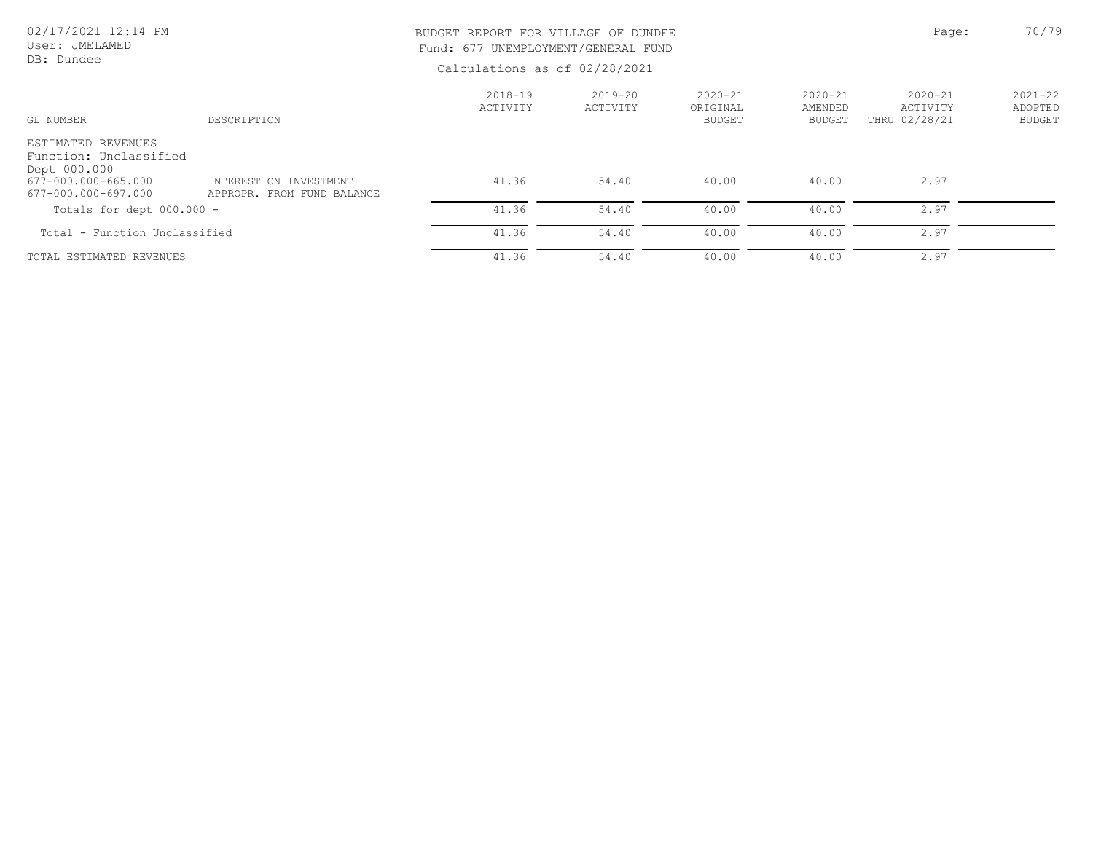### 02/17/2021 12:14 PM User: JMELAMED

DB: Dundee

# BUDGET REPORT FOR VILLAGE OF DUNDEE **Page:** 20/79 Fund: 677 UNEMPLOYMENT/GENERAL FUND

| GL NUMBER                                                                                                  | DESCRIPTION                                          | $2018 - 19$<br>ACTIVITY | $2019 - 20$<br>ACTIVITY | $2020 - 21$<br>ORIGINAL<br><b>BUDGET</b> | $2020 - 21$<br>AMENDED<br><b>BUDGET</b> | $2020 - 21$<br>ACTIVITY<br>THRU 02/28/21 | $2021 - 22$<br>ADOPTED<br><b>BUDGET</b> |
|------------------------------------------------------------------------------------------------------------|------------------------------------------------------|-------------------------|-------------------------|------------------------------------------|-----------------------------------------|------------------------------------------|-----------------------------------------|
| ESTIMATED REVENUES<br>Function: Unclassified<br>Dept 000.000<br>677-000.000-665.000<br>677-000.000-697.000 | INTEREST ON INVESTMENT<br>APPROPR. FROM FUND BALANCE | 41.36                   | 54.40                   | 40.00                                    | 40.00                                   | 2.97                                     |                                         |
| Totals for dept $000.000 -$                                                                                |                                                      | 41.36                   | 54.40                   | 40.00                                    | 40.00                                   | 2.97                                     |                                         |
| Total - Function Unclassified                                                                              |                                                      | 41.36                   | 54.40                   | 40.00                                    | 40.00                                   | 2.97                                     |                                         |
| TOTAL ESTIMATED REVENUES                                                                                   |                                                      | 41.36                   | 54.40                   | 40.00                                    | 40.00                                   | 2.97                                     |                                         |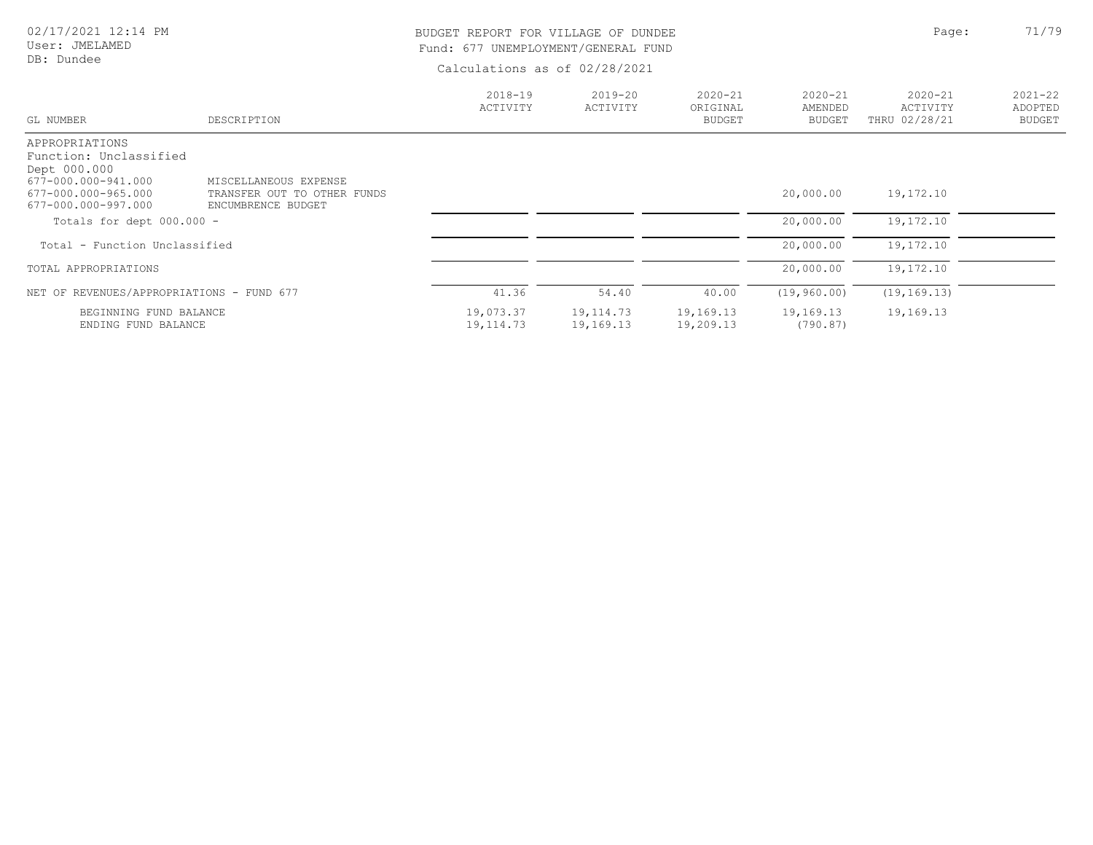User: JMELAMED DB: Dundee

# BUDGET REPORT FOR VILLAGE OF DUNDEE **Page:** 21/79 Fund: 677 UNEMPLOYMENT/GENERAL FUND

| GL NUMBER                                                                                                                     | DESCRIPTION                                                                | $2018 - 19$<br>ACTIVITY  | $2019 - 20$<br>ACTIVITY | $2020 - 21$<br>ORIGINAL<br><b>BUDGET</b> | $2020 - 21$<br>AMENDED<br><b>BUDGET</b> | $2020 - 21$<br><b>ACTIVITY</b><br>THRU 02/28/21 | $2021 - 22$<br>ADOPTED<br><b>BUDGET</b> |
|-------------------------------------------------------------------------------------------------------------------------------|----------------------------------------------------------------------------|--------------------------|-------------------------|------------------------------------------|-----------------------------------------|-------------------------------------------------|-----------------------------------------|
|                                                                                                                               |                                                                            |                          |                         |                                          |                                         |                                                 |                                         |
| APPROPRIATIONS<br>Function: Unclassified<br>Dept 000.000<br>677-000.000-941.000<br>677-000.000-965.000<br>677-000.000-997.000 | MISCELLANEOUS EXPENSE<br>TRANSFER OUT TO OTHER FUNDS<br>ENCUMBRENCE BUDGET |                          |                         |                                          | 20,000.00                               | 19,172.10                                       |                                         |
| Totals for dept 000.000 -                                                                                                     |                                                                            |                          |                         |                                          | 20,000.00                               | 19,172.10                                       |                                         |
| Total - Function Unclassified                                                                                                 |                                                                            |                          |                         |                                          | 20,000.00                               | 19,172.10                                       |                                         |
| TOTAL APPROPRIATIONS                                                                                                          |                                                                            |                          |                         |                                          | 20,000.00                               | 19,172.10                                       |                                         |
| NET OF REVENUES/APPROPRIATIONS - FUND 677                                                                                     |                                                                            | 41.36                    | 54.40                   | 40.00                                    | (19, 960.00)                            | (19, 169, 13)                                   |                                         |
| BEGINNING FUND BALANCE<br>ENDING FUND BALANCE                                                                                 |                                                                            | 19,073.37<br>19, 114. 73 | 19,114.73<br>19,169.13  | 19,169.13<br>19,209.13                   | 19,169.13<br>(790.87)                   | 19,169.13                                       |                                         |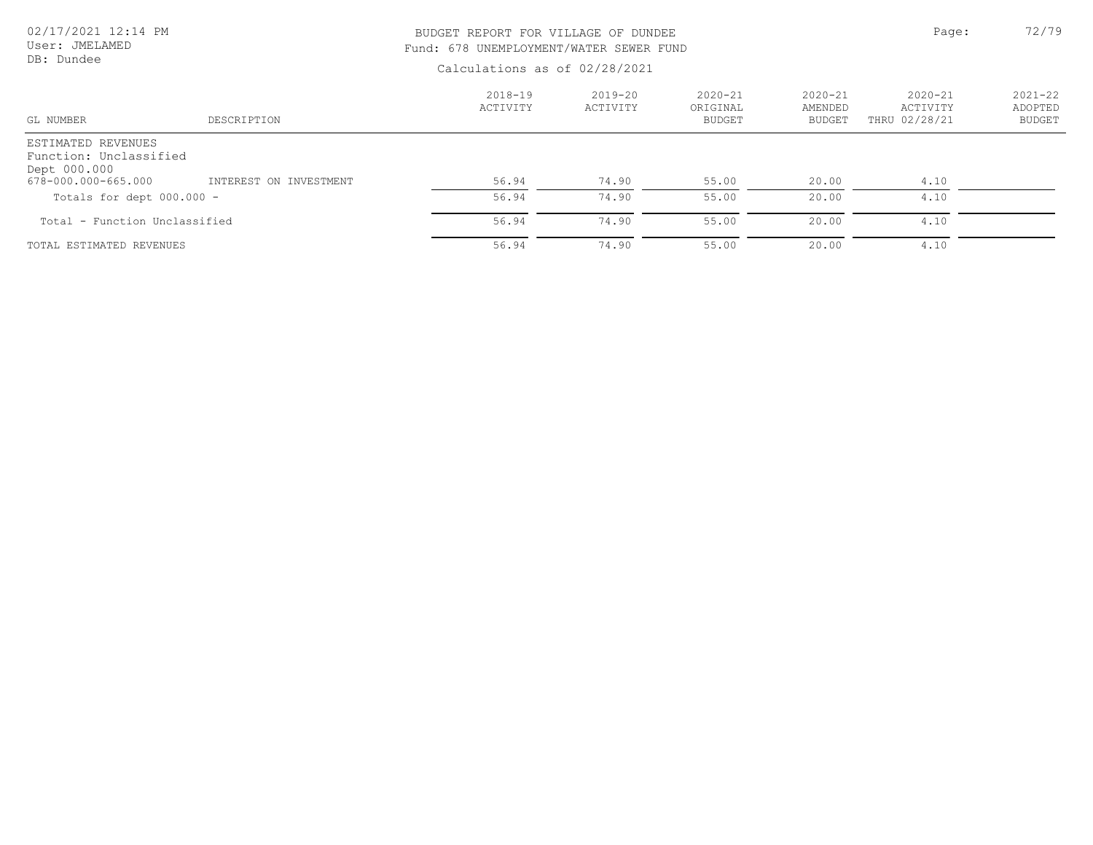| 02/17/2021 12:14 PM<br>User: JMELAMED | BUDGET REPORT FOR VILLAGE OF DUNDEE<br>Fund: 678 UNEMPLOYMENT/WATER SEWER FUND |                               |                         |                                   |                                  | Page:                                    | 72/79                            |
|---------------------------------------|--------------------------------------------------------------------------------|-------------------------------|-------------------------|-----------------------------------|----------------------------------|------------------------------------------|----------------------------------|
| DB: Dundee                            |                                                                                | Calculations as of 02/28/2021 |                         |                                   |                                  |                                          |                                  |
| GL NUMBER                             | DESCRIPTION                                                                    | 2018-19<br>ACTIVITY           | $2019 - 20$<br>ACTIVITY | $2020 - 21$<br>ORIGINAL<br>BUDGET | $2020 - 21$<br>AMENDED<br>BUDGET | $2020 - 21$<br>ACTIVITY<br>THRU 02/28/21 | $2021 - 22$<br>ADOPTED<br>BUDGET |
| ESTIMATED REVENUES                    |                                                                                |                               |                         |                                   |                                  |                                          |                                  |

| Function: Unclassified<br>Dept 000.000 |                        |       |       |       |       |      |  |
|----------------------------------------|------------------------|-------|-------|-------|-------|------|--|
| 678-000.000-665.000                    | INTEREST ON INVESTMENT | 56.94 | 74.90 | 55.00 | 20.00 | 4.10 |  |
| Totals for dept $000.000 -$            |                        | 56.94 | 74.90 | 55.00 | 20.00 | 4.10 |  |
| Total - Function Unclassified          |                        | 56.94 | 74.90 | 55.00 | 20.00 | 4.10 |  |
| TOTAL ESTIMATED REVENUES               |                        | 56.94 | 74.90 | 55.00 | 20.00 | 4.10 |  |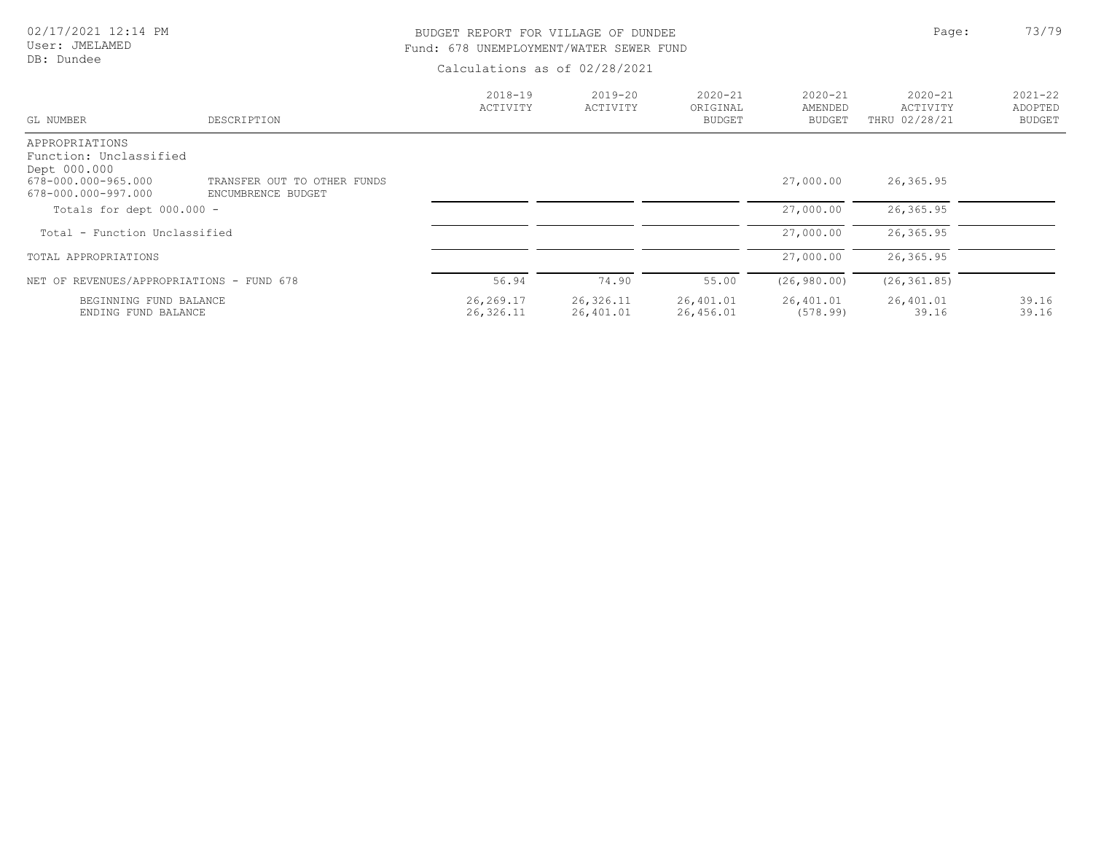#### User: JMELAMED DB: Dundee

### BUDGET REPORT FOR VILLAGE OF DUNDEE **Page:** Page: 73/79 Fund: 678 UNEMPLOYMENT/WATER SEWER FUND

| GL NUMBER                                                                                              | DESCRIPTION                                       | $2018 - 19$<br>ACTIVITY | $2019 - 20$<br>ACTIVITY | $2020 - 21$<br>ORIGINAL<br><b>BUDGET</b> | $2020 - 21$<br>AMENDED<br><b>BUDGET</b> | $2020 - 21$<br>ACTIVITY<br>THRU 02/28/21 | $2021 - 22$<br>ADOPTED<br><b>BUDGET</b> |
|--------------------------------------------------------------------------------------------------------|---------------------------------------------------|-------------------------|-------------------------|------------------------------------------|-----------------------------------------|------------------------------------------|-----------------------------------------|
| APPROPRIATIONS<br>Function: Unclassified<br>Dept 000.000<br>678-000.000-965.000<br>678-000.000-997.000 | TRANSFER OUT TO OTHER FUNDS<br>ENCUMBRENCE BUDGET |                         |                         |                                          | 27,000.00                               | 26,365.95                                |                                         |
| Totals for dept $000.000 -$                                                                            |                                                   |                         |                         |                                          | 27,000.00                               | 26,365.95                                |                                         |
| Total - Function Unclassified                                                                          |                                                   |                         |                         |                                          | 27,000.00                               | 26,365.95                                |                                         |
| TOTAL APPROPRIATIONS                                                                                   |                                                   |                         |                         |                                          | 27,000.00                               | 26,365.95                                |                                         |
| NET OF REVENUES/APPROPRIATIONS - FUND 678                                                              |                                                   | 56.94                   | 74.90                   | 55.00                                    | (26, 980, 00)                           | (26, 361, 85)                            |                                         |
| BEGINNING FUND BALANCE<br>ENDING FUND BALANCE                                                          |                                                   | 26,269.17<br>26,326.11  | 26,326.11<br>26,401.01  | 26,401.01<br>26,456.01                   | 26,401.01<br>(578.99)                   | 26,401.01<br>39.16                       | 39.16<br>39.16                          |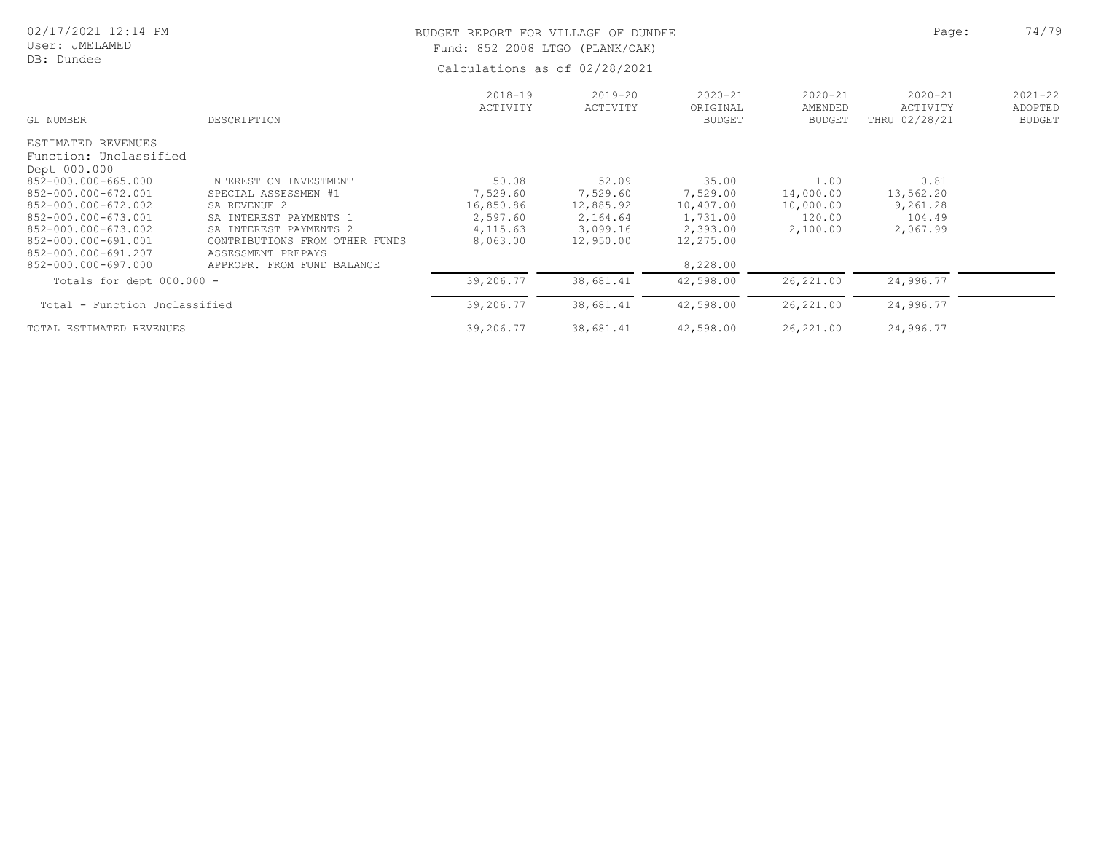| 02/17/2021 12:14 PM |  |  |
|---------------------|--|--|
|---------------------|--|--|

#### User: JMELAMED DB: Dundee

# BUDGET REPORT FOR VILLAGE OF DUNDEE **Page:** 24/79 Fund: 852 2008 LTGO (PLANK/OAK)

| GL NUMBER                                                                                                                                                     | DESCRIPTION                                                                                                                                                                | $2018 - 19$<br>ACTIVITY                                            | $2019 - 20$<br>ACTIVITY                                             | $2020 - 21$<br>ORIGINAL<br><b>BUDGET</b>                            | $2020 - 21$<br>AMENDED<br><b>BUDGET</b>              | $2020 - 21$<br>ACTIVITY<br>THRU 02/28/21            | $2021 - 22$<br>ADOPTED<br><b>BUDGET</b> |
|---------------------------------------------------------------------------------------------------------------------------------------------------------------|----------------------------------------------------------------------------------------------------------------------------------------------------------------------------|--------------------------------------------------------------------|---------------------------------------------------------------------|---------------------------------------------------------------------|------------------------------------------------------|-----------------------------------------------------|-----------------------------------------|
| ESTIMATED REVENUES<br>Function: Unclassified<br>Dept 000.000                                                                                                  |                                                                                                                                                                            |                                                                    |                                                                     |                                                                     |                                                      |                                                     |                                         |
| 852-000.000-665.000<br>852-000.000-672.001<br>852-000.000-672.002<br>852-000.000-673.001<br>852-000.000-673.002<br>852-000.000-691.001<br>852-000.000-691.207 | INTEREST ON INVESTMENT<br>SPECIAL ASSESSMEN #1<br>SA REVENUE 2<br>SA INTEREST PAYMENTS 1<br>SA INTEREST PAYMENTS 2<br>CONTRIBUTIONS FROM OTHER FUNDS<br>ASSESSMENT PREPAYS | 50.08<br>7,529.60<br>16,850.86<br>2,597.60<br>4,115.63<br>8,063.00 | 52.09<br>7,529.60<br>12,885.92<br>2,164.64<br>3,099.16<br>12,950.00 | 35.00<br>7,529.00<br>10,407.00<br>1,731.00<br>2,393.00<br>12,275.00 | 1.00<br>14,000.00<br>10,000.00<br>120.00<br>2,100.00 | 0.81<br>13,562.20<br>9,261.28<br>104.49<br>2,067.99 |                                         |
| 852-000.000-697.000                                                                                                                                           | APPROPR. FROM FUND BALANCE                                                                                                                                                 |                                                                    |                                                                     | 8,228.00                                                            |                                                      |                                                     |                                         |
| Totals for dept $000.000 -$                                                                                                                                   |                                                                                                                                                                            | 39,206.77                                                          | 38,681.41                                                           | 42,598.00                                                           | 26,221.00                                            | 24,996.77                                           |                                         |
| Total - Function Unclassified                                                                                                                                 |                                                                                                                                                                            | 39,206.77                                                          | 38,681.41                                                           | 42,598.00                                                           | 26,221.00                                            | 24,996.77                                           |                                         |
| TOTAL ESTIMATED REVENUES                                                                                                                                      |                                                                                                                                                                            | 39,206.77                                                          | 38,681.41                                                           | 42,598.00                                                           | 26,221.00                                            | 24,996.77                                           |                                         |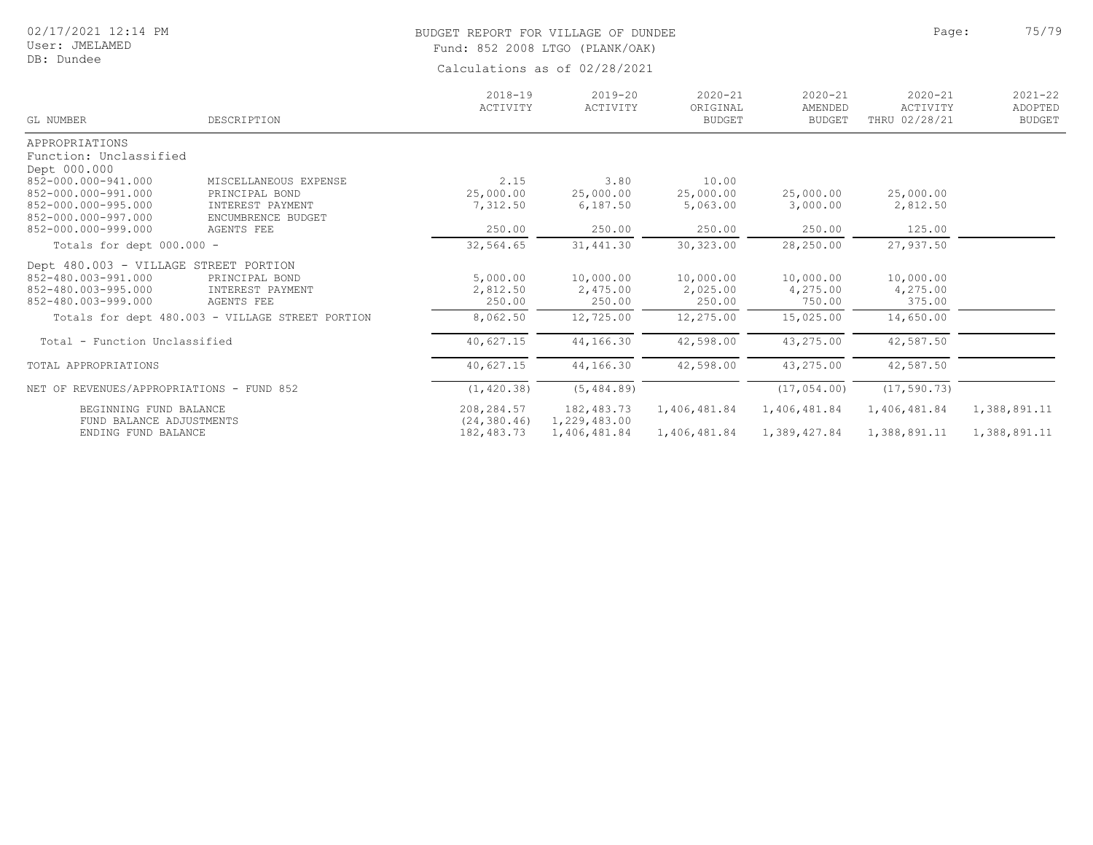#### User: JMELAMED DB: Dundee

# BUDGET REPORT FOR VILLAGE OF DUNDEE **Page:** 25/79 Fund: 852 2008 LTGO (PLANK/OAK)

| GL NUMBER                                 | DESCRIPTION                                      | $2018 - 19$<br>ACTIVITY | $2019 - 20$<br>ACTIVITY | $2020 - 21$<br>ORIGINAL<br><b>BUDGET</b> | $2020 - 21$<br>AMENDED<br><b>BUDGET</b> | $2020 - 21$<br>ACTIVITY<br>THRU 02/28/21 | $2021 - 22$<br>ADOPTED<br><b>BUDGET</b> |
|-------------------------------------------|--------------------------------------------------|-------------------------|-------------------------|------------------------------------------|-----------------------------------------|------------------------------------------|-----------------------------------------|
| APPROPRIATIONS                            |                                                  |                         |                         |                                          |                                         |                                          |                                         |
| Function: Unclassified<br>Dept 000.000    |                                                  |                         |                         |                                          |                                         |                                          |                                         |
| 852-000.000-941.000                       | MISCELLANEOUS EXPENSE                            | 2.15                    | 3.80                    | 10.00                                    |                                         |                                          |                                         |
| 852-000.000-991.000                       | PRINCIPAL BOND                                   | 25,000.00               | 25,000.00               | 25,000.00                                | 25,000.00                               | 25,000.00                                |                                         |
| 852-000.000-995.000                       | INTEREST PAYMENT                                 | 7,312.50                | 6, 187.50               | 5,063.00                                 | 3,000.00                                | 2,812.50                                 |                                         |
| 852-000.000-997.000                       | ENCUMBRENCE BUDGET                               |                         |                         |                                          |                                         |                                          |                                         |
| 852-000.000-999.000                       | AGENTS FEE                                       | 250.00                  | 250.00                  | 250.00                                   | 250.00                                  | 125.00                                   |                                         |
| Totals for dept 000.000 -                 |                                                  | 32,564.65               | 31, 441.30              | 30,323.00                                | 28,250.00                               | 27,937.50                                |                                         |
| Dept 480.003 - VILLAGE STREET PORTION     |                                                  |                         |                         |                                          |                                         |                                          |                                         |
| 852-480.003-991.000                       | PRINCIPAL BOND                                   | 5,000.00                | 10,000.00               | 10,000.00                                | 10,000.00                               | 10,000.00                                |                                         |
| 852-480.003-995.000                       | INTEREST PAYMENT                                 | 2,812.50                | 2,475.00                | 2,025.00                                 | 4,275.00                                | 4,275.00                                 |                                         |
| 852-480.003-999.000                       | AGENTS FEE                                       | 250.00                  | 250.00                  | 250.00                                   | 750.00                                  | 375.00                                   |                                         |
|                                           | Totals for dept 480.003 - VILLAGE STREET PORTION | 8,062.50                | 12,725.00               | 12,275.00                                | 15,025.00                               | 14,650.00                                |                                         |
| Total - Function Unclassified             |                                                  | 40,627.15               | 44,166.30               | 42,598.00                                | 43,275.00                               | 42,587.50                                |                                         |
| TOTAL APPROPRIATIONS                      |                                                  | 40,627.15               | 44,166.30               | 42,598.00                                | 43,275.00                               | 42,587.50                                |                                         |
| NET OF REVENUES/APPROPRIATIONS - FUND 852 |                                                  | (1, 420.38)             | (5, 484.89)             |                                          | (17, 054.00)                            | (17, 590.73)                             |                                         |
|                                           |                                                  |                         |                         |                                          |                                         |                                          |                                         |
| BEGINNING FUND BALANCE                    |                                                  | 208,284.57              | 182,483.73              | 1,406,481.84                             | 1,406,481.84                            | 1,406,481.84                             | 1,388,891.11                            |
| FUND BALANCE ADJUSTMENTS                  |                                                  | (24, 380, 46)           | 1,229,483.00            |                                          |                                         |                                          |                                         |
| ENDING FUND BALANCE                       |                                                  | 182,483.73              | 1,406,481.84            | 1,406,481.84                             | 1,389,427.84                            | 1,388,891.11                             | 1,388,891.11                            |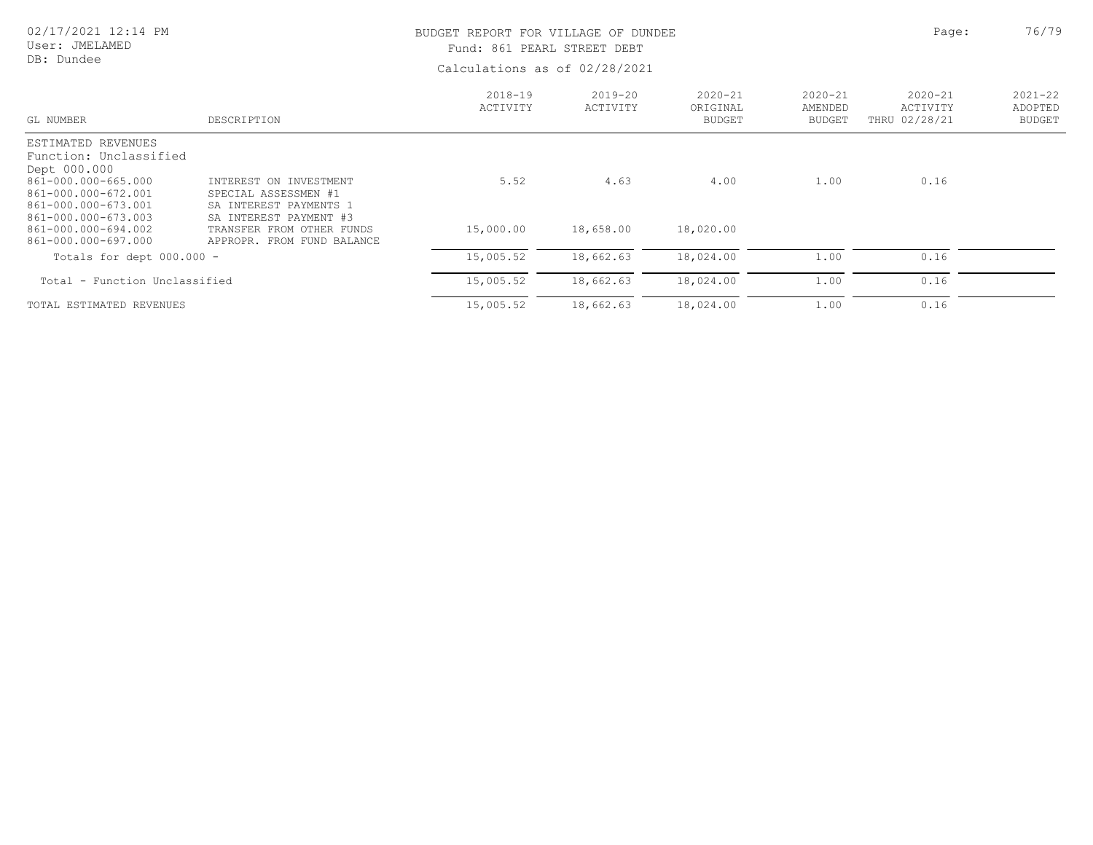# 02/17/2021 12:14 PM

User: JMELAMED DB: Dundee

### BUDGET REPORT FOR VILLAGE OF DUNDEE **Page:** 26/79 Fund: 861 PEARL STREET DEBT

| GL NUMBER                                  | DESCRIPTION                                             | $2018 - 19$<br>ACTIVITY | $2019 - 20$<br>ACTIVITY | $2020 - 21$<br>ORIGINAL<br><b>BUDGET</b> | $2020 - 21$<br>AMENDED<br><b>BUDGET</b> | $2020 - 21$<br>ACTIVITY<br>THRU 02/28/21 | $2021 - 22$<br>ADOPTED<br><b>BUDGET</b> |
|--------------------------------------------|---------------------------------------------------------|-------------------------|-------------------------|------------------------------------------|-----------------------------------------|------------------------------------------|-----------------------------------------|
| ESTIMATED REVENUES                         |                                                         |                         |                         |                                          |                                         |                                          |                                         |
| Function: Unclassified                     |                                                         |                         |                         |                                          |                                         |                                          |                                         |
| Dept 000.000                               |                                                         |                         |                         |                                          |                                         |                                          |                                         |
| 861-000.000-665.000                        | INTEREST ON INVESTMENT                                  | 5.52                    | 4.63                    | 4.00                                     | 1.00                                    | 0.16                                     |                                         |
| 861-000.000-672.001                        | SPECIAL ASSESSMEN #1                                    |                         |                         |                                          |                                         |                                          |                                         |
| 861-000.000-673.001                        | SA INTEREST PAYMENTS 1                                  |                         |                         |                                          |                                         |                                          |                                         |
| 861-000.000-673.003                        | SA INTEREST PAYMENT #3                                  |                         |                         |                                          |                                         |                                          |                                         |
| 861-000.000-694.002<br>861-000.000-697.000 | TRANSFER FROM OTHER FUNDS<br>APPROPR. FROM FUND BALANCE | 15,000.00               | 18,658.00               | 18,020.00                                |                                         |                                          |                                         |
|                                            |                                                         |                         |                         |                                          |                                         |                                          |                                         |
| Totals for dept $000.000 -$                |                                                         | 15,005.52               | 18,662.63               | 18,024.00                                | 1.00                                    | 0.16                                     |                                         |
| Total - Function Unclassified              |                                                         | 15,005.52               | 18,662.63               | 18,024.00                                | 1.00                                    | 0.16                                     |                                         |
| TOTAL ESTIMATED REVENUES                   |                                                         | 15,005.52               | 18,662.63               | 18,024.00                                | 1.00                                    | 0.16                                     |                                         |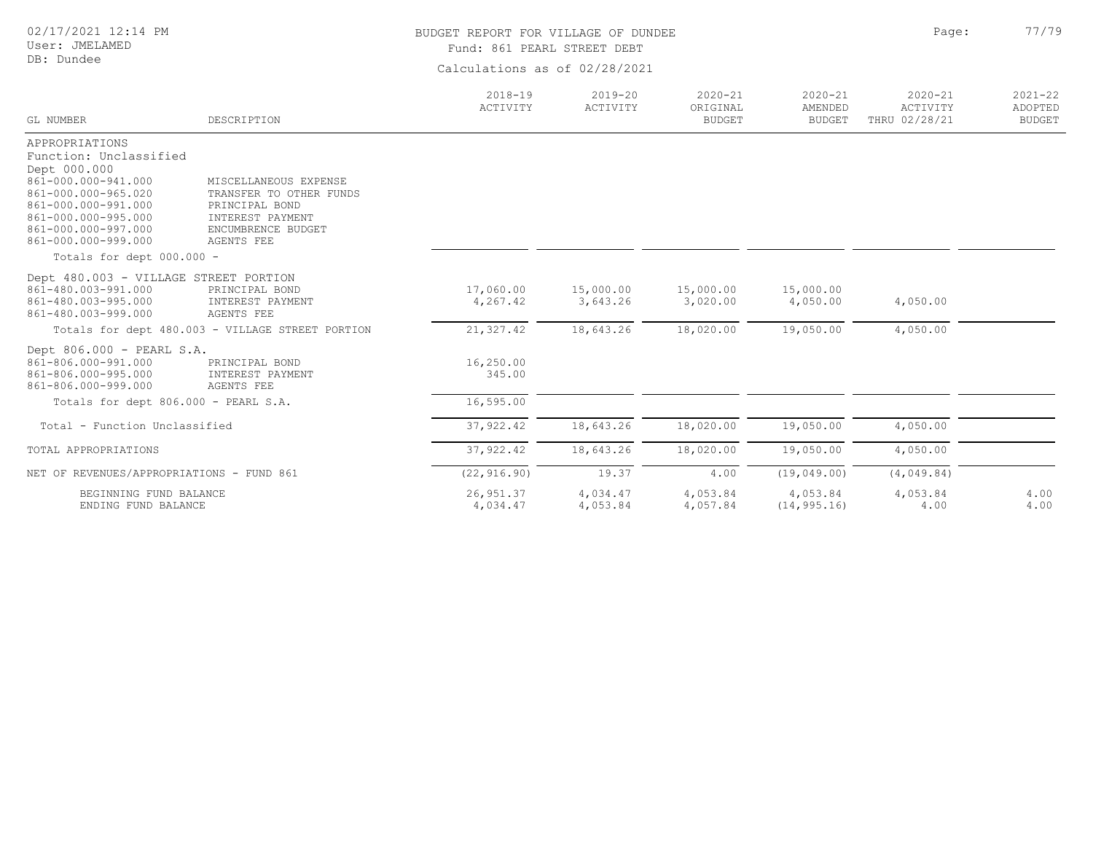02/17/2021 12:14 PM

#### User: JMELAMED DB: Dundee

# BUDGET REPORT FOR VILLAGE OF DUNDEE **Page:** 27/79

Fund: 861 PEARL STREET DEBT

| GL NUMBER                                                                                                                                                                                          | DESCRIPTION                                                                                                                | $2018 - 19$<br>ACTIVITY | $2019 - 20$<br>ACTIVITY | $2020 - 21$<br>ORIGINAL<br><b>BUDGET</b> | $2020 - 21$<br>AMENDED<br><b>BUDGET</b> | $2020 - 21$<br>ACTIVITY<br>THRU 02/28/21 | $2021 - 22$<br>ADOPTED<br><b>BUDGET</b> |
|----------------------------------------------------------------------------------------------------------------------------------------------------------------------------------------------------|----------------------------------------------------------------------------------------------------------------------------|-------------------------|-------------------------|------------------------------------------|-----------------------------------------|------------------------------------------|-----------------------------------------|
| APPROPRIATIONS<br>Function: Unclassified<br>Dept 000.000<br>861-000.000-941.000<br>861-000.000-965.020<br>861-000.000-991.000<br>861-000.000-995.000<br>861-000.000-997.000<br>861-000.000-999.000 | MISCELLANEOUS EXPENSE<br>TRANSFER TO OTHER FUNDS<br>PRINCIPAL BOND<br>INTEREST PAYMENT<br>ENCUMBRENCE BUDGET<br>AGENTS FEE |                         |                         |                                          |                                         |                                          |                                         |
| Totals for dept 000.000 -                                                                                                                                                                          |                                                                                                                            |                         |                         |                                          |                                         |                                          |                                         |
| Dept 480.003 - VILLAGE STREET PORTION<br>861-480.003-991.000<br>861-480.003-995.000<br>861-480.003-999.000                                                                                         | PRINCIPAL BOND<br>INTEREST PAYMENT<br>AGENTS FEE                                                                           | 17,060.00<br>4,267.42   | 15,000.00<br>3,643.26   | 15,000.00<br>3,020.00                    | 15,000.00<br>4,050.00                   | 4,050.00                                 |                                         |
|                                                                                                                                                                                                    | Totals for dept 480.003 - VILLAGE STREET PORTION                                                                           | 21,327.42               | 18,643.26               | 18,020.00                                | 19,050.00                               | 4,050.00                                 |                                         |
| Dept 806.000 - PEARL S.A.<br>861-806.000-991.000<br>861-806.000-995.000<br>861-806.000-999.000                                                                                                     | PRINCIPAL BOND<br>INTEREST PAYMENT<br>AGENTS FEE                                                                           | 16,250.00<br>345.00     |                         |                                          |                                         |                                          |                                         |
| Totals for dept 806.000 - PEARL S.A.                                                                                                                                                               |                                                                                                                            | 16,595.00               |                         |                                          |                                         |                                          |                                         |
| Total - Function Unclassified                                                                                                                                                                      |                                                                                                                            | 37, 922.42              | 18,643.26               | 18,020.00                                | 19,050.00                               | 4,050.00                                 |                                         |
| TOTAL APPROPRIATIONS                                                                                                                                                                               |                                                                                                                            | 37, 922.42              | 18,643.26               | 18,020.00                                | 19,050.00                               | 4,050.00                                 |                                         |
| NET OF REVENUES/APPROPRIATIONS - FUND 861                                                                                                                                                          |                                                                                                                            | (22, 916.90)            | 19.37                   | 4.00                                     | (19, 049.00)                            | (4,049.84)                               |                                         |
| BEGINNING FUND BALANCE<br>ENDING FUND BALANCE                                                                                                                                                      |                                                                                                                            | 26, 951.37<br>4,034.47  | 4,034.47<br>4,053.84    | 4,053.84<br>4,057.84                     | 4,053.84<br>(14, 995.16)                | 4,053.84<br>4.00                         | 4.00<br>4.00                            |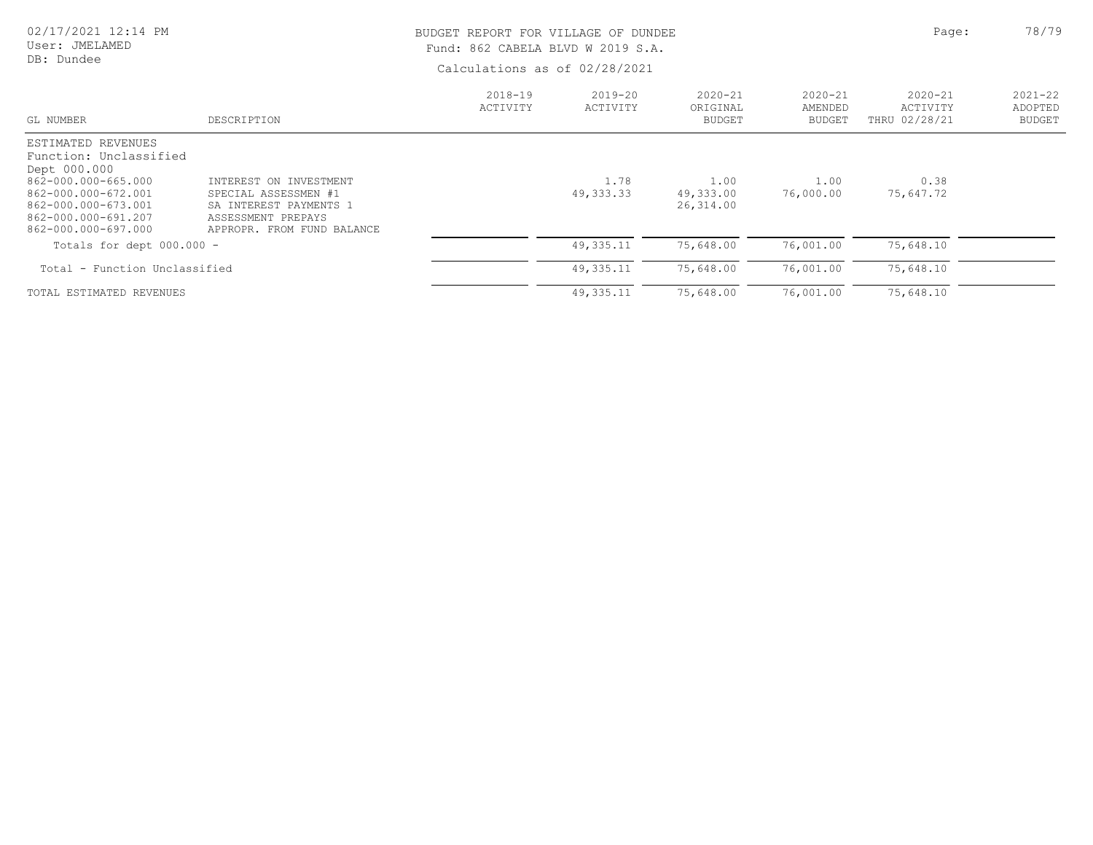#### 02/17/2021 12:14 PM User: JMELAMED DB: Dundee BUDGET REPORT FOR VILLAGE OF DUNDEE **Page:** 28/79 Fund: 862 CABELA BLVD W 2019 S.A.

| $2018 - 19$<br>ACTIVITY | $2019 - 20$<br>ACTIVITY | $2020 - 21$<br>ORIGINAL<br><b>BUDGET</b> | $2020 - 21$<br>AMENDED<br><b>BUDGET</b> | $2020 - 21$<br>ACTIVITY<br>THRU 02/28/21 | $2021 - 22$<br>ADOPTED<br><b>BUDGET</b> |
|-------------------------|-------------------------|------------------------------------------|-----------------------------------------|------------------------------------------|-----------------------------------------|
|                         | 1.78<br>49, 333, 33     | 1.00<br>49,333.00<br>26,314.00           | 1.00<br>76,000.00                       | 0.38<br>75,647.72                        |                                         |
|                         | 49, 335.11              | 75,648.00                                | 76,001.00                               | 75,648.10                                |                                         |
|                         | 49, 335.11              | 75,648.00                                | 76,001.00                               | 75,648.10                                |                                         |
|                         |                         | 49, 335.11                               | 75,648.00                               | 76,001.00                                | 75,648.10                               |